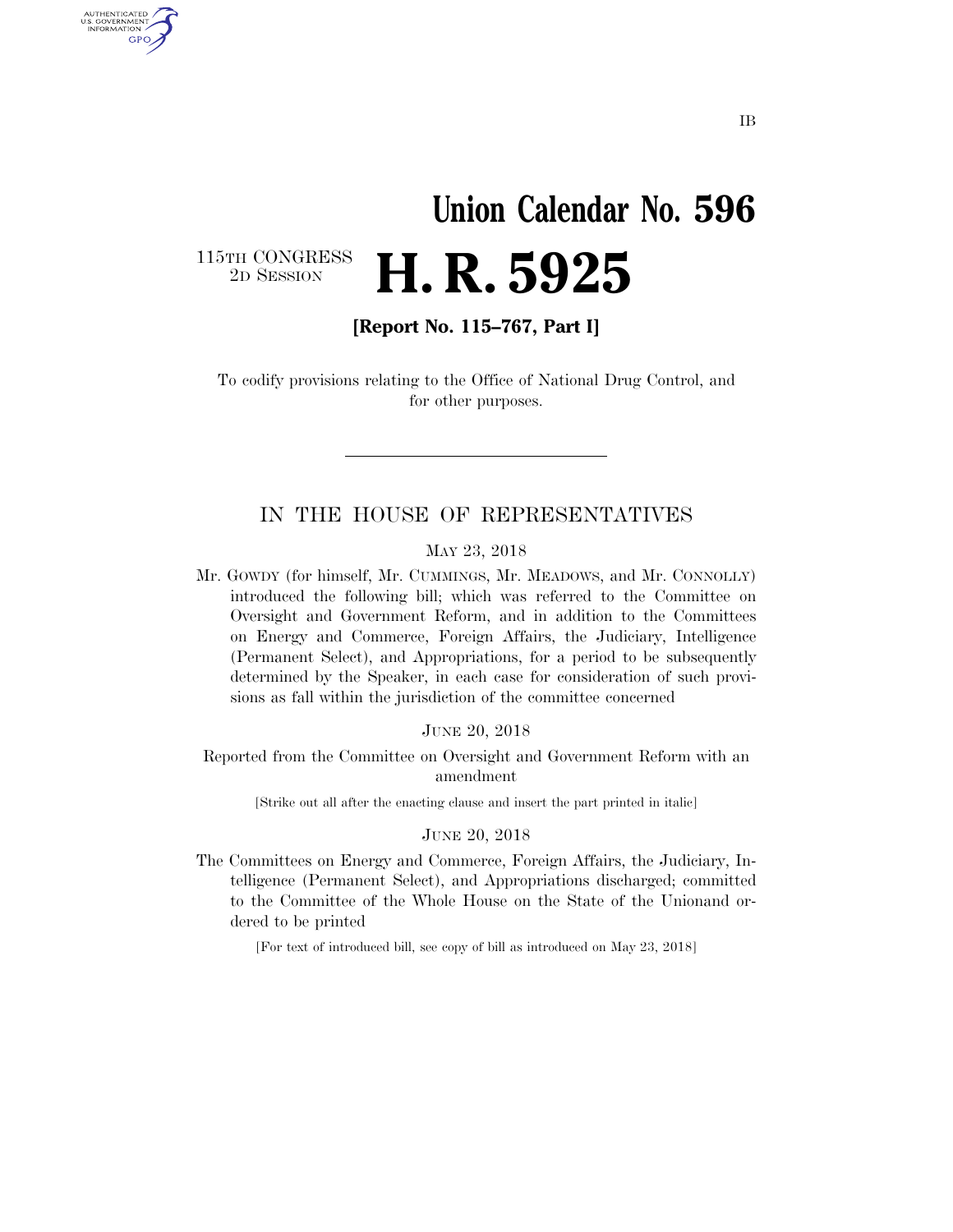# **Union Calendar No. 596**  2D SESSION **H. R. 5925**

115TH CONGRESS<br>2D SESSION

U.S. GOVERNMENT GPO

**[Report No. 115–767, Part I]** 

To codify provisions relating to the Office of National Drug Control, and for other purposes.

#### IN THE HOUSE OF REPRESENTATIVES

#### MAY 23, 2018

Mr. GOWDY (for himself, Mr. CUMMINGS, Mr. MEADOWS, and Mr. CONNOLLY) introduced the following bill; which was referred to the Committee on Oversight and Government Reform, and in addition to the Committees on Energy and Commerce, Foreign Affairs, the Judiciary, Intelligence (Permanent Select), and Appropriations, for a period to be subsequently determined by the Speaker, in each case for consideration of such provisions as fall within the jurisdiction of the committee concerned

#### JUNE 20, 2018

Reported from the Committee on Oversight and Government Reform with an amendment

[Strike out all after the enacting clause and insert the part printed in italic]

#### JUNE 20, 2018

The Committees on Energy and Commerce, Foreign Affairs, the Judiciary, Intelligence (Permanent Select), and Appropriations discharged; committed to the Committee of the Whole House on the State of the Unionand ordered to be printed

[For text of introduced bill, see copy of bill as introduced on May 23, 2018]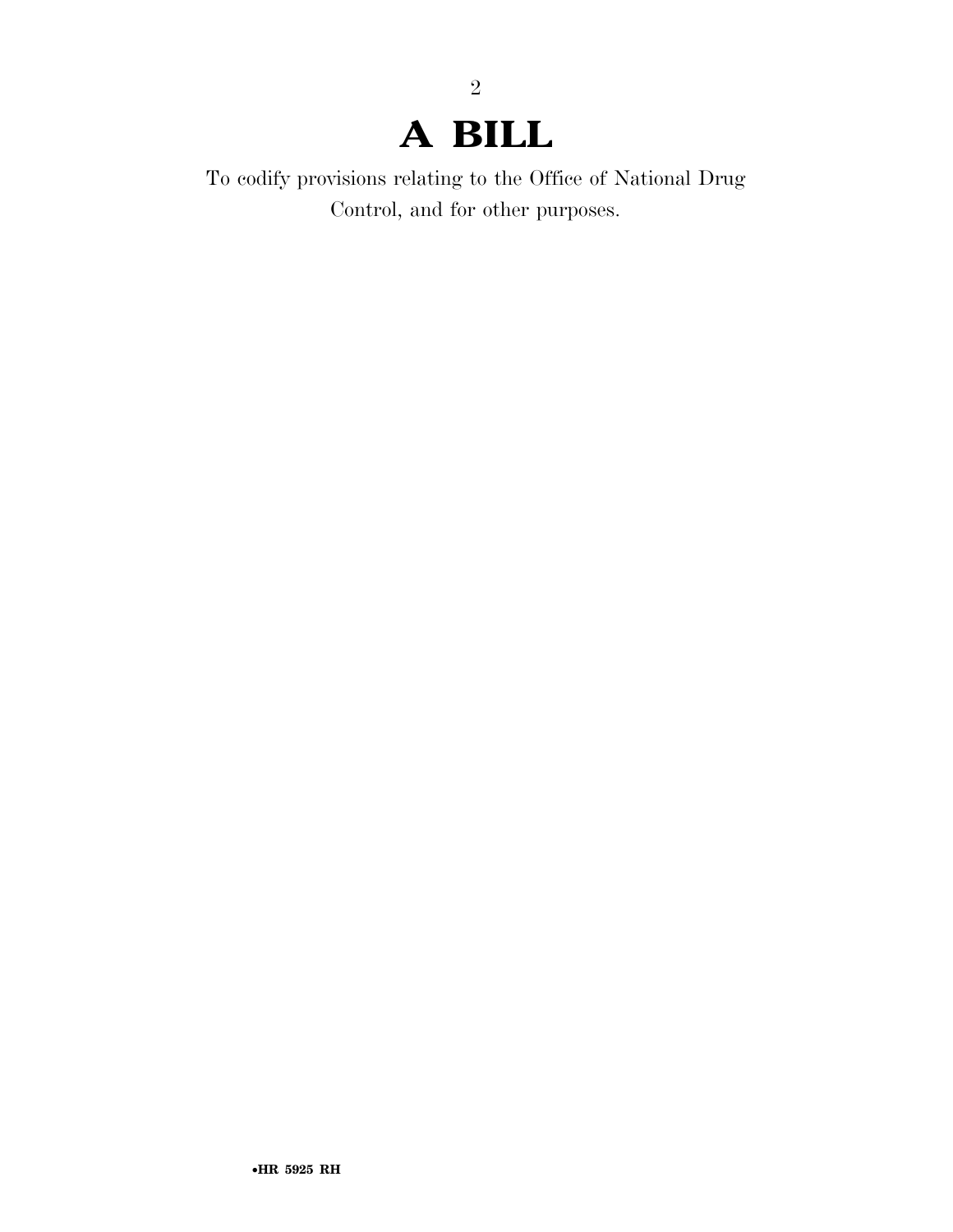# **A BILL**

2

To codify provisions relating to the Office of National Drug Control, and for other purposes.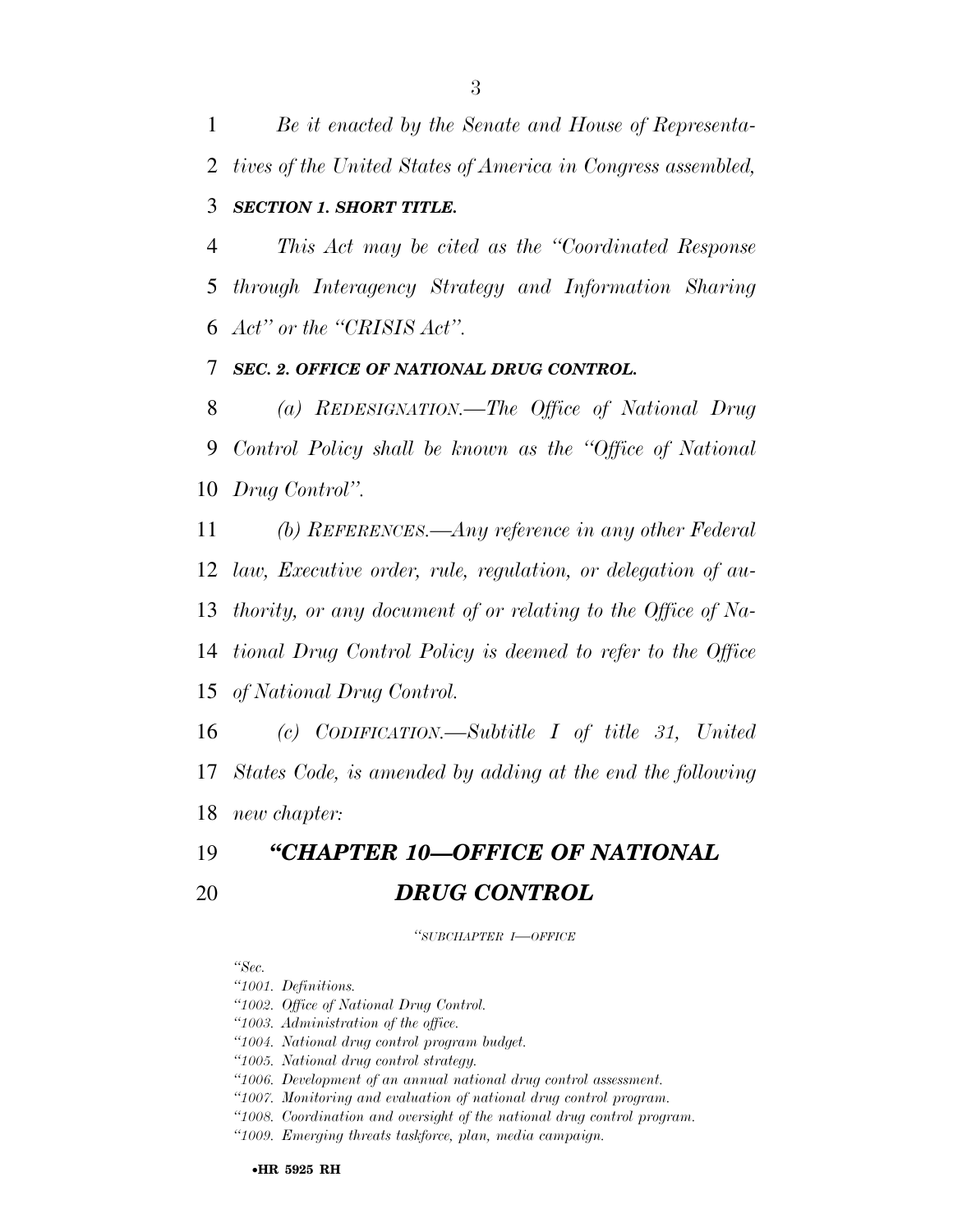*Be it enacted by the Senate and House of Representa-tives of the United States of America in Congress assembled,* 

### *SECTION 1. SHORT TITLE.*

 *This Act may be cited as the ''Coordinated Response through Interagency Strategy and Information Sharing Act'' or the ''CRISIS Act''.* 

*SEC. 2. OFFICE OF NATIONAL DRUG CONTROL.* 

 *(a) REDESIGNATION.—The Office of National Drug Control Policy shall be known as the ''Office of National Drug Control''.* 

 *(b) REFERENCES.—Any reference in any other Federal law, Executive order, rule, regulation, or delegation of au- thority, or any document of or relating to the Office of Na- tional Drug Control Policy is deemed to refer to the Office of National Drug Control.* 

 *(c) CODIFICATION.—Subtitle I of title 31, United States Code, is amended by adding at the end the following new chapter:* 

# *''CHAPTER 10—OFFICE OF NATIONAL DRUG CONTROL*

*''SUBCHAPTER I—OFFICE*

*''Sec.* 

*''1001. Definitions.* 

*''1002. Office of National Drug Control.* 

*''1003. Administration of the office.* 

*''1004. National drug control program budget.* 

*''1005. National drug control strategy.* 

*''1006. Development of an annual national drug control assessment.* 

*''1007. Monitoring and evaluation of national drug control program.* 

*''1008. Coordination and oversight of the national drug control program.* 

*''1009. Emerging threats taskforce, plan, media campaign.*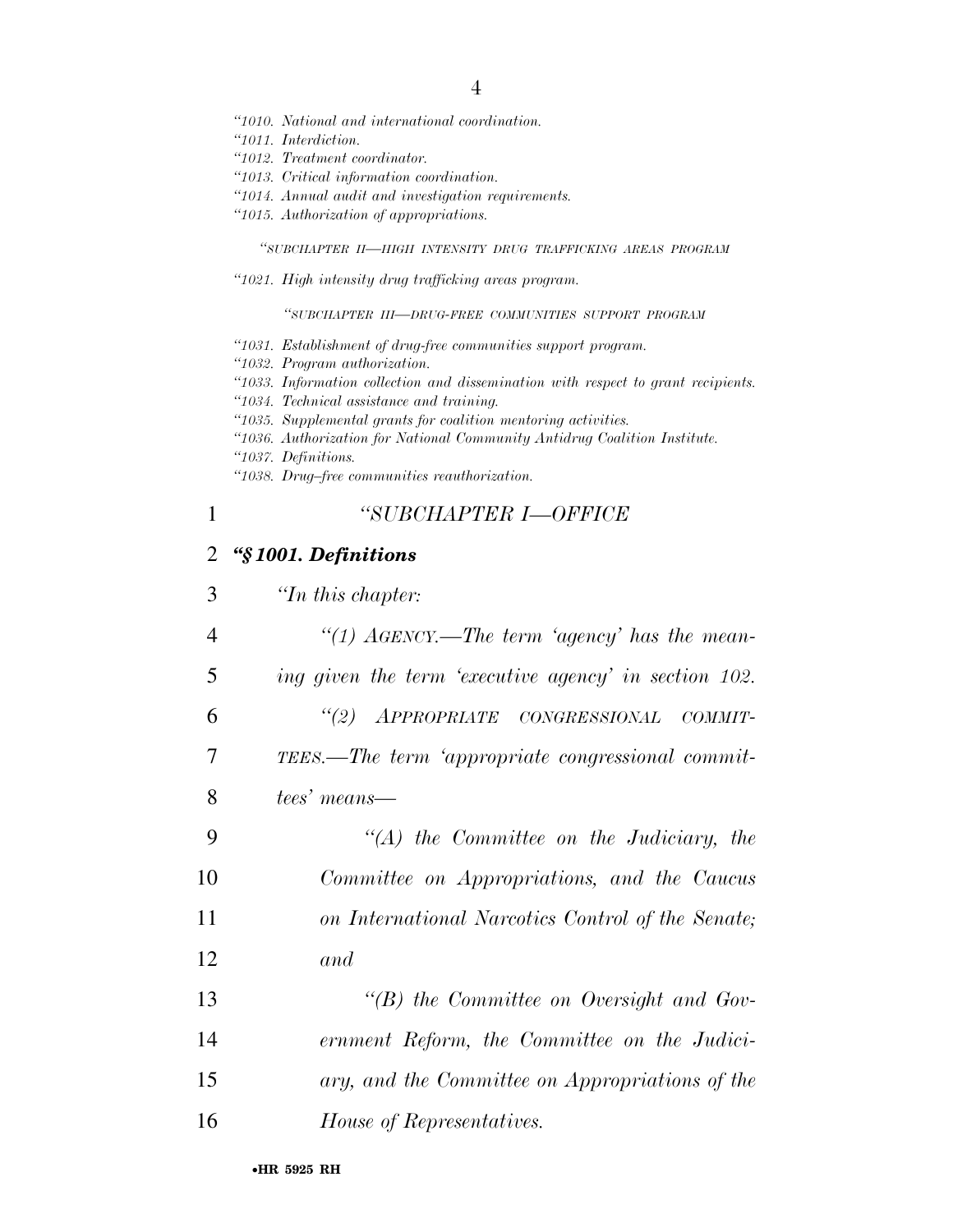- *''1010. National and international coordination.*
- *''1011. Interdiction.*
- *''1012. Treatment coordinator.*
- *''1013. Critical information coordination.*
- *''1014. Annual audit and investigation requirements.*
- *''1015. Authorization of appropriations.*

*''SUBCHAPTER II—HIGH INTENSITY DRUG TRAFFICKING AREAS PROGRAM*

*''1021. High intensity drug trafficking areas program.* 

*''SUBCHAPTER III—DRUG-FREE COMMUNITIES SUPPORT PROGRAM*

- *''1031. Establishment of drug-free communities support program.*
- *''1032. Program authorization.*
- *''1033. Information collection and dissemination with respect to grant recipients.*
- *''1034. Technical assistance and training.*
- *''1035. Supplemental grants for coalition mentoring activities.*
- *''1036. Authorization for National Community Antidrug Coalition Institute.*
- *''1037. Definitions.*
- *''1038. Drug–free communities reauthorization.*

# 1 *''SUBCHAPTER I—OFFICE*

# 2 *''§ 1001. Definitions*

| 3              | $\lq$ <sup>th</sup> this chapter:                           |
|----------------|-------------------------------------------------------------|
| $\overline{4}$ | "(1) $A\ddot{\alpha}ENCY$ .—The term 'agency' has the mean- |
| 5              | ing given the term 'executive agency' in section 102.       |
| 6              | "(2) APPROPRIATE CONGRESSIONAL<br>– COMMIT-                 |
| 7              | TEES.—The term 'appropriate congressional commit-           |
| 8              | tees' means—                                                |
| 9              | $\lq\lq (A)$ the Committee on the Judiciary, the            |
| 10             | Committee on Appropriations, and the Caucus                 |
| 11             | on International Narcotics Control of the Senate;           |
| 12             | and                                                         |
| 13             | "(B) the Committee on Oversight and Gov-                    |
| 14             | ernment Reform, the Committee on the Judici-                |
| 15             | ary, and the Committee on Appropriations of the             |
| 16             | House of Representatives.                                   |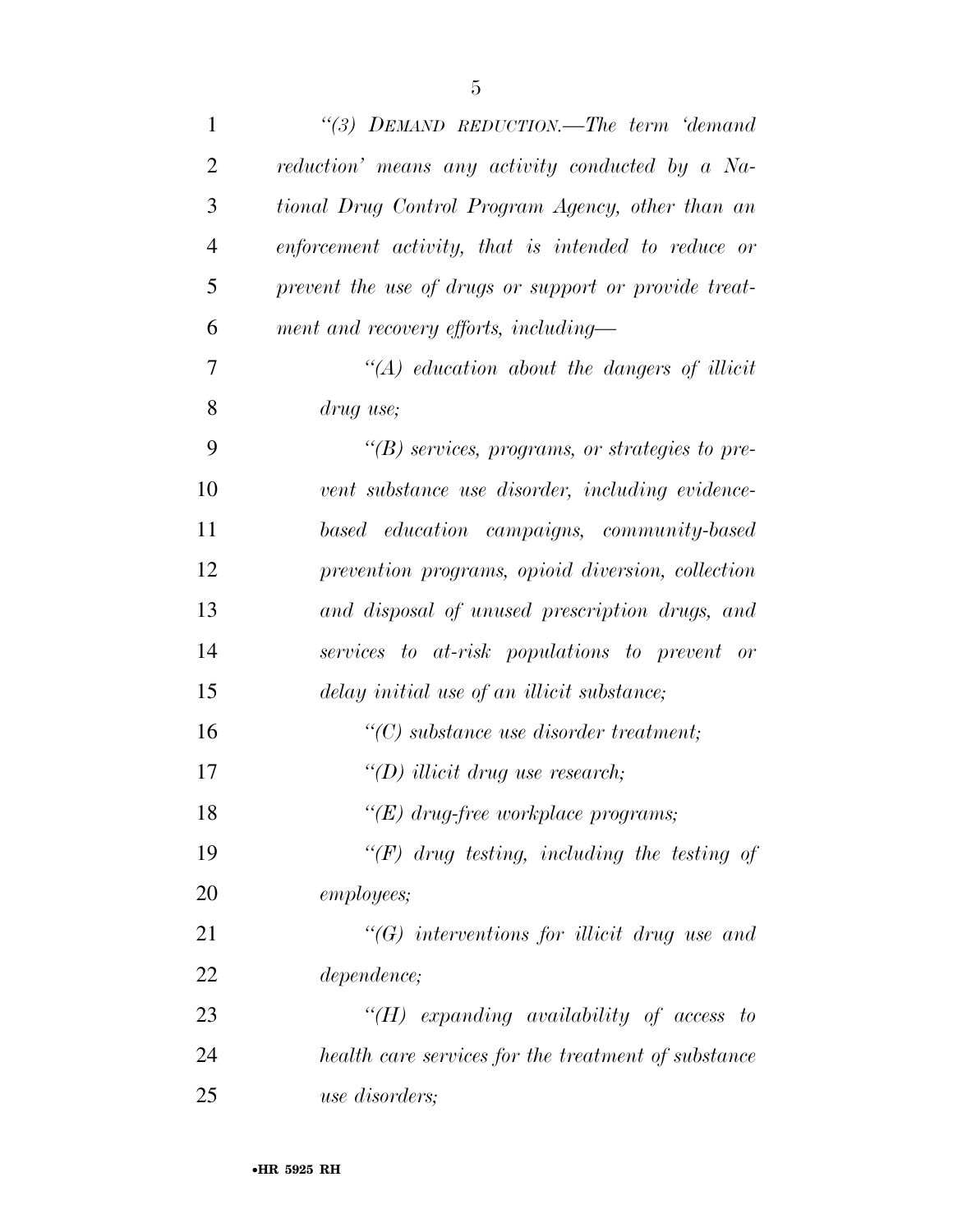| $\mathbf{1}$   | "(3) DEMAND REDUCTION.—The term 'demand'              |
|----------------|-------------------------------------------------------|
| $\overline{2}$ | reduction' means any activity conducted by a Na-      |
| 3              | tional Drug Control Program Agency, other than an     |
| $\overline{4}$ | enforcement activity, that is intended to reduce or   |
| 5              | prevent the use of drugs or support or provide treat- |
| 6              | ment and recovery efforts, including—                 |
| $\overline{7}$ | $\lq (A)$ education about the dangers of illicit      |
| 8              | drug use;                                             |
| 9              | $\lq\lq(B)$ services, programs, or strategies to pre- |
| 10             | vent substance use disorder, including evidence-      |
| 11             | based education campaigns, community-based            |
| 12             | prevention programs, opioid diversion, collection     |
| 13             | and disposal of unused prescription drugs, and        |
| 14             | services to at-risk populations to prevent or         |
| 15             | delay initial use of an illicit substance;            |
| 16             | $\lq\lq C$ substance use disorder treatment;          |
| 17             | "(D) illicit drug use research;                       |
| 18             | " $(E)$ drug-free workplace programs;                 |
| 19             | " $(F)$ drug testing, including the testing of        |
| 20             | <i>employees</i> ;                                    |
| 21             | $\lq\lq G$ interventions for illicit drug use and     |
| 22             | <i>dependence</i> ;                                   |
| 23             | " $(H)$ expanding availability of access to           |
| 24             | health care services for the treatment of substance   |
| 25             | <i>use disorders;</i>                                 |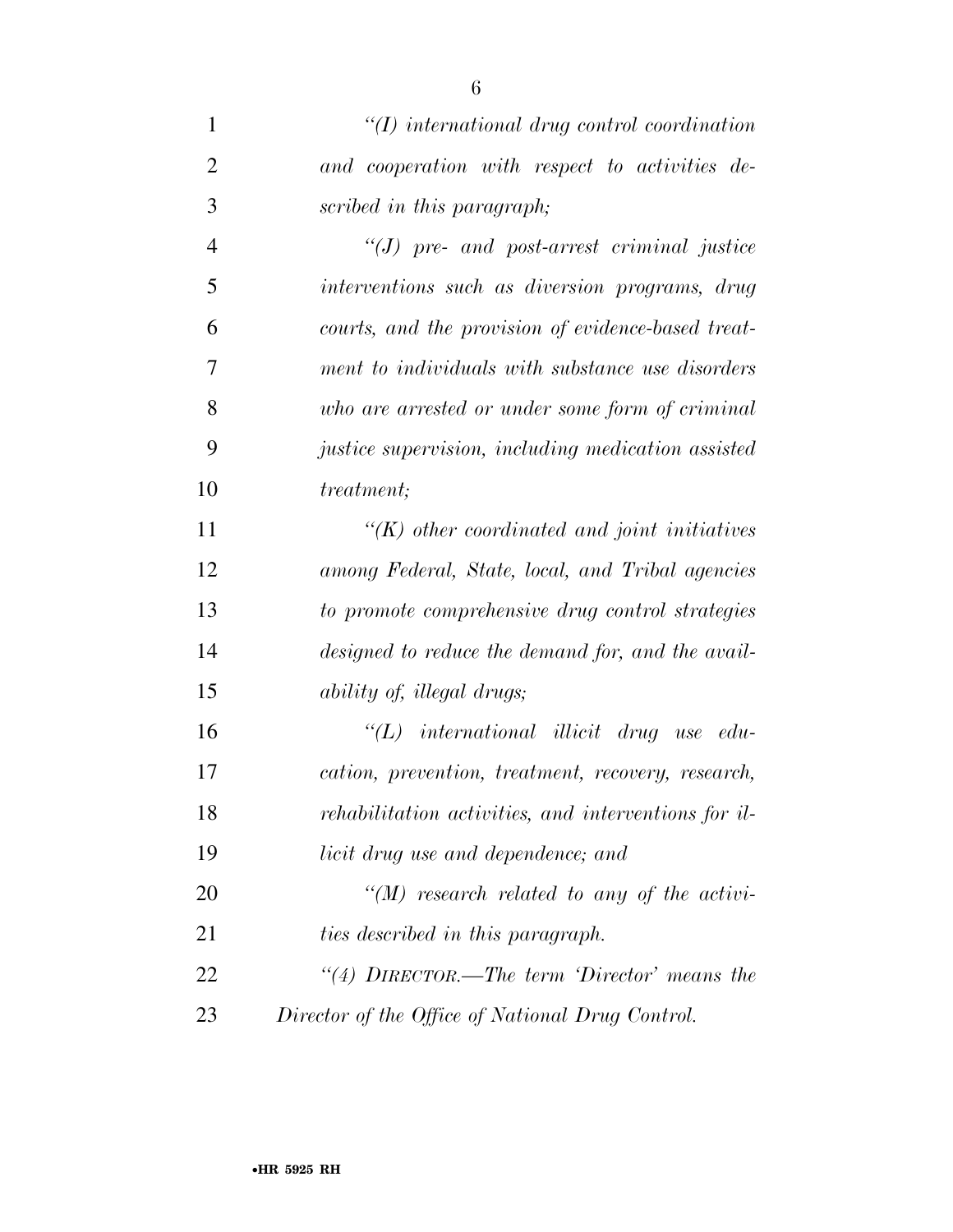| $\mathbf{1}$   | $\lq (I)$ international drug control coordination      |
|----------------|--------------------------------------------------------|
| 2              | and cooperation with respect to activities de-         |
| 3              | scribed in this paragraph;                             |
| $\overline{4}$ | $\lq (J)$ pre- and post-arrest criminal justice        |
| 5              | interventions such as diversion programs, drug         |
| 6              | courts, and the provision of evidence-based treat-     |
| 7              | ment to individuals with substance use disorders       |
| 8              | who are arrested or under some form of criminal        |
| 9              | justice supervision, including medication assisted     |
| 10             | <i>treatment</i> ;                                     |
| 11             | $\lq (K)$ other coordinated and joint initiatives      |
| 12             | among Federal, State, local, and Tribal agencies       |
| 13             | to promote comprehensive drug control strategies       |
| 14             | designed to reduce the demand for, and the avail-      |
| 15             | <i>ability of, illegal drugs;</i>                      |
| 16             | $\lq\lq L$ ) international illicit drug use<br>$edu$ - |
| 17             | cation, prevention, treatment, recovery, research,     |
| 18             | rehabilitation activities, and interventions for il-   |
| 19             | licit drug use and dependence; and                     |
| 20             | "(M) research related to any of the activi-            |
| 21             | ties described in this paragraph.                      |
| 22             | "(4) $DIRECTOR.$ —The term 'Director' means the        |
| 23             | Director of the Office of National Drug Control.       |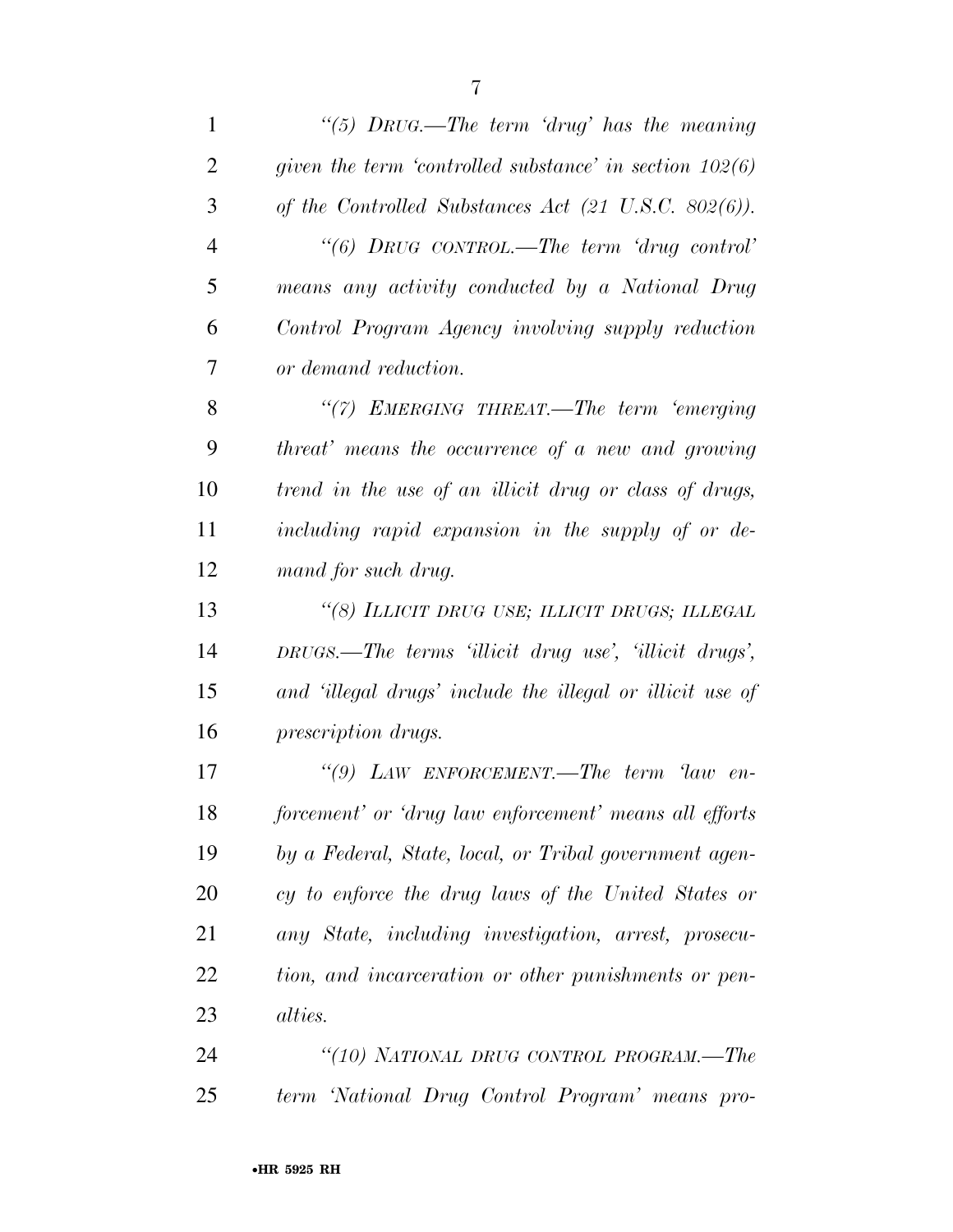*''(5) DRUG.—The term 'drug' has the meaning given the term 'controlled substance' in section 102(6) of the Controlled Substances Act (21 U.S.C. 802(6)). ''(6) DRUG CONTROL.—The term 'drug control' means any activity conducted by a National Drug Control Program Agency involving supply reduction or demand reduction. ''(7) EMERGING THREAT.—The term 'emerging threat' means the occurrence of a new and growing trend in the use of an illicit drug or class of drugs, including rapid expansion in the supply of or de- mand for such drug. ''(8) ILLICIT DRUG USE; ILLICIT DRUGS; ILLEGAL DRUGS.—The terms 'illicit drug use', 'illicit drugs', and 'illegal drugs' include the illegal or illicit use of prescription drugs. ''(9) LAW ENFORCEMENT.—The term 'law en- forcement' or 'drug law enforcement' means all efforts by a Federal, State, local, or Tribal government agen- cy to enforce the drug laws of the United States or any State, including investigation, arrest, prosecu- tion, and incarceration or other punishments or pen-alties.* 

 *''(10) NATIONAL DRUG CONTROL PROGRAM.—The term 'National Drug Control Program' means pro-*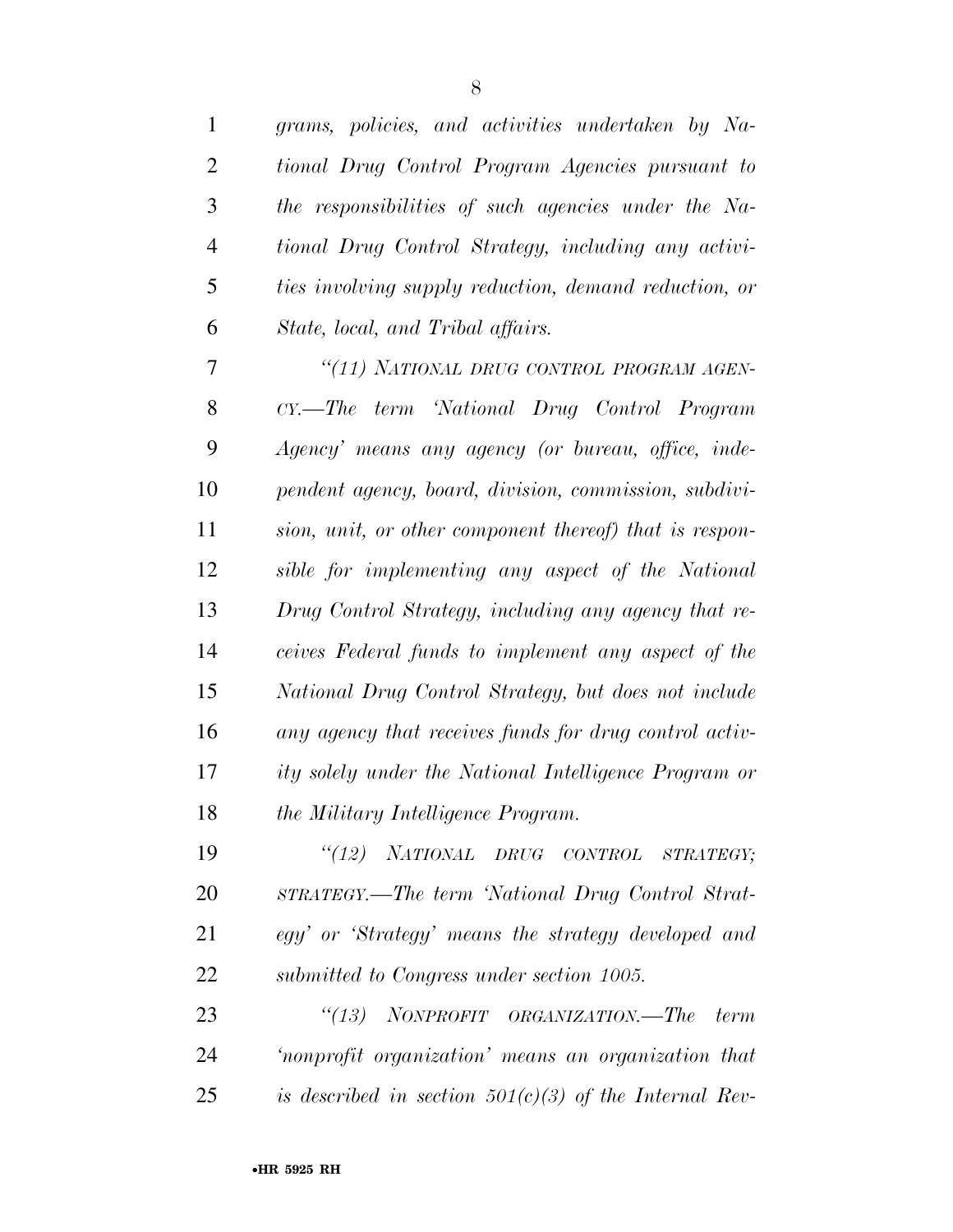| $\mathbf{1}$   | grams, policies, and activities undertaken by Na-        |
|----------------|----------------------------------------------------------|
| $\overline{2}$ | tional Drug Control Program Agencies pursuant to         |
| 3              | the responsibilities of such agencies under the Na-      |
| $\overline{4}$ | tional Drug Control Strategy, including any activi-      |
| 5              | ties involving supply reduction, demand reduction, or    |
| 6              | State, local, and Tribal affairs.                        |
| 7              | "(11) NATIONAL DRUG CONTROL PROGRAM AGEN-                |
| 8              | CY.—The term 'National Drug Control Program              |
| 9              | Agency' means any agency (or bureau, office, inde-       |
| 10             | pendent agency, board, division, commission, subdivi-    |
| 11             | sion, unit, or other component thereof) that is respon-  |
| 12             | sible for implementing any aspect of the National        |
| 13             | Drug Control Strategy, including any agency that re-     |
| 14             | ceives Federal funds to implement any aspect of the      |
| 15             | National Drug Control Strategy, but does not include     |
| 16             | any agency that receives funds for drug control activ-   |
| 17             | ity solely under the National Intelligence Program or    |
| 18             | the Military Intelligence Program.                       |
| 19             | "(12) NATIONAL DRUG CONTROL STRATEGY;                    |
| 20             | STRATEGY.—The term 'National Drug Control Strat-         |
| 21             | egy' or 'Strategy' means the strategy developed and      |
| 22             | submitted to Congress under section 1005.                |
| 23             | "(13) NONPROFIT ORGANIZATION.—The<br>term                |
| 24             | 'nonprofit organization' means an organization that      |
| 25             | is described in section $501(c)(3)$ of the Internal Rev- |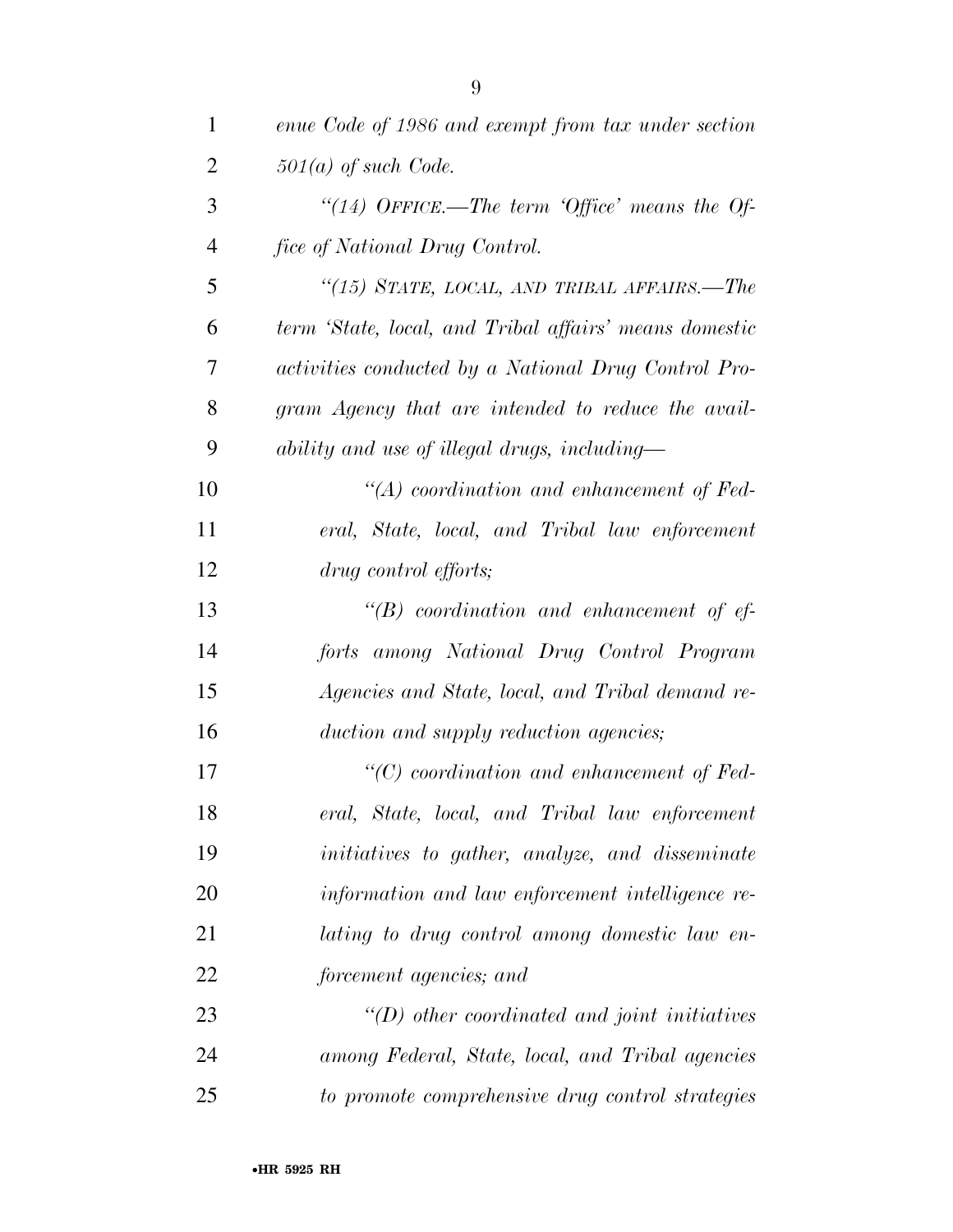| $\mathbf{1}$   | enue Code of 1986 and exempt from tax under section    |
|----------------|--------------------------------------------------------|
| 2              | $501(a)$ of such Code.                                 |
| 3              | "(14) OFFICE.—The term 'Office' means the Of-          |
| $\overline{4}$ | fice of National Drug Control.                         |
| 5              | "(15) STATE, LOCAL, AND TRIBAL AFFAIRS.—The            |
| 6              | term 'State, local, and Tribal affairs' means domestic |
| 7              | activities conducted by a National Drug Control Pro-   |
| 8              | gram Agency that are intended to reduce the avail-     |
| 9              | ability and use of illegal drugs, including—           |
| 10             | $\lq\lq (A)$ coordination and enhancement of Fed-      |
| 11             | eral, State, local, and Tribal law enforcement         |
| 12             | drug control efforts;                                  |
| 13             | $\lq\lq(B)$ coordination and enhancement of ef-        |
| 14             | forts among National Drug Control Program              |
| 15             | Agencies and State, local, and Tribal demand re-       |
| 16             | duction and supply reduction agencies;                 |
| 17             | $``(C)$ coordination and enhancement of Fed-           |
| 18             | eral, State, local, and Tribal law enforcement         |
| 19             | initiatives to gather, analyze, and disseminate        |
| 20             | information and law enforcement intelligence re-       |
| 21             | lating to drug control among domestic law en-          |
| 22             | forcement agencies; and                                |
| 23             | $\lq (D)$ other coordinated and joint initiatives      |
| 24             | among Federal, State, local, and Tribal agencies       |
| 25             | to promote comprehensive drug control strategies       |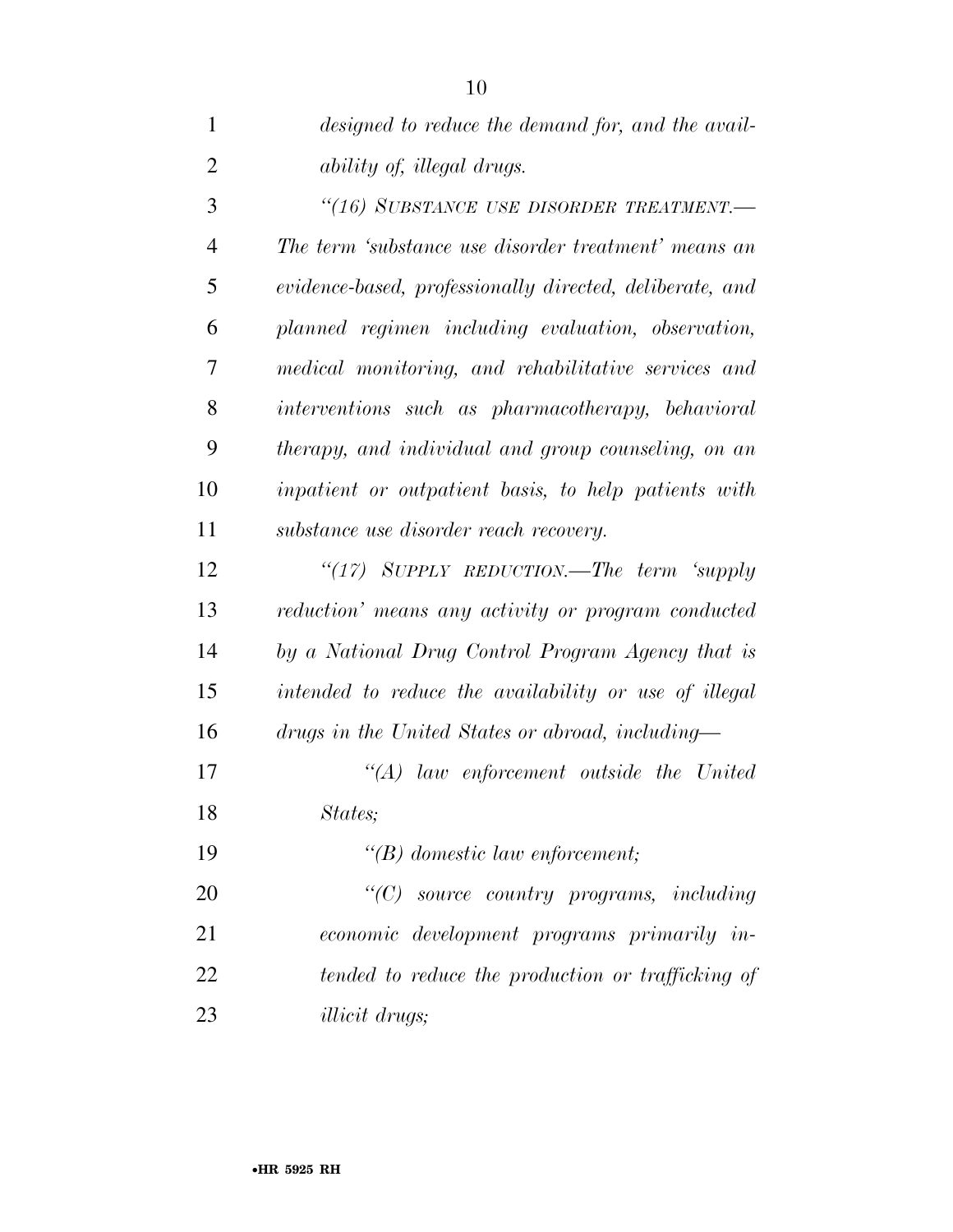| $\mathbf{1}$   | designed to reduce the demand for, and the avail-        |
|----------------|----------------------------------------------------------|
| $\overline{2}$ | <i>ability of, illegal drugs.</i>                        |
| 3              | "(16) SUBSTANCE USE DISORDER TREATMENT.-                 |
| $\overline{4}$ | The term 'substance use disorder treatment' means an     |
| 5              | evidence-based, professionally directed, deliberate, and |
| 6              | planned regimen including evaluation, observation,       |
| 7              | medical monitoring, and rehabilitative services and      |
| 8              | interventions such as pharmacotherapy, behavioral        |
| 9              | therapy, and individual and group counseling, on an      |
| 10             | inpatient or outpatient basis, to help patients with     |
| 11             | substance use disorder reach recovery.                   |
| 12             | " $(17)$ SUPPLY REDUCTION.—The term 'supply              |
| 13             | reduction' means any activity or program conducted       |
| 14             | by a National Drug Control Program Agency that is        |
| 15             | intended to reduce the availability or use of illegal    |
| 16             | drugs in the United States or abroad, including—         |
| 17             | $\lq\lq (A)$ law enforcement outside the United          |
| 18             | States;                                                  |
| 19             | $\lq\lq(B)$ domestic law enforcement;                    |
| 20             | $\lq\lq C$ source country programs, including            |
| 21             | economic development programs primarily in-              |
| 22             | tended to reduce the production or trafficking of        |
| 23             | <i>illicit drugs</i> ;                                   |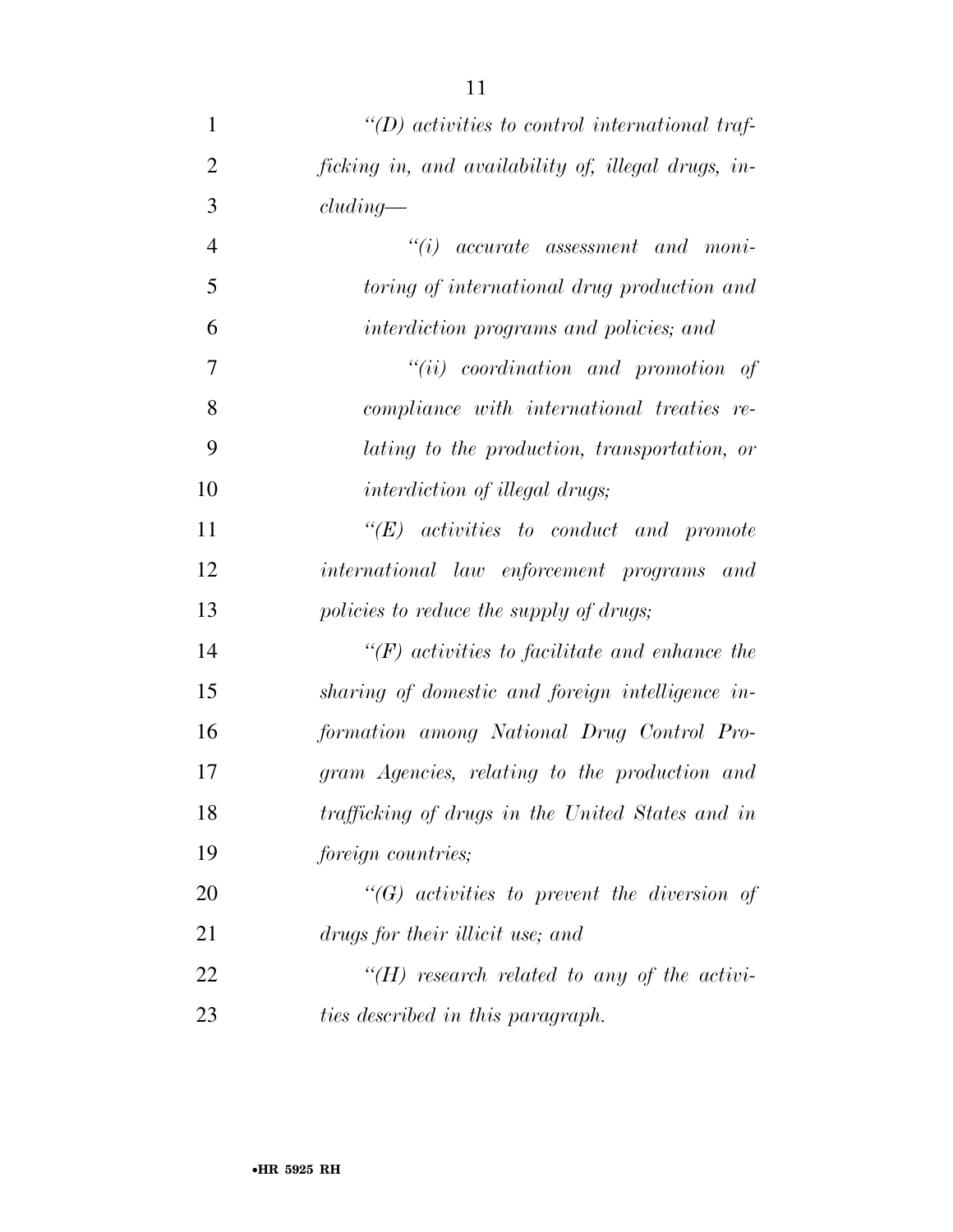| 1              | $\lq\lq(D)$ activities to control international traf- |
|----------------|-------------------------------------------------------|
| $\overline{2}$ | ficking in, and availability of, illegal drugs, in-   |
| 3              | cluding                                               |
| $\overline{4}$ | $``(i)$ accurate assessment and moni-                 |
| 5              | toring of international drug production and           |
| 6              | interdiction programs and policies; and               |
| 7              | $``(ii)$ coordination and promotion of                |
| 8              | compliance with international treaties re-            |
| 9              | lating to the production, transportation, or          |
| 10             | <i>interdiction of illegal drugs;</i>                 |
| 11             | $\lq\lq E$ activities to conduct and promote          |
| 12             | international law enforcement programs and            |
| 13             | policies to reduce the supply of drugs;               |
| 14             | $\lq\lq(F)$ activities to facilitate and enhance the  |
| 15             | sharing of domestic and foreign intelligence in-      |
| 16             | formation among National Drug Control Pro-            |
| 17             | gram Agencies, relating to the production and         |
| 18             | trafficking of drugs in the United States and in      |
| 19             | foreign countries;                                    |
| 20             | $\lq\lq(G)$ activities to prevent the diversion of    |
| 21             | drugs for their illicit use; and                      |
| 22             | " $(H)$ research related to any of the activi-        |
| 23             | ties described in this paragraph.                     |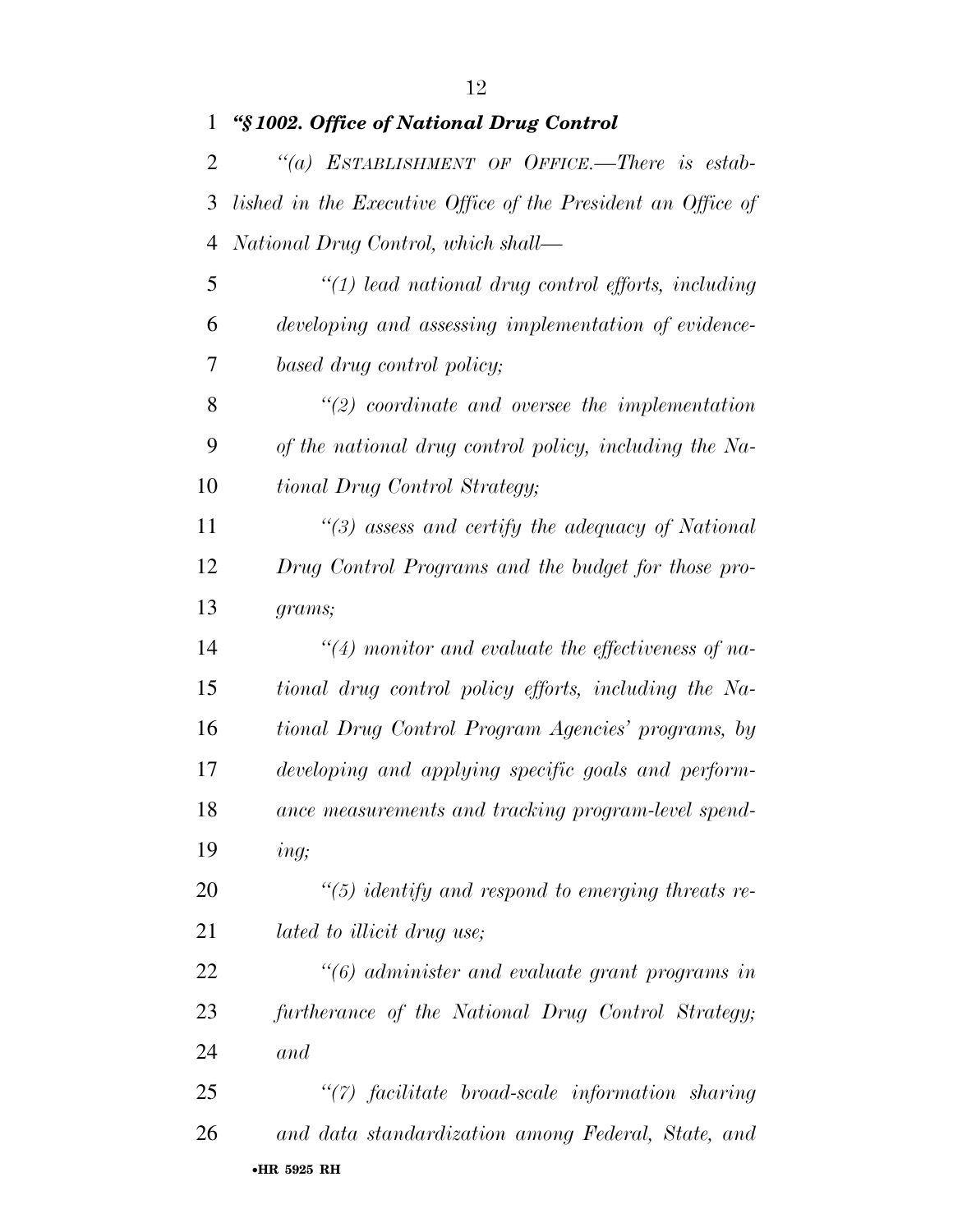| 1              | "§1002. Office of National Drug Control                      |
|----------------|--------------------------------------------------------------|
| 2              | "(a) ESTABLISHMENT OF OFFICE.—There is estab-                |
| 3              | lished in the Executive Office of the President an Office of |
| $\overline{4}$ | National Drug Control, which shall—                          |
| 5              | $\lq(1)$ lead national drug control efforts, including       |
| 6              | developing and assessing implementation of evidence-         |
| 7              | based drug control policy;                                   |
| 8              | $\lq(2)$ coordinate and oversee the implementation           |
| 9              | of the national drug control policy, including the Na-       |
| 10             | tional Drug Control Strategy;                                |
| 11             | $\lq(3)$ assess and certify the adequacy of National         |
| 12             | Drug Control Programs and the budget for those pro-          |
| 13             | grams;                                                       |
| 14             | $\lq(4)$ monitor and evaluate the effectiveness of na-       |
| 15             | tional drug control policy efforts, including the Na-        |
| 16             | tional Drug Control Program Agencies' programs, by           |
| 17             | developing and applying specific goals and perform-          |
| 18             | ance measurements and tracking program-level spend-          |
| 19             | ing;                                                         |
| 20             | $\lq(5)$ identify and respond to emerging threats re-        |
| 21             | <i>lated to illicit drug use</i> ;                           |
| 22             | "(6) administer and evaluate grant programs in               |
| 23             | furtherance of the National Drug Control Strategy;           |
| 24             | and                                                          |
| 25             | "(7) facilitate broad-scale information sharing              |
| 26             | and data standardization among Federal, State, and           |
|                |                                                              |

#### •**HR 5925 RH**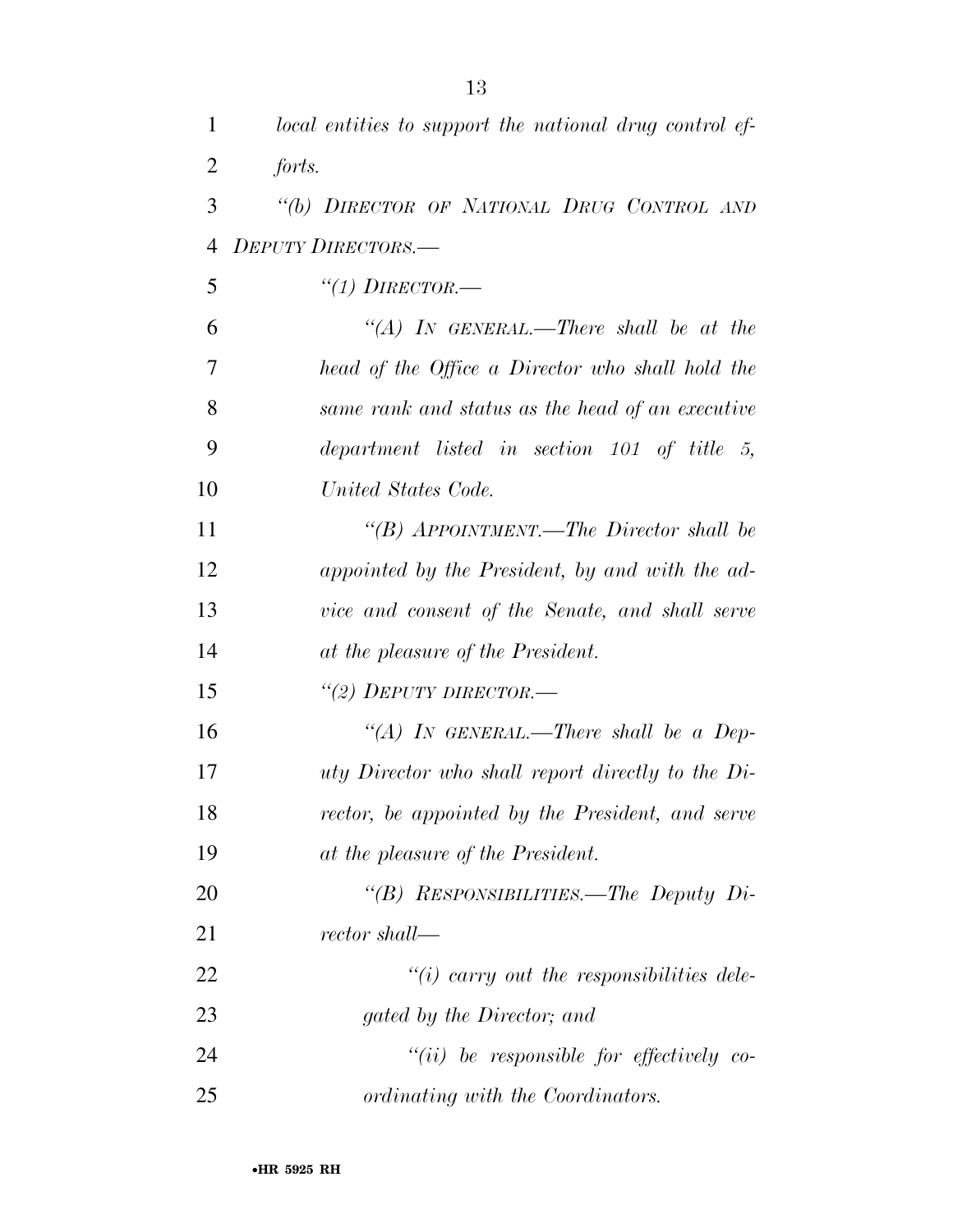| 1  | local entities to support the national drug control ef-  |
|----|----------------------------------------------------------|
| 2  | forts.                                                   |
| 3  | "(b) DIRECTOR OF NATIONAL DRUG CONTROL AND               |
| 4  | <b>DEPUTY DIRECTORS.—</b>                                |
| 5  | $\lq (1)$ DIRECTOR.—                                     |
| 6  | "(A) IN GENERAL.—There shall be at the                   |
| 7  | head of the Office a Director who shall hold the         |
| 8  | same rank and status as the head of an executive         |
| 9  | department listed in section $101$ of title 5,           |
| 10 | United States Code.                                      |
| 11 | "(B) APPOINTMENT.—The Director shall be                  |
| 12 | appointed by the President, by and with the ad-          |
| 13 | vice and consent of the Senate, and shall serve          |
| 14 | at the pleasure of the President.                        |
| 15 | "(2) DEPUTY DIRECTOR.—                                   |
| 16 | "(A) IN GENERAL.—There shall be a Dep-                   |
| 17 | <i>uty Director who shall report directly to the Di-</i> |
| 18 | rector, be appointed by the President, and serve         |
| 19 | at the pleasure of the President.                        |
| 20 | "(B) RESPONSIBILITIES.—The Deputy Di-                    |
| 21 | rector shall—                                            |
| 22 | $\lq\lq(i)$ carry out the responsibilities dele-         |
| 23 | gated by the Director; and                               |
| 24 | $``(ii)$ be responsible for effectively co-              |
| 25 | ordinating with the Coordinators.                        |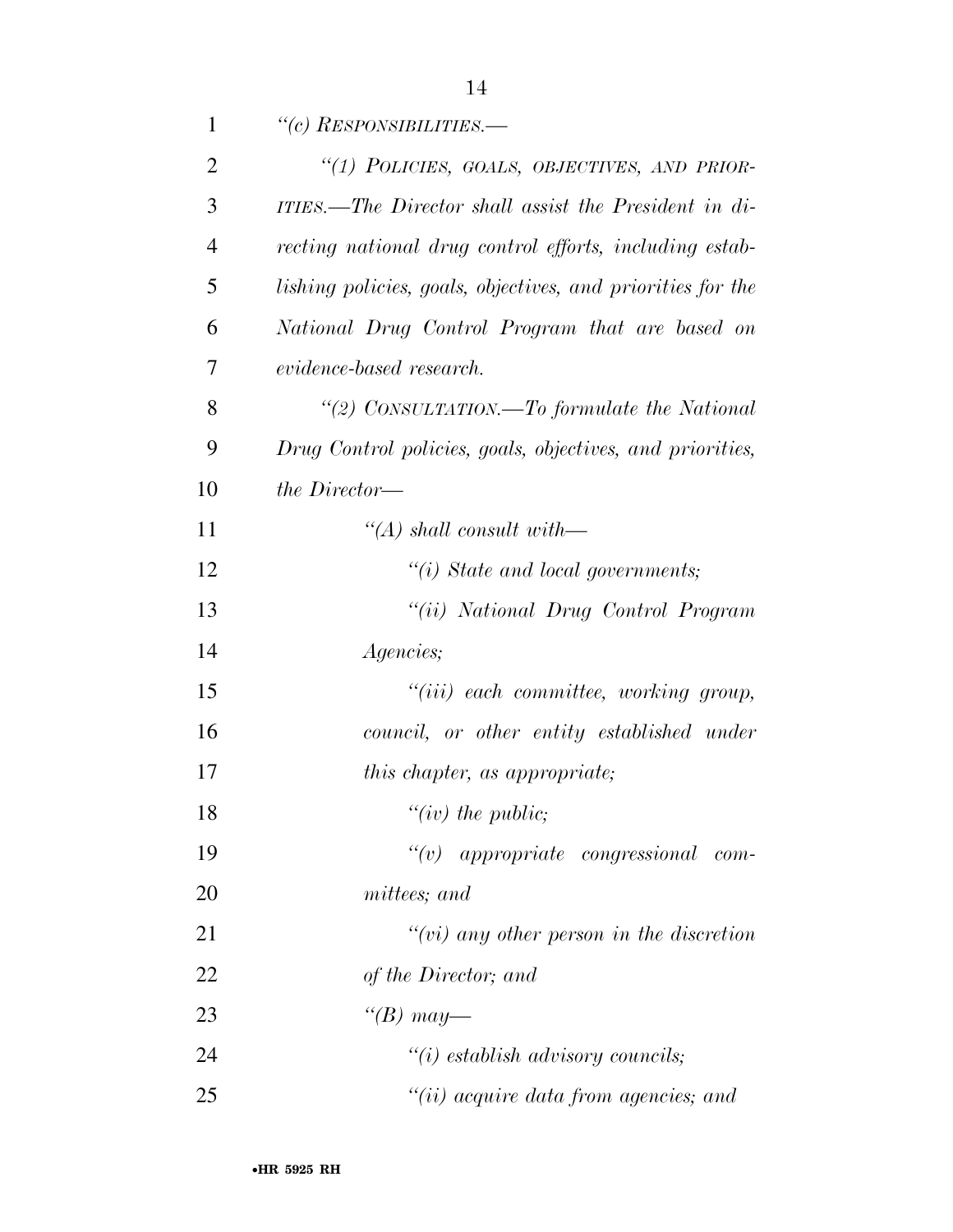| $\mathbf{1}$   | "(c) RESPONSIBILITIES.—                                     |
|----------------|-------------------------------------------------------------|
| $\overline{2}$ | "(1) POLICIES, GOALS, OBJECTIVES, AND PRIOR-                |
| 3              | ITIES.—The Director shall assist the President in di-       |
| $\overline{4}$ | recting national drug control efforts, including estab-     |
| 5              | lishing policies, goals, objectives, and priorities for the |
| 6              | National Drug Control Program that are based on             |
| 7              | evidence-based research.                                    |
| 8              | "(2) CONSULTATION.—To formulate the National                |
| 9              | Drug Control policies, goals, objectives, and priorities,   |
| 10             | the Director—                                               |
| 11             | $\lq (A)$ shall consult with—                               |
| 12             | $\lq\lq(i)$ State and local governments;                    |
| 13             | "(ii) National Drug Control Program                         |
| 14             | Agencies;                                                   |
| 15             | $``(iii)$ each committee, working group,                    |
| 16             | council, or other entity established under                  |
| 17             | this chapter, as appropriate;                               |
| 18             | " $(iv)$ the public;                                        |
| 19             | appropriate congressional com-<br>``(v)                     |
| 20             | mittees; and                                                |
| 21             | $``(vi)$ any other person in the discretion                 |
| 22             | of the Director; and                                        |
| 23             | "(B) may—                                                   |
| 24             | $\lq\lq(i)$ establish advisory councils;                    |
| 25             | $``(ii)$ acquire data from agencies; and                    |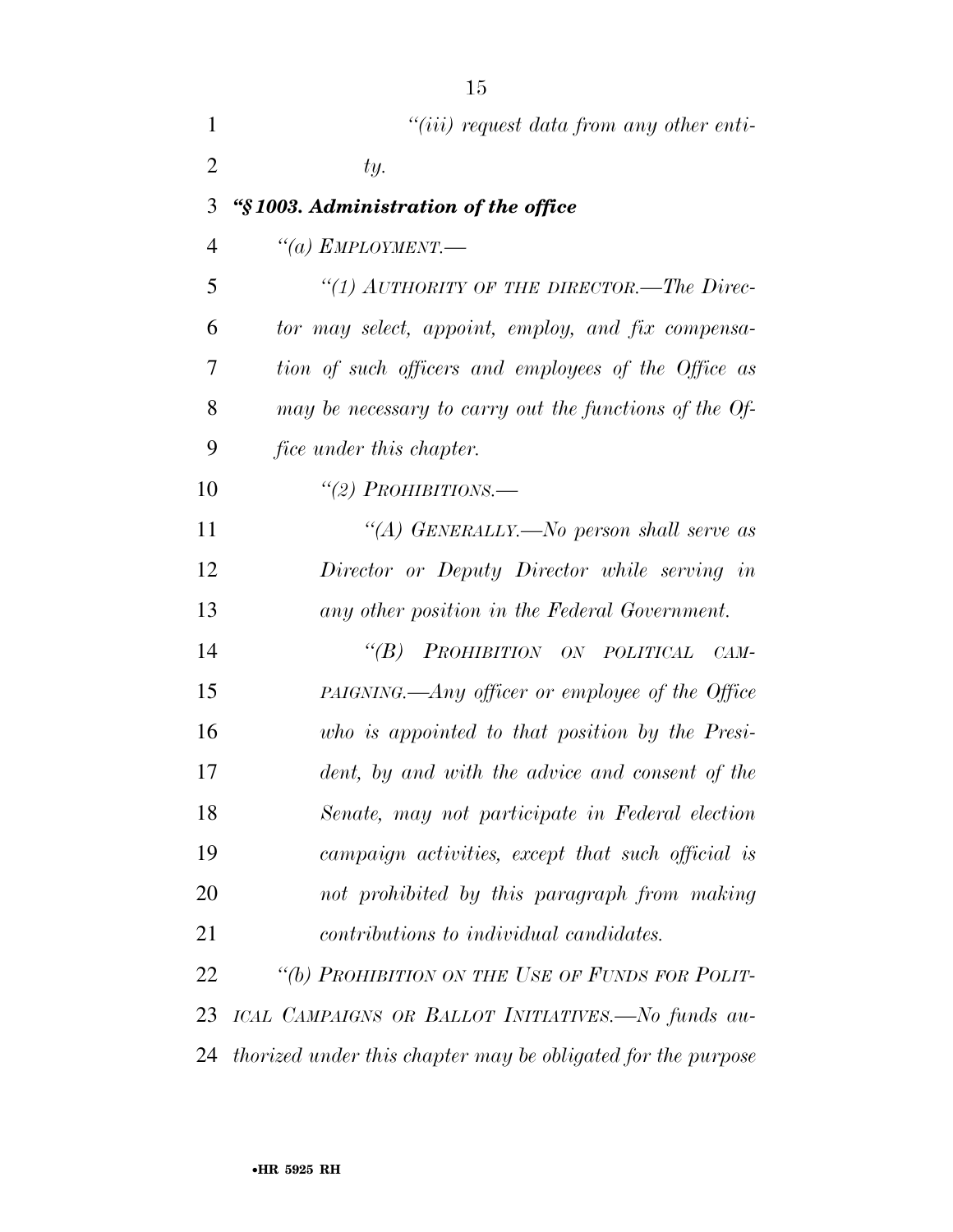| 1              | $``(iii)$ request data from any other enti-                  |
|----------------|--------------------------------------------------------------|
| $\overline{2}$ | ty.                                                          |
| 3              | "§1003. Administration of the office                         |
| $\overline{4}$ | "(a) EMPLOYMENT.—                                            |
| 5              | "(1) AUTHORITY OF THE DIRECTOR.—The Direc-                   |
| 6              | tor may select, appoint, employ, and fix compensa-           |
| 7              | tion of such officers and employees of the Office as         |
| 8              | may be necessary to carry out the functions of the Of-       |
| 9              | <i>fice under this chapter.</i>                              |
| 10             | "(2) PROHIBITIONS.—                                          |
| 11             | "(A) GENERALLY.—No person shall serve as                     |
| 12             | Director or Deputy Director while serving in                 |
| 13             | any other position in the Federal Government.                |
| 14             | PROHIBITION ON POLITICAL<br>$\lq(B)$<br>CAM-                 |
| 15             | PAIGNING.—Any officer or employee of the Office              |
| 16             | who is appointed to that position by the Presi-              |
| 17             | dent, by and with the advice and consent of the              |
| 18             | Senate, may not participate in Federal election              |
| 19             | campaign activities, except that such official is            |
| 20             | not prohibited by this paragraph from making                 |
| 21             | <i>contributions to individual candidates.</i>               |
| 22             | "(b) PROHIBITION ON THE USE OF FUNDS FOR POLIT-              |
| 23             | ICAL CAMPAIGNS OR BALLOT INITIATIVES.—No funds au-           |
| 24             | thorized under this chapter may be obligated for the purpose |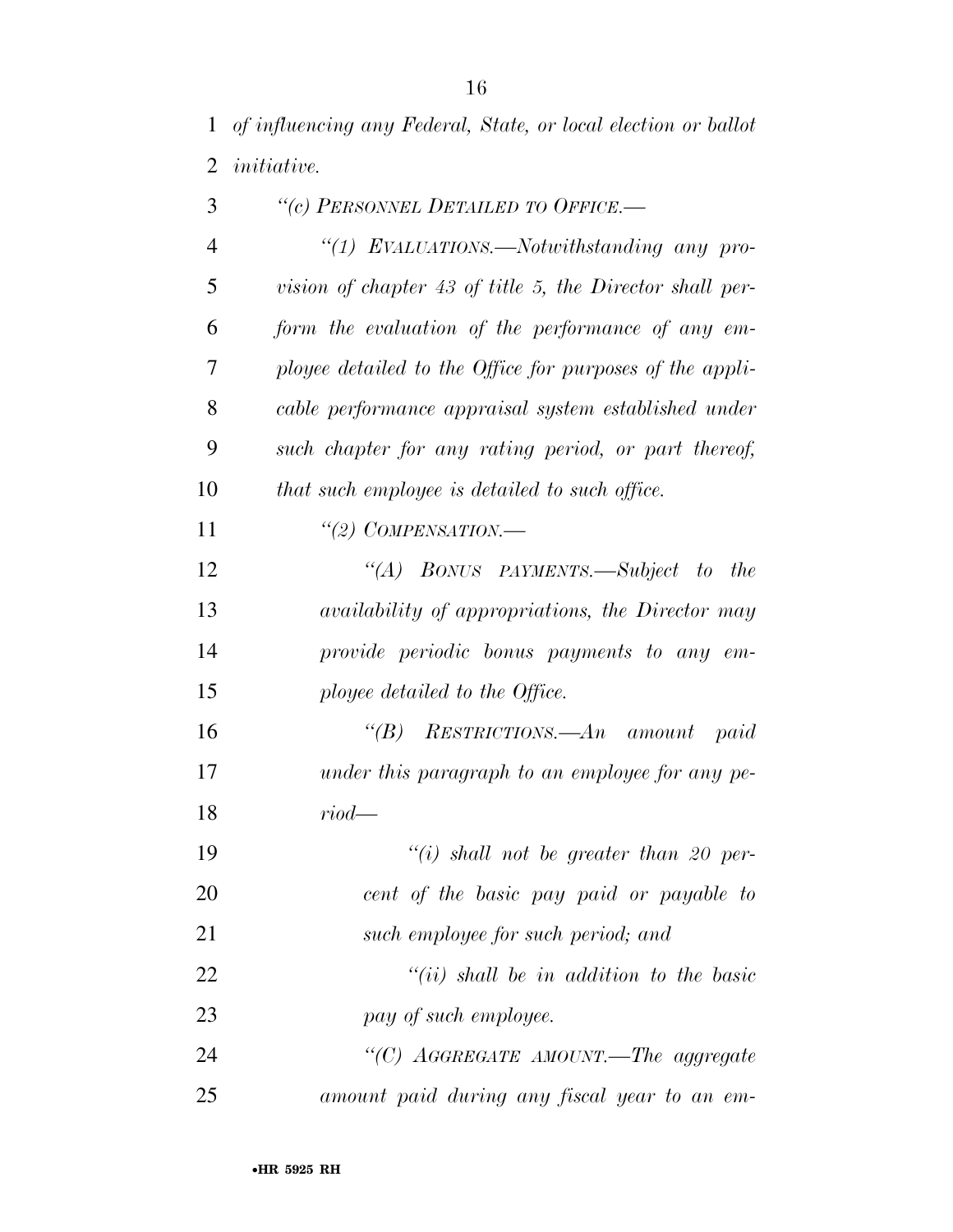| 3              | "(c) PERSONNEL DETAILED TO OFFICE.-                      |
|----------------|----------------------------------------------------------|
| $\overline{4}$ | "(1) EVALUATIONS.—Notwithstanding any pro-               |
| 5              | vision of chapter 43 of title 5, the Director shall per- |
| 6              | form the evaluation of the performance of any em-        |
| 7              | ployee detailed to the Office for purposes of the appli- |
| 8              | cable performance appraisal system established under     |
| 9              | such chapter for any rating period, or part thereof,     |
| 10             | that such employee is detailed to such office.           |
| 11             | "(2) COMPENSATION.—                                      |
| 12             | "(A) BONUS PAYMENTS.—Subject to<br><i>the</i>            |
| 13             | availability of appropriations, the Director may         |
| 14             | provide periodic bonus payments to any em-               |
| 15             | ployee detailed to the Office.                           |
| 16             | " $(B)$ RESTRICTIONS.— $An$ amount<br>paid               |
| 17             | under this paragraph to an employee for any pe-          |
| 18             | $riod$ —                                                 |
| 19             | $``(i)$ shall not be greater than 20 per-                |
| 20             | cent of the basic pay paid or payable to                 |
| 21             | such employee for such period; and                       |
| 22             | $``(ii)$ shall be in addition to the basic               |
| 23             | pay of such employee.                                    |
| 24             | "(C) AGGREGATE AMOUNT.—The aggregate                     |
| 25             | amount paid during any fiscal year to an em-             |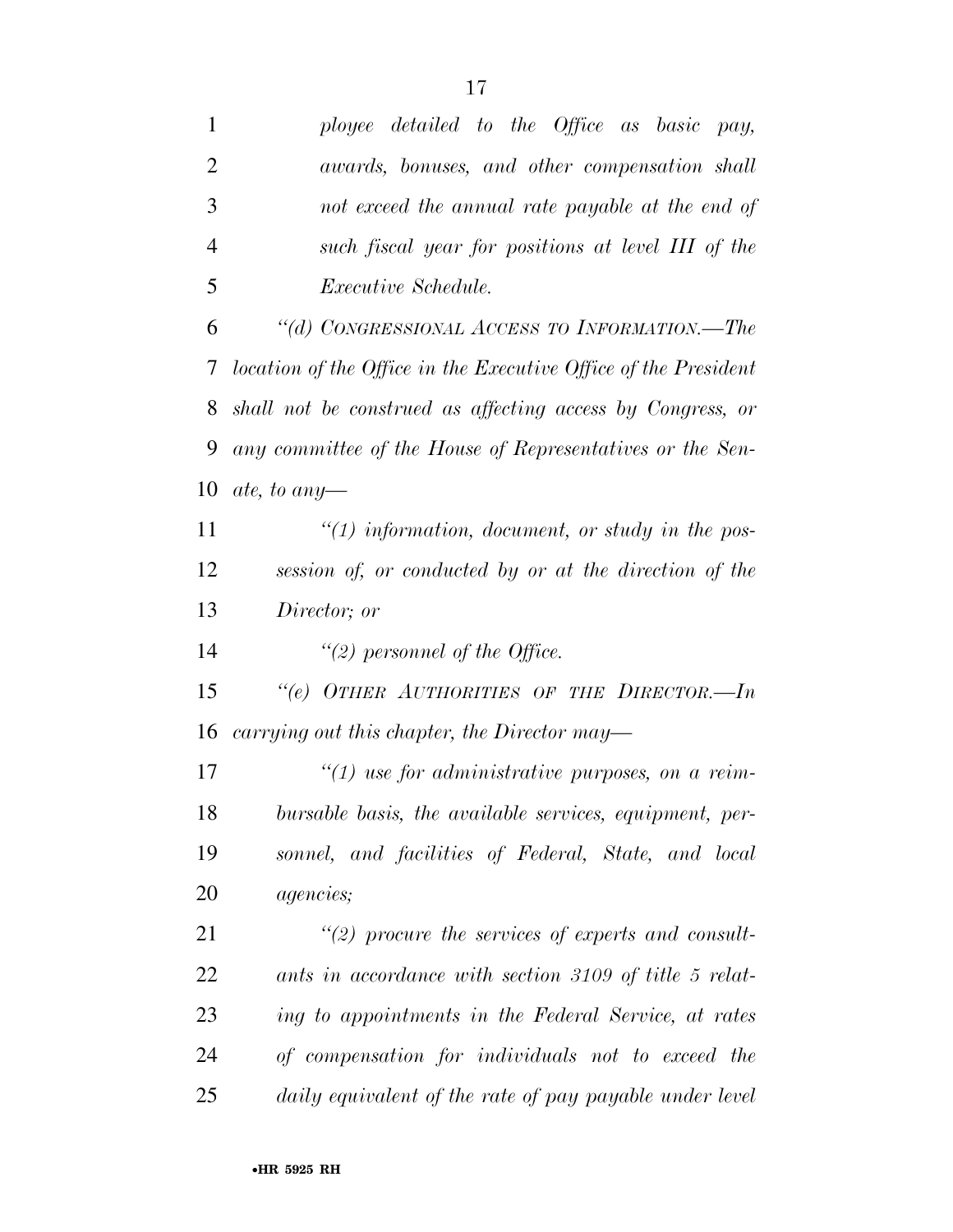| ployee detailed to the Office as basic pay,                     |
|-----------------------------------------------------------------|
| awards, bonuses, and other compensation shall                   |
| not exceed the annual rate payable at the end of                |
| such fiscal year for positions at level III of the              |
| <i>Executive Schedule.</i>                                      |
| "(d) CONGRESSIONAL ACCESS TO INFORMATION.—The                   |
| location of the Office in the Executive Office of the President |
| shall not be construed as affecting access by Congress, or      |
| any committee of the House of Representatives or the Sen-       |
| ate, to any-                                                    |
| $\lq(1)$ information, document, or study in the pos-            |
| session of, or conducted by or at the direction of the          |
| Director; or                                                    |
| "(2) personnel of the Office.                                   |
| "(e) OTHER AUTHORITIES OF THE DIRECTOR.-In                      |
| carrying out this chapter, the Director may—                    |
| $\lq(1)$ use for administrative purposes, on a reim-            |
| bursable basis, the available services, equipment, per-         |
| sonnel, and facilities of Federal, State, and local             |
| <i>agencies</i> ;                                               |
| $\lq(2)$ procure the services of experts and consult-           |
| ants in accordance with section 3109 of title 5 relat-          |
| ing to appointments in the Federal Service, at rates            |
|                                                                 |
| of compensation for individuals not to exceed the               |
|                                                                 |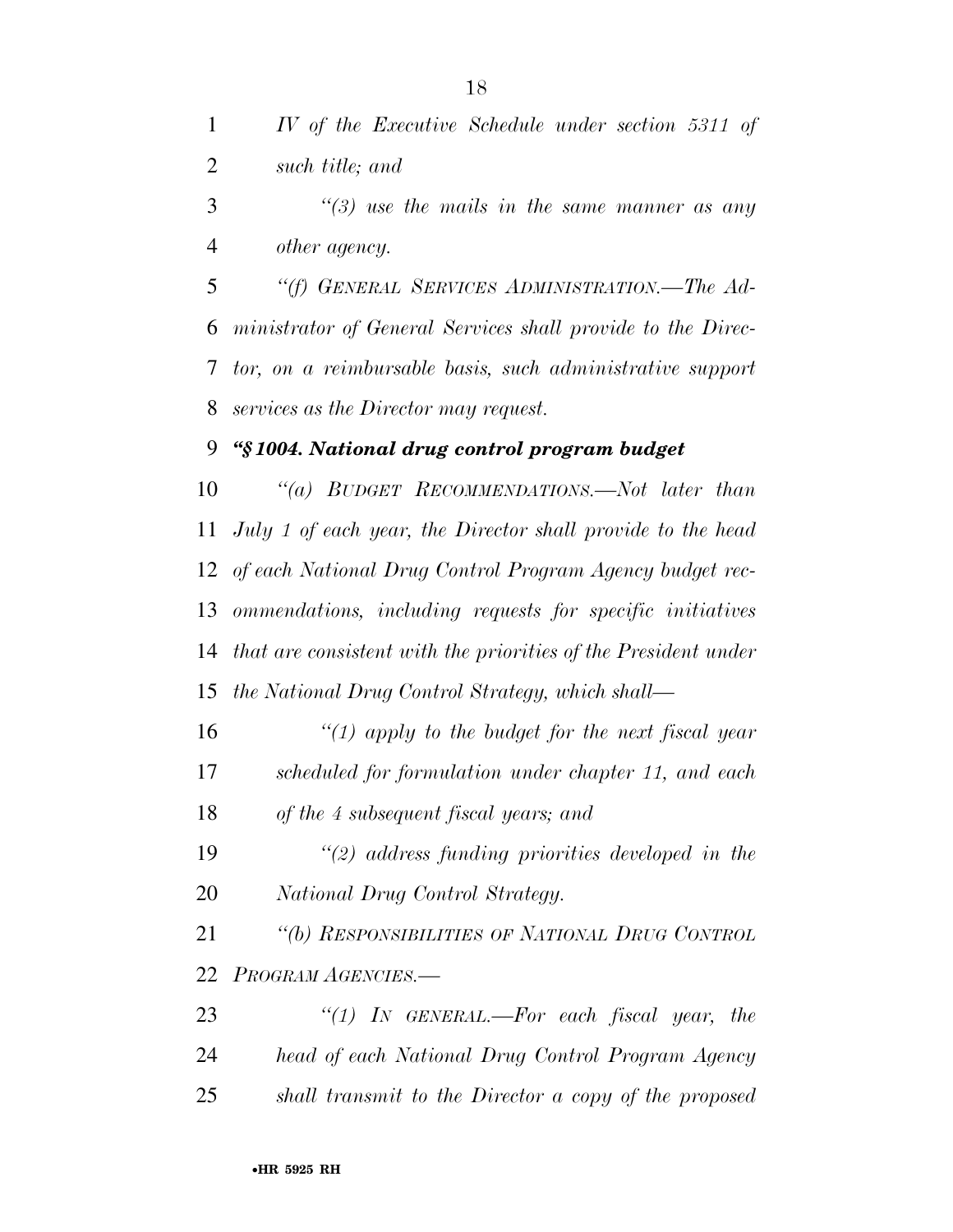*IV of the Executive Schedule under section 5311 of such title; and* 

 *''(3) use the mails in the same manner as any other agency.* 

 *''(f) GENERAL SERVICES ADMINISTRATION.—The Ad- ministrator of General Services shall provide to the Direc- tor, on a reimbursable basis, such administrative support services as the Director may request.* 

## *''§ 1004. National drug control program budget*

 *''(a) BUDGET RECOMMENDATIONS.—Not later than July 1 of each year, the Director shall provide to the head of each National Drug Control Program Agency budget rec- ommendations, including requests for specific initiatives that are consistent with the priorities of the President under the National Drug Control Strategy, which shall—* 

 *''(1) apply to the budget for the next fiscal year scheduled for formulation under chapter 11, and each of the 4 subsequent fiscal years; and* 

 *''(2) address funding priorities developed in the National Drug Control Strategy.* 

 *''(b) RESPONSIBILITIES OF NATIONAL DRUG CONTROL PROGRAM AGENCIES.—* 

 *''(1) IN GENERAL.—For each fiscal year, the head of each National Drug Control Program Agency shall transmit to the Director a copy of the proposed*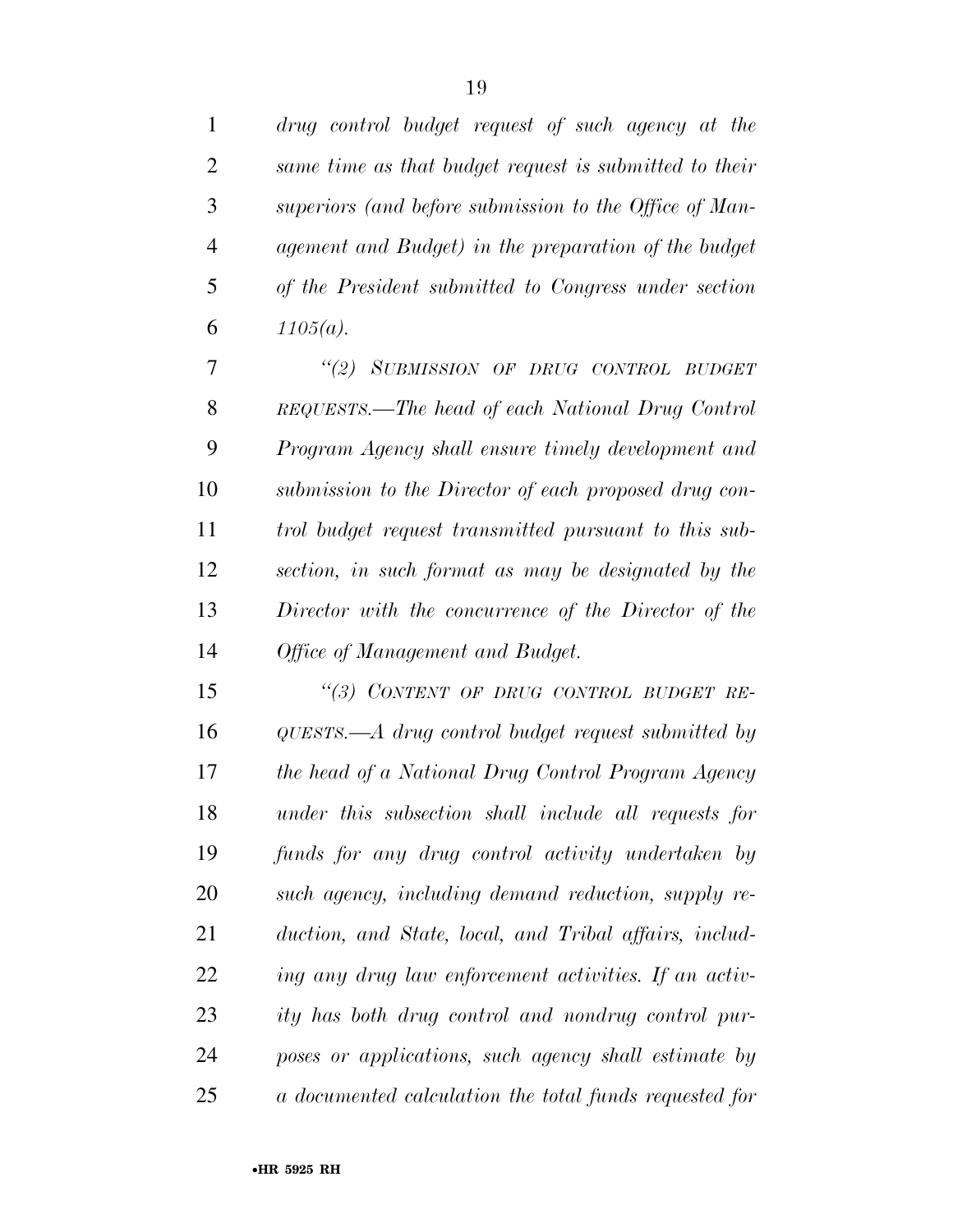|                | drug control budget request of such agency at the      |
|----------------|--------------------------------------------------------|
| 2              | same time as that budget request is submitted to their |
| 3              | superiors (and before submission to the Office of Man- |
| $\overline{4}$ | agement and Budget) in the preparation of the budget   |
| 5              | of the President submitted to Congress under section   |
| 6              | $1105(a)$ .                                            |
|                | "(2) SUBMISSION OF DRUG CONTROL BUDGET                 |

 *REQUESTS.—The head of each National Drug Control Program Agency shall ensure timely development and submission to the Director of each proposed drug con- trol budget request transmitted pursuant to this sub- section, in such format as may be designated by the Director with the concurrence of the Director of the Office of Management and Budget.* 

 *''(3) CONTENT OF DRUG CONTROL BUDGET RE- QUESTS.—A drug control budget request submitted by the head of a National Drug Control Program Agency under this subsection shall include all requests for funds for any drug control activity undertaken by such agency, including demand reduction, supply re- duction, and State, local, and Tribal affairs, includ- ing any drug law enforcement activities. If an activ- ity has both drug control and nondrug control pur- poses or applications, such agency shall estimate by a documented calculation the total funds requested for*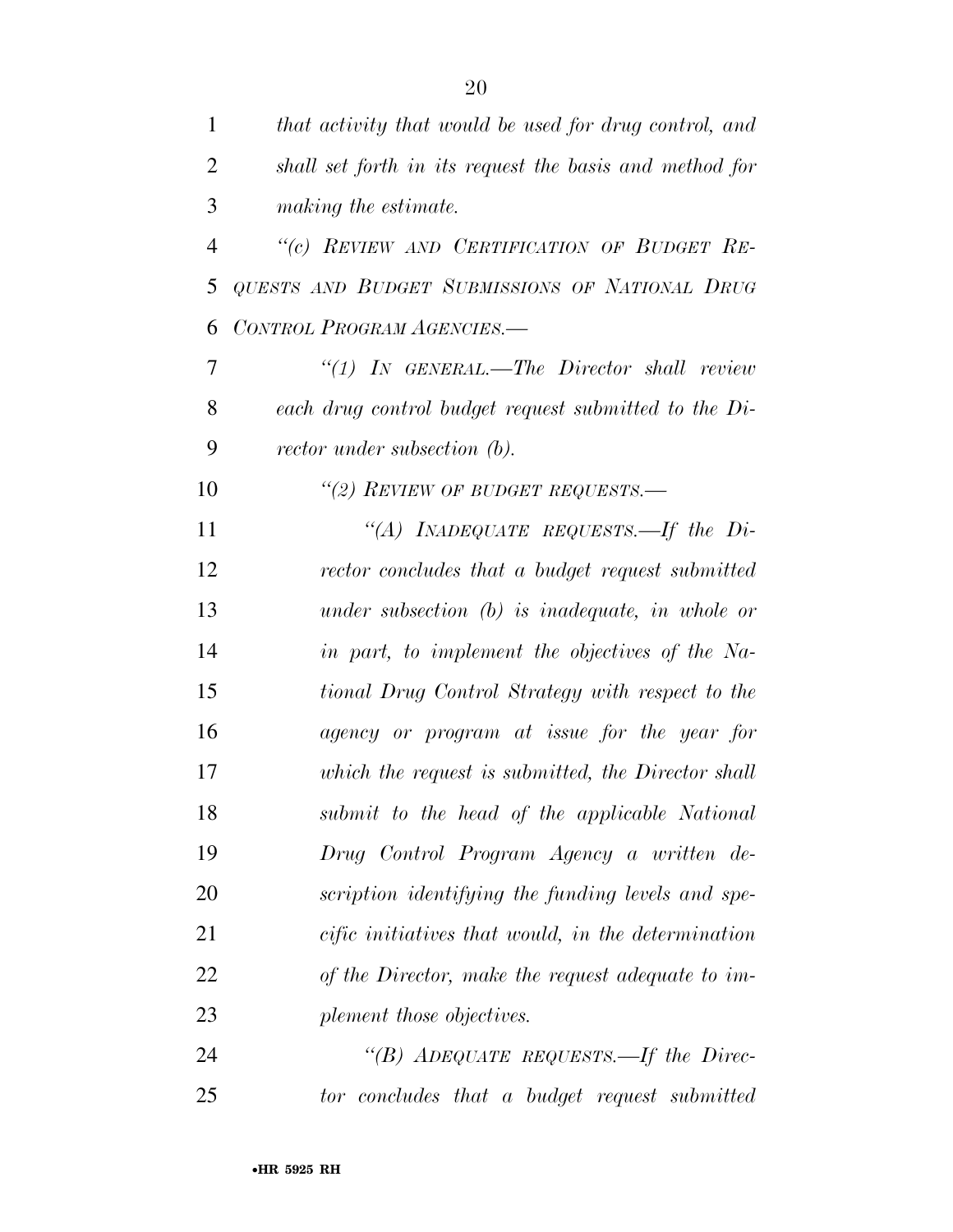| $\mathbf{1}$   | that activity that would be used for drug control, and  |
|----------------|---------------------------------------------------------|
| $\overline{2}$ | shall set forth in its request the basis and method for |
| 3              | making the estimate.                                    |
| $\overline{4}$ | "(c) REVIEW AND CERTIFICATION OF BUDGET RE-             |
| 5              | QUESTS AND BUDGET SUBMISSIONS OF NATIONAL DRUG          |
| 6              | CONTROL PROGRAM AGENCIES.-                              |
| 7              | $\lq(1)$ IN GENERAL.—The Director shall review          |
| 8              | each drug control budget request submitted to the Di-   |
| 9              | rector under subsection (b).                            |
| 10             | "(2) REVIEW OF BUDGET REQUESTS.—                        |
| 11             | "(A) INADEQUATE REQUESTS.—If the Di-                    |
| 12             | rector concludes that a budget request submitted        |
| 13             | under subsection $(b)$ is inadequate, in whole or       |
| 14             | in part, to implement the objectives of the Na-         |
| 15             | tional Drug Control Strategy with respect to the        |
| 16             | agency or program at issue for the year for             |
| 17             | which the request is submitted, the Director shall      |
| 18             | submit to the head of the applicable National           |
| 19             | Drug Control Program Agency a written de-               |
| 20             | scription identifying the funding levels and spe-       |
| 21             | cific initiatives that would, in the determination      |
| 22             | of the Director, make the request adequate to im-       |
| 23             | plement those objectives.                               |
| 24             | "(B) ADEQUATE REQUESTS.—If the Direc-                   |
| 25             | tor concludes that a budget request submitted           |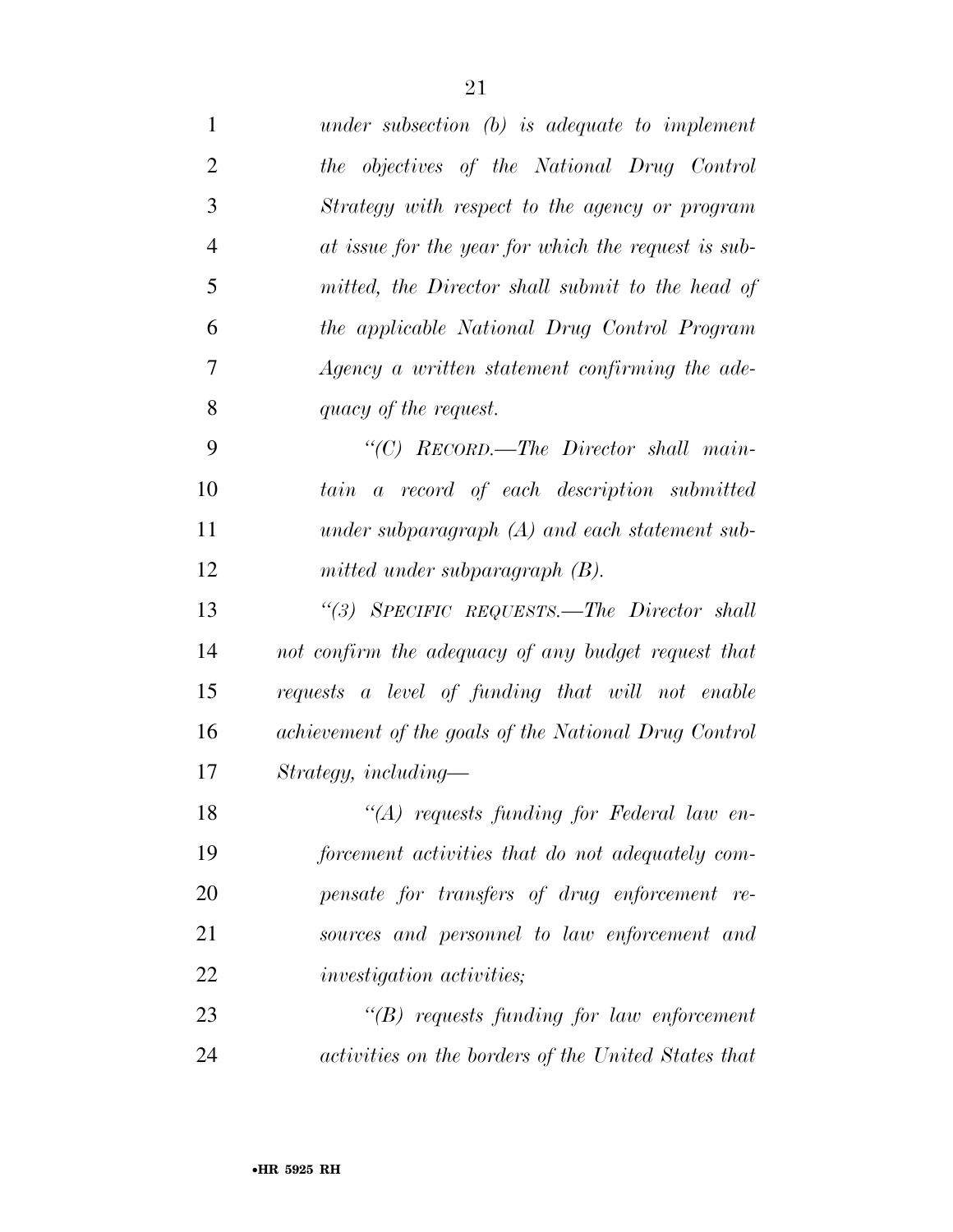| $\mathbf{1}$   | under subsection $(b)$ is adequate to implement       |
|----------------|-------------------------------------------------------|
| $\overline{2}$ | the objectives of the National Drug Control           |
| 3              | Strategy with respect to the agency or program        |
| $\overline{4}$ | at issue for the year for which the request is sub-   |
| 5              | mitted, the Director shall submit to the head of      |
| 6              | the applicable National Drug Control Program          |
| 7              | Agency a written statement confirming the ade-        |
| 8              | quacy of the request.                                 |
| 9              | "(C) RECORD.—The Director shall main-                 |
| 10             | a record of each description submitted<br>tain        |
| 11             | under subparagraph $(A)$ and each statement sub-      |
| 12             | mitted under subparagraph $(B)$ .                     |
| 13             | "(3) SPECIFIC REQUESTS.—The Director shall            |
| 14             | not confirm the adequacy of any budget request that   |
| 15             | requests a level of funding that will not enable      |
| 16             | achievement of the goals of the National Drug Control |
| 17             | $Strategy, including-$                                |
| 18             | "(A) requests funding for Federal law en-             |
| 19             | forcement activities that do not adequately com-      |
| 20             | pensate for transfers of drug enforcement re-         |
| 21             | sources and personnel to law enforcement and          |
| 22             | <i>investigation activities;</i>                      |
| 23             | $\lq\lq(B)$ requests funding for law enforcement      |
| 24             | activities on the borders of the United States that   |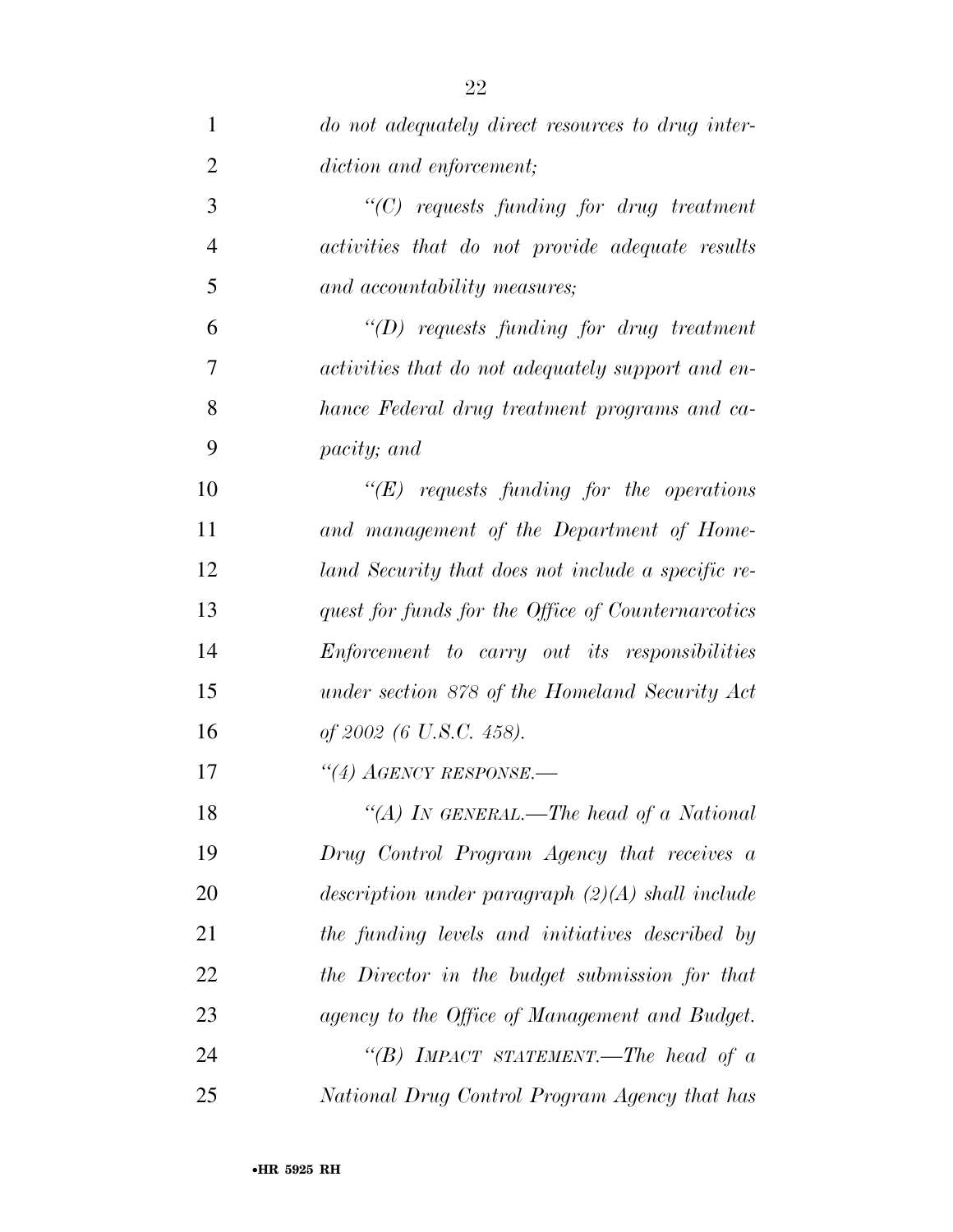| $\mathbf{1}$   | do not adequately direct resources to drug inter-    |
|----------------|------------------------------------------------------|
| $\overline{2}$ | diction and enforcement;                             |
| 3              | $\lq$ (C) requests funding for drug treatment        |
| $\overline{4}$ | activities that do not provide adequate results      |
| 5              | and accountability measures;                         |
| 6              | $\lq\lq(D)$ requests funding for drug treatment      |
| 7              | activities that do not adequately support and en-    |
| 8              | hance Federal drug treatment programs and ca-        |
| 9              | <i>pacity</i> ; and                                  |
| 10             | $\lq\lq(E)$ requests funding for the operations      |
| 11             | and management of the Department of Home-            |
| 12             | land Security that does not include a specific re-   |
| 13             | quest for funds for the Office of Counternarcotics   |
| 14             | <i>Enforcement to carry out its responsibilities</i> |
| 15             | under section 878 of the Homeland Security Act       |
| 16             | of 2002 (6 U.S.C. 458).                              |
| 17             | $``(4)$ AGENCY RESPONSE.—                            |
| 18             | "(A) IN GENERAL.—The head of a National              |
| 19             | Drug Control Program Agency that receives a          |
| 20             | description under paragraph $(2)(A)$ shall include   |
| 21             | the funding levels and initiatives described by      |
| 22             | the Director in the budget submission for that       |
| 23             | agency to the Office of Management and Budget.       |
| 24             | "(B) IMPACT STATEMENT.—The head of $a$               |
| 25             | National Drug Control Program Agency that has        |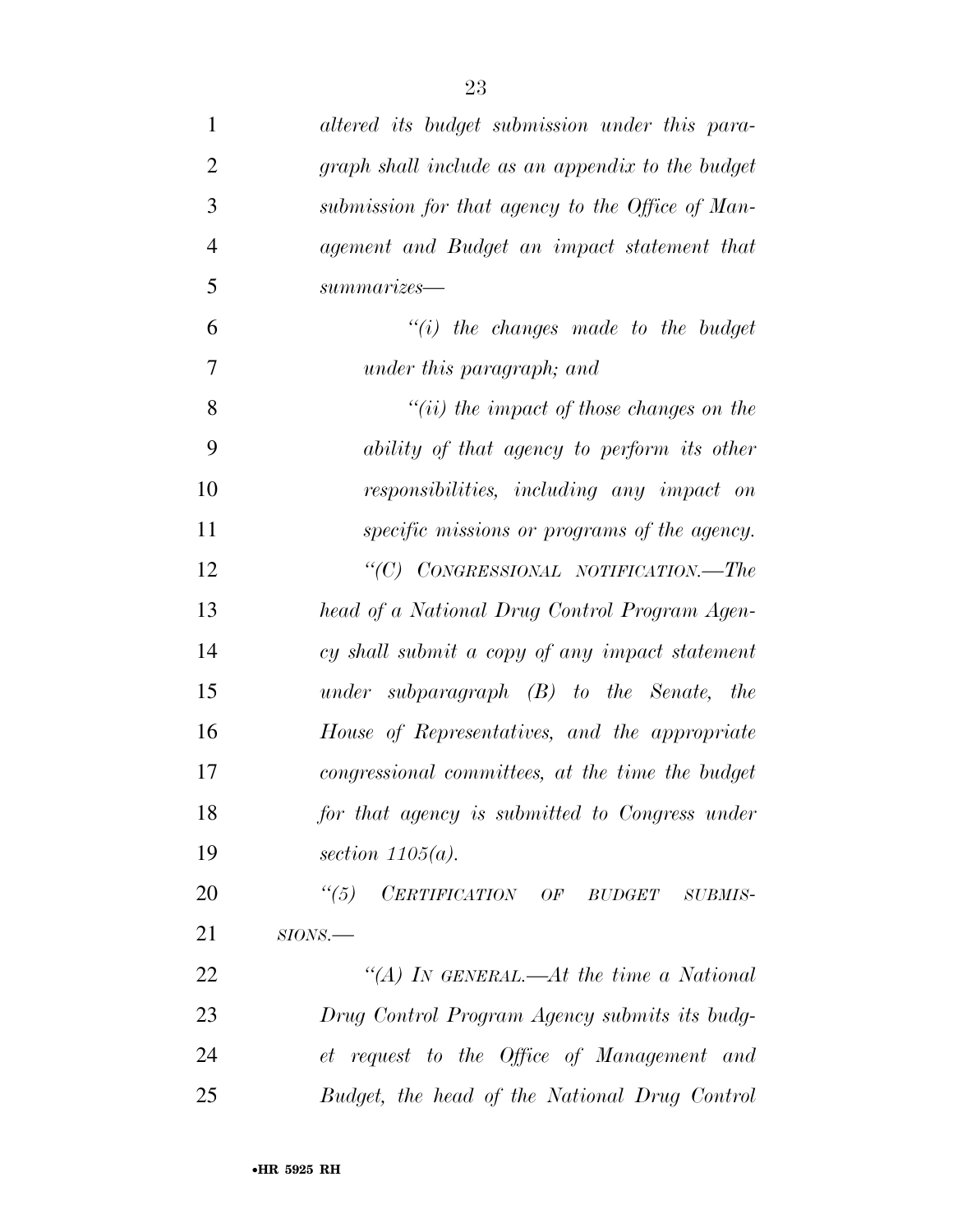| $\mathbf{1}$   | altered its budget submission under this para-    |
|----------------|---------------------------------------------------|
| $\overline{2}$ | graph shall include as an appendix to the budget  |
| 3              | submission for that agency to the Office of Man-  |
| $\overline{4}$ | agement and Budget an impact statement that       |
| 5              | summarizes                                        |
| 6              | $``(i)$ the changes made to the budget            |
| 7              | under this paragraph; and                         |
| 8              | $"(ii)$ the impact of those changes on the        |
| 9              | ability of that agency to perform its other       |
| 10             | responsibilities, including any impact on         |
| 11             | specific missions or programs of the agency.      |
| 12             | "(C) CONGRESSIONAL NOTIFICATION.—The              |
| 13             | head of a National Drug Control Program Agen-     |
| 14             | cy shall submit a copy of any impact statement    |
| 15             | under subparagraph $(B)$ to the Senate, the       |
| 16             | House of Representatives, and the appropriate     |
| 17             | congressional committees, at the time the budget  |
| 18             | for that agency is submitted to Congress under    |
| 19             | section $1105(a)$ .                               |
| 20             | $\frac{1}{10}$<br>CERTIFICATION OF BUDGET SUBMIS- |
| 21             | $SIONS$ .                                         |
| 22             | "(A) IN GENERAL.—At the time a National           |
| 23             | Drug Control Program Agency submits its budg-     |
| 24             | et request to the Office of Management and        |
| 25             | Budget, the head of the National Drug Control     |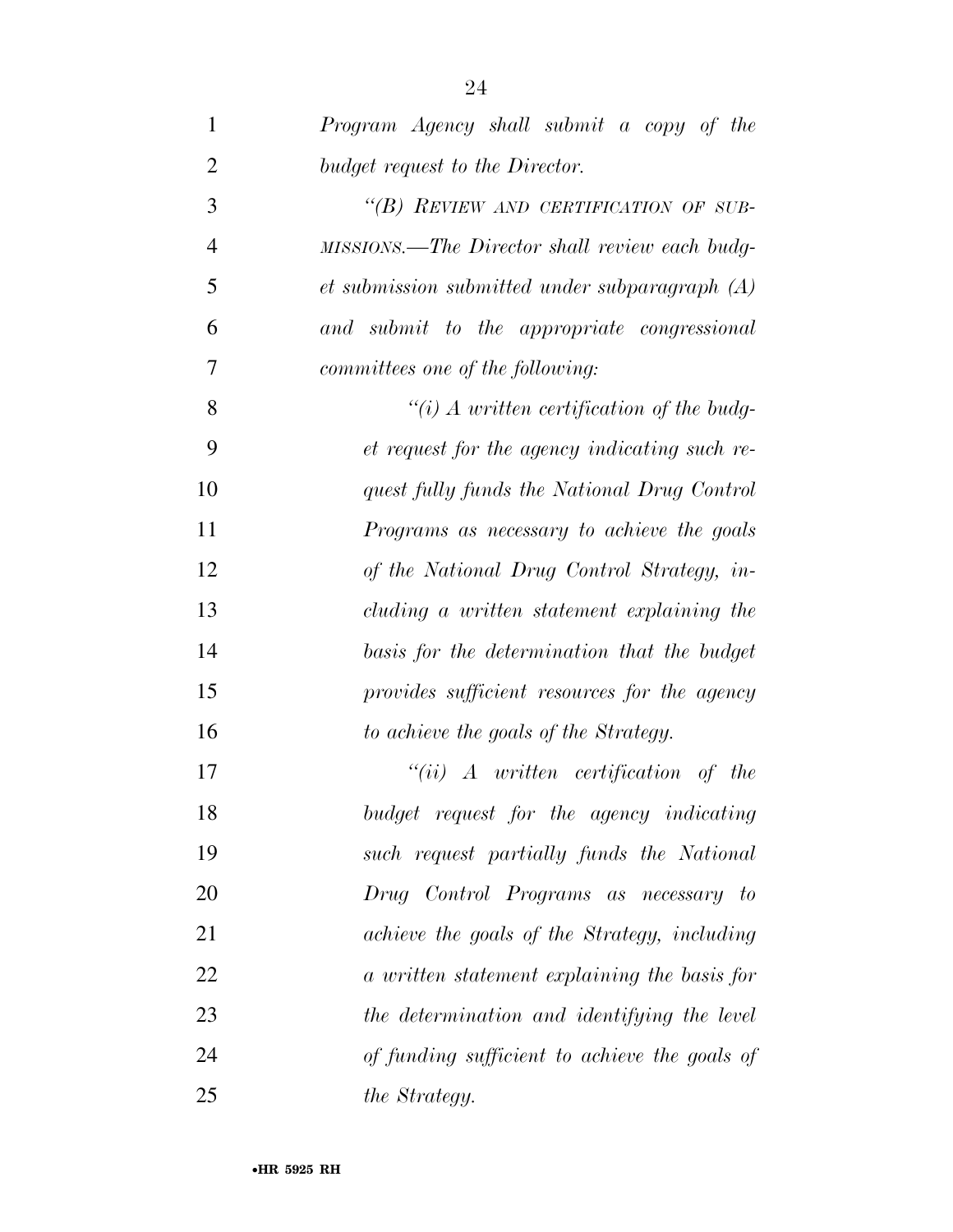| 1              | Program Agency shall submit a copy of the          |
|----------------|----------------------------------------------------|
| $\overline{2}$ | budget request to the Director.                    |
| 3              | "(B) REVIEW AND CERTIFICATION OF SUB-              |
| $\overline{4}$ | MISSIONS.—The Director shall review each budg-     |
| 5              | $et$ submission submitted under subparagraph $(A)$ |
| 6              | and submit to the appropriate congressional        |
| 7              | committees one of the following:                   |
| 8              | $``(i)$ A written certification of the budg-       |
| 9              | et request for the agency indicating such re-      |
| 10             | quest fully funds the National Drug Control        |
| 11             | Programs as necessary to achieve the goals         |
| 12             | of the National Drug Control Strategy, in-         |
| 13             | cluding a written statement explaining the         |
| 14             | basis for the determination that the budget        |
| 15             | provides sufficient resources for the agency       |
| 16             | to achieve the goals of the Strategy.              |
| 17             | $``(ii)$ A written certification of the            |
| 18             | budget request for the agency indicating           |
| 19             | such request partially funds the National          |
| 20             | Drug Control Programs as necessary to              |
| 21             | achieve the goals of the Strategy, including       |
| 22             | a written statement explaining the basis for       |
| 23             | the determination and identifying the level        |
| 24             | of funding sufficient to achieve the goals of      |
| 25             | the Strategy.                                      |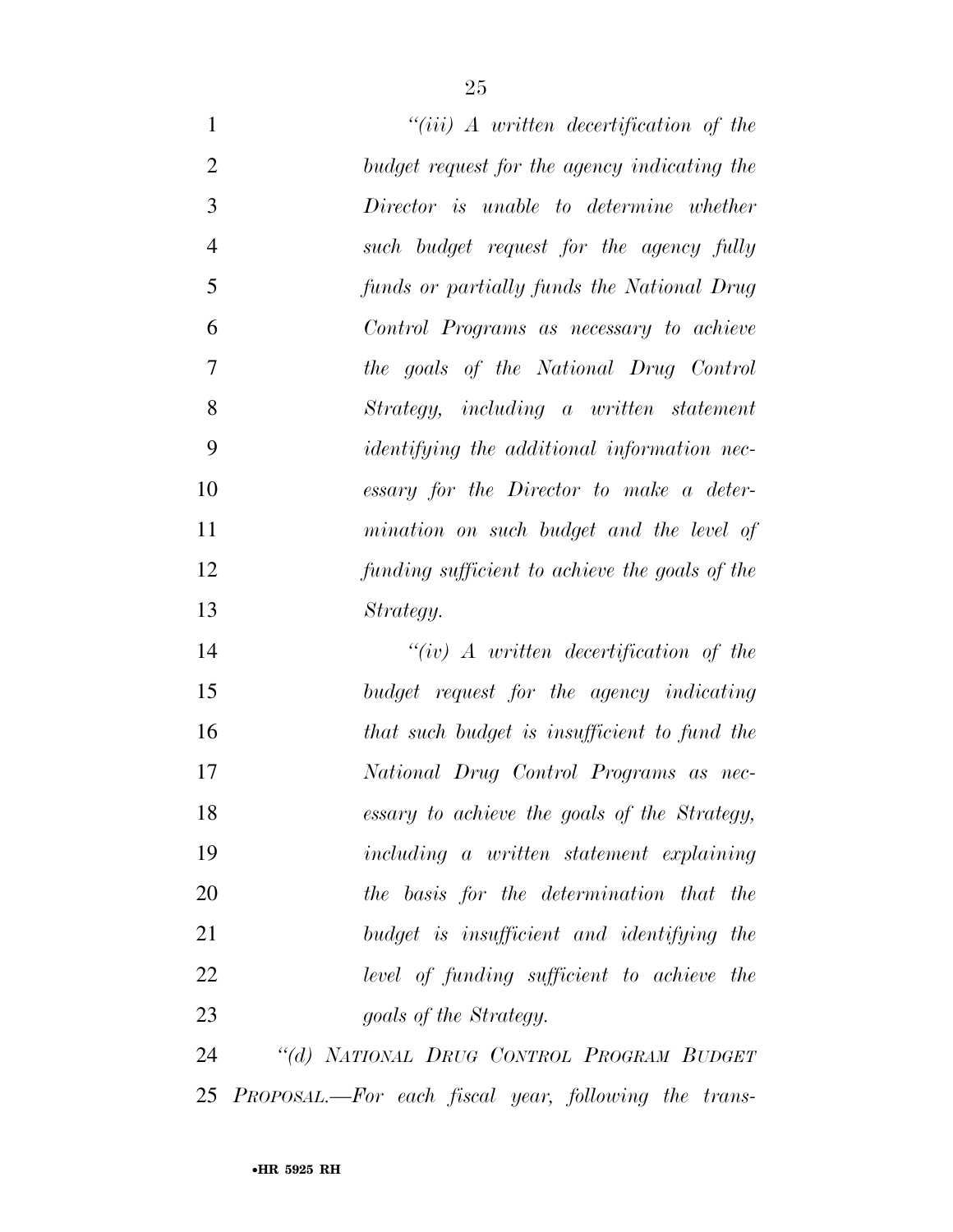| $\mathbf{1}$   | $``(iii)$ A written decertification of the           |
|----------------|------------------------------------------------------|
| $\overline{2}$ | budget request for the agency indicating the         |
| 3              | Director is unable to determine whether              |
| $\overline{4}$ | such budget request for the agency fully             |
| 5              | funds or partially funds the National Drug           |
| 6              | Control Programs as necessary to achieve             |
| 7              | the goals of the National Drug Control               |
| 8              | Strategy, including a written statement              |
| 9              | <i>identifying the additional information nec-</i>   |
| 10             | essary for the Director to make a deter-             |
| 11             | mination on such budget and the level of             |
| 12             | funding sufficient to achieve the goals of the       |
| 13             | Strategy.                                            |
| 14             | $``(iv)$ A written decertification of the            |
| 15             | budget request for the agency indicating             |
| 16             | that such budget is insufficient to fund the         |
| 17             | National Drug Control Programs as nec-               |
| 18             | essary to achieve the goals of the Strategy,         |
| 19             | including a written statement explaining             |
| 20             | the basis for the determination that the             |
| 21             | budget is insufficient and identifying the           |
| 22             | level of funding sufficient to achieve the           |
| 23             | goals of the Strategy.                               |
| 24             | "(d) NATIONAL DRUG CONTROL PROGRAM BUDGET            |
| 25             | PROPOSAL.—For each fiscal year, following the trans- |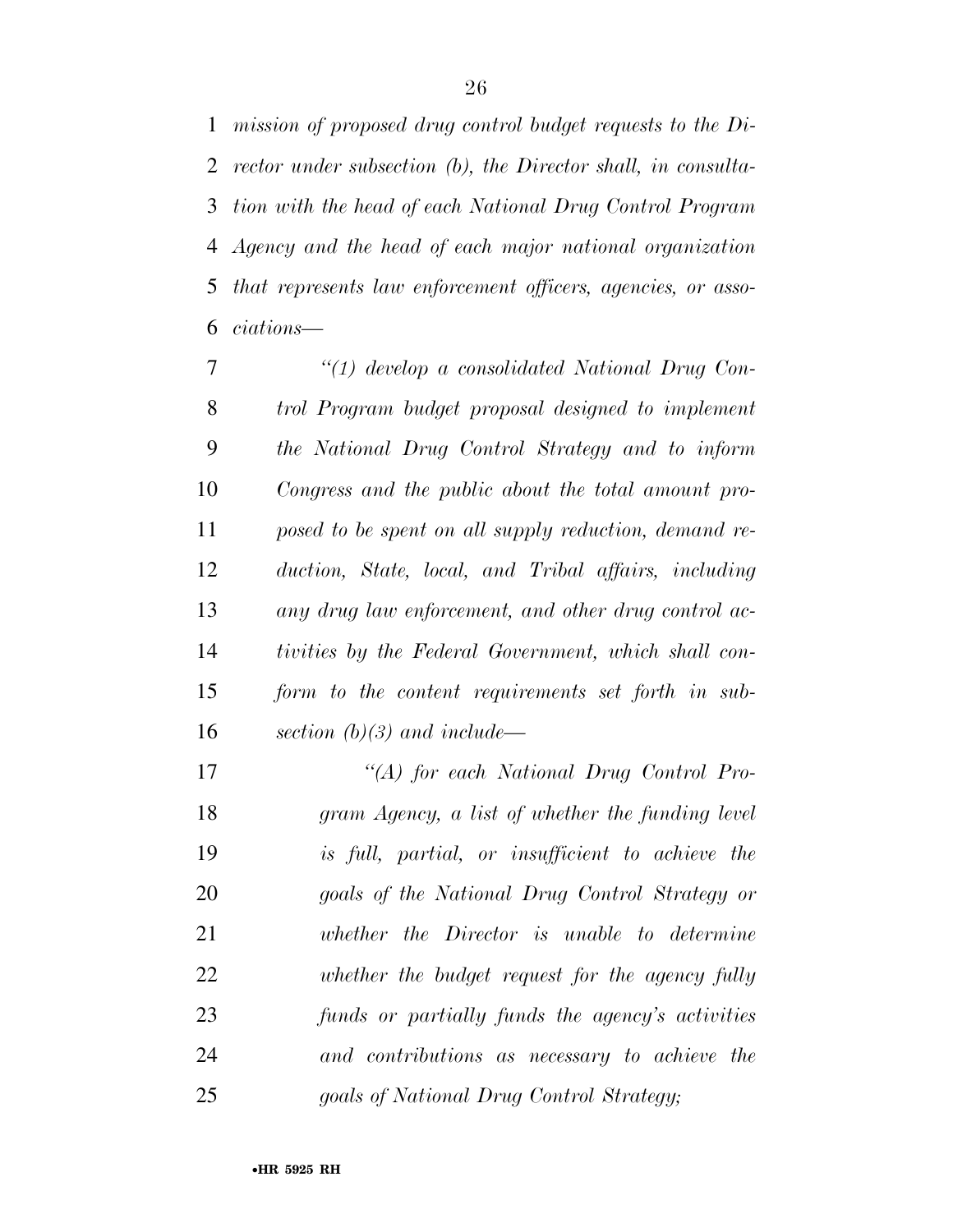*mission of proposed drug control budget requests to the Di- rector under subsection (b), the Director shall, in consulta- tion with the head of each National Drug Control Program Agency and the head of each major national organization that represents law enforcement officers, agencies, or asso-ciations—* 

 *''(1) develop a consolidated National Drug Con- trol Program budget proposal designed to implement the National Drug Control Strategy and to inform Congress and the public about the total amount pro- posed to be spent on all supply reduction, demand re- duction, State, local, and Tribal affairs, including any drug law enforcement, and other drug control ac- tivities by the Federal Government, which shall con- form to the content requirements set forth in sub-section (b)(3) and include—* 

 *''(A) for each National Drug Control Pro- gram Agency, a list of whether the funding level is full, partial, or insufficient to achieve the goals of the National Drug Control Strategy or whether the Director is unable to determine whether the budget request for the agency fully funds or partially funds the agency's activities and contributions as necessary to achieve the goals of National Drug Control Strategy;*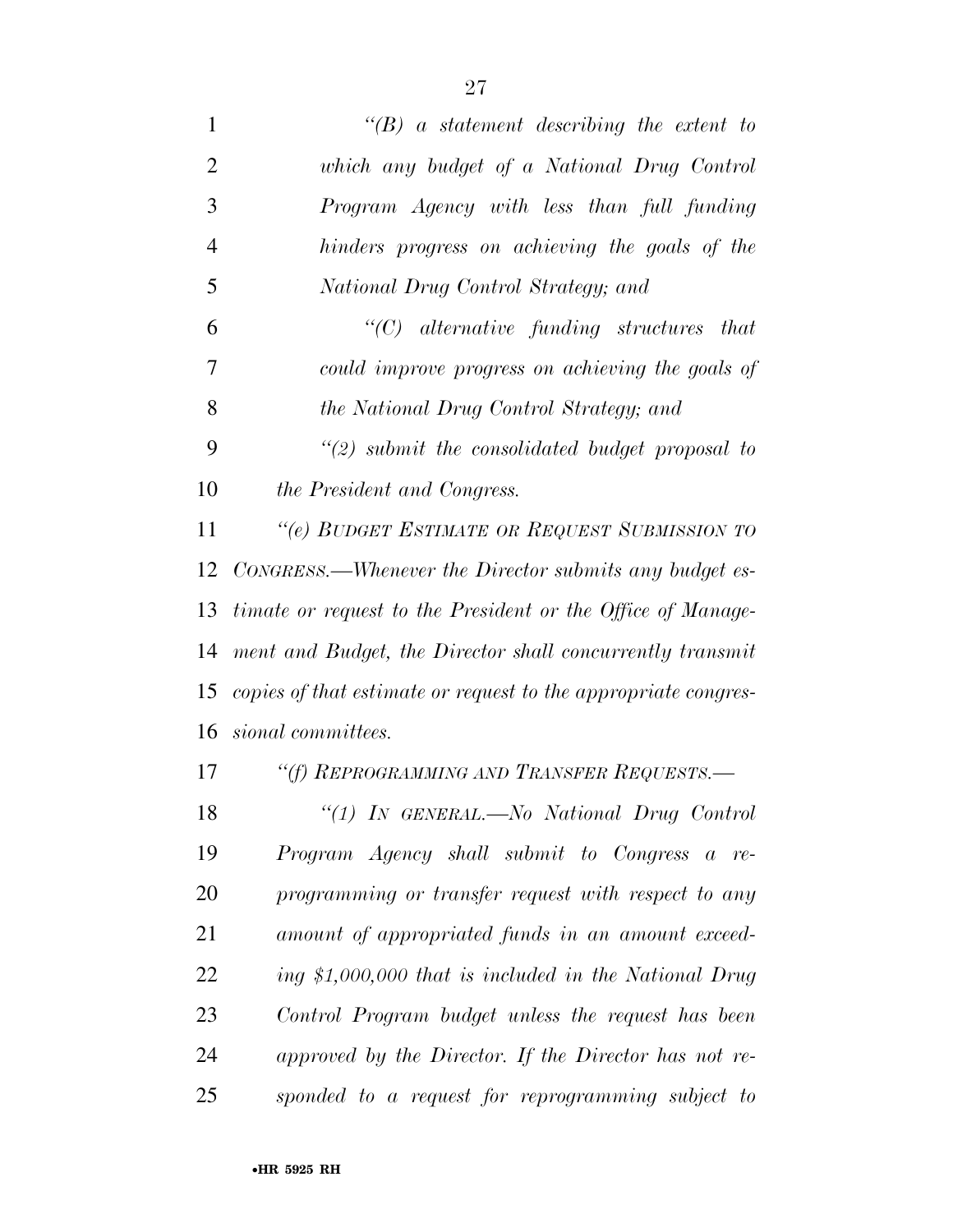| $\mathbf{1}$   | $\lq\lq B$ a statement describing the extent to                |
|----------------|----------------------------------------------------------------|
| $\overline{2}$ | which any budget of a National Drug Control                    |
| 3              | Program Agency with less than full funding                     |
| $\overline{4}$ | hinders progress on achieving the goals of the                 |
| 5              | National Drug Control Strategy; and                            |
| 6              | $"$ (C) alternative funding structures that                    |
| 7              | could improve progress on achieving the goals of               |
| 8              | the National Drug Control Strategy; and                        |
| 9              | $\lq(2)$ submit the consolidated budget proposal to            |
| 10             | the President and Congress.                                    |
| 11             | "(e) BUDGET ESTIMATE OR REQUEST SUBMISSION TO                  |
| 12             | CONGRESS.—Whenever the Director submits any budget es-         |
| 13             | timate or request to the President or the Office of Manage-    |
| 14             | ment and Budget, the Director shall concurrently transmit      |
| 15             | copies of that estimate or request to the appropriate congres- |
| 16             | sional committees.                                             |
| 17             | "(f) REPROGRAMMING AND TRANSFER REQUESTS.-                     |
| 18             | "(1) In GENERAL.—No National Drug Control                      |
| 19             | Program Agency shall submit to Congress a re-                  |
| 20             | programming or transfer request with respect to any            |
| 21             | amount of appropriated funds in an amount exceed-              |
| 22             | ing \$1,000,000 that is included in the National Drug          |
| 23             | Control Program budget unless the request has been             |
| 24             | approved by the Director. If the Director has not re-          |
| 25             | sponded to a request for reprogramming subject to              |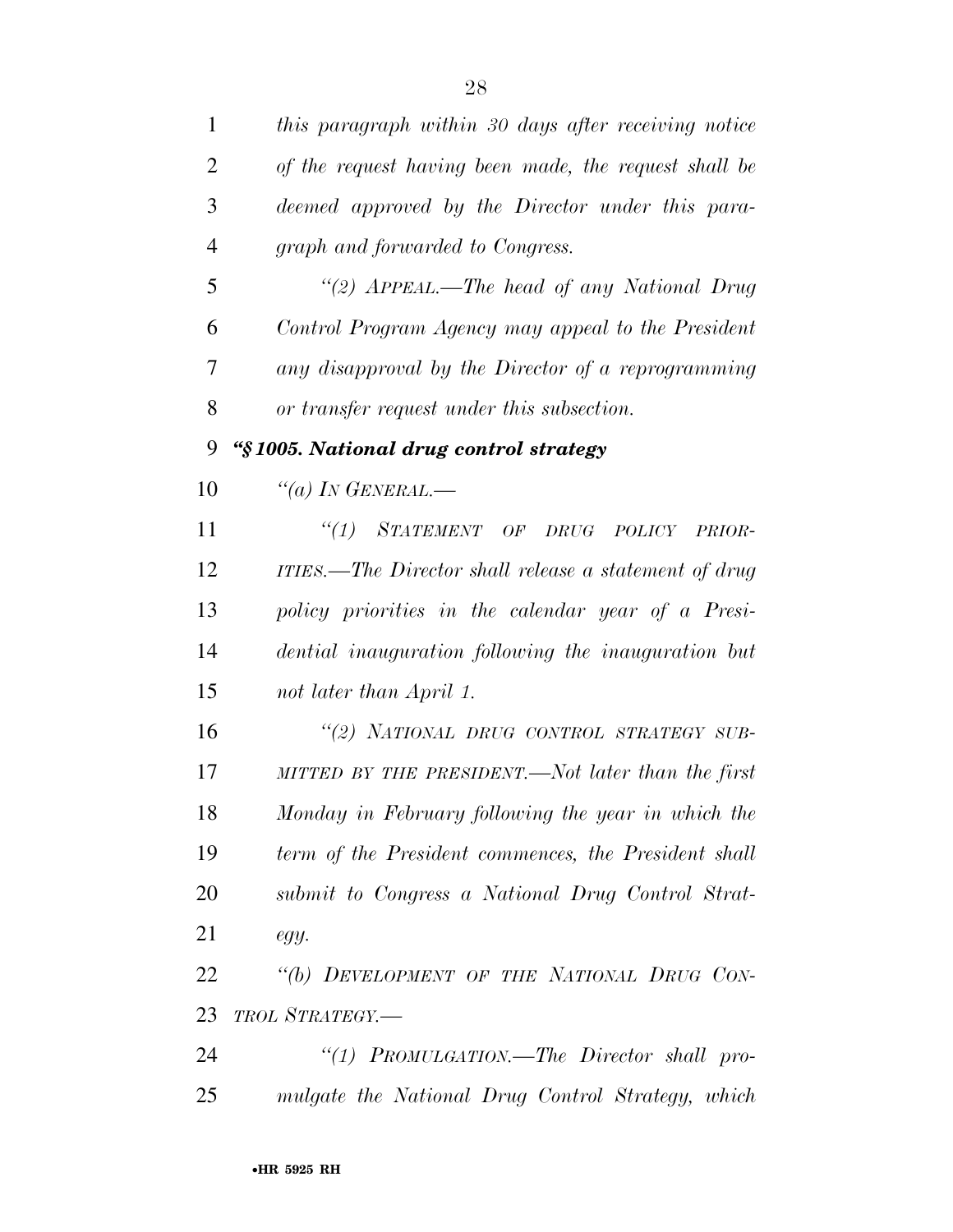| 1              | this paragraph within 30 days after receiving notice  |
|----------------|-------------------------------------------------------|
| $\overline{2}$ | of the request having been made, the request shall be |
| 3              | deemed approved by the Director under this para-      |
| $\overline{4}$ | graph and forwarded to Congress.                      |
| 5              | "(2) APPEAL.—The head of any National Drug            |
| 6              | Control Program Agency may appeal to the President    |
| 7              | any disapproval by the Director of a reprogramming    |
| 8              | or transfer request under this subsection.            |
| 9              | "§1005. National drug control strategy                |
| 10             | "(a) IN GENERAL.—                                     |
| 11             | "(1) STATEMENT OF DRUG POLICY<br>PRIOR-               |
| 12             | ITIES.—The Director shall release a statement of drug |
| 13             | policy priorities in the calendar year of a Presi-    |
| 14             | dential inauguration following the inauguration but   |
| 15             | not later than April 1.                               |
| 16             | "(2) NATIONAL DRUG CONTROL STRATEGY SUB-              |
| 17             | MITTED BY THE PRESIDENT.—Not later than the first     |
| 18             | Monday in February following the year in which the    |
| 19             | term of the President commences, the President shall  |
| 20             | submit to Congress a National Drug Control Strat-     |
| 21             | egy.                                                  |
| 22             | "(b) DEVELOPMENT OF THE NATIONAL DRUG CON-            |
| 23             | TROL STRATEGY.-                                       |
| 24             | "(1) PROMULGATION.—The Director shall pro-            |
| 25             | mulgate the National Drug Control Strategy, which     |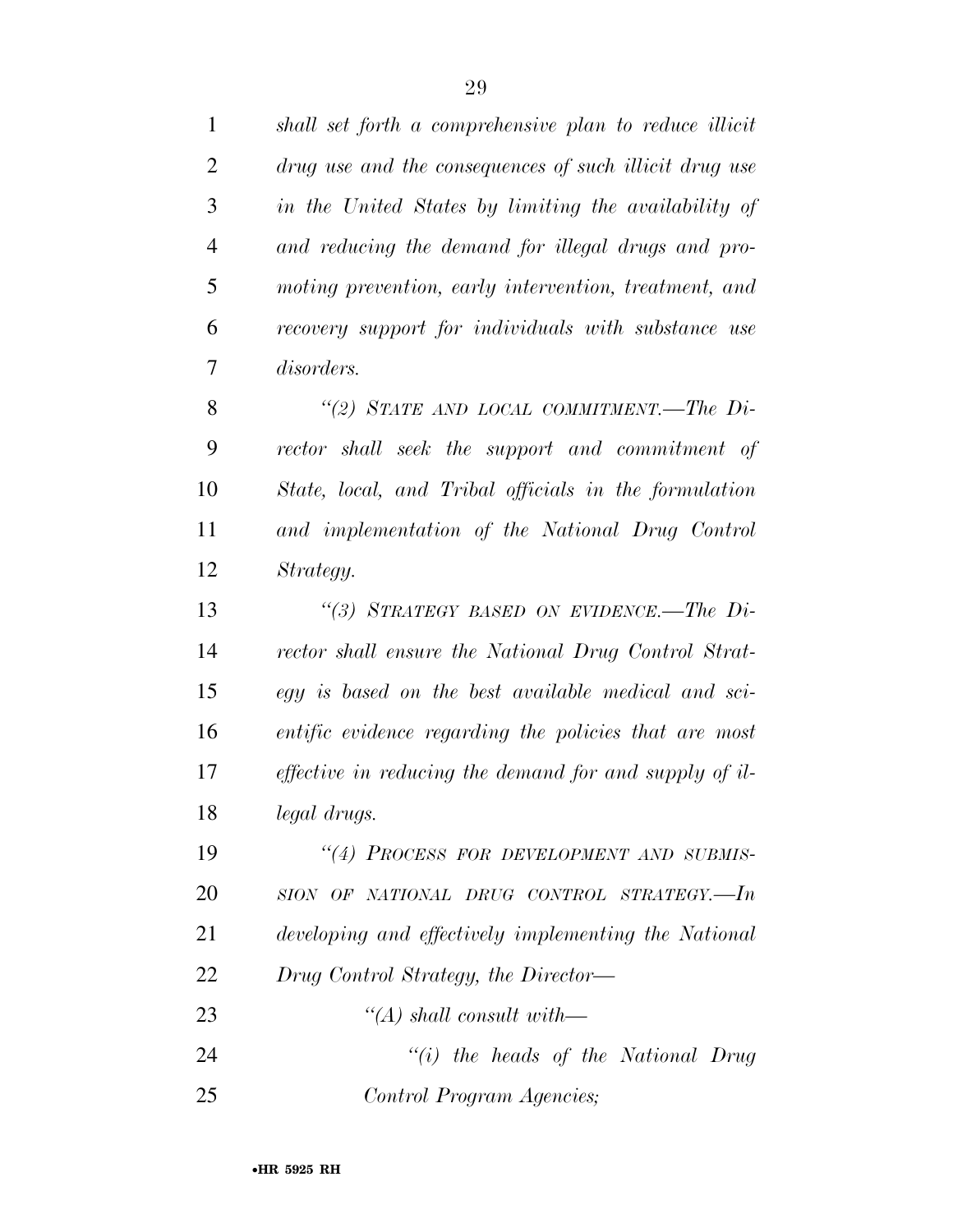| $\mathbf{1}$   | shall set forth a comprehensive plan to reduce illicit        |
|----------------|---------------------------------------------------------------|
| $\overline{2}$ | drug use and the consequences of such illicit drug use        |
| 3              | in the United States by limiting the availability of          |
| $\overline{4}$ | and reducing the demand for illegal drugs and pro-            |
| 5              | moting prevention, early intervention, treatment, and         |
| 6              | recovery support for individuals with substance use           |
| 7              | <i>disorders.</i>                                             |
| 8              | "(2) STATE AND LOCAL COMMITMENT.—The $Di-$                    |
| 9              | rector shall seek the support and commitment of               |
| 10             | State, local, and Tribal officials in the formulation         |
| 11             | and implementation of the National Drug Control               |
| 12             | Strategy.                                                     |
| 13             | "(3) STRATEGY BASED ON EVIDENCE.—The $Di-$                    |
| 14             | rector shall ensure the National Drug Control Strat-          |
| 15             | egy is based on the best available medical and sci-           |
| 16             | entific evidence regarding the policies that are most         |
| 17             | <i>effective in reducing the demand for and supply of il-</i> |
| 18             | legal drugs.                                                  |
| 19             | "(4) PROCESS FOR DEVELOPMENT AND SUBMIS-                      |
| 20             | SION OF NATIONAL DRUG CONTROL STRATEGY.-In                    |
| 21             | developing and effectively implementing the National          |
| 22             | Drug Control Strategy, the Director—                          |
| 23             | $\lq (A)$ shall consult with—                                 |
| 24             | $``(i)$ the heads of the National Drug                        |
| 25             | Control Program Agencies;                                     |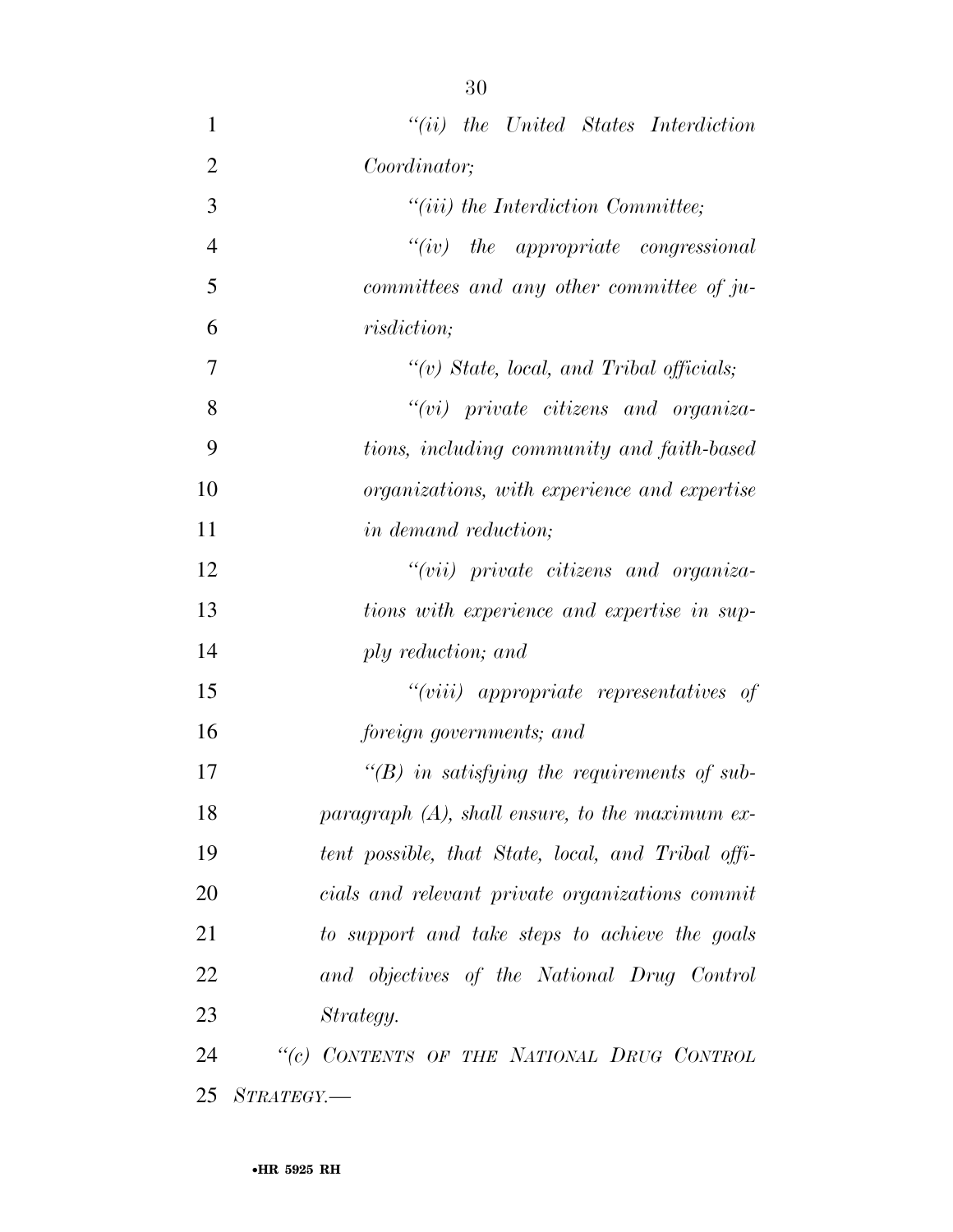| $\mathbf{1}$   | $``(ii)$ the United States Interdiction            |
|----------------|----------------------------------------------------|
| $\overline{2}$ | Coordinator;                                       |
| 3              | $"(iii)$ the Interdiction Committee;               |
| $\overline{4}$ | $``(iv)$ the appropriate congressional             |
| 5              | committees and any other committee of ju-          |
| 6              | <i>risdiction</i> ;                                |
| 7              | $\lq\lq(v)$ State, local, and Tribal officials;    |
| 8              | $``(vi)$ private citizens and organiza-            |
| 9              | tions, including community and faith-based         |
| 10             | organizations, with experience and expertise       |
| 11             | <i>in demand reduction</i> ;                       |
| 12             | "(vii) private citizens and organiza-              |
| 13             | tions with experience and expertise in sup-        |
| 14             | ply reduction; and                                 |
| 15             | $``(viii)$ appropriate representatives of          |
| 16             | foreign governments; and                           |
| 17             | $\lq\lq(B)$ in satisfying the requirements of sub- |
| 18             | paragraph $(A)$ , shall ensure, to the maximum ex- |
| 19             | tent possible, that State, local, and Tribal offi- |
| 20             | cials and relevant private organizations commit    |
| 21             | to support and take steps to achieve the goals     |
| 22             | and objectives of the National Drug Control        |
| 23             | Strategy.                                          |
| 24             | "(c) CONTENTS OF THE NATIONAL DRUG CONTROL         |
| 25             | STRATEGY.                                          |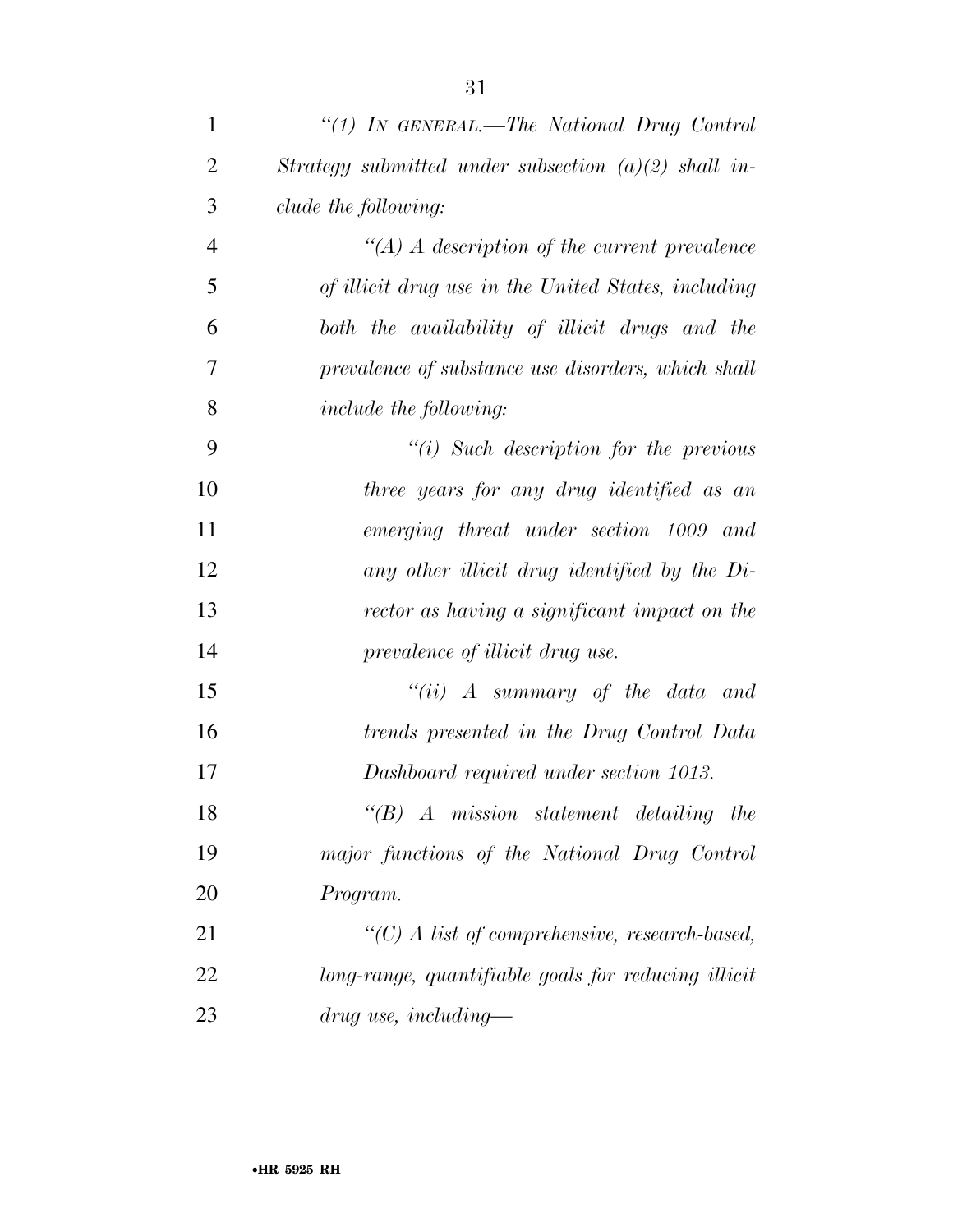| $\mathbf{1}$   | "(1) IN GENERAL.—The National Drug Control             |
|----------------|--------------------------------------------------------|
| $\overline{2}$ | Strategy submitted under subsection $(a)(2)$ shall in- |
| 3              | clude the following:                                   |
| $\overline{4}$ | $\lq (A)$ A description of the current prevalence      |
| 5              | of illicit drug use in the United States, including    |
| 6              | both the availability of illicit drugs and the         |
| 7              | prevalence of substance use disorders, which shall     |
| 8              | <i>include the following:</i>                          |
| 9              | $``(i)$ Such description for the previous              |
| 10             | three years for any drug identified as an              |
| 11             | emerging threat under section 1009 and                 |
| 12             | any other illicit drug identified by the Di-           |
| 13             | rector as having a significant impact on the           |
| 14             | prevalence of illicit drug use.                        |
| 15             | "(ii) $\Lambda$ summary of the data and                |
| 16             | trends presented in the Drug Control Data              |
| 17             | Dashboard required under section 1013.                 |
| 18             | $\lq\lq B$ A mission statement detailing the           |
| 19             | major functions of the National Drug Control           |
| 20             | Program.                                               |
| 21             | $\lq\lq C$ A list of comprehensive, research-based,    |
| 22             | long-range, quantifiable goals for reducing illicit    |
| 23             | $drug$ use, including—                                 |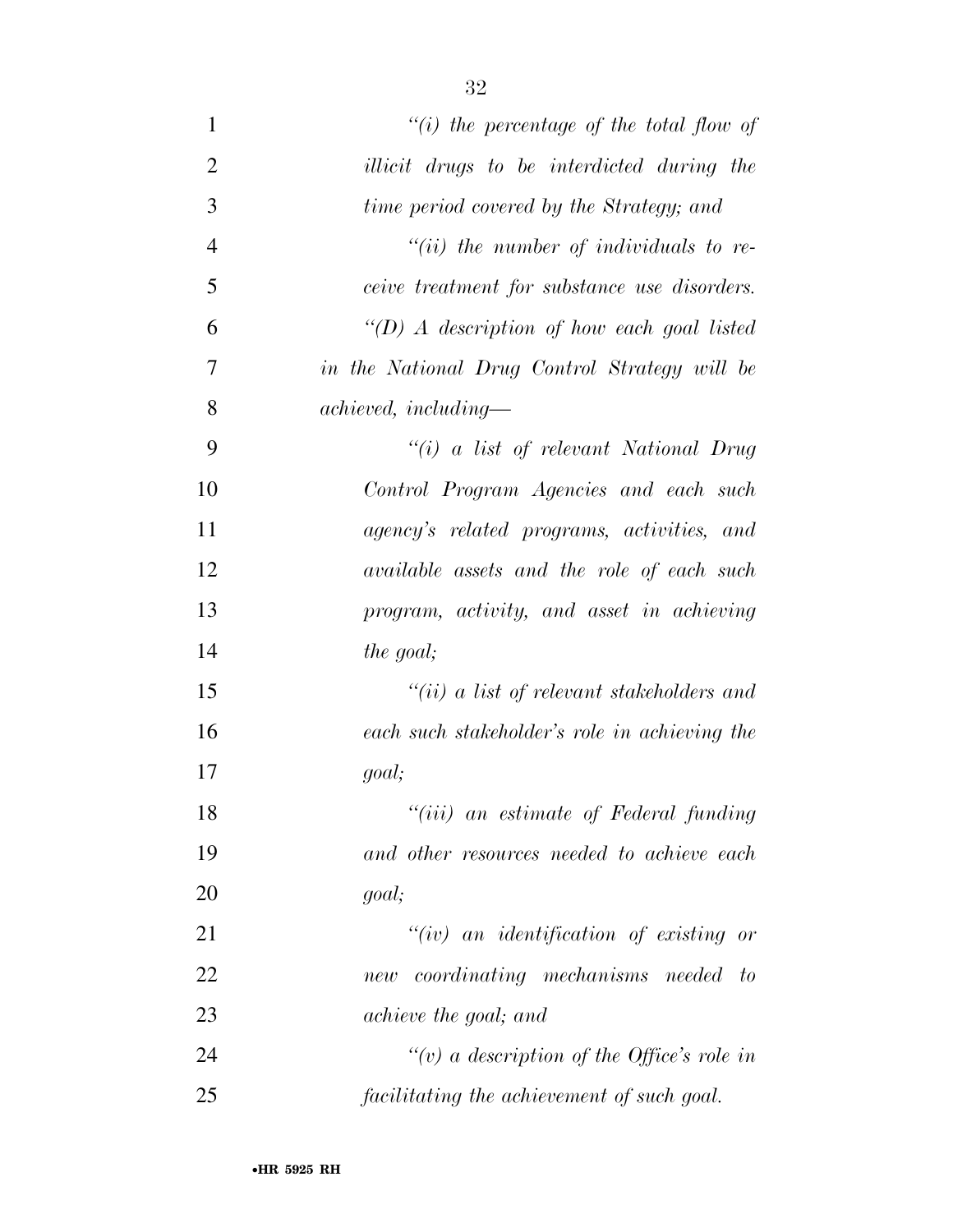| $\mathbf{1}$   | "(i) the percentage of the total flow of            |
|----------------|-----------------------------------------------------|
| $\overline{2}$ | illicit drugs to be interdicted during the          |
| 3              | time period covered by the Strategy; and            |
| $\overline{4}$ | $``(ii)$ the number of individuals to re-           |
| 5              | <i>ceive treatment for substance use disorders.</i> |
| 6              | "(D) A description of how each goal listed          |
| 7              | in the National Drug Control Strategy will be       |
| 8              | $achieved, including-$                              |
| 9              | "(i) a list of relevant National Drug               |
| 10             | Control Program Agencies and each such              |
| 11             | agency's related programs, activities, and          |
| 12             | available assets and the role of each such          |
| 13             | program, activity, and asset in achieving           |
| 14             | the goal;                                           |
| 15             | "(ii) a list of relevant stakeholders and           |
| 16             | each such stakeholder's role in achieving the       |
| 17             | goal;                                               |
| 18             | "(iii) an estimate of Federal funding               |
| 19             | and other resources needed to achieve each          |
| 20             | goal;                                               |
| 21             | $``(iv)$ an identification of existing or           |
| 22             | new coordinating mechanisms needed to               |
| 23             | achieve the goal; and                               |
| 24             | "(v) a description of the Office's role in          |
| 25             | facilitating the achievement of such goal.          |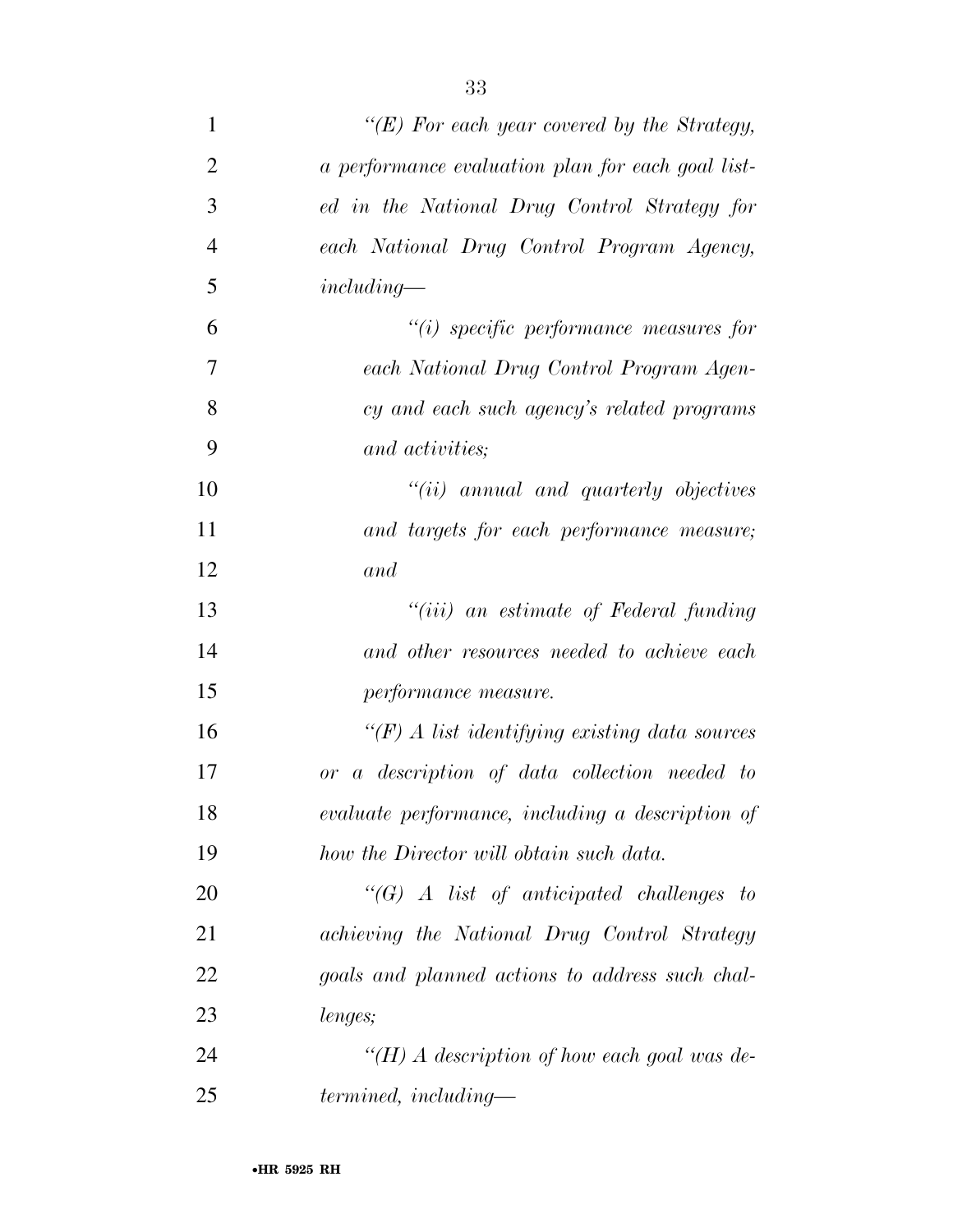| $\mathbf{1}$   | " $(E)$ For each year covered by the Strategy,     |
|----------------|----------------------------------------------------|
| $\overline{2}$ | a performance evaluation plan for each goal list-  |
| 3              | ed in the National Drug Control Strategy for       |
| $\overline{4}$ | each National Drug Control Program Agency,         |
| 5              | $including-$                                       |
| 6              | $"(i)$ specific performance measures for           |
| 7              | each National Drug Control Program Agen-           |
| 8              | cy and each such agency's related programs         |
| 9              | and activities;                                    |
| 10             | $``(ii)$ annual and quarterly objectives           |
| 11             | and targets for each performance measure;          |
| 12             | and                                                |
| 13             | "( <i>iii</i> ) an estimate of Federal funding     |
| 14             | and other resources needed to achieve each         |
| 15             | performance measure.                               |
| 16             | $\lq (F)$ A list identifying existing data sources |
| 17             | a description of data collection needed to<br>or   |
| 18             | evaluate performance, including a description of   |
| 19             | how the Director will obtain such data.            |
| 20             | $\lq\lq (G)$ A list of anticipated challenges to   |
| 21             | achieving the National Drug Control Strategy       |
| 22             | goals and planned actions to address such chal-    |
| 23             | lenges;                                            |
| 24             | "(H) A description of how each goal was de-        |
| 25             | termined, including—                               |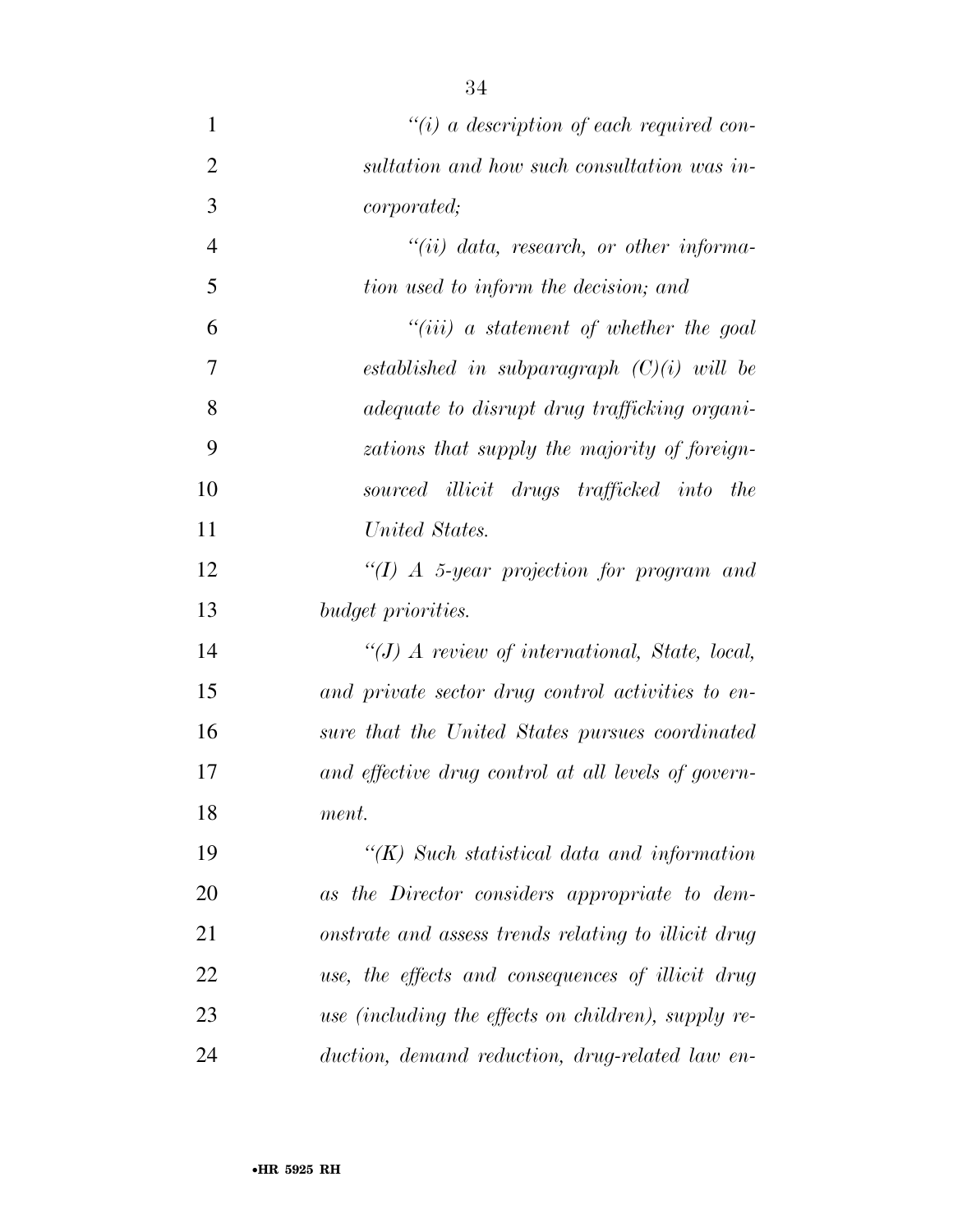*''(i) a description of each required con- sultation and how such consultation was in- corporated; ''(ii) data, research, or other informa- tion used to inform the decision; and ''(iii) a statement of whether the goal established in subparagraph (C)(i) will be adequate to disrupt drug trafficking organi- zations that supply the majority of foreign- sourced illicit drugs trafficked into the United States. ''(I) A 5-year projection for program and budget priorities. ''(J) A review of international, State, local, and private sector drug control activities to en- sure that the United States pursues coordinated and effective drug control at all levels of govern- ment. ''(K) Such statistical data and information as the Director considers appropriate to dem- onstrate and assess trends relating to illicit drug use, the effects and consequences of illicit drug use (including the effects on children), supply re-*

*duction, demand reduction, drug-related law en-*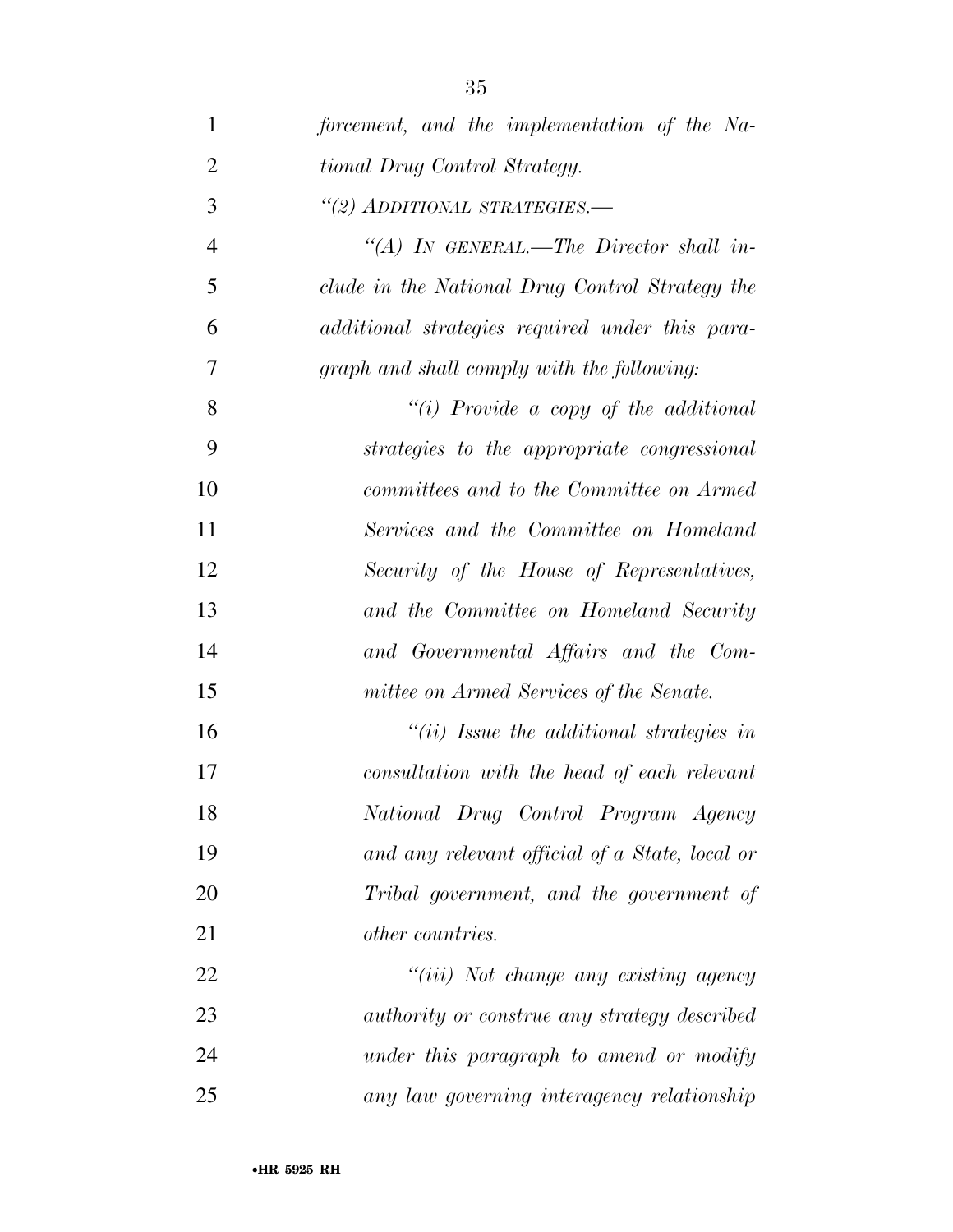| $\mathbf{1}$   | forcement, and the implementation of the Na-        |
|----------------|-----------------------------------------------------|
| $\overline{2}$ | tional Drug Control Strategy.                       |
| 3              | "(2) ADDITIONAL STRATEGIES.-                        |
| $\overline{4}$ | "(A) IN GENERAL.—The Director shall in-             |
| 5              | clude in the National Drug Control Strategy the     |
| 6              | additional strategies required under this para-     |
| 7              | graph and shall comply with the following:          |
| 8              | "(i) Provide a copy of the additional               |
| 9              | strategies to the appropriate congressional         |
| 10             | committees and to the Committee on Armed            |
| 11             | Services and the Committee on Homeland              |
| 12             | Security of the House of Representatives,           |
| 13             | and the Committee on Homeland Security              |
| 14             | and Governmental Affairs and the Com-               |
| 15             | mittee on Armed Services of the Senate.             |
| 16             | $``(ii)$ Issue the additional strategies in         |
| 17             | consultation with the head of each relevant         |
| 18             | National Drug Control Program Agency                |
| 19             | and any relevant official of a State, local or      |
| 20             | Tribal government, and the government of            |
| 21             | <i>other countries.</i>                             |
| 22             | "(iii) Not change any existing agency               |
| 23             | <i>authority or construe any strategy described</i> |
| 24             | under this paragraph to amend or modify             |
| 25             | any law governing interagency relationship          |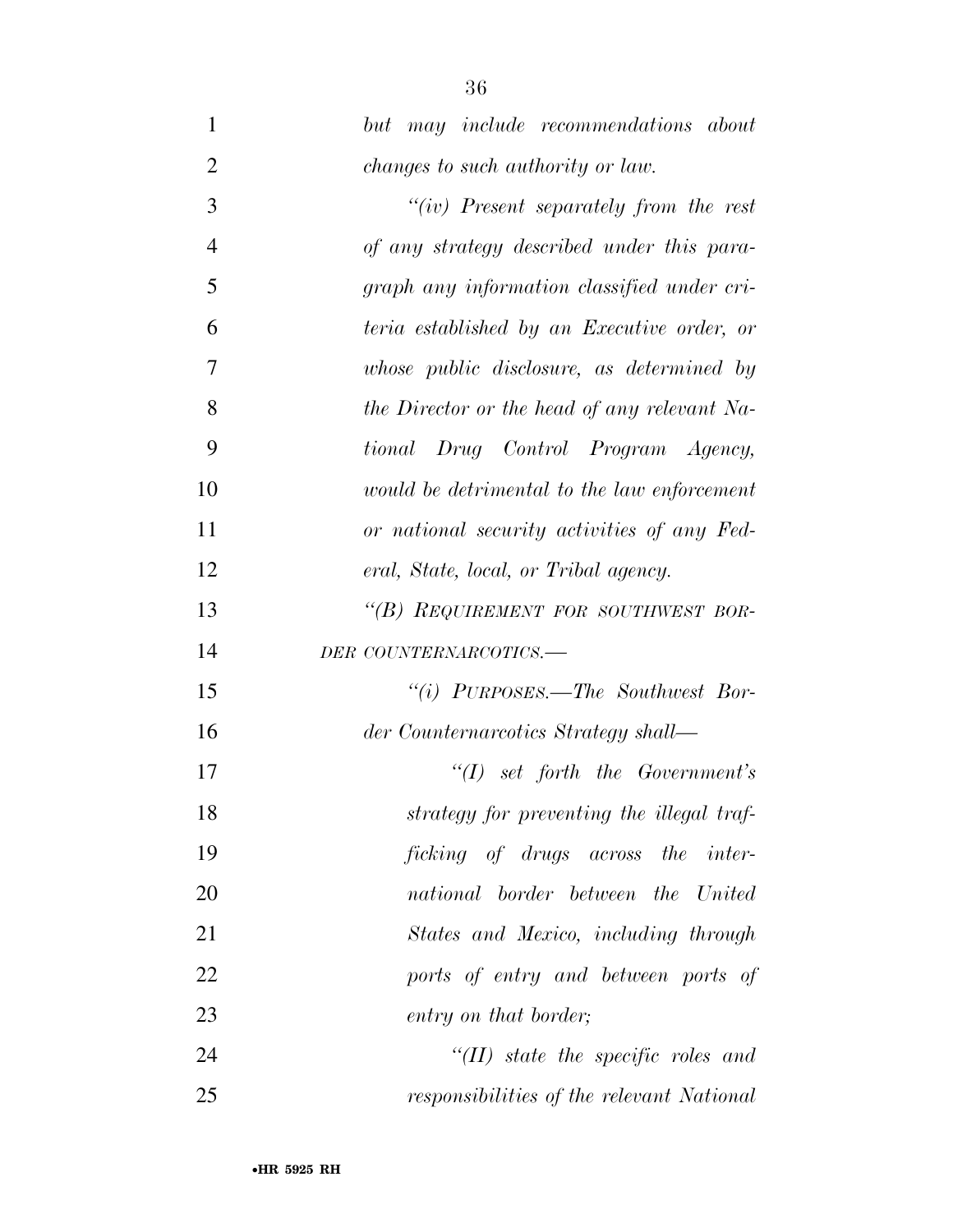*but may include recommendations about changes to such authority or law. ''(iv) Present separately from the rest of any strategy described under this para- graph any information classified under cri- teria established by an Executive order, or whose public disclosure, as determined by the Director or the head of any relevant Na- tional Drug Control Program Agency, would be detrimental to the law enforcement or national security activities of any Fed- eral, State, local, or Tribal agency. ''(B) REQUIREMENT FOR SOUTHWEST BOR- DER COUNTERNARCOTICS.— ''(i) PURPOSES.—The Southwest Bor- der Counternarcotics Strategy shall— ''(I) set forth the Government's strategy for preventing the illegal traf- ficking of drugs across the inter- national border between the United States and Mexico, including through ports of entry and between ports of entry on that border; ''(II) state the specific roles and responsibilities of the relevant National*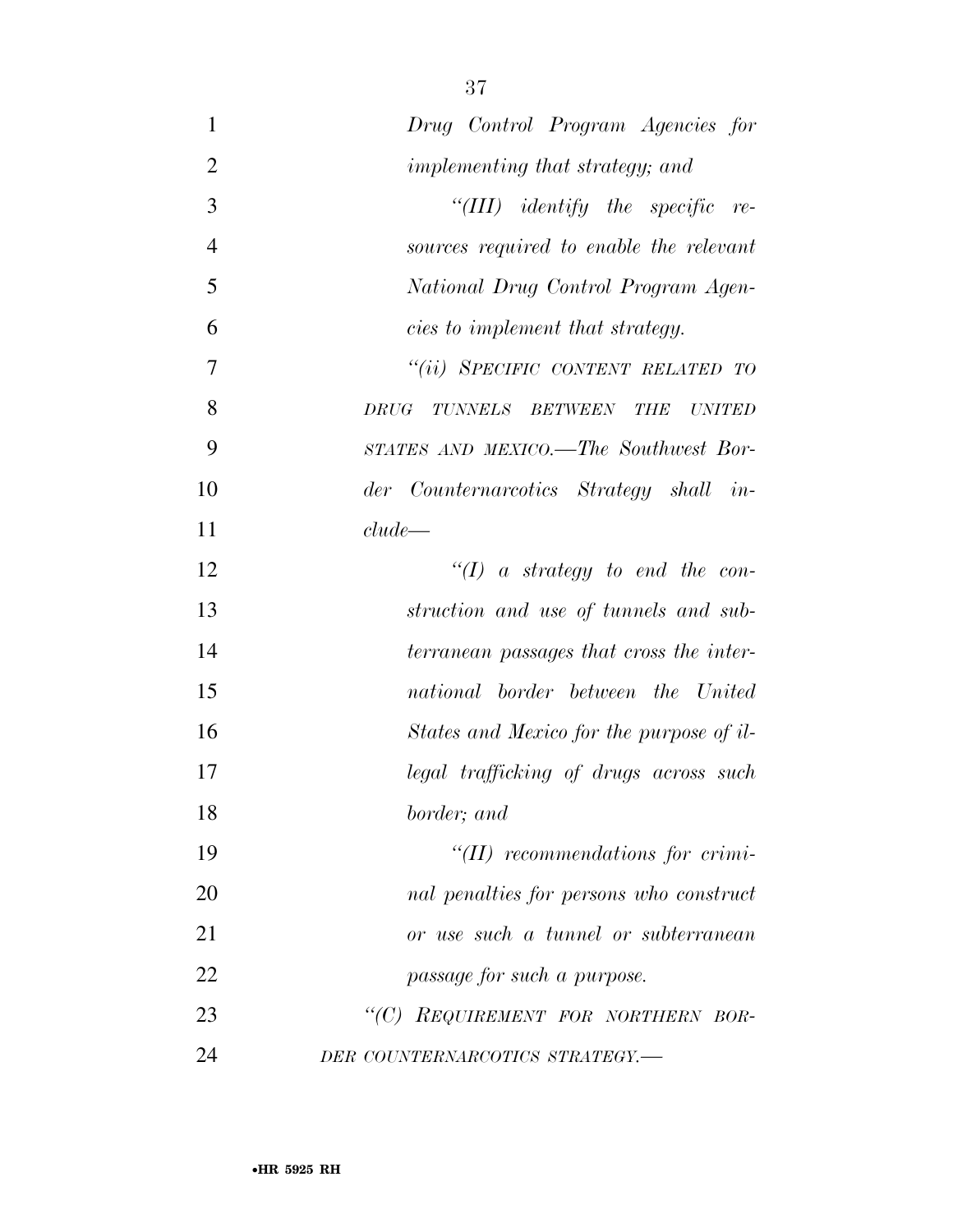| $\mathbf{1}$   | Drug Control Program Agencies for                                |
|----------------|------------------------------------------------------------------|
| $\overline{2}$ | <i>implementing that strategy; and</i>                           |
| 3              | "(III) identify the specific re-                                 |
| $\overline{4}$ | sources required to enable the relevant                          |
| 5              | National Drug Control Program Agen-                              |
| 6              | cies to implement that strategy.                                 |
| 7              | "(ii) SPECIFIC CONTENT RELATED TO                                |
| 8              | DRUG<br><b>TUNNELS</b><br><b>BETWEEN</b><br>THE<br><b>UNITED</b> |
| 9              | STATES AND MEXICO.—The Southwest Bor-                            |
| 10             | der Counternarcotics Strategy shall in-                          |
| 11             | clude                                                            |
| 12             | $\lq (I)$ a strategy to end the con-                             |
| 13             | struction and use of tunnels and sub-                            |
| 14             | terranean passages that cross the inter-                         |
| 15             | national border between the United                               |
| 16             | States and Mexico for the purpose of il-                         |
| 17             | legal trafficking of drugs across such                           |
| 18             | border; and                                                      |
| 19             | $\lq (II)$ recommendations for crimi-                            |
| 20             | nal penalties for persons who construct                          |
| 21             | or use such a tunnel or subterranean                             |
| 22             | passage for such a purpose.                                      |
| 23             | "(C) REQUIREMENT FOR NORTHERN BOR-                               |
| 24             | DER COUNTERNARCOTICS STRATEGY.-                                  |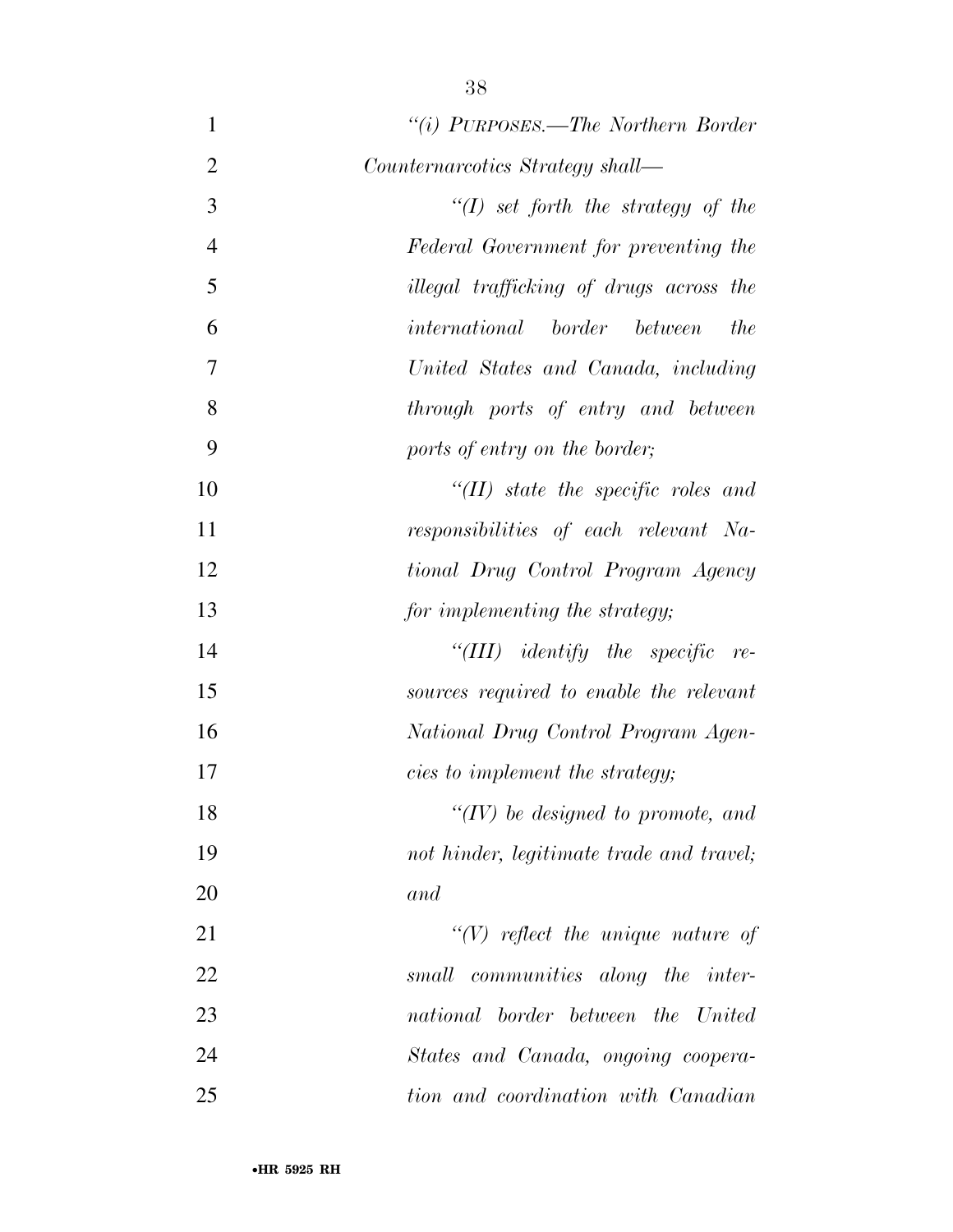| $\mathbf{1}$   | "(i) PURPOSES.—The Northern Border                |
|----------------|---------------------------------------------------|
| $\overline{2}$ | Counternarcotics Strategy shall—                  |
| 3              | "(I) set forth the strategy of the                |
| $\overline{4}$ | Federal Government for preventing the             |
| 5              | illegal trafficking of drugs across the           |
| 6              | <i>international border between</i><br><i>the</i> |
| 7              | United States and Canada, including               |
| 8              | through ports of entry and between                |
| 9              | ports of entry on the border;                     |
| 10             | $``(II)$ state the specific roles and             |
| 11             | responsibilities of each relevant Na-             |
| 12             | tional Drug Control Program Agency                |
| 13             | for implementing the strategy;                    |
| 14             | "(III) identify the specific<br>$re-$             |
| 15             | sources required to enable the relevant           |
| 16             | National Drug Control Program Agen-               |
| 17             | cies to implement the strategy;                   |
| 18             | $\lq\lq (IV)$ be designed to promote, and         |
| 19             | not hinder, legitimate trade and travel;          |
| 20             | and                                               |
| 21             | $\lq (V)$ reflect the unique nature of            |
| 22             | small communities along the inter-                |
| 23             | national border between the United                |
| 24             | States and Canada, ongoing coopera-               |
| 25             | tion and coordination with Canadian               |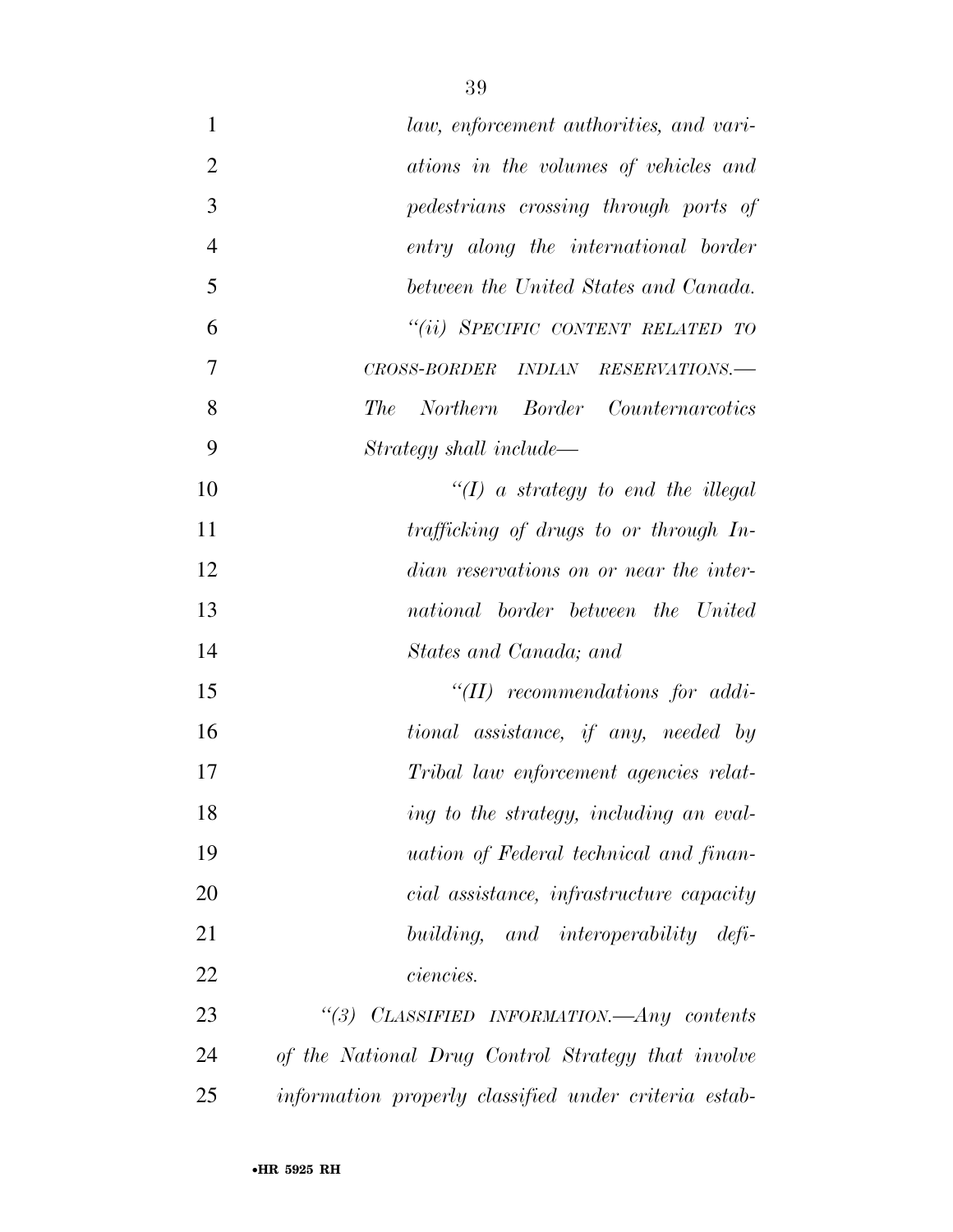| $\mathbf{1}$   | law, enforcement authorities, and vari-               |
|----------------|-------------------------------------------------------|
| $\overline{2}$ | ations in the volumes of vehicles and                 |
| 3              | pedestrians crossing through ports of                 |
| $\overline{4}$ | entry along the international border                  |
| 5              | between the United States and Canada.                 |
| 6              | "(ii) SPECIFIC CONTENT RELATED TO                     |
| 7              | CROSS-BORDER INDIAN RESERVATIONS.-                    |
| 8              | Northern Border Counternarcotics<br><i>The</i>        |
| 9              | Strategy shall include—                               |
| 10             | $\lq (I)$ a strategy to end the illegal               |
| 11             | trafficking of drugs to or through In-                |
| 12             | dian reservations on or near the inter-               |
| 13             | national border between the United                    |
| 14             | States and Canada; and                                |
| 15             | $\lq$ (II) recommendations for addi-                  |
| 16             | tional assistance, if any, needed by                  |
| 17             | Tribal law enforcement agencies relat-                |
| 18             | ing to the strategy, including an eval-               |
| 19             | <i>uation of Federal technical and finan-</i>         |
| 20             | cial assistance, infrastructure capacity              |
| 21             | building, and interoperability defi-                  |
| 22             | <i>ciencies.</i>                                      |
| 23             | CLASSIFIED INFORMATION.—Any contents<br>$\degree(3)$  |
| 24             | of the National Drug Control Strategy that involve    |
| 25             | information properly classified under criteria estab- |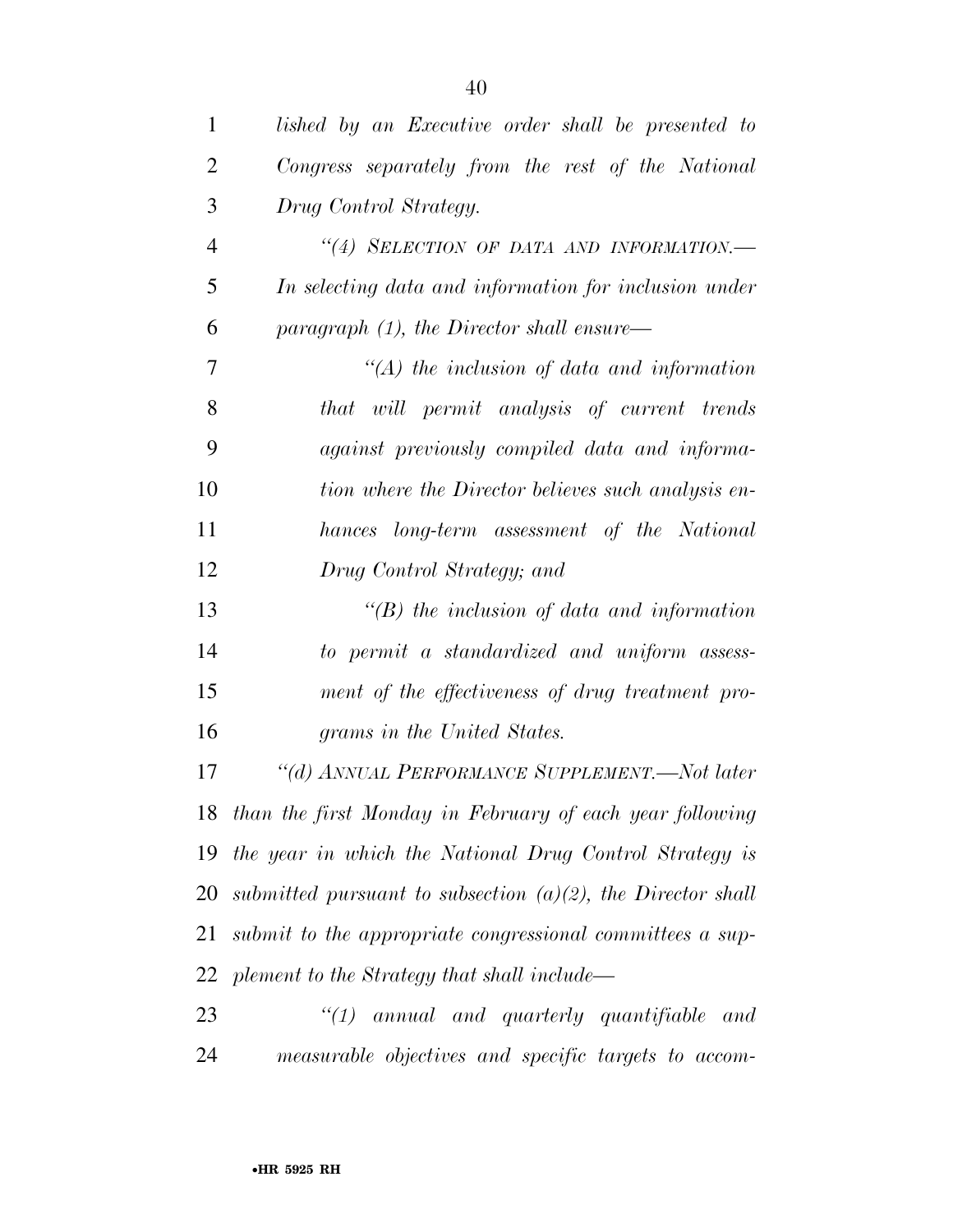| 1              | lished by an Executive order shall be presented to             |
|----------------|----------------------------------------------------------------|
| $\overline{2}$ | Congress separately from the rest of the National              |
| 3              | Drug Control Strategy.                                         |
| $\overline{4}$ | "(4) SELECTION OF DATA AND INFORMATION.-                       |
| 5              | In selecting data and information for inclusion under          |
| 6              | paragraph $(1)$ , the Director shall ensure—                   |
| 7              | $\lq (A)$ the inclusion of data and information                |
| 8              | that will permit analysis of current trends                    |
| 9              | against previously compiled data and informa-                  |
| 10             | tion where the Director believes such analysis en-             |
| 11             | hances long-term assessment of the National                    |
| 12             | Drug Control Strategy; and                                     |
| 13             | $\lq (B)$ the inclusion of data and information                |
| 14             | to permit a standardized and uniform assess-                   |
| 15             | ment of the effectiveness of drug treatment pro-               |
| 16             | grams in the United States.                                    |
| 17             | "(d) ANNUAL PERFORMANCE SUPPLEMENT.—Not later                  |
|                | 18 than the first Monday in February of each year following    |
| 19             | the year in which the National Drug Control Strategy is        |
| 20             | submitted pursuant to subsection $(a)(2)$ , the Director shall |
| 21             | submit to the appropriate congressional committees a sup-      |
| 22             | plement to the Strategy that shall include—                    |
| 23             | $"(1)$ annual and quarterly quantifiable<br>and                |
| 24             | measurable objectives and specific targets to accom-           |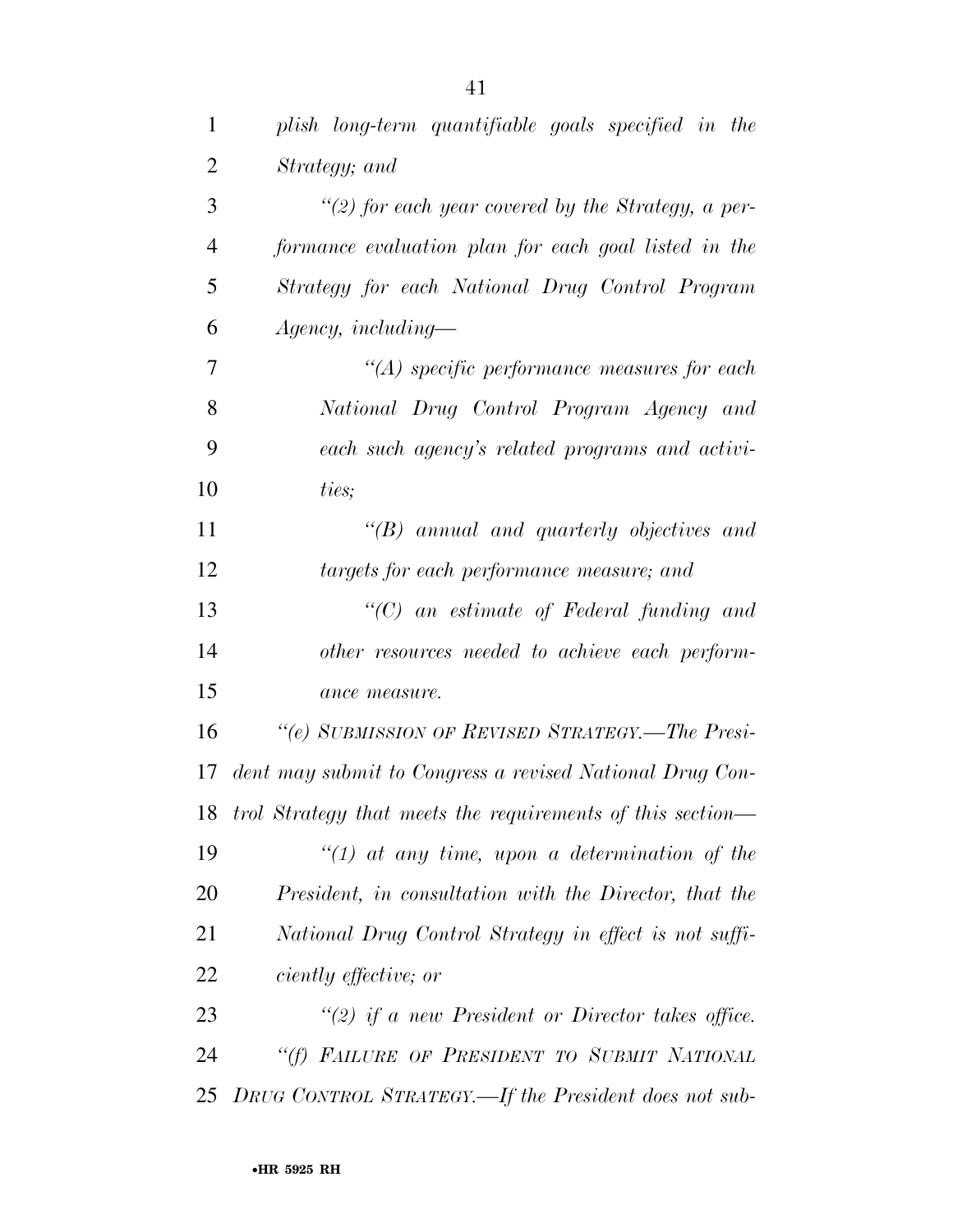| $\mathbf{1}$   | plish long-term quantifiable goals specified in the           |
|----------------|---------------------------------------------------------------|
| $\overline{2}$ | Strategy; and                                                 |
| 3              | "(2) for each year covered by the Strategy, a per-            |
| $\overline{4}$ | formance evaluation plan for each goal listed in the          |
| 5              | Strategy for each National Drug Control Program               |
| 6              | $A$ gency, including—                                         |
| 7              | $\lq (A)$ specific performance measures for each              |
| 8              | National Drug Control Program Agency and                      |
| 9              | each such agency's related programs and activi-               |
| 10             | ties;                                                         |
| 11             | $\lq\lq B$ annual and quarterly objectives and                |
| 12             | targets for each performance measure; and                     |
| 13             | $\lq\lq C$ an estimate of Federal funding and                 |
| 14             | other resources needed to achieve each perform-               |
| 15             | ance measure.                                                 |
| 16             | "(e) SUBMISSION OF REVISED STRATEGY.—The Presi-               |
| 17             | dent may submit to Congress a revised National Drug Con-      |
|                | 18 trol Strategy that meets the requirements of this section— |
| 19             | $\lq (1)$ at any time, upon a determination of the            |
| 20             | President, in consultation with the Director, that the        |
| 21             | National Drug Control Strategy in effect is not suffi-        |
| 22             | <i>ciently effective; or</i>                                  |
| 23             | "(2) if a new President or Director takes office.             |
| 24             | "(f) FAILURE OF PRESIDENT TO SUBMIT NATIONAL                  |
| 25             | DRUG CONTROL STRATEGY.—If the President does not sub-         |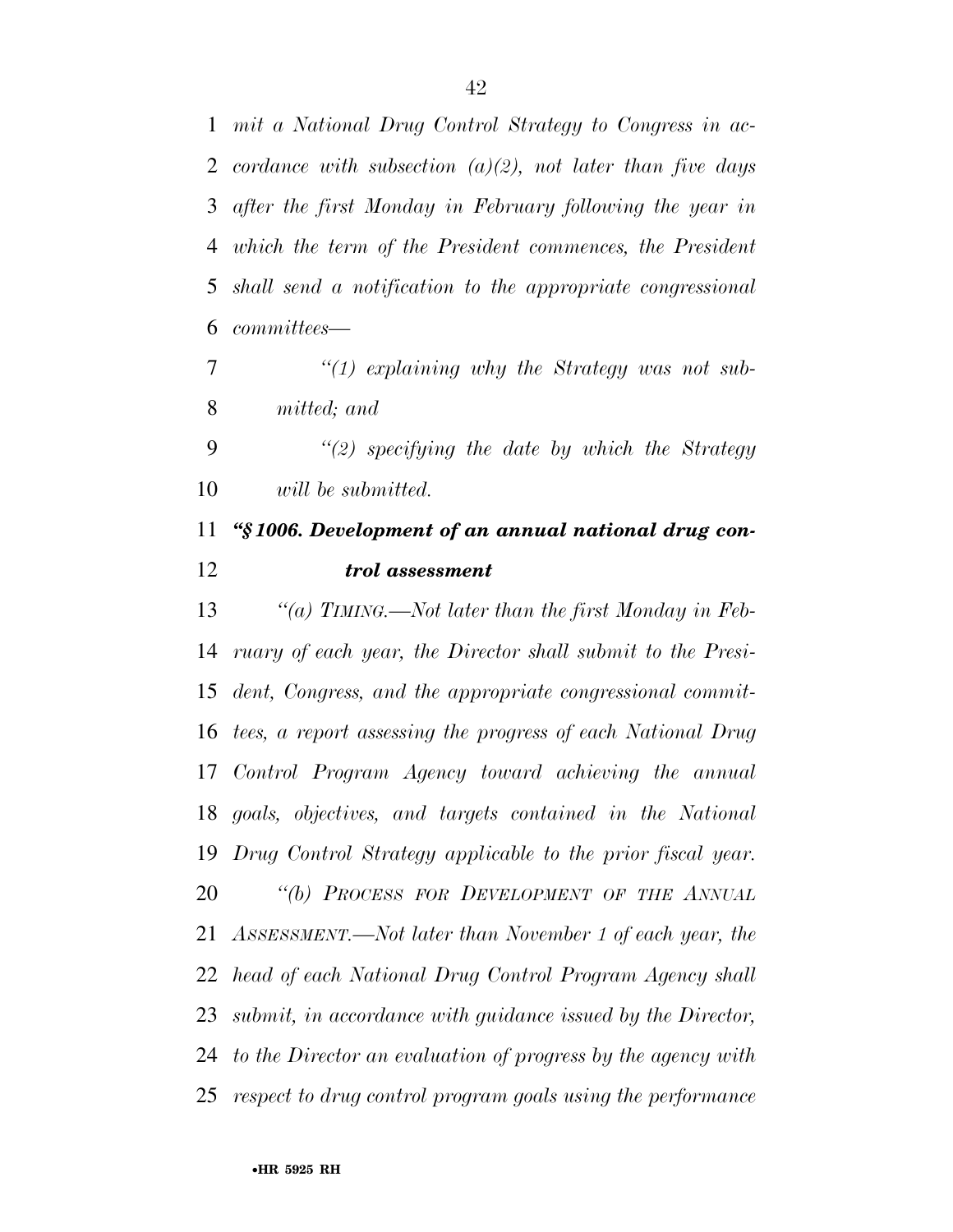*mit a National Drug Control Strategy to Congress in ac- cordance with subsection (a)(2), not later than five days after the first Monday in February following the year in which the term of the President commences, the President shall send a notification to the appropriate congressional committees—* 

 *''(1) explaining why the Strategy was not sub-mitted; and* 

 *''(2) specifying the date by which the Strategy will be submitted.* 

## *''§ 1006. Development of an annual national drug con-trol assessment*

 *''(a) TIMING.—Not later than the first Monday in Feb- ruary of each year, the Director shall submit to the Presi- dent, Congress, and the appropriate congressional commit- tees, a report assessing the progress of each National Drug Control Program Agency toward achieving the annual goals, objectives, and targets contained in the National Drug Control Strategy applicable to the prior fiscal year. ''(b) PROCESS FOR DEVELOPMENT OF THE ANNUAL ASSESSMENT.—Not later than November 1 of each year, the head of each National Drug Control Program Agency shall submit, in accordance with guidance issued by the Director, to the Director an evaluation of progress by the agency with respect to drug control program goals using the performance*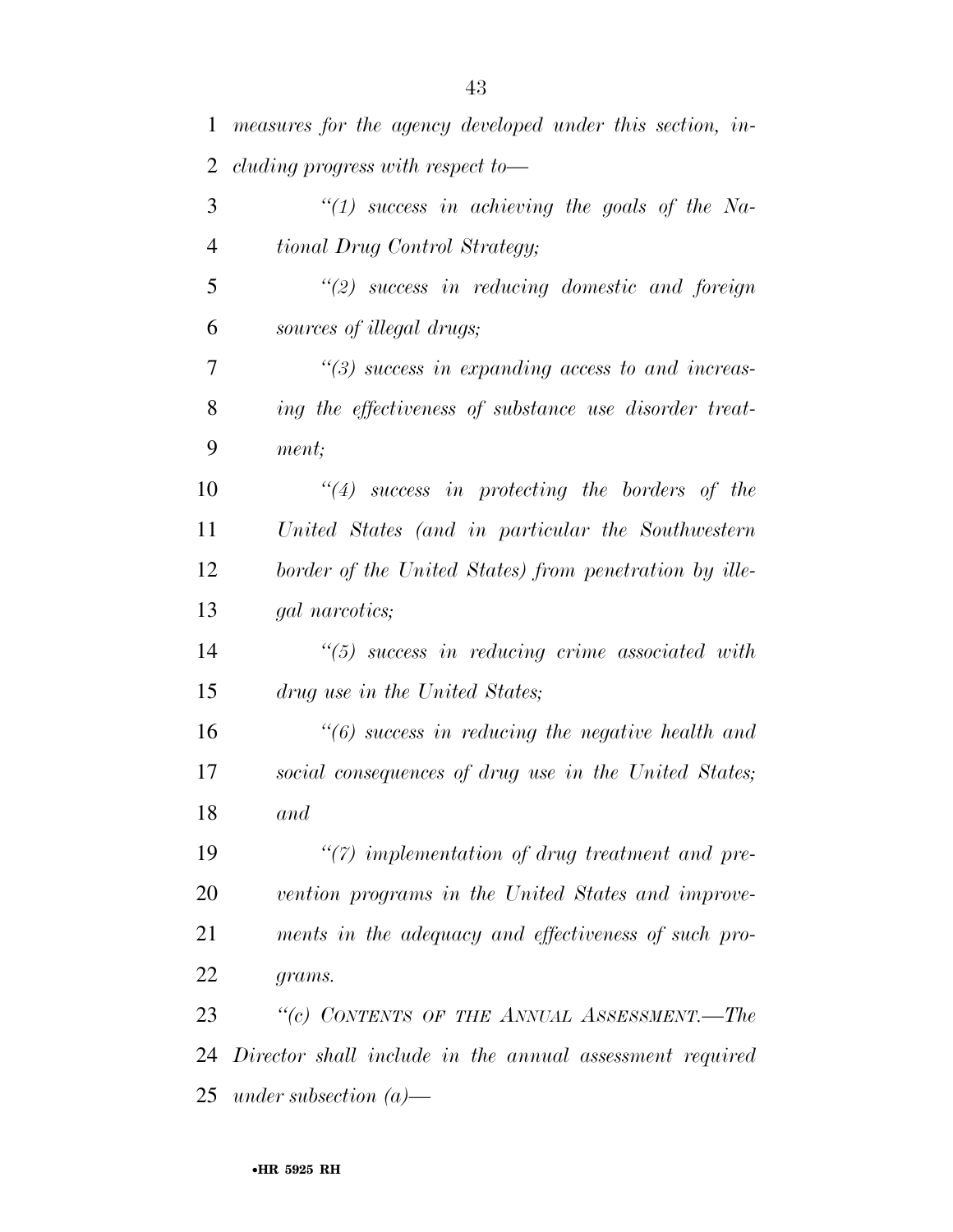| 1  | measures for the agency developed under this section, in- |
|----|-----------------------------------------------------------|
| 2  | cluding progress with respect to $-$                      |
| 3  | "(1) success in achieving the goals of the Na-            |
| 4  | tional Drug Control Strategy;                             |
| 5  | $\lq(2)$ success in reducing domestic and foreign         |
| 6  | sources of illegal drugs;                                 |
| 7  | $\lq(3)$ success in expanding access to and increas-      |
| 8  | ing the effectiveness of substance use disorder treat-    |
| 9  | ment;                                                     |
| 10 | $\lq(4)$ success in protecting the borders of the         |
| 11 | United States (and in particular the Southwestern         |
| 12 | border of the United States) from penetration by ille-    |
| 13 | gal narcotics;                                            |
| 14 | $\lq(5)$ success in reducing crime associated with        |
| 15 | drug use in the United States;                            |
| 16 | $"(6)$ success in reducing the negative health and        |
| 17 | social consequences of drug use in the United States;     |
| 18 | and                                                       |
| 19 | $\lq(7)$ implementation of drug treatment and pre-        |
| 20 | vention programs in the United States and improve-        |
| 21 | ments in the adequacy and effectiveness of such pro-      |
| 22 | grams.                                                    |
| 23 | "(c) CONTENTS OF THE ANNUAL ASSESSMENT.-The               |
| 24 | Director shall include in the annual assessment required  |
| 25 | under subsection $(a)$ —                                  |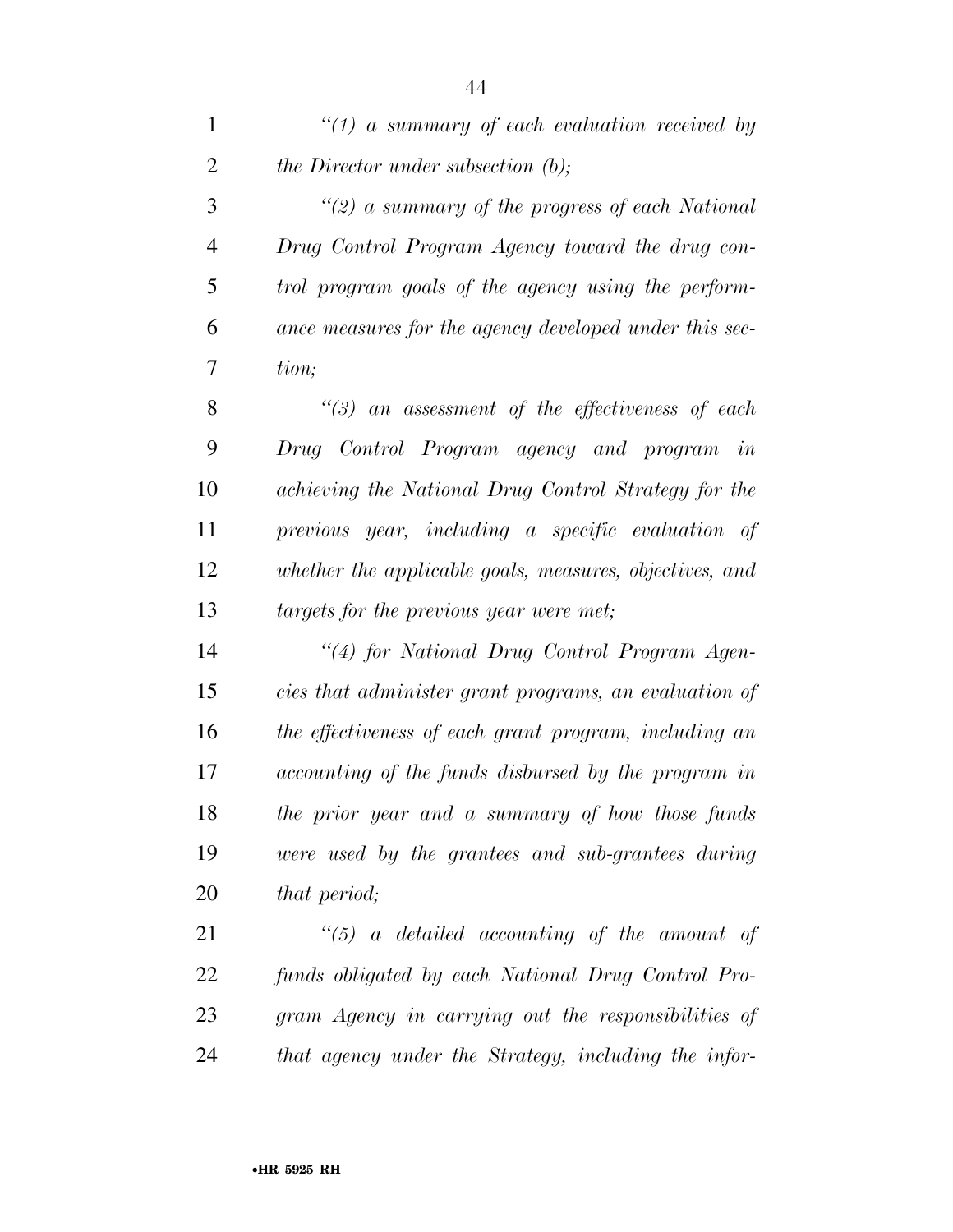| $\mathbf{1}$   | $\lq(1)$ a summary of each evaluation received by       |
|----------------|---------------------------------------------------------|
| $\overline{2}$ | the Director under subsection (b);                      |
| 3              | "(2) a summary of the progress of each National         |
| $\overline{4}$ | Drug Control Program Agency toward the drug con-        |
| 5              | trol program goals of the agency using the perform-     |
| 6              | ance measures for the agency developed under this sec-  |
| 7              | tion;                                                   |
| 8              | $\lq(3)$ an assessment of the effectiveness of each     |
| 9              | Drug Control Program agency and program in              |
| 10             | achieving the National Drug Control Strategy for the    |
| 11             | previous year, including a specific evaluation of       |
| 12             | whether the applicable goals, measures, objectives, and |
| 13             | targets for the previous year were met;                 |
| 14             | "(4) for National Drug Control Program Agen-            |
| 15             | cies that administer grant programs, an evaluation of   |
| 16             | the effectiveness of each grant program, including an   |
| 17             | accounting of the funds disbursed by the program in     |
| 18             | the prior year and a summary of how those funds         |
| 19             | were used by the grantees and sub-grantees during       |
| 20             | that period;                                            |
| 21             | $\lq(5)$ a detailed accounting of the amount of         |
| 22             | funds obligated by each National Drug Control Pro-      |
| 23             | gram Agency in carrying out the responsibilities of     |
| 24             | that agency under the Strategy, including the infor-    |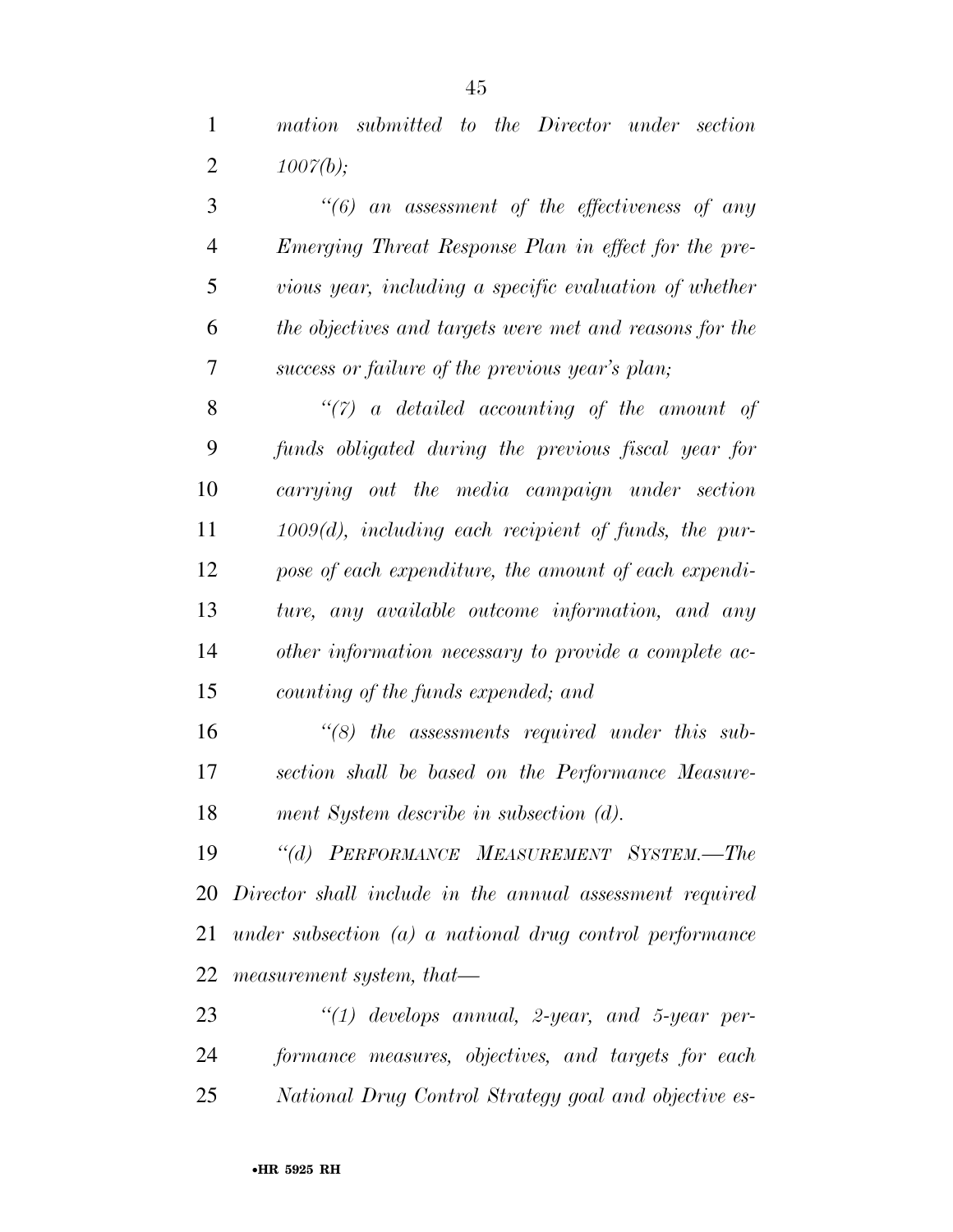*mation submitted to the Director under section 1007(b);* 

| 3              | $\lq(6)$ an assessment of the effectiveness of any          |
|----------------|-------------------------------------------------------------|
| $\overline{4}$ | Emerging Threat Response Plan in effect for the pre-        |
| 5              | vious year, including a specific evaluation of whether      |
| 6              | the objectives and targets were met and reasons for the     |
| 7              | success or failure of the previous year's plan;             |
| 8              | $\lq(7)$ a detailed accounting of the amount of             |
| 9              | funds obligated during the previous fiscal year for         |
| 10             | carrying out the media campaign under section               |
| 11             | $1009(d)$ , including each recipient of funds, the pur-     |
| 12             | pose of each expenditure, the amount of each expendi-       |
| 13             | ture, any available outcome information, and any            |
| 14             | other information necessary to provide a complete ac-       |
| 15             | counting of the funds expended; and                         |
| 16             | $\lq(8)$ the assessments required under this sub-           |
| 17             | section shall be based on the Performance Measure-          |
| 18             | ment System describe in subsection (d).                     |
| 19             | "(d) PERFORMANCE MEASUREMENT SYSTEM.-The                    |
|                | 20 Director shall include in the annual assessment required |
| 21             | under subsection $(a)$ a national drug control performance  |
| 22             | measurement system, that—                                   |
| 23             | $"(1)$ develops annual, 2-year, and 5-year per-             |
|                |                                                             |

 *formance measures, objectives, and targets for each National Drug Control Strategy goal and objective es-*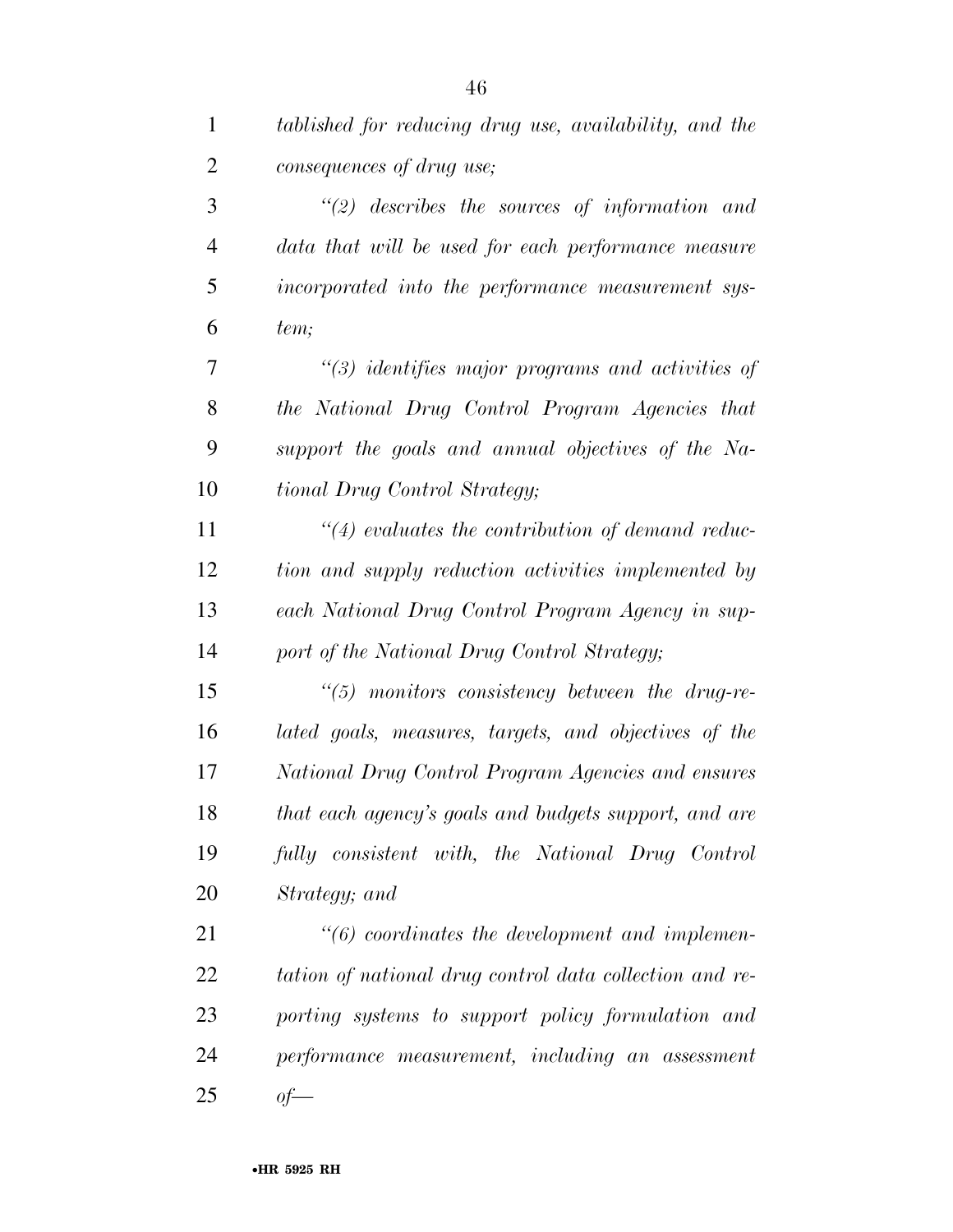| $\mathbf{1}$   | tablished for reducing drug use, availability, and the  |
|----------------|---------------------------------------------------------|
| $\overline{2}$ | consequences of drug use;                               |
| 3              | $\lq(2)$ describes the sources of information and       |
| $\overline{4}$ | data that will be used for each performance measure     |
| 5              | incorporated into the performance measurement sys-      |
| 6              | tem;                                                    |
| 7              | $\lq(3)$ identifies major programs and activities of    |
| 8              | the National Drug Control Program Agencies that         |
| 9              | support the goals and annual objectives of the Na-      |
| 10             | tional Drug Control Strategy;                           |
| 11             | $\lq(4)$ evaluates the contribution of demand reduc-    |
| 12             | tion and supply reduction activities implemented by     |
| 13             | each National Drug Control Program Agency in sup-       |
| 14             | port of the National Drug Control Strategy;             |
| 15             | $\lq(5)$ monitors consistency between the drug-re-      |
| 16             | lated goals, measures, targets, and objectives of the   |
| 17             | National Drug Control Program Agencies and ensures      |
| 18             | that each agency's goals and budgets support, and are   |
| 19             | fully consistent with, the National Drug Control        |
| 20             | Strategy; and                                           |
| 21             | $\lq\lq (6)$ coordinates the development and implemen-  |
| 22             | tation of national drug control data collection and re- |
| 23             | porting systems to support policy formulation and       |
| 24             | performance measurement, including an assessment        |
| 25             | $of$ —                                                  |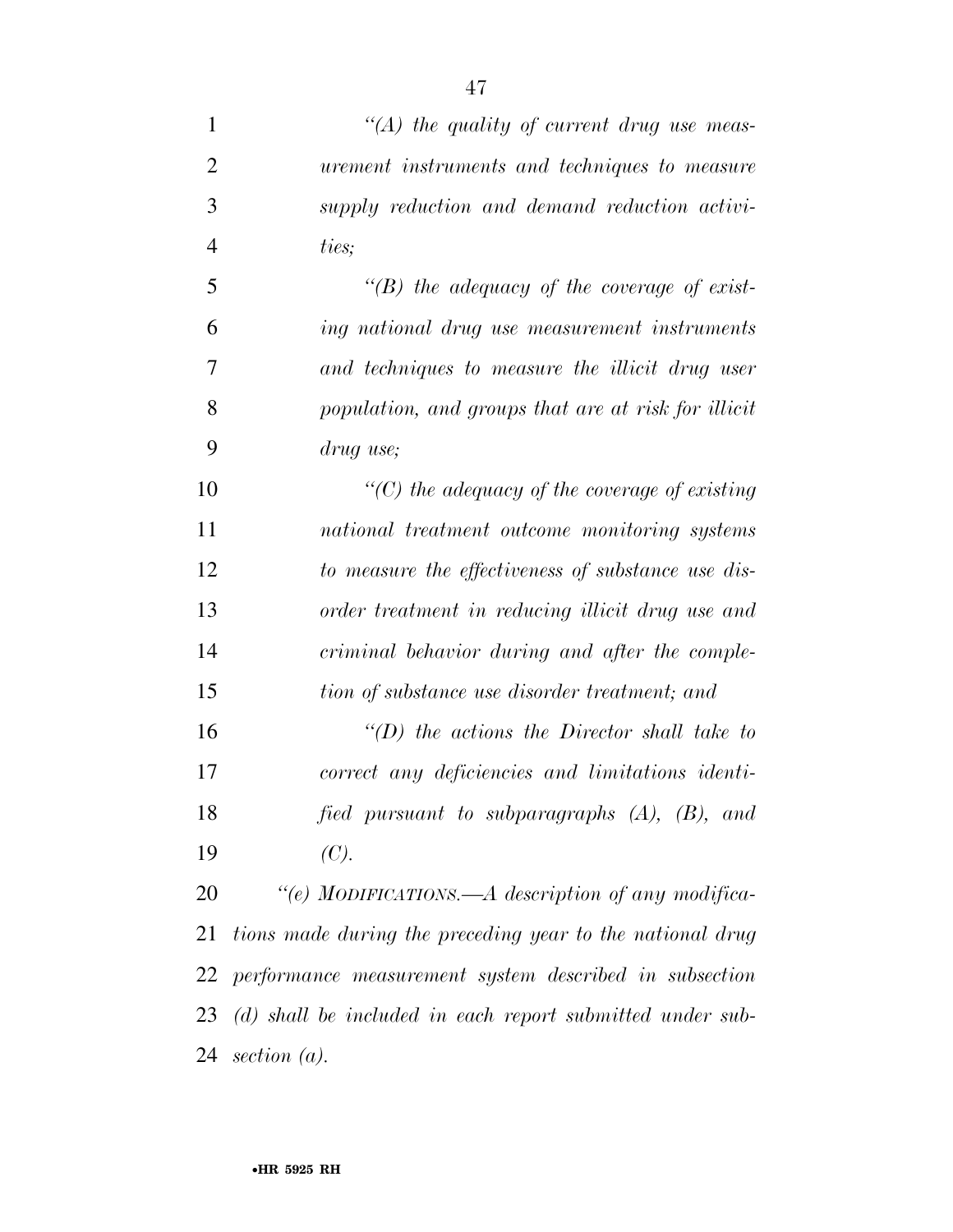*''(A) the quality of current drug use meas- urement instruments and techniques to measure supply reduction and demand reduction activi- ties; ''(B) the adequacy of the coverage of exist- ing national drug use measurement instruments and techniques to measure the illicit drug user population, and groups that are at risk for illicit drug use; ''(C) the adequacy of the coverage of existing national treatment outcome monitoring systems to measure the effectiveness of substance use dis- order treatment in reducing illicit drug use and criminal behavior during and after the comple- tion of substance use disorder treatment; and ''(D) the actions the Director shall take to correct any deficiencies and limitations identi-fied pursuant to subparagraphs (A), (B), and* 

*(C).* 

 *''(e) MODIFICATIONS.—A description of any modifica- tions made during the preceding year to the national drug performance measurement system described in subsection (d) shall be included in each report submitted under sub-section (a).*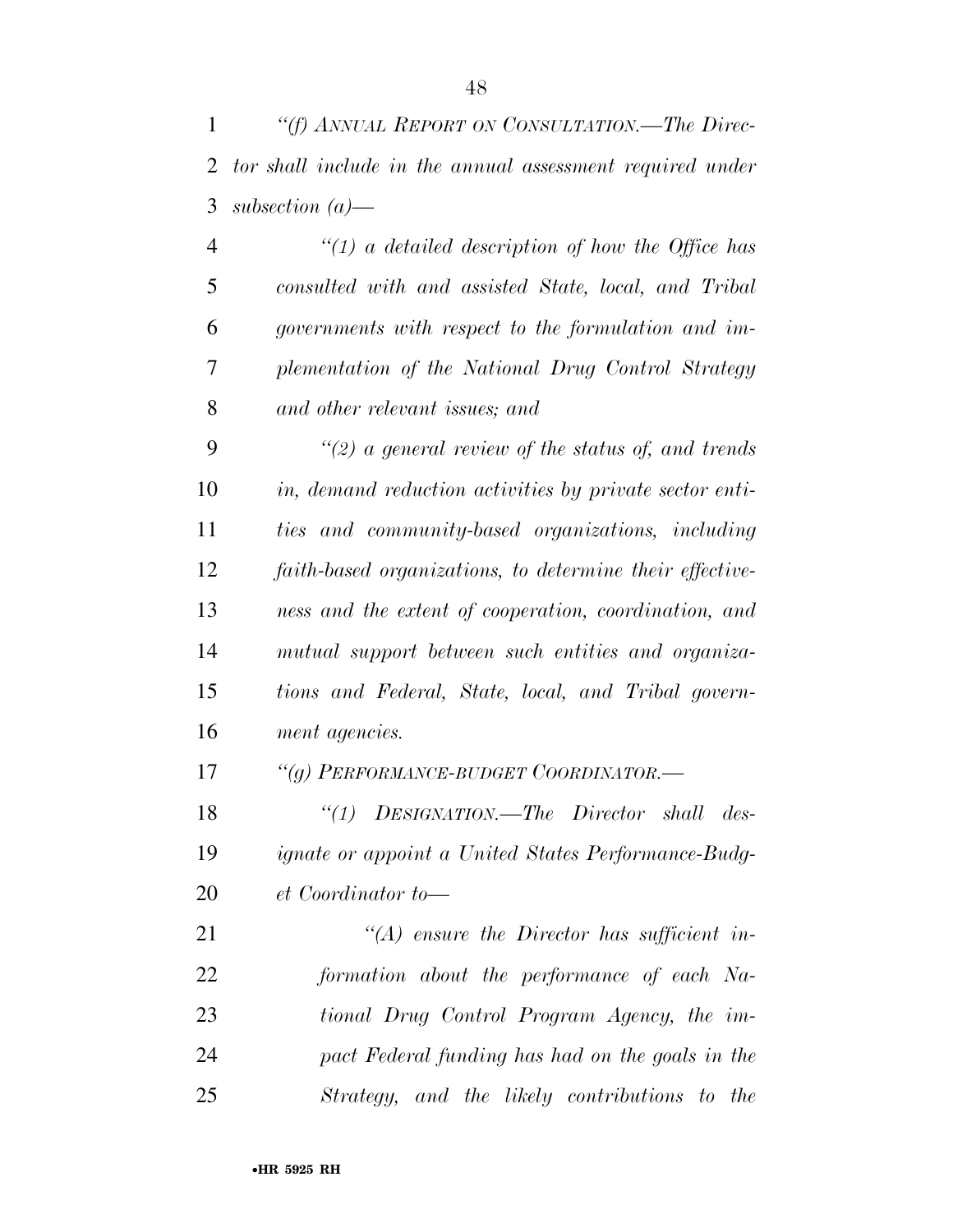*''(f) ANNUAL REPORT ON CONSULTATION.—The Direc- tor shall include in the annual assessment required under subsection (a)—* 

 *''(1) a detailed description of how the Office has consulted with and assisted State, local, and Tribal governments with respect to the formulation and im- plementation of the National Drug Control Strategy and other relevant issues; and* 

 *''(2) a general review of the status of, and trends in, demand reduction activities by private sector enti- ties and community-based organizations, including faith-based organizations, to determine their effective- ness and the extent of cooperation, coordination, and mutual support between such entities and organiza- tions and Federal, State, local, and Tribal govern-ment agencies.* 

*''(g) PERFORMANCE-BUDGET COORDINATOR.—* 

 *''(1) DESIGNATION.—The Director shall des- ignate or appoint a United States Performance-Budg-et Coordinator to—* 

 *''(A) ensure the Director has sufficient in- formation about the performance of each Na- tional Drug Control Program Agency, the im- pact Federal funding has had on the goals in the Strategy, and the likely contributions to the*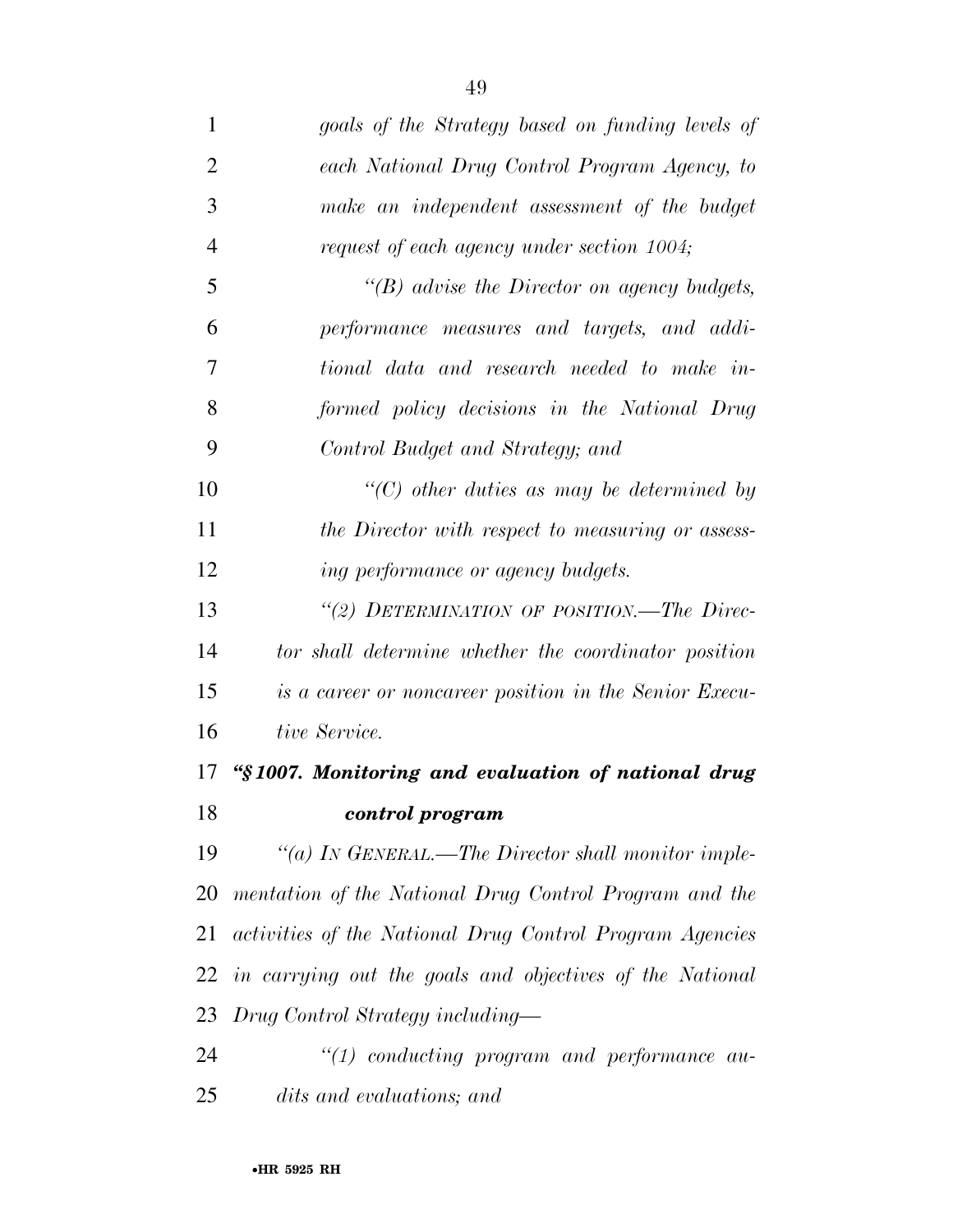| 1              | goals of the Strategy based on funding levels of         |
|----------------|----------------------------------------------------------|
| $\overline{2}$ | each National Drug Control Program Agency, to            |
| 3              | make an independent assessment of the budget             |
| $\overline{4}$ | request of each agency under section 1004;               |
| 5              | " $(B)$ advise the Director on agency budgets,           |
| 6              | performance measures and targets, and addi-              |
| 7              | tional data and research needed to make in-              |
| 8              | formed policy decisions in the National Drug             |
| 9              | Control Budget and Strategy; and                         |
| 10             | $\lq\lq$ other duties as may be determined by            |
| 11             | the Director with respect to measuring or assess-        |
| 12             | ing performance or agency budgets.                       |
| 13             | "(2) DETERMINATION OF POSITION.—The Direc-               |
| 14             | tor shall determine whether the coordinator position     |
| 15             | is a career or noncareer position in the Senior Execu-   |
| 16             | tive Service.                                            |
| 17             | "§1007. Monitoring and evaluation of national drug       |
| 18             | control program                                          |
| 19             | "(a) IN GENERAL.—The Director shall monitor imple-       |
| 20             | mentation of the National Drug Control Program and the   |
| 21             | activities of the National Drug Control Program Agencies |
| 22             | in carrying out the goals and objectives of the National |
| 23             | Drug Control Strategy including—                         |
| 24             | $"(1)$ conducting program and performance au-            |
| 25             | dits and evaluations; and                                |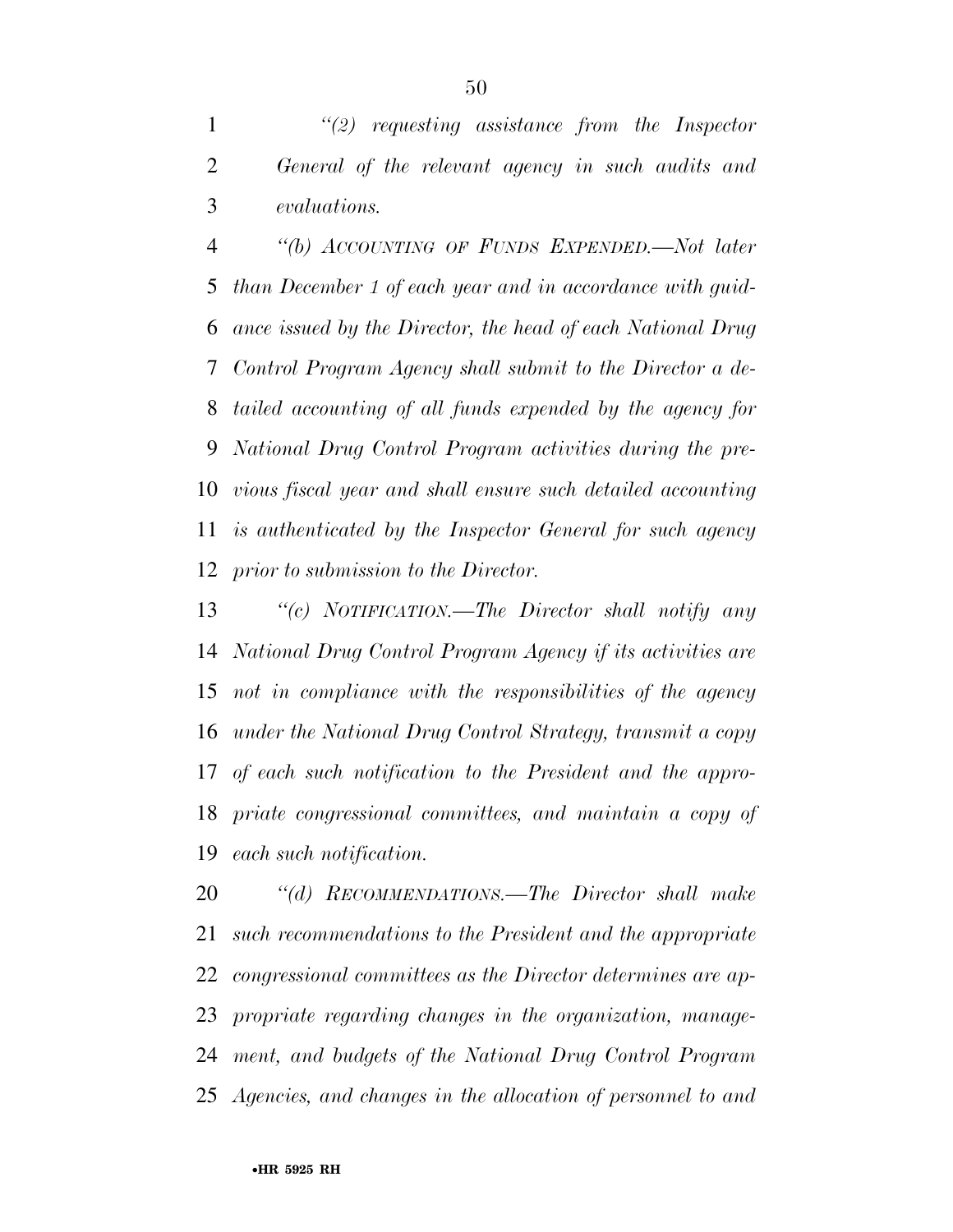*''(2) requesting assistance from the Inspector General of the relevant agency in such audits and evaluations.* 

 *''(b) ACCOUNTING OF FUNDS EXPENDED.—Not later than December 1 of each year and in accordance with guid- ance issued by the Director, the head of each National Drug Control Program Agency shall submit to the Director a de- tailed accounting of all funds expended by the agency for National Drug Control Program activities during the pre- vious fiscal year and shall ensure such detailed accounting is authenticated by the Inspector General for such agency prior to submission to the Director.* 

 *''(c) NOTIFICATION.—The Director shall notify any National Drug Control Program Agency if its activities are not in compliance with the responsibilities of the agency under the National Drug Control Strategy, transmit a copy of each such notification to the President and the appro- priate congressional committees, and maintain a copy of each such notification.* 

 *''(d) RECOMMENDATIONS.—The Director shall make such recommendations to the President and the appropriate congressional committees as the Director determines are ap- propriate regarding changes in the organization, manage- ment, and budgets of the National Drug Control Program Agencies, and changes in the allocation of personnel to and*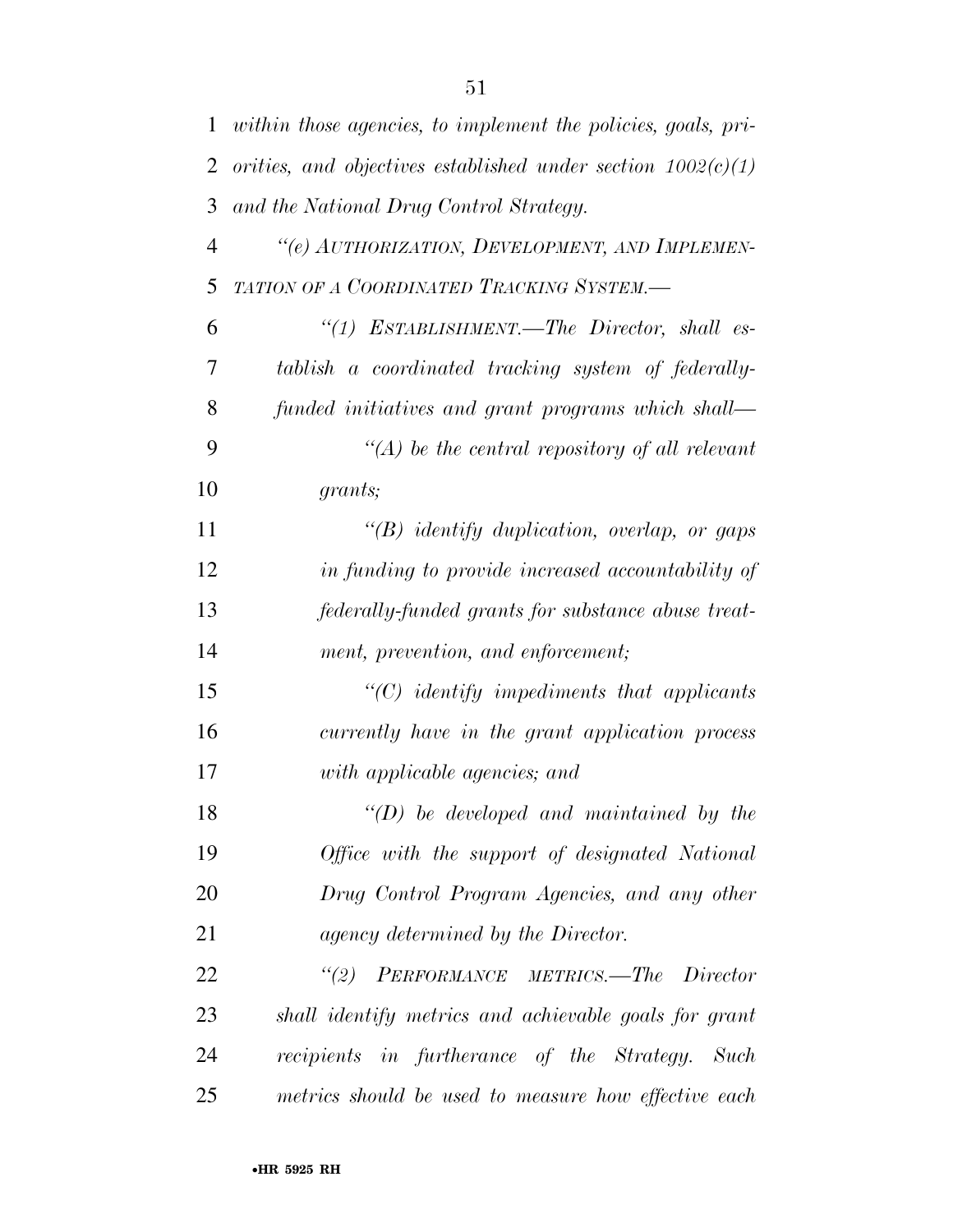| $\mathbf{1}$   | within those agencies, to implement the policies, goals, pri-  |
|----------------|----------------------------------------------------------------|
| 2              | orities, and objectives established under section $1002(c)(1)$ |
| 3              | and the National Drug Control Strategy.                        |
| $\overline{4}$ | "(e) AUTHORIZATION, DEVELOPMENT, AND IMPLEMEN-                 |
| 5              | TATION OF A COORDINATED TRACKING SYSTEM.-                      |
| 6              | "(1) ESTABLISHMENT.—The Director, shall es-                    |
| 7              | tablish a coordinated tracking system of federally-            |
| 8              | funded initiatives and grant programs which shall—             |
| 9              | $\lq (A)$ be the central repository of all relevant            |
| 10             | grants;                                                        |
| 11             | $\lq\lq B$ identify duplication, overlap, or gaps              |
| 12             | in funding to provide increased accountability of              |
| 13             | federally-funded grants for substance abuse treat-             |
| 14             | ment, prevention, and enforcement;                             |
| 15             | $\lq\lq C$ identify impediments that applicants                |
| 16             | currently have in the grant application process                |
| 17             | with applicable agencies; and                                  |
| 18             | $\lq\lq$ (D) be developed and maintained by the                |
| 19             | Office with the support of designated National                 |
| 20             | Drug Control Program Agencies, and any other                   |
| 21             | agency determined by the Director.                             |
| 22             | "(2) PERFORMANCE METRICS.—The Director                         |
| 23             | shall identify metrics and achievable goals for grant          |
| 24             | recipients in furtherance of the Strategy. Such                |
| 25             | metrics should be used to measure how effective each           |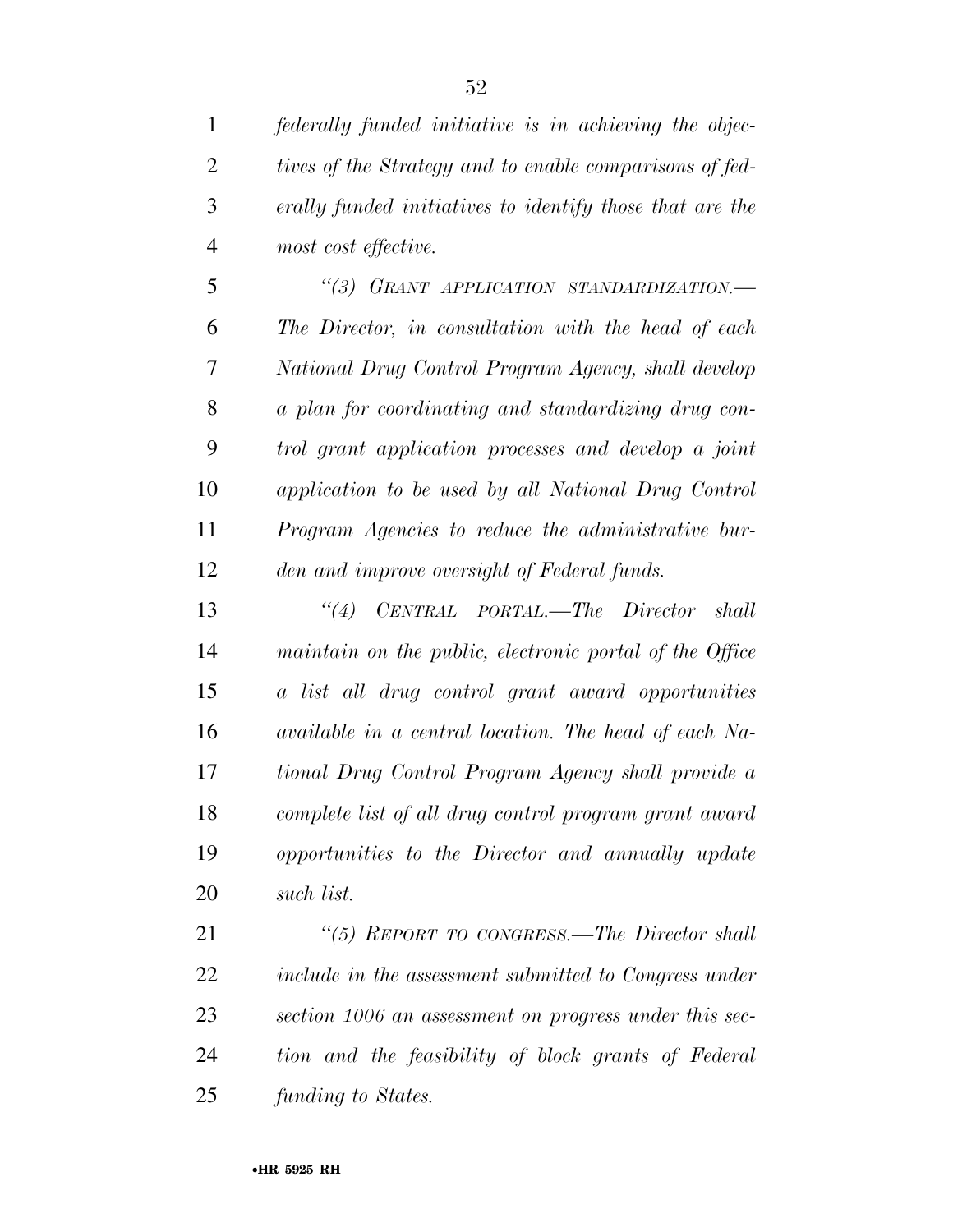*federally funded initiative is in achieving the objec- tives of the Strategy and to enable comparisons of fed- erally funded initiatives to identify those that are the most cost effective.* 

 *''(3) GRANT APPLICATION STANDARDIZATION.— The Director, in consultation with the head of each National Drug Control Program Agency, shall develop a plan for coordinating and standardizing drug con- trol grant application processes and develop a joint application to be used by all National Drug Control Program Agencies to reduce the administrative bur-den and improve oversight of Federal funds.* 

 *''(4) CENTRAL PORTAL.—The Director shall maintain on the public, electronic portal of the Office a list all drug control grant award opportunities available in a central location. The head of each Na- tional Drug Control Program Agency shall provide a complete list of all drug control program grant award opportunities to the Director and annually update such list.* 

 *''(5) REPORT TO CONGRESS.—The Director shall include in the assessment submitted to Congress under section 1006 an assessment on progress under this sec- tion and the feasibility of block grants of Federal funding to States.*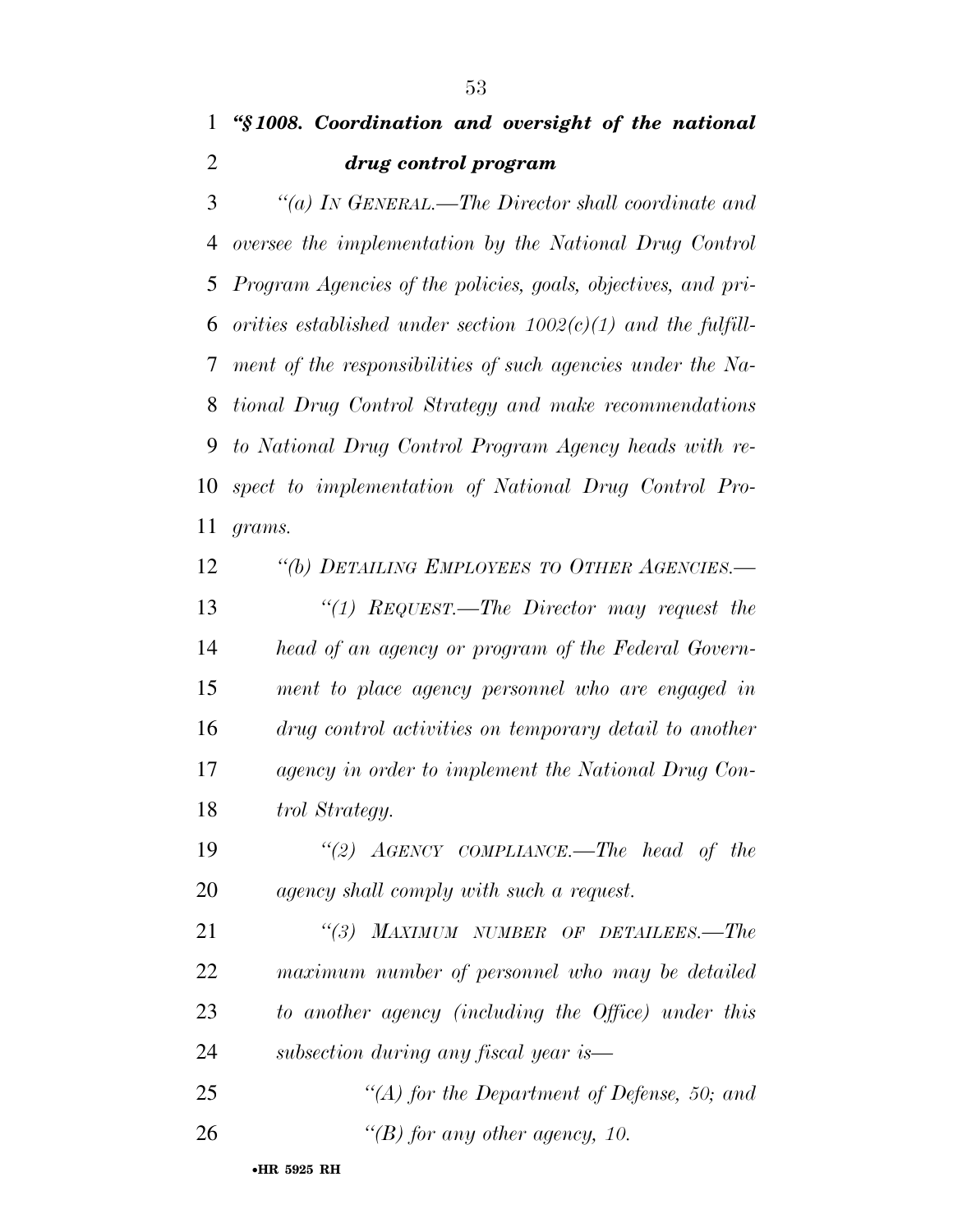## *''§ 1008. Coordination and oversight of the national drug control program*

 *''(a) IN GENERAL.—The Director shall coordinate and oversee the implementation by the National Drug Control Program Agencies of the policies, goals, objectives, and pri- orities established under section 1002(c)(1) and the fulfill- ment of the responsibilities of such agencies under the Na- tional Drug Control Strategy and make recommendations to National Drug Control Program Agency heads with re- spect to implementation of National Drug Control Pro-grams.* 

 *''(b) DETAILING EMPLOYEES TO OTHER AGENCIES.— ''(1) REQUEST.—The Director may request the head of an agency or program of the Federal Govern- ment to place agency personnel who are engaged in drug control activities on temporary detail to another agency in order to implement the National Drug Con-trol Strategy.* 

 *''(2) AGENCY COMPLIANCE.—The head of the agency shall comply with such a request.* 

 *''(3) MAXIMUM NUMBER OF DETAILEES.—The maximum number of personnel who may be detailed to another agency (including the Office) under this subsection during any fiscal year is—* 

 *''(A) for the Department of Defense, 50; and ''(B) for any other agency, 10.*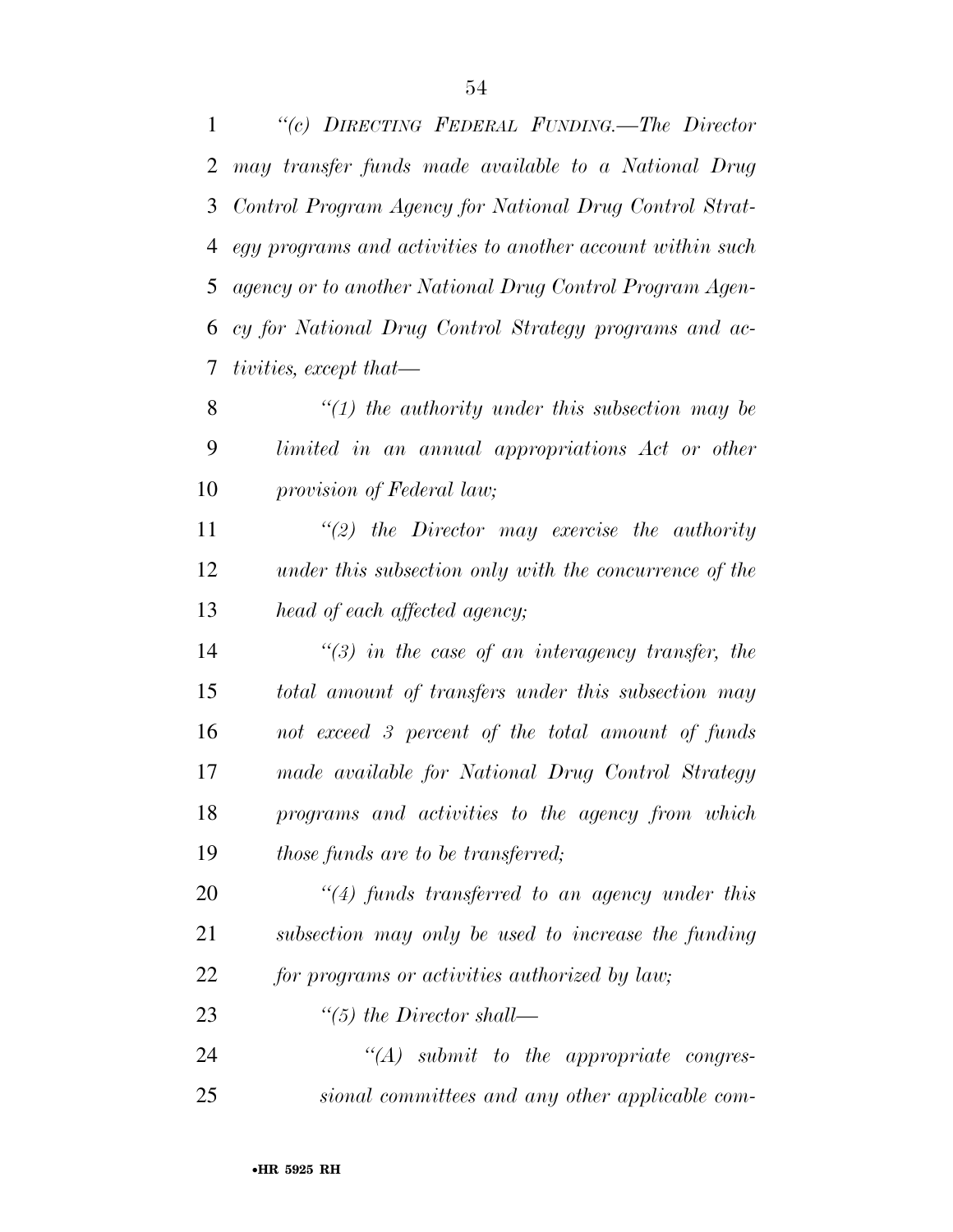*''(c) DIRECTING FEDERAL FUNDING.—The Director may transfer funds made available to a National Drug Control Program Agency for National Drug Control Strat- egy programs and activities to another account within such agency or to another National Drug Control Program Agen- cy for National Drug Control Strategy programs and ac-tivities, except that—* 

 *''(1) the authority under this subsection may be limited in an annual appropriations Act or other provision of Federal law;* 

 *''(2) the Director may exercise the authority under this subsection only with the concurrence of the head of each affected agency;* 

 *''(3) in the case of an interagency transfer, the total amount of transfers under this subsection may not exceed 3 percent of the total amount of funds made available for National Drug Control Strategy programs and activities to the agency from which those funds are to be transferred;* 

 *''(4) funds transferred to an agency under this subsection may only be used to increase the funding for programs or activities authorized by law;* 

*''(5) the Director shall—* 

 *''(A) submit to the appropriate congres-sional committees and any other applicable com-*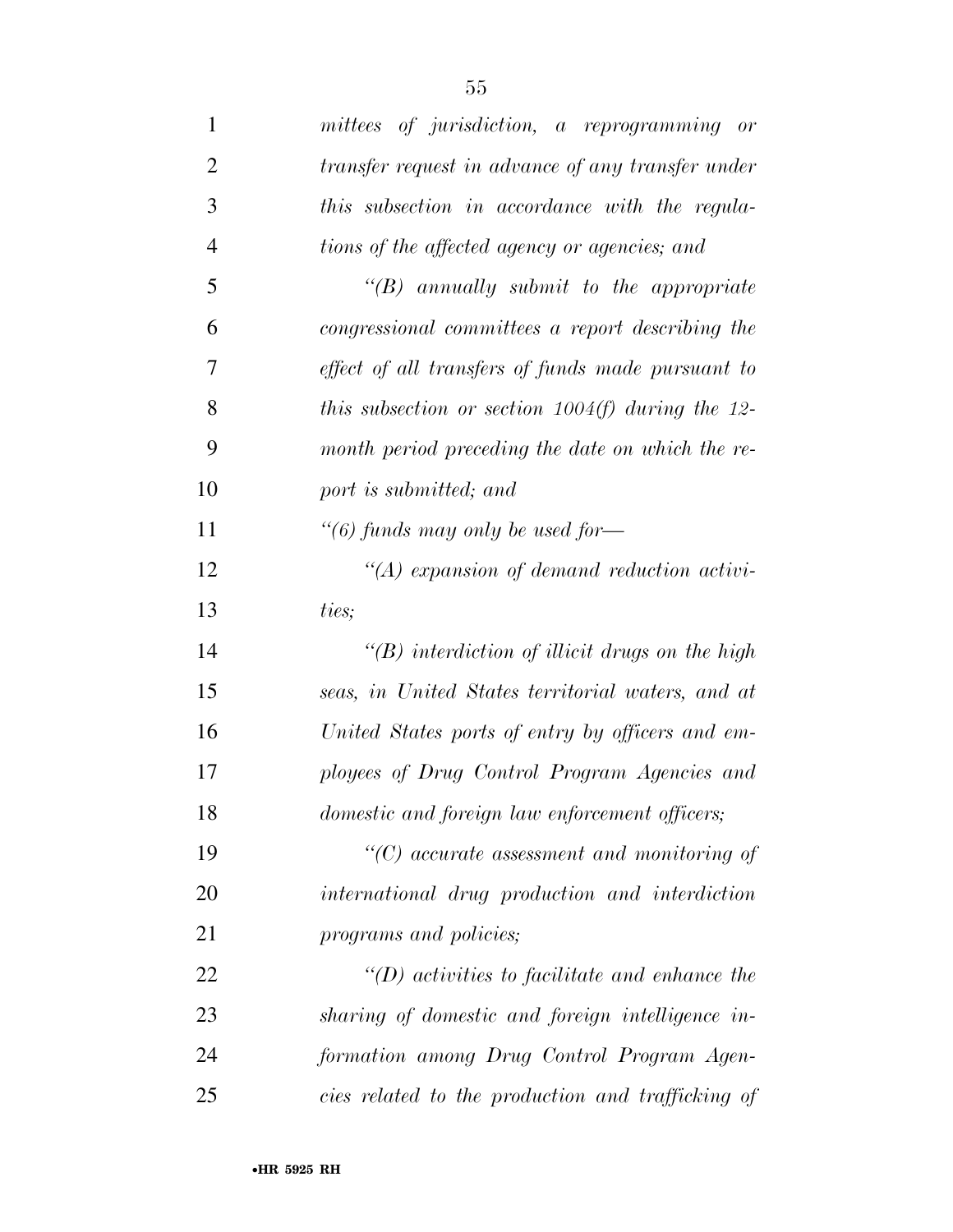| $\mathbf{1}$   | mittees of jurisdiction, a reprogramming or           |
|----------------|-------------------------------------------------------|
| $\overline{2}$ | transfer request in advance of any transfer under     |
| 3              | this subsection in accordance with the regula-        |
| $\overline{4}$ | tions of the affected agency or agencies; and         |
| 5              | $\lq\lq B$ annually submit to the appropriate         |
| 6              | congressional committees a report describing the      |
| 7              | effect of all transfers of funds made pursuant to     |
| 8              | this subsection or section $1004(f)$ during the 12-   |
| 9              | month period preceding the date on which the re-      |
| 10             | port is submitted; and                                |
| 11             | "(6) funds may only be used for-                      |
| 12             | $\lq (A)$ expansion of demand reduction activi-       |
| 13             | ties;                                                 |
| 14             | $\lq\lq(B)$ interdiction of illicit drugs on the high |
| 15             | seas, in United States territorial waters, and at     |
| 16             | United States ports of entry by officers and em-      |
| 17             | ployees of Drug Control Program Agencies and          |
| 18             | domestic and foreign law enforcement officers;        |
| 19             | $\lq\lq C$ accurate assessment and monitoring of      |
| 20             | international drug production and interdiction        |
| 21             | programs and policies;                                |
| 22             | $\lq (D)$ activities to facilitate and enhance the    |
| 23             | sharing of domestic and foreign intelligence in-      |
| 24             | formation among Drug Control Program Agen-            |
| 25             | cies related to the production and trafficking of     |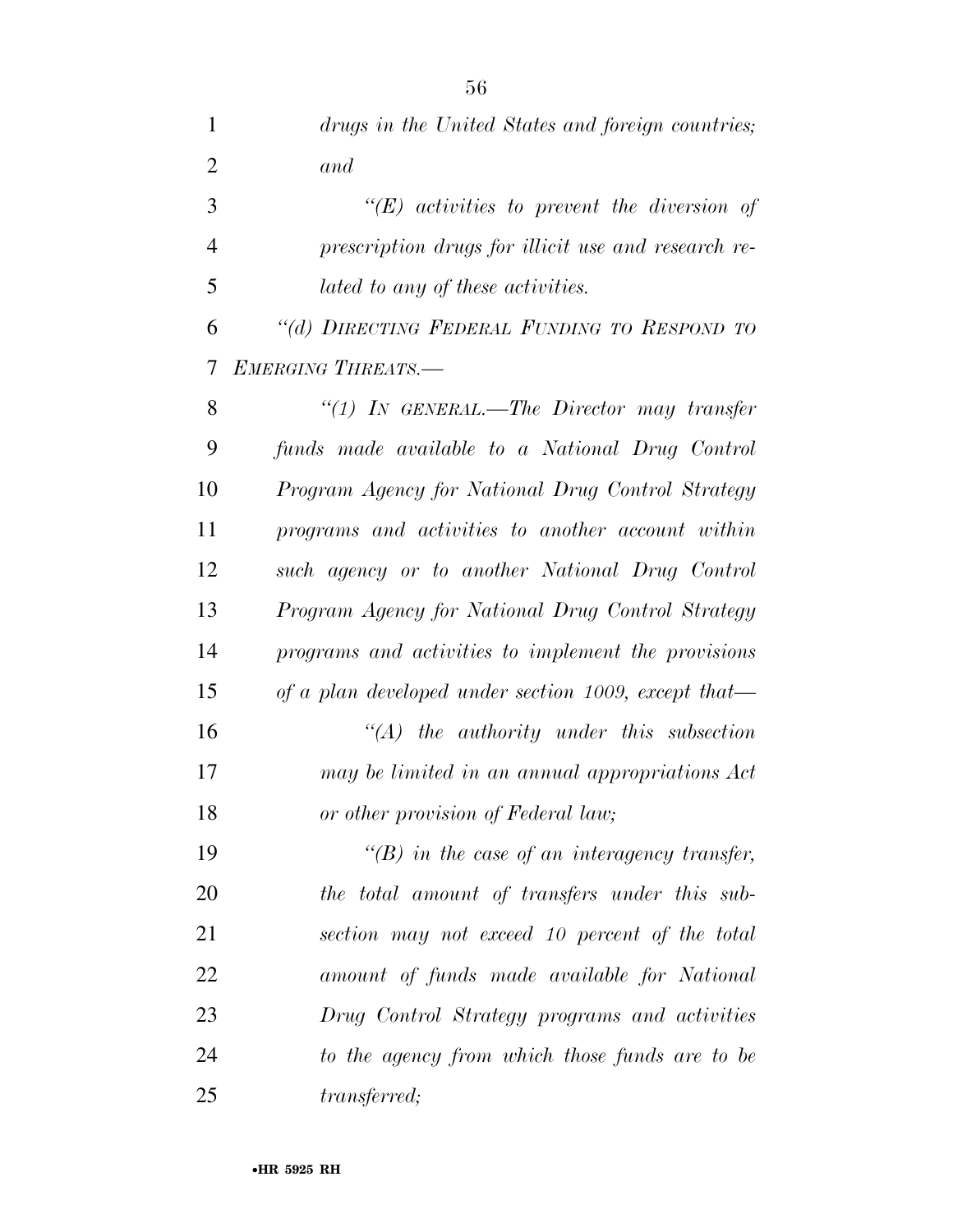| $\mathbf{1}$   | drugs in the United States and foreign countries;    |
|----------------|------------------------------------------------------|
| $\overline{2}$ | and                                                  |
| 3              | $\lq\lq E$ activities to prevent the diversion of    |
| $\overline{4}$ | prescription drugs for illicit use and research re-  |
| 5              | lated to any of these activities.                    |
| 6              | "(d) DIRECTING FEDERAL FUNDING TO RESPOND TO         |
| 7              | <b>EMERGING THREATS.-</b>                            |
| 8              | "(1) In GENERAL.—The Director may transfer           |
| 9              | funds made available to a National Drug Control      |
| 10             | Program Agency for National Drug Control Strategy    |
| 11             | programs and activities to another account within    |
| 12             | such agency or to another National Drug Control      |
| 13             | Program Agency for National Drug Control Strategy    |
| 14             | programs and activities to implement the provisions  |
| 15             | of a plan developed under section 1009, except that— |
| 16             | $\lq (A)$ the authority under this subsection        |
| 17             | may be limited in an annual appropriations Act       |
| 18             | or other provision of Federal law;                   |
| 19             | $\lq\lq(B)$ in the case of an interagency transfer,  |
| 20             | the total amount of transfers under this sub-        |
| 21             | section may not exceed 10 percent of the total       |
| 22             | amount of funds made available for National          |
| 23             | Drug Control Strategy programs and activities        |
| 24             | to the agency from which those funds are to be       |
| 25             | <i>transferred</i> ;                                 |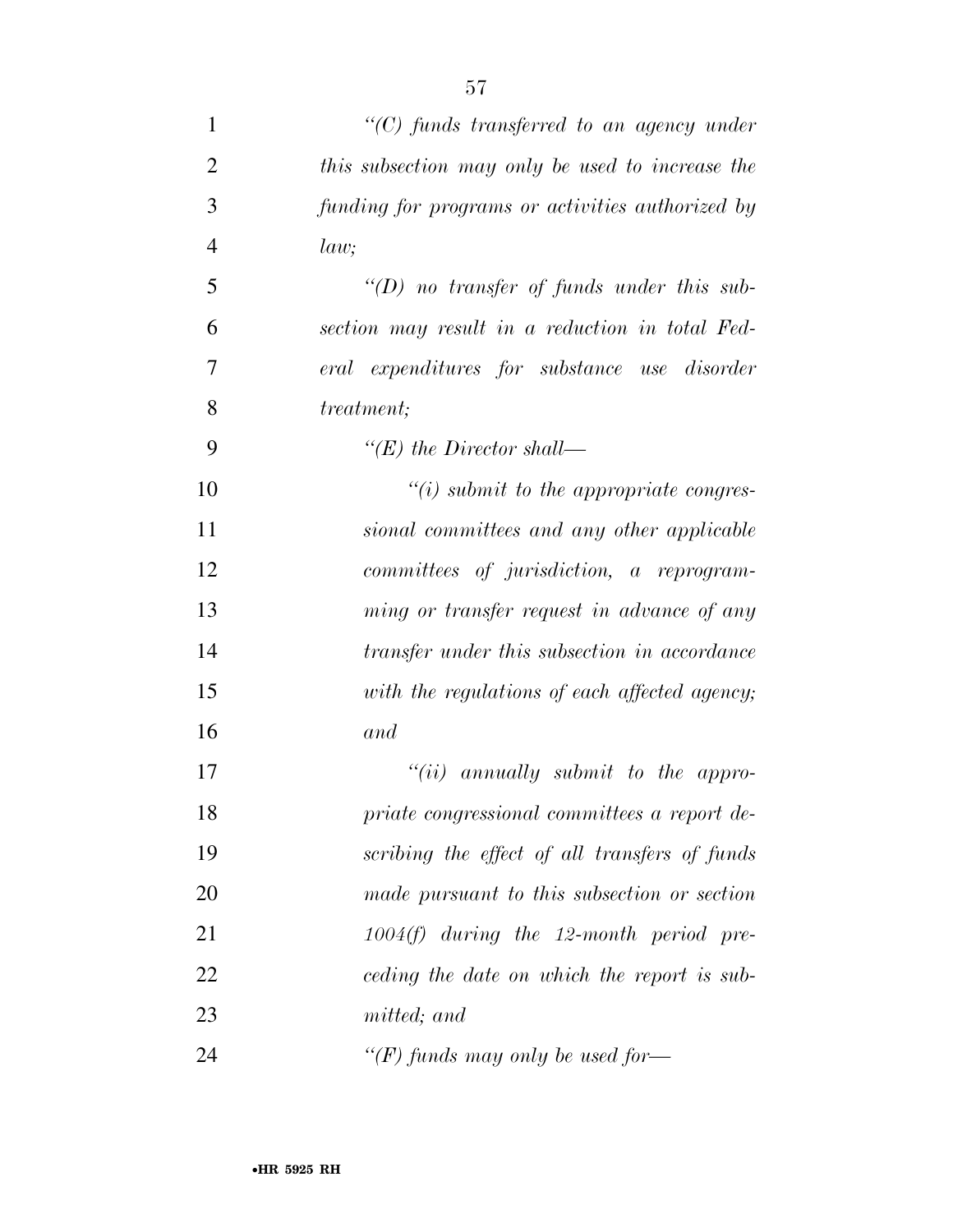| $\mathbf{1}$   | $\lq\lq C$ ) funds transferred to an agency under |
|----------------|---------------------------------------------------|
| $\overline{2}$ | this subsection may only be used to increase the  |
| 3              | funding for programs or activities authorized by  |
| $\overline{4}$ | law;                                              |
| 5              | $\lq (D)$ no transfer of funds under this sub-    |
| 6              | section may result in a reduction in total Fed-   |
| 7              | eral expenditures for substance use disorder      |
| 8              | <i>treatment</i> ;                                |
| 9              | "(E) the Director shall—                          |
| 10             | $\lq\lq(i)$ submit to the appropriate congres-    |
| 11             | sional committees and any other applicable        |
| 12             | committees of jurisdiction, a reprogram-          |
| 13             | ming or transfer request in advance of any        |
| 14             | transfer under this subsection in accordance      |
| 15             | with the regulations of each affected agency;     |
| 16             | and                                               |
| 17             | $``(ii)$ annually submit to the appro-            |
| 18             | priate congressional committees a report de-      |
| 19             | scribing the effect of all transfers of funds     |
| 20             | made pursuant to this subsection or section       |
| 21             | $1004(f)$ during the 12-month period pre-         |
| 22             | ceding the date on which the report is sub-       |
| 23             | <i>mitted</i> ; and                               |
| 24             | "(F) funds may only be used for-                  |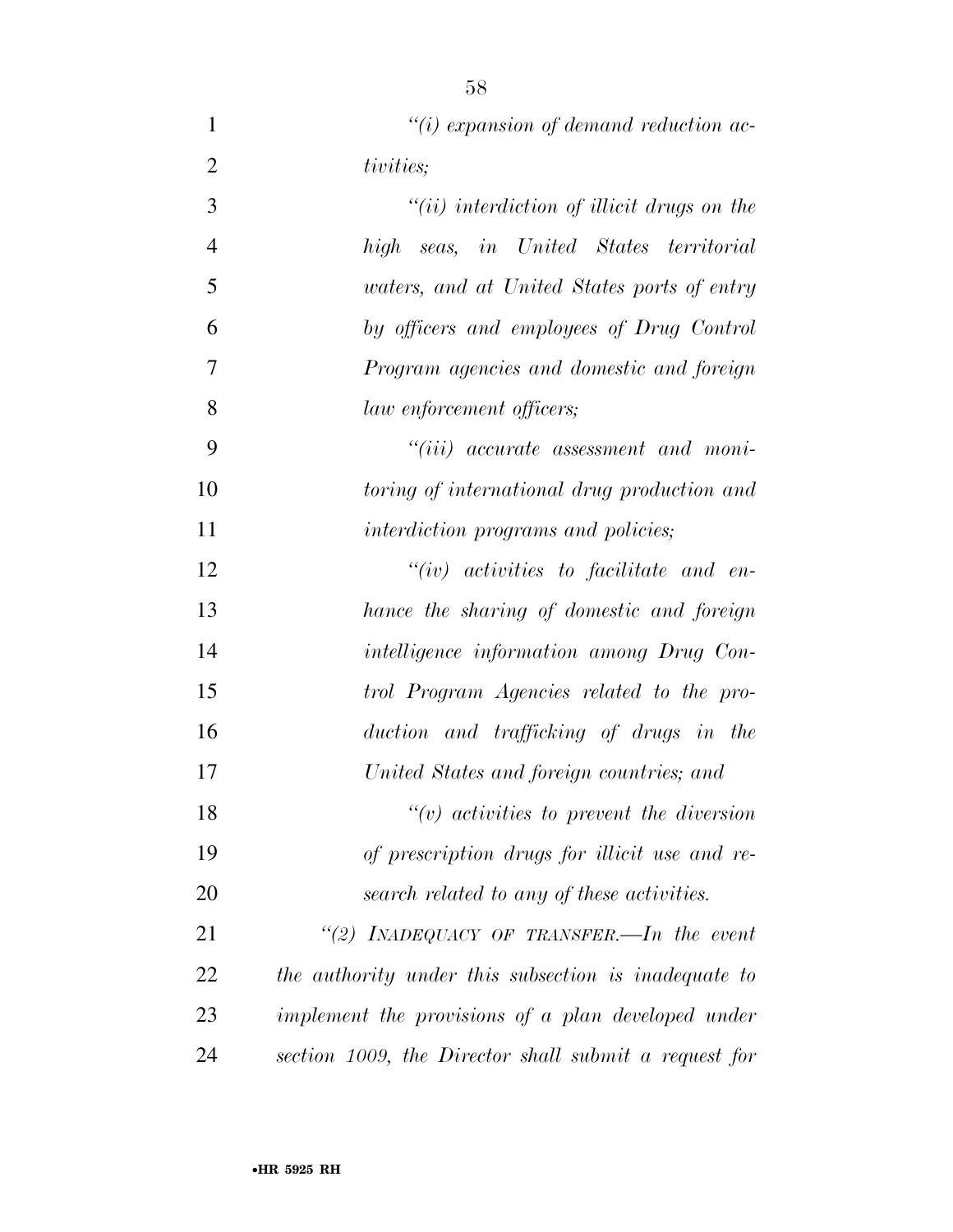*''(i) expansion of demand reduction ac- tivities; ''(ii) interdiction of illicit drugs on the high seas, in United States territorial waters, and at United States ports of entry by officers and employees of Drug Control Program agencies and domestic and foreign law enforcement officers; ''(iii) accurate assessment and moni- toring of international drug production and interdiction programs and policies; ''(iv) activities to facilitate and en- hance the sharing of domestic and foreign intelligence information among Drug Con- trol Program Agencies related to the pro- duction and trafficking of drugs in the United States and foreign countries; and ''(v) activities to prevent the diversion of prescription drugs for illicit use and re- search related to any of these activities. ''(2) INADEQUACY OF TRANSFER.—In the event the authority under this subsection is inadequate to implement the provisions of a plan developed under* 

*section 1009, the Director shall submit a request for*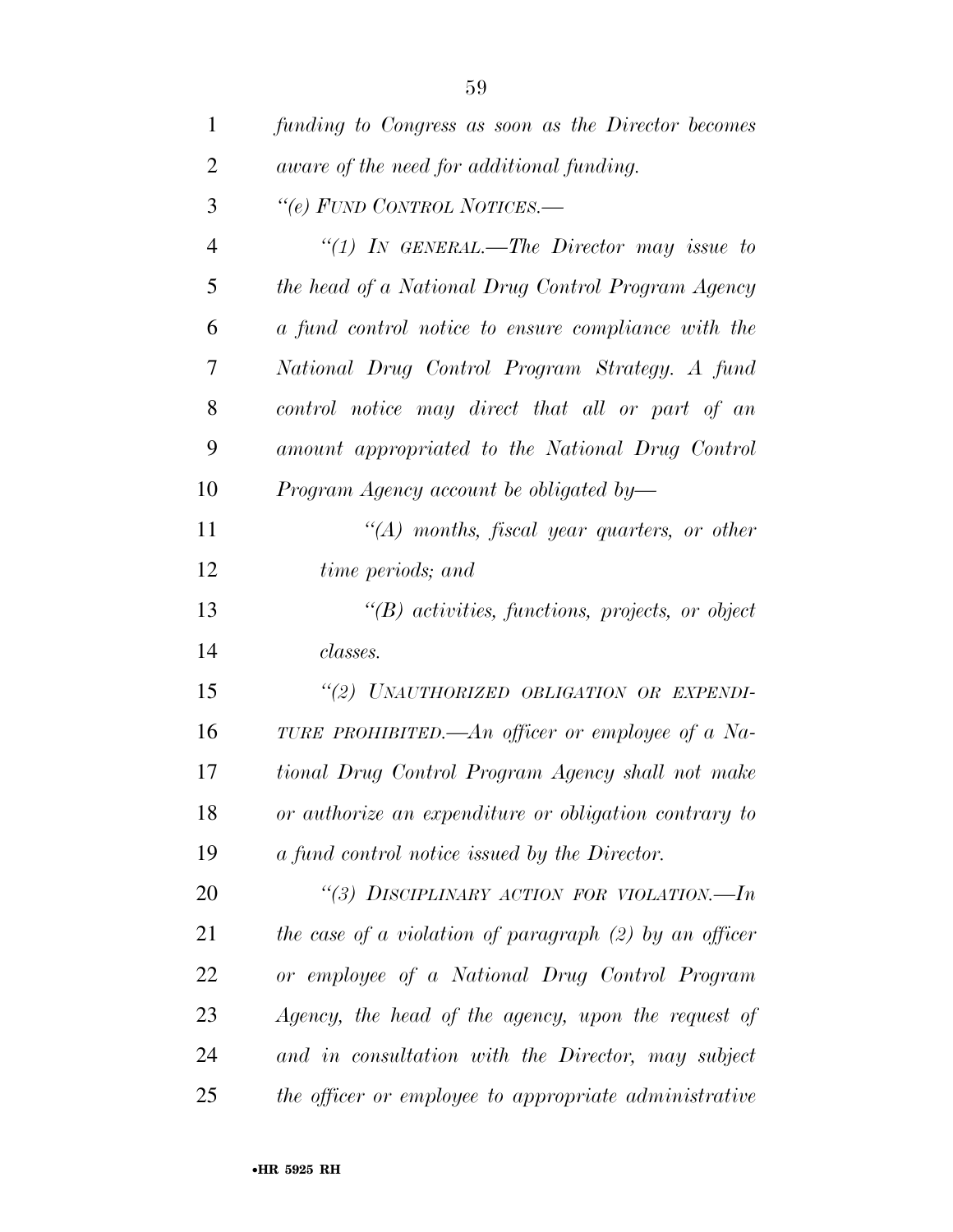| $\mathbf{1}$   | funding to Congress as soon as the Director becomes      |
|----------------|----------------------------------------------------------|
| $\overline{2}$ | aware of the need for additional funding.                |
| 3              | "(e) FUND CONTROL NOTICES.—                              |
| $\overline{4}$ | "(1) In GENERAL.—The Director may issue to               |
| 5              | the head of a National Drug Control Program Agency       |
| 6              | a fund control notice to ensure compliance with the      |
| 7              | National Drug Control Program Strategy. A fund           |
| 8              | control notice may direct that all or part of an         |
| 9              | amount appropriated to the National Drug Control         |
| 10             | Program Agency account be obligated by-                  |
| 11             | $\lq (A)$ months, fiscal year quarters, or other         |
| 12             | time periods; and                                        |
| 13             | $\lq\lq B$ activities, functions, projects, or object    |
| 14             | classes.                                                 |
| 15             | "(2) UNAUTHORIZED OBLIGATION OR EXPENDI-                 |
| 16             | TURE PROHIBITED.—An officer or employee of a Na-         |
| 17             | tional Drug Control Program Agency shall not make        |
| 18             | or authorize an expenditure or obligation contrary to    |
| 19             | a fund control notice issued by the Director.            |
| 20             | "(3) DISCIPLINARY ACTION FOR VIOLATION.-In               |
| 21             | the case of a violation of paragraph $(2)$ by an officer |
| 22             | or employee of a National Drug Control Program           |
| 23             | Agency, the head of the agency, upon the request of      |
| 24             | and in consultation with the Director, may subject       |
| 25             | the officer or employee to appropriate administrative    |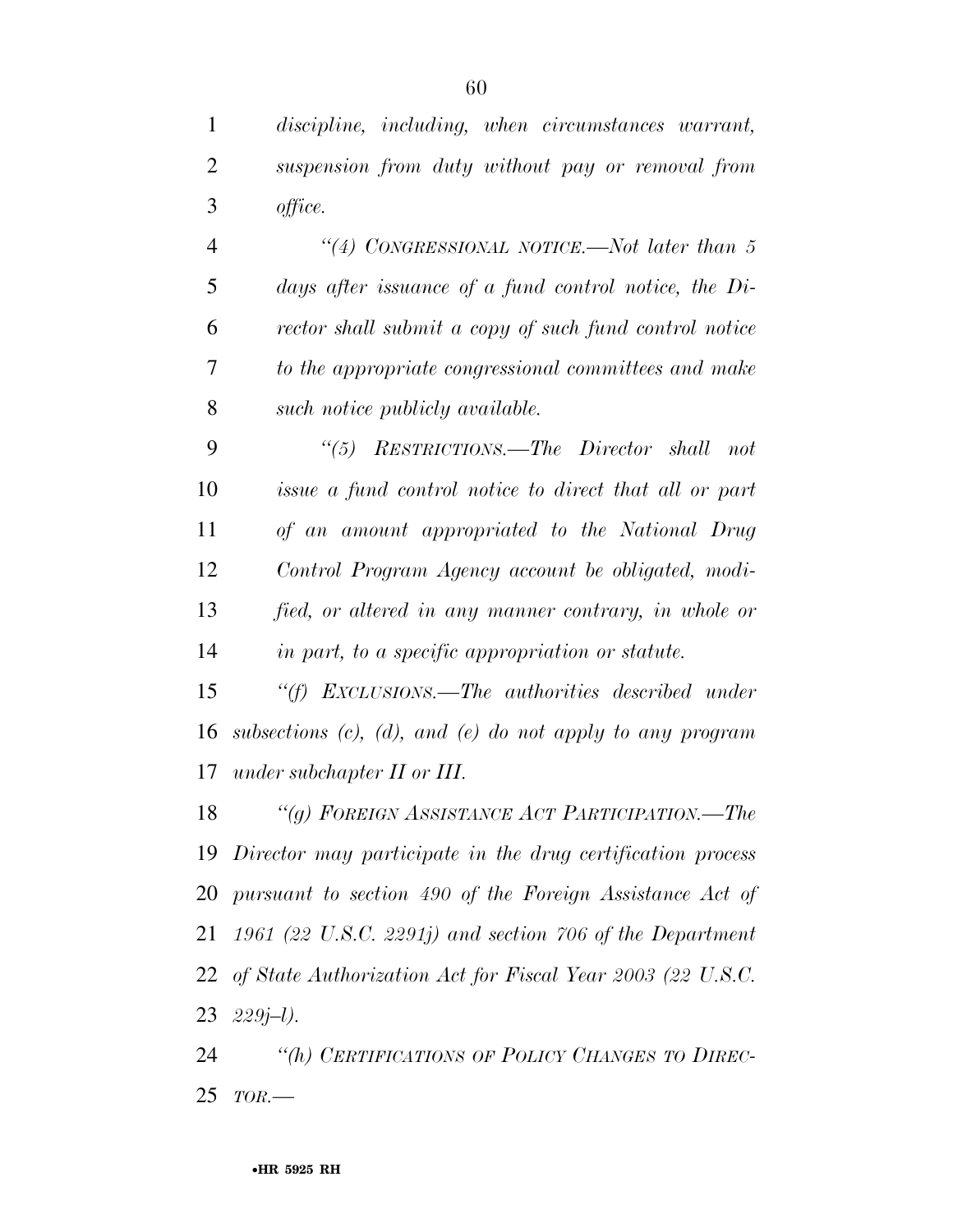*discipline, including, when circumstances warrant, suspension from duty without pay or removal from office.* 

 *''(4) CONGRESSIONAL NOTICE.—Not later than 5 days after issuance of a fund control notice, the Di- rector shall submit a copy of such fund control notice to the appropriate congressional committees and make such notice publicly available.* 

 *''(5) RESTRICTIONS.—The Director shall not issue a fund control notice to direct that all or part of an amount appropriated to the National Drug Control Program Agency account be obligated, modi- fied, or altered in any manner contrary, in whole or in part, to a specific appropriation or statute.* 

 *''(f) EXCLUSIONS.—The authorities described under subsections (c), (d), and (e) do not apply to any program under subchapter II or III.* 

 *''(g) FOREIGN ASSISTANCE ACT PARTICIPATION.—The Director may participate in the drug certification process pursuant to section 490 of the Foreign Assistance Act of 1961 (22 U.S.C. 2291j) and section 706 of the Department of State Authorization Act for Fiscal Year 2003 (22 U.S.C. 229j–l).* 

 *''(h) CERTIFICATIONS OF POLICY CHANGES TO DIREC-TOR.—*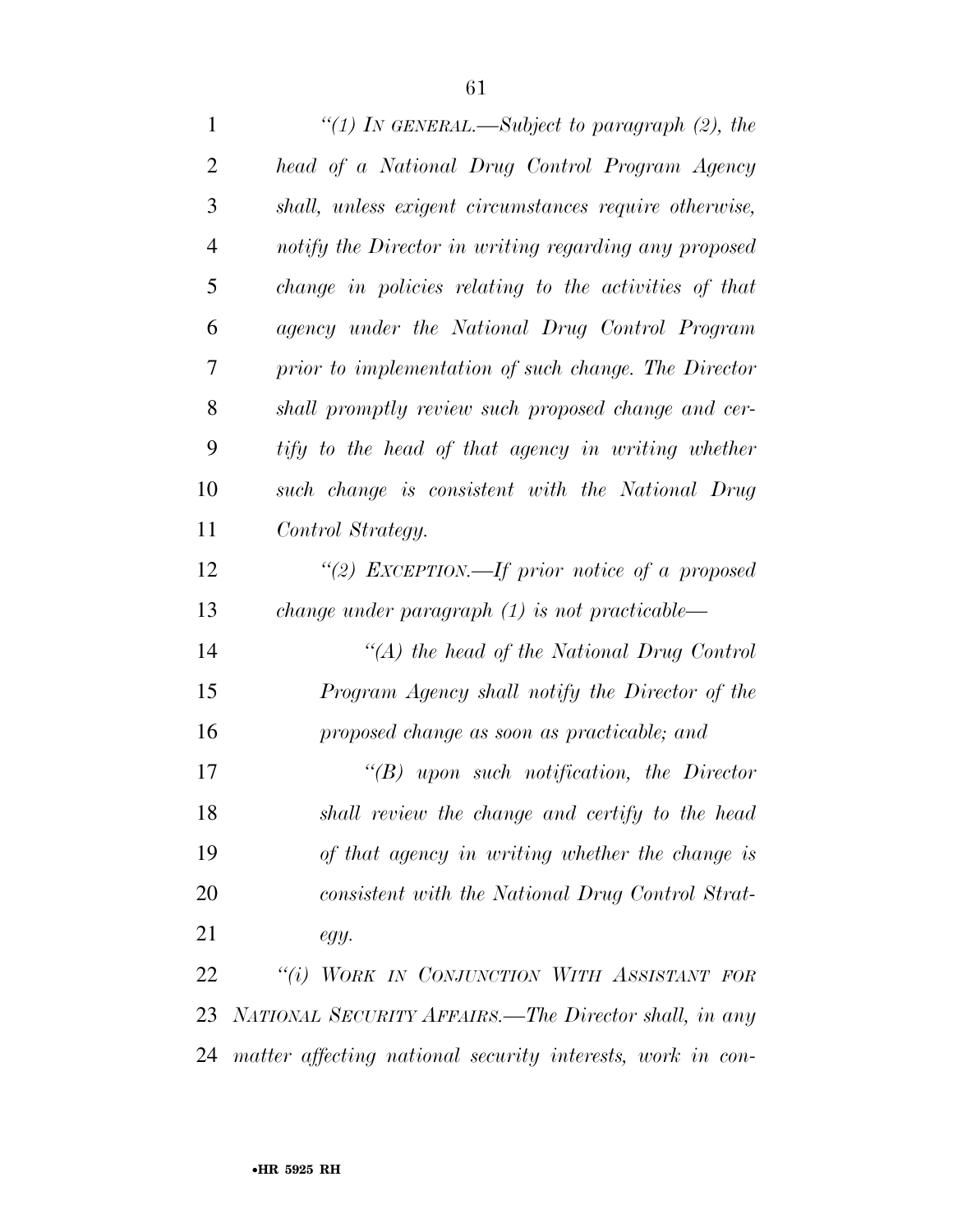*''(1) IN GENERAL.—Subject to paragraph (2), the head of a National Drug Control Program Agency shall, unless exigent circumstances require otherwise, notify the Director in writing regarding any proposed change in policies relating to the activities of that agency under the National Drug Control Program prior to implementation of such change. The Director shall promptly review such proposed change and cer- tify to the head of that agency in writing whether such change is consistent with the National Drug Control Strategy. ''(2) EXCEPTION.—If prior notice of a proposed change under paragraph (1) is not practicable— ''(A) the head of the National Drug Control Program Agency shall notify the Director of the proposed change as soon as practicable; and ''(B) upon such notification, the Director shall review the change and certify to the head of that agency in writing whether the change is consistent with the National Drug Control Strat- egy. ''(i) WORK IN CONJUNCTION WITH ASSISTANT FOR NATIONAL SECURITY AFFAIRS.—The Director shall, in any matter affecting national security interests, work in con-*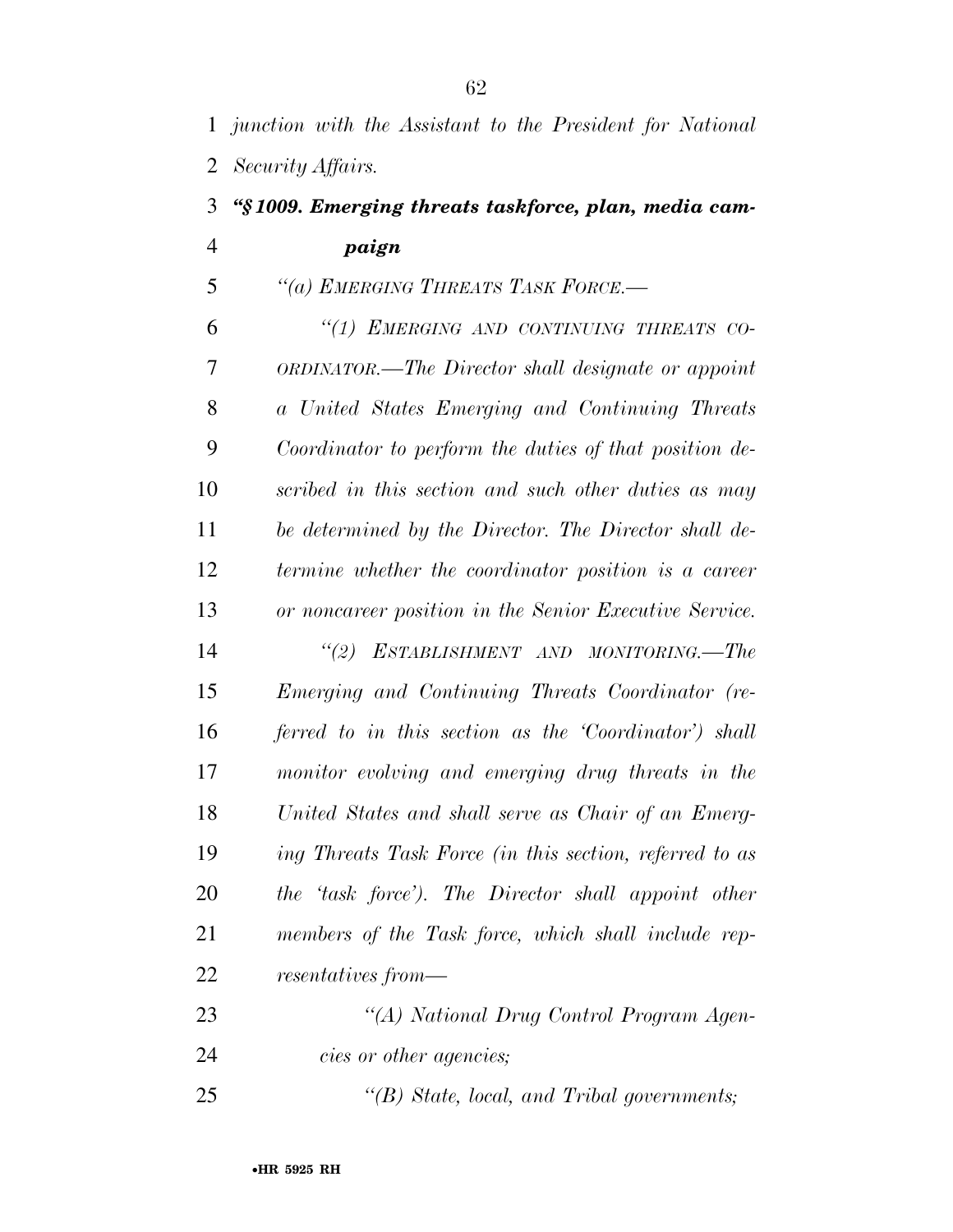## *''§ 1009. Emerging threats taskforce, plan, media cam-paign*

## *''(a) EMERGING THREATS TASK FORCE.—*

 *''(1) EMERGING AND CONTINUING THREATS CO- ORDINATOR.—The Director shall designate or appoint a United States Emerging and Continuing Threats Coordinator to perform the duties of that position de- scribed in this section and such other duties as may be determined by the Director. The Director shall de- termine whether the coordinator position is a career or noncareer position in the Senior Executive Service. ''(2) ESTABLISHMENT AND MONITORING.—The Emerging and Continuing Threats Coordinator (re- ferred to in this section as the 'Coordinator') shall monitor evolving and emerging drug threats in the United States and shall serve as Chair of an Emerg-ing Threats Task Force (in this section, referred to as* 

 *the 'task force'). The Director shall appoint other members of the Task force, which shall include rep-resentatives from—* 

| 23 | "(A) National Drug Control Program Agen- |
|----|------------------------------------------|
| 24 | <i>cies or other agencies;</i>           |

*''(B) State, local, and Tribal governments;*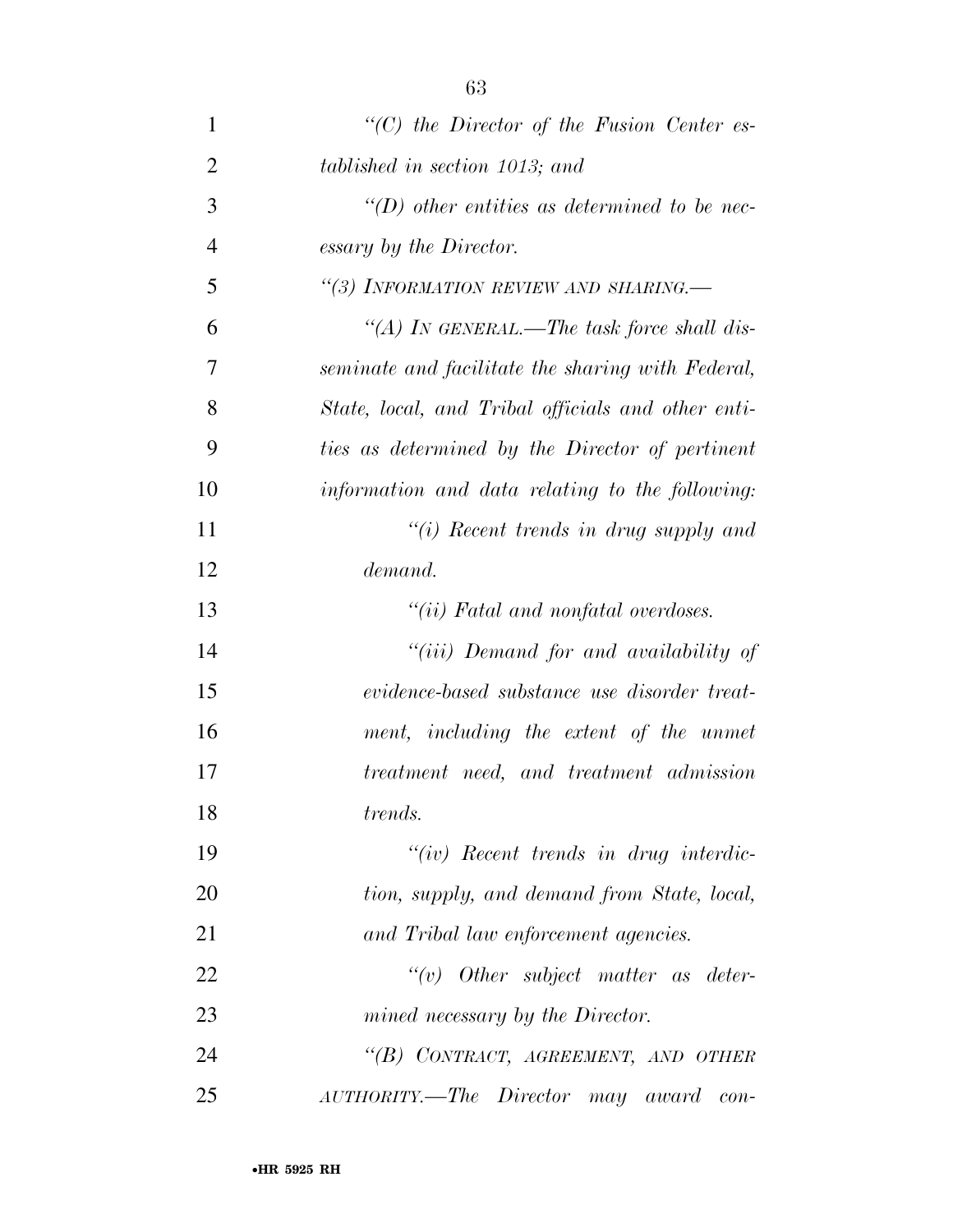| $\mathbf{1}$   | $\lq\lq C$ the Director of the Fusion Center es-    |
|----------------|-----------------------------------------------------|
| $\overline{2}$ | tablished in section 1013; and                      |
| 3              | $\lq\lq(D)$ other entities as determined to be nec- |
| $\overline{4}$ | essary by the Director.                             |
| 5              | "(3) INFORMATION REVIEW AND SHARING.-               |
| 6              | "(A) IN GENERAL.—The task force shall dis-          |
| 7              | seminate and facilitate the sharing with Federal,   |
| 8              | State, local, and Tribal officials and other enti-  |
| 9              | ties as determined by the Director of pertinent     |
| 10             | information and data relating to the following:     |
| 11             | "(i) Recent trends in drug supply and               |
| 12             | demand.                                             |
| 13             | "(ii) Fatal and nonfatal overdoses.                 |
| 14             | "(iii) Demand for and availability of               |
| 15             | evidence-based substance use disorder treat-        |
| 16             | ment, including the extent of the unmet             |
| 17             | treatment need, and treatment admission             |
| 18             | trends.                                             |
| 19             | $``(iv)$ Recent trends in drug interdic-            |
| 20             | tion, supply, and demand from State, local,         |
| 21             | and Tribal law enforcement agencies.                |
| 22             | $``(v)$ Other subject matter as deter-              |
| 23             | mined necessary by the Director.                    |
| 24             | "(B) CONTRACT, AGREEMENT, AND OTHER                 |
| 25             | AUTHORITY.—The Director may award con-              |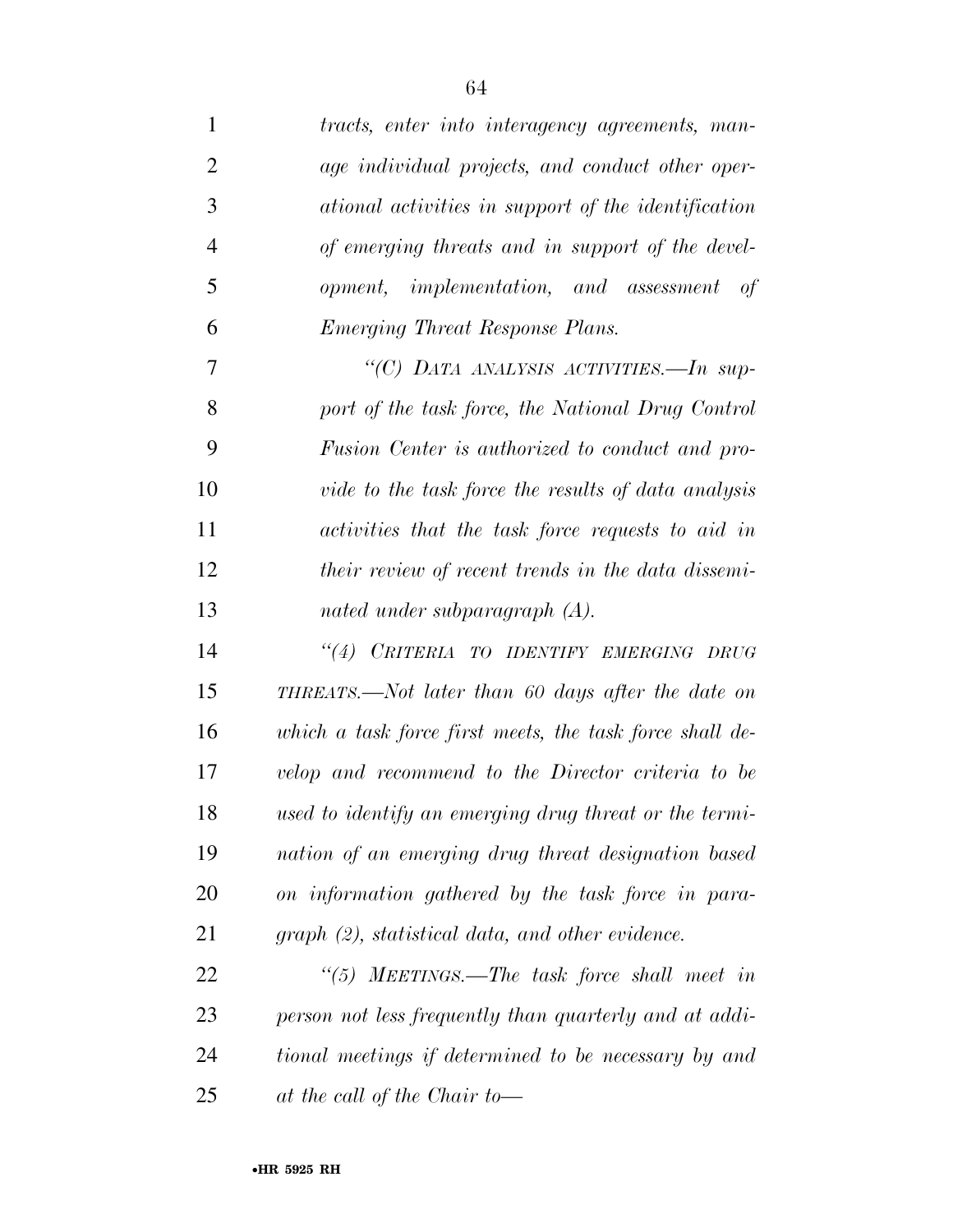| 1              | tracts, enter into interagency agreements, man-           |
|----------------|-----------------------------------------------------------|
| $\overline{2}$ | age individual projects, and conduct other oper-          |
| 3              | ational activities in support of the identification       |
| $\overline{4}$ | of emerging threats and in support of the devel-          |
| 5              | opment, implementation, and assessment of                 |
| 6              | Emerging Threat Response Plans.                           |
| 7              | "(C) DATA ANALYSIS ACTIVITIES.—In sup-                    |
| 8              | port of the task force, the National Drug Control         |
| 9              | Fusion Center is authorized to conduct and pro-           |
| 10             | vide to the task force the results of data analysis       |
| 11             | activities that the task force requests to aid in         |
| 12             | <i>their review of recent trends in the data dissemi-</i> |
| 13             | nated under subparagraph $(A)$ .                          |
| 14             | "(4) CRITERIA TO IDENTIFY EMERGING DRUG                   |
| 15             | THREATS.—Not later than 60 days after the date on         |
| 16             | which a task force first meets, the task force shall de-  |
| 17             | velop and recommend to the Director criteria to be        |
| 18             | used to identify an emerging drug threat or the termi-    |
| 19             | nation of an emerging drug threat designation based       |
| 20             | on information gathered by the task force in para-        |
| 21             | $graph (2)$ , statistical data, and other evidence.       |
| 22             | "(5) MEETINGS.—The task force shall meet in               |
| 23             | person not less frequently than quarterly and at addi-    |
| 24             | tional meetings if determined to be necessary by and      |
| 25             | at the call of the Chair to-                              |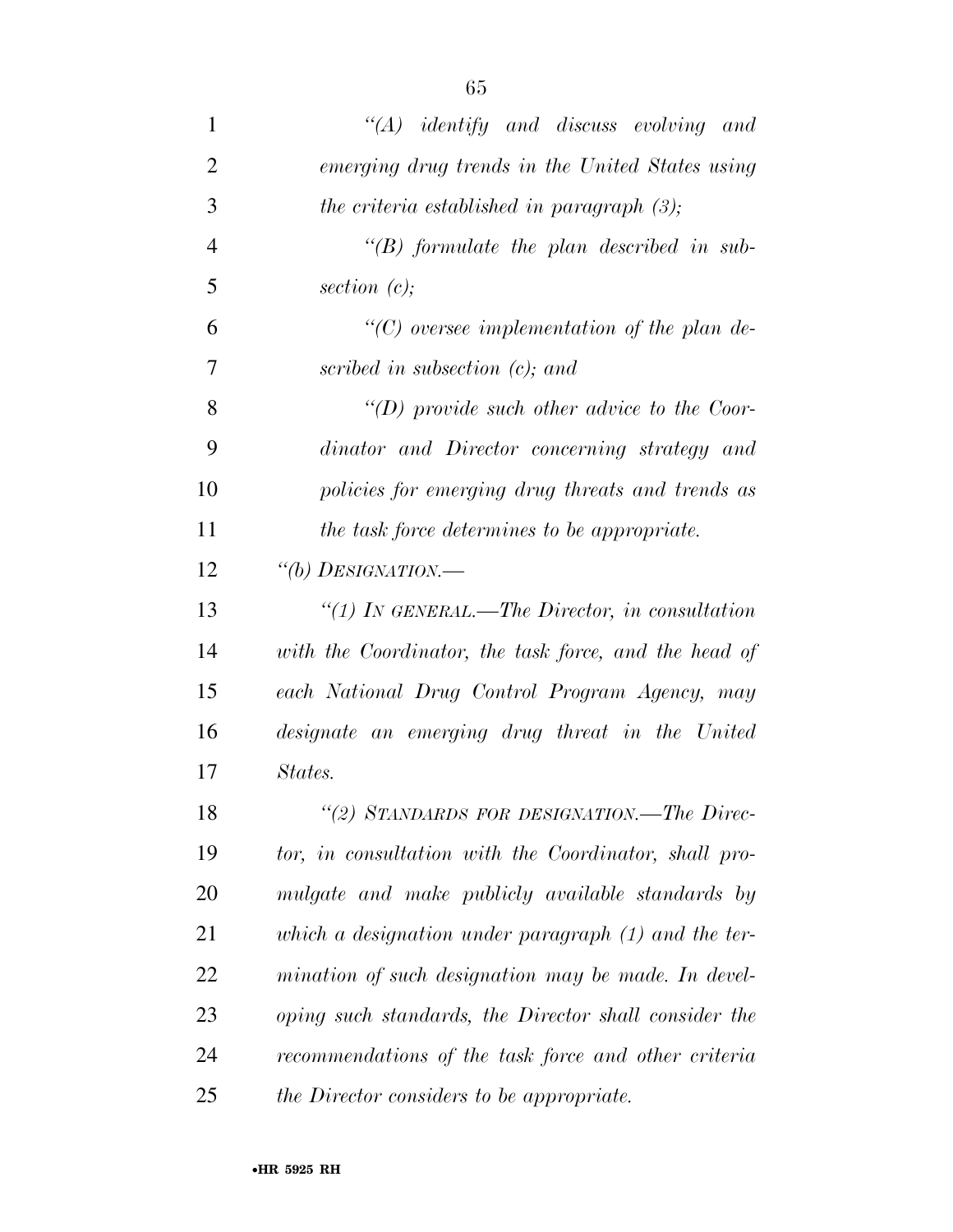*''(A) identify and discuss evolving and emerging drug trends in the United States using the criteria established in paragraph (3); ''(B) formulate the plan described in sub- section (c); ''(C) oversee implementation of the plan de- scribed in subsection (c); and ''(D) provide such other advice to the Coor- dinator and Director concerning strategy and policies for emerging drug threats and trends as the task force determines to be appropriate. ''(b) DESIGNATION.— ''(1) IN GENERAL.—The Director, in consultation with the Coordinator, the task force, and the head of each National Drug Control Program Agency, may designate an emerging drug threat in the United States. ''(2) STANDARDS FOR DESIGNATION.—The Direc- tor, in consultation with the Coordinator, shall pro-mulgate and make publicly available standards by* 

 *which a designation under paragraph (1) and the ter- mination of such designation may be made. In devel- oping such standards, the Director shall consider the recommendations of the task force and other criteria* 

*the Director considers to be appropriate.*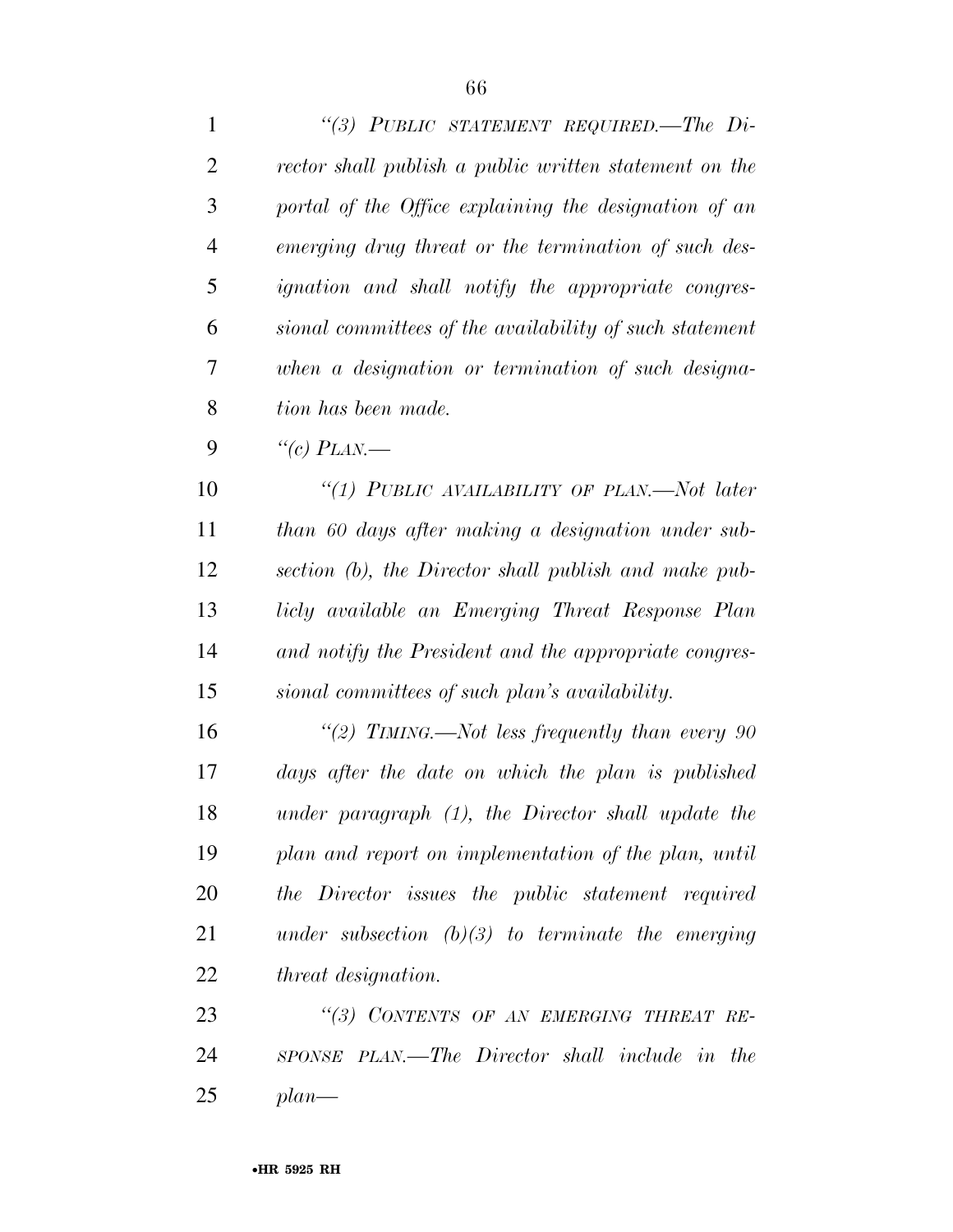| $\mathbf{1}$   | "(3) PUBLIC STATEMENT REQUIRED.—The Di-                   |
|----------------|-----------------------------------------------------------|
| $\overline{2}$ | rector shall publish a public written statement on the    |
| 3              | portal of the Office explaining the designation of an     |
| $\overline{4}$ | emerging drug threat or the termination of such des-      |
| 5              | <i>ignation</i> and shall notify the appropriate congres- |
| 6              | sional committees of the availability of such statement   |
| 7              | when a designation or termination of such designa-        |
| 8              | tion has been made.                                       |
| 9              | "(c) $PLAN$ .                                             |
| 10             | "(1) PUBLIC AVAILABILITY OF PLAN.—Not later               |
| 11             | than 60 days after making a designation under sub-        |
| 12             | section (b), the Director shall publish and make pub-     |
| 13             | licly available an Emerging Threat Response Plan          |
| 14             | and notify the President and the appropriate congres-     |
| 15             | sional committees of such plan's availability.            |
| 16             | "(2) TIMING.—Not less frequently than every 90            |
| 17             | days after the date on which the plan is published        |
| 18             | under paragraph (1), the Director shall update the        |
| 19             | plan and report on implementation of the plan, until      |
| 20             | the Director issues the public statement required         |
| 21             | under subsection $(b)(3)$ to terminate the emerging       |
| 22             | <i>threat designation.</i>                                |
| 23             | "(3) CONTENTS OF AN EMERGING THREAT RE-                   |
| 24             | SPONSE PLAN.—The Director shall include in the            |
| 25             | $plan$ —                                                  |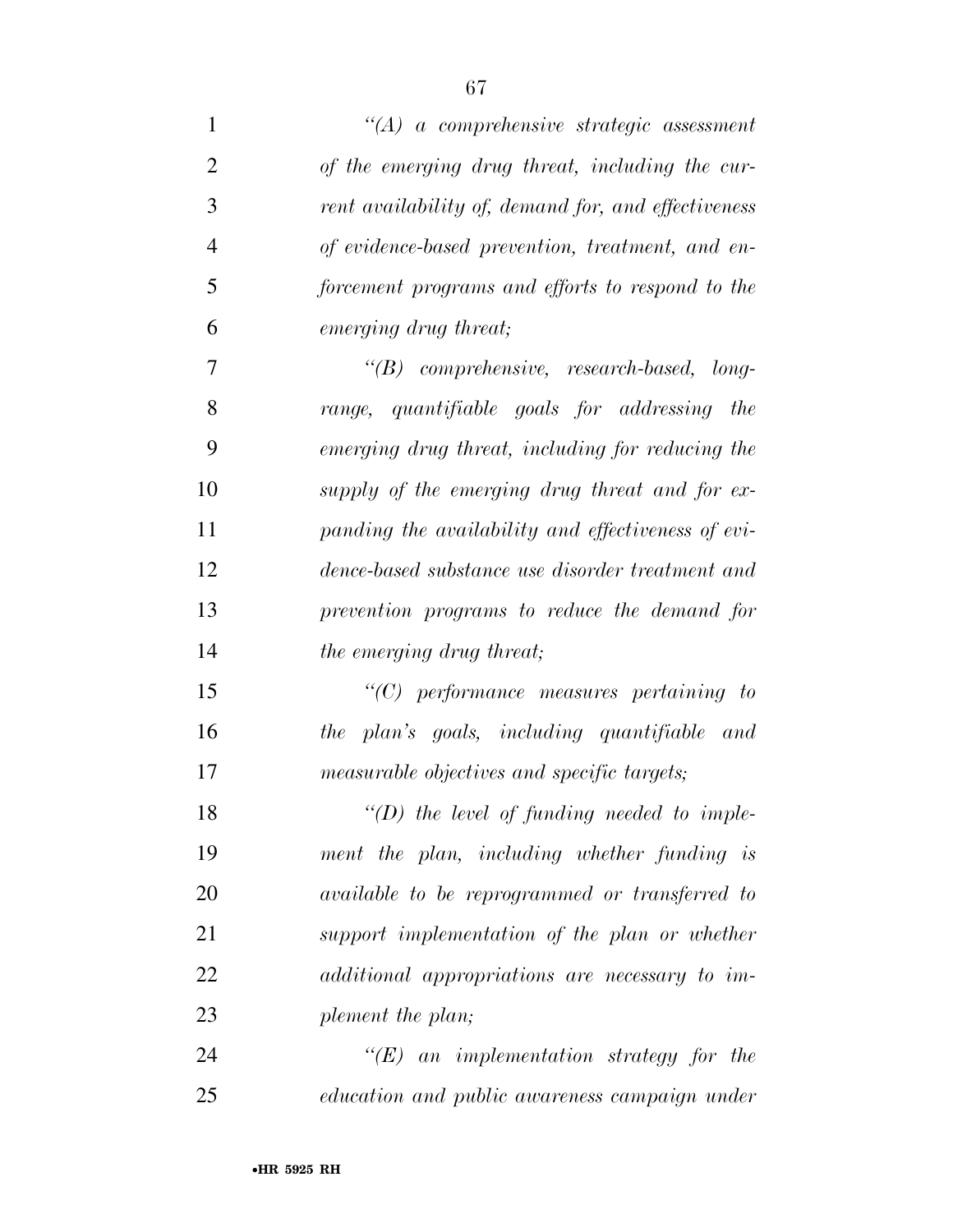| $\mathbf{1}$   | $\lq\lq (A)$ a comprehensive strategic assessment   |
|----------------|-----------------------------------------------------|
| $\overline{2}$ | of the emerging drug threat, including the cur-     |
| 3              | rent availability of, demand for, and effectiveness |
| $\overline{4}$ | of evidence-based prevention, treatment, and en-    |
| 5              | forcement programs and efforts to respond to the    |
| 6              | emerging drug threat;                               |
| 7              | "(B) comprehensive, research-based, long-           |
| 8              | range, quantifiable goals for addressing<br>the     |
| 9              | emerging drug threat, including for reducing the    |
| 10             | supply of the emerging drug threat and for ex-      |
| 11             | panding the availability and effectiveness of evi-  |
| 12             | dence-based substance use disorder treatment and    |
| 13             | prevention programs to reduce the demand for        |
| 14             | the emerging drug threat;                           |
| 15             | $"$ (C) performance measures pertaining to          |
| 16             | the plan's goals, including quantifiable and        |
| 17             | measurable objectives and specific targets;         |
| 18             | $\lq\lq(D)$ the level of funding needed to imple-   |
| 19             | ment the plan, including whether funding is         |
| 20             | available to be reprogrammed or transferred to      |
| 21             | support implementation of the plan or whether       |
| 22             | additional appropriations are necessary to im-      |
| 23             | plement the plan;                                   |
| 24             | $\lq\lq (E)$ an implementation strategy for the     |
| 25             | education and public awareness campaign under       |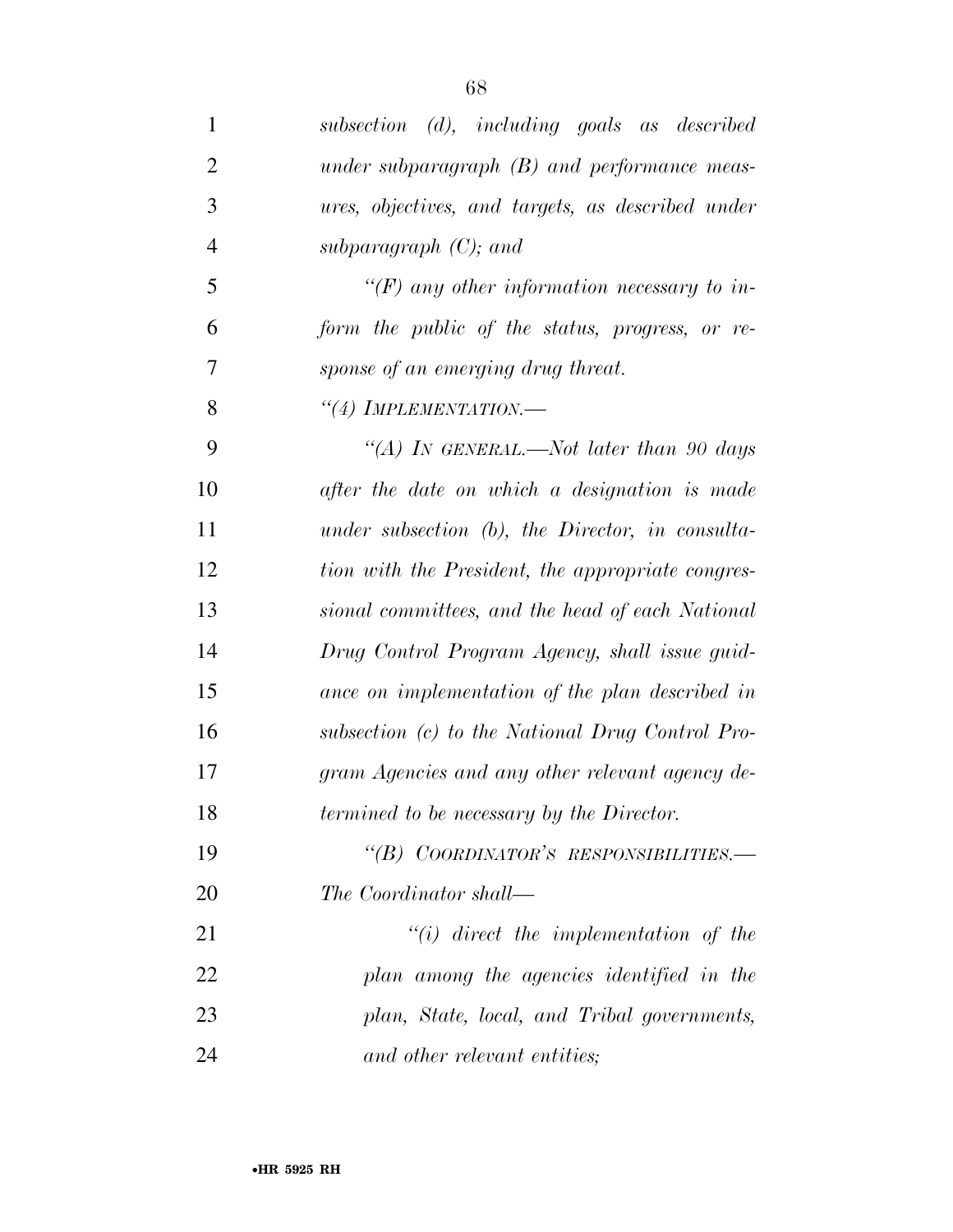| $\mathbf{1}$   | subsection (d), including goals as described        |
|----------------|-----------------------------------------------------|
| $\overline{2}$ | under subparagraph $(B)$ and performance meas-      |
| 3              | ures, objectives, and targets, as described under   |
| $\overline{4}$ | subparagraph $(C)$ ; and                            |
| 5              | "(F) any other information necessary to in-         |
| 6              | form the public of the status, progress, or re-     |
| 7              | sponse of an emerging drug threat.                  |
| 8              | "(4) IMPLEMENTATION.-                               |
| 9              | "(A) In GENERAL.—Not later than 90 days             |
| 10             | after the date on which a designation is made       |
| 11             | under subsection $(b)$ , the Director, in consulta- |
| 12             | tion with the President, the appropriate congres-   |
| 13             | sional committees, and the head of each National    |
| 14             | Drug Control Program Agency, shall issue guid-      |
| 15             | ance on implementation of the plan described in     |
| 16             | subsection (c) to the National Drug Control Pro-    |
| 17             | gram Agencies and any other relevant agency de-     |
| 18             | termined to be necessary by the Director.           |
| 19             | "(B) COORDINATOR'S RESPONSIBILITIES.-               |
| 20             | The Coordinator shall—                              |
| 21             | $``(i)$ direct the implementation of the            |
| 22             | plan among the agencies identified in the           |
| 23             | plan, State, local, and Tribal governments,         |
| 24             | and other relevant entities;                        |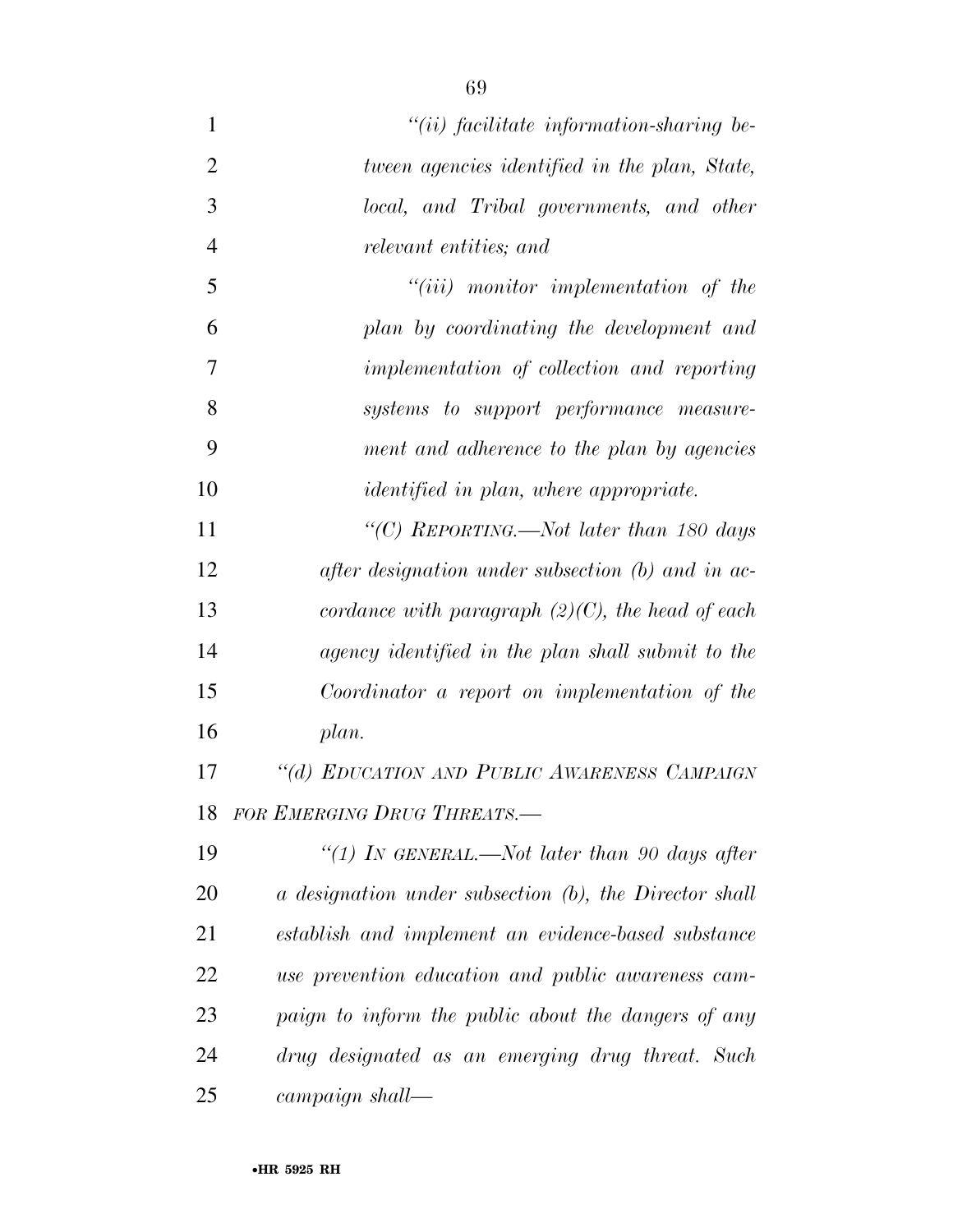| $\mathbf{1}$   | $``(ii)$ facilitate information-sharing be-            |
|----------------|--------------------------------------------------------|
| $\overline{2}$ | tween agencies identified in the plan, State,          |
| 3              | local, and Tribal governments, and other               |
| $\overline{4}$ | relevant entities; and                                 |
| 5              | $``(iii)$ monitor implementation of the                |
| 6              | plan by coordinating the development and               |
| 7              | implementation of collection and reporting             |
| 8              | systems to support performance measure-                |
| 9              | ment and adherence to the plan by agencies             |
| 10             | <i>identified in plan, where appropriate.</i>          |
| 11             | "(C) REPORTING.—Not later than 180 days                |
| 12             | after designation under subsection $(b)$ and in ac-    |
| 13             | cordance with paragraph $(2)(C)$ , the head of each    |
| 14             | agency identified in the plan shall submit to the      |
| 15             | Coordinator a report on implementation of the          |
| 16             | plan.                                                  |
| 17             | "(d) EDUCATION AND PUBLIC AWARENESS CAMPAIGN           |
| 18             | FOR EMERGING DRUG THREATS.-                            |
| 19             | "(1) In GENERAL.—Not later than 90 days after          |
| 20             | a designation under subsection (b), the Director shall |
| 21             | establish and implement an evidence-based substance    |
| 22             | use prevention education and public awareness cam-     |
| 23             | paign to inform the public about the dangers of any    |
| 24             | drug designated as an emerging drug threat. Such       |
| 25             | campaign shall—                                        |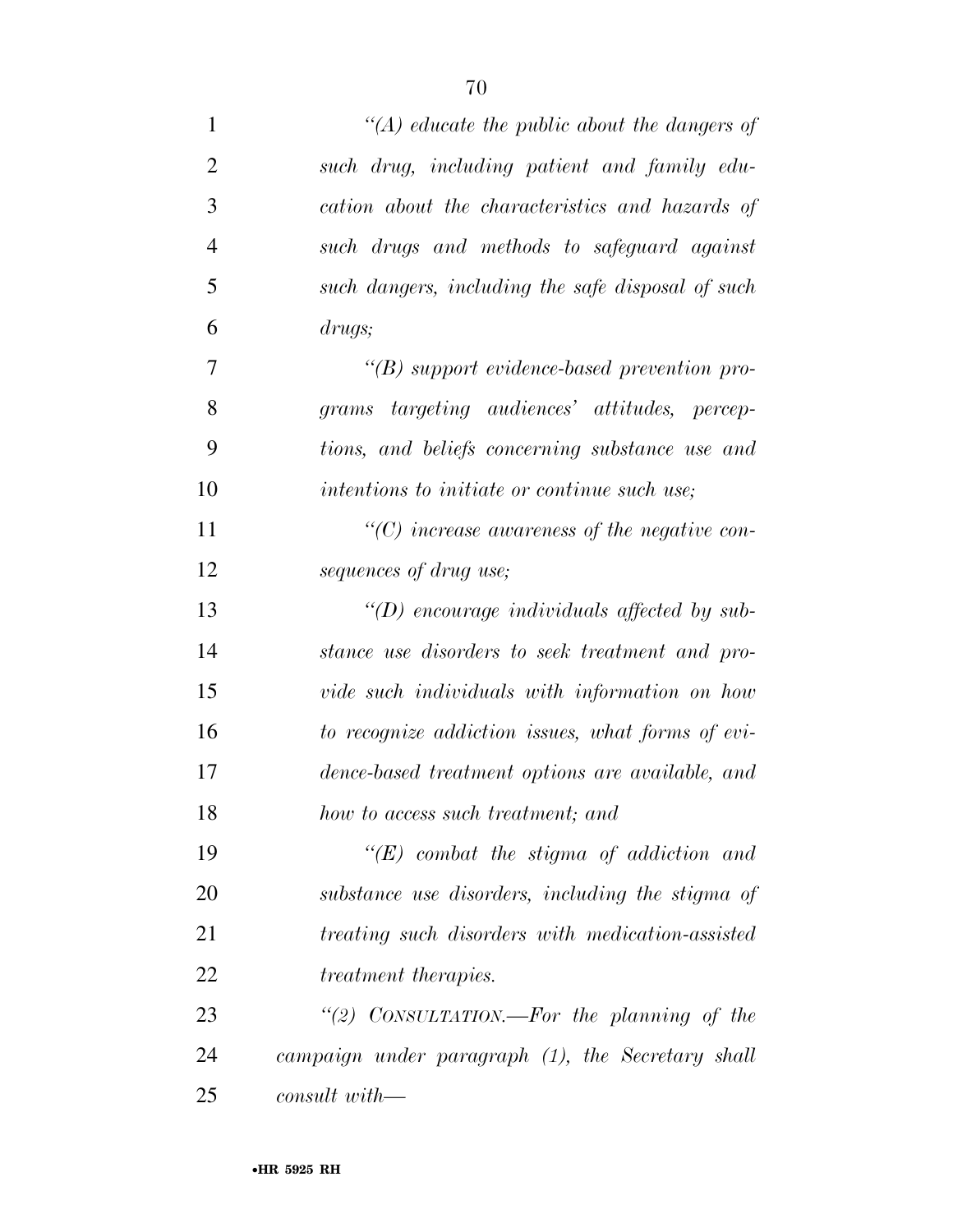| $\mathbf{1}$   | $\lq (A)$ educate the public about the dangers of    |
|----------------|------------------------------------------------------|
| $\overline{2}$ | such drug, including patient and family edu-         |
| 3              | cation about the characteristics and hazards of      |
| $\overline{4}$ | such drugs and methods to safeguard against          |
| 5              | such dangers, including the safe disposal of such    |
| 6              | drugs;                                               |
| 7              | $\lq\lq(B)$ support evidence-based prevention pro-   |
| 8              | grams targeting audiences' attitudes, percep-        |
| 9              | tions, and beliefs concerning substance use and      |
| 10             | intentions to initiate or continue such use;         |
| 11             | $\lq\lq$ (C) increase awareness of the negative con- |
| 12             | sequences of drug use;                               |
| 13             | "(D) encourage individuals affected by sub-          |
| 14             | stance use disorders to seek treatment and pro-      |
| 15             | vide such individuals with information on how        |
| 16             | to recognize addiction issues, what forms of evi-    |
| 17             | dence-based treatment options are available, and     |
| 18             | how to access such treatment; and                    |
| 19             | $\lq\lq (E)$ combat the stigma of addiction and      |
| 20             | substance use disorders, including the stigma of     |
| 21             | treating such disorders with medication-assisted     |
| 22             | <i>treatment therapies.</i>                          |
| 23             | "(2) CONSULTATION.—For the planning of the           |
| 24             | campaign under paragraph (1), the Secretary shall    |
| 25             | $\mathit{const}$ with—                               |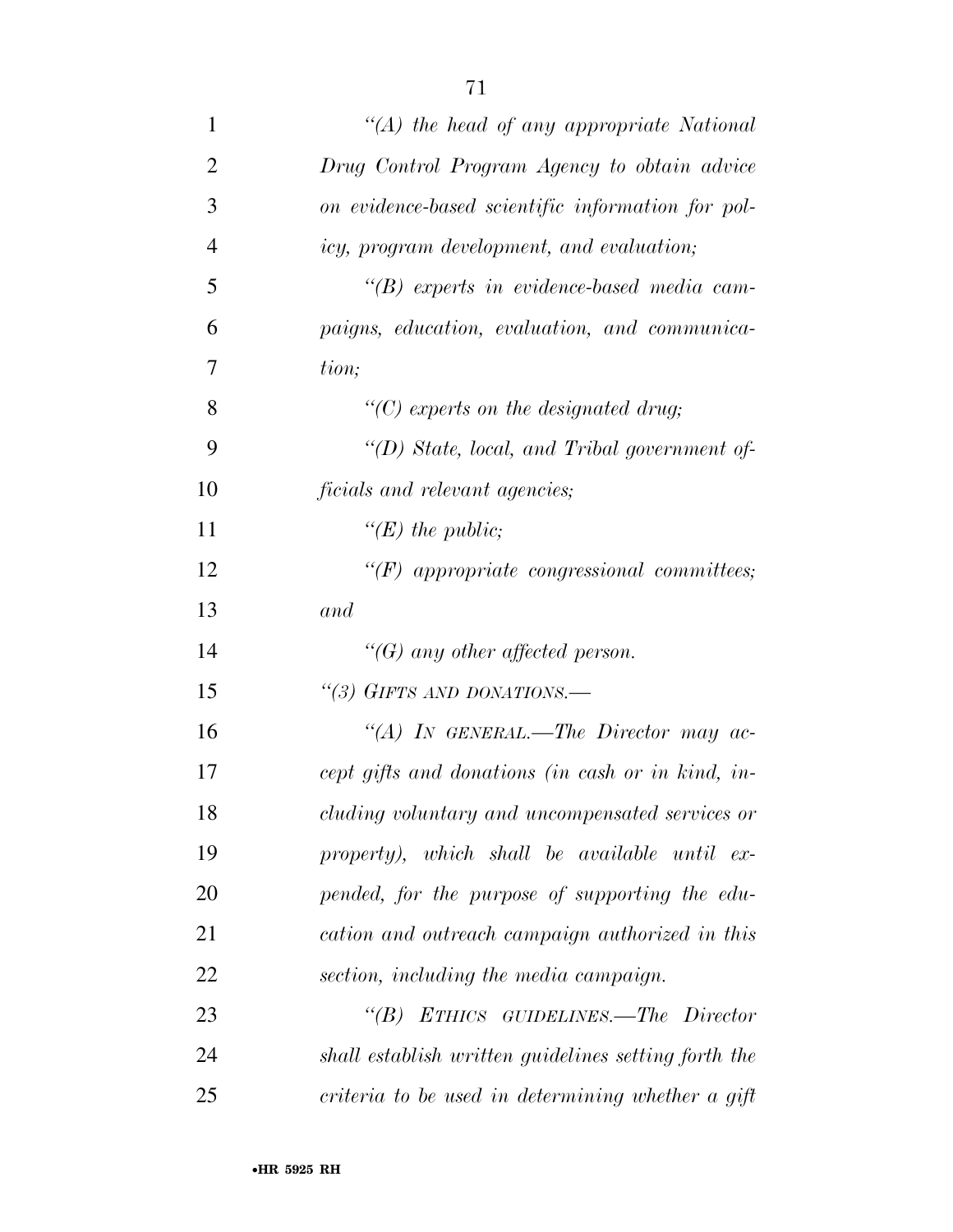| $\mathbf{1}$   | "(A) the head of any appropriate National            |
|----------------|------------------------------------------------------|
| $\overline{2}$ | Drug Control Program Agency to obtain advice         |
| 3              | on evidence-based scientific information for pol-    |
| $\overline{4}$ | icy, program development, and evaluation;            |
| 5              | $\lq\lq(B)$ experts in evidence-based media cam-     |
| 6              | paigns, education, evaluation, and communica-        |
| 7              | tion;                                                |
| 8              | "(C) experts on the designated drug;                 |
| 9              | "(D) State, local, and Tribal government of-         |
| 10             | ficials and relevant agencies;                       |
| 11             | " $(E)$ the public;                                  |
| 12             | $\lq\lq(F)$ appropriate congressional committees;    |
| 13             | and                                                  |
| 14             | "(G) any other affected person.                      |
| 15             | "(3) GIFTS AND DONATIONS.-                           |
| 16             | "(A) IN GENERAL.—The Director may ac-                |
| 17             | cept gifts and donations (in cash or in kind, in-    |
| 18             | cluding voluntary and uncompensated services or      |
| 19             | property), which shall be available until ex-        |
| 20             | pended, for the purpose of supporting the edu-       |
| 21             | cation and outreach campaign authorized in this      |
| 22             | section, including the media campaign.               |
| 23             | "(B) ETHICS GUIDELINES.—The Director                 |
| 24             | shall establish written guidelines setting forth the |
| 25             | criteria to be used in determining whether a gift    |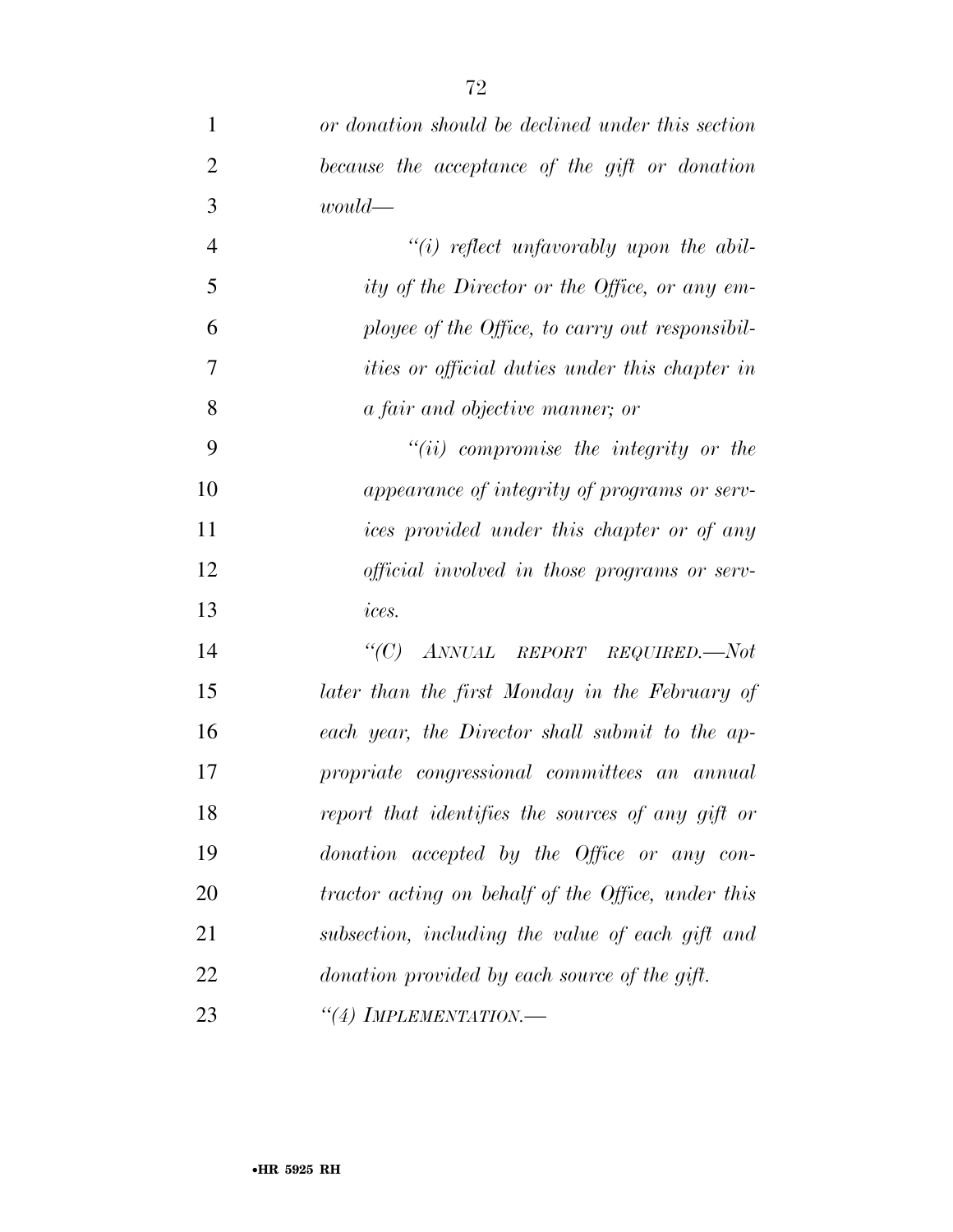| $\mathbf{1}$   | or donation should be declined under this section     |
|----------------|-------------------------------------------------------|
| $\overline{2}$ | because the acceptance of the gift or donation        |
| 3              | $would$ —                                             |
| $\overline{4}$ | $"(i)$ reflect unfavorably upon the abil-             |
| 5              | ity of the Director or the Office, or any em-         |
| 6              | ployee of the Office, to carry out responsibil-       |
| $\overline{7}$ | <i>ities or official duties under this chapter in</i> |
| 8              | <i>a fair and objective manner</i> ; <i>or</i>        |
| 9              | $"(ii)$ compromise the integrity or the               |
| 10             | appearance of integrity of programs or serv-          |
| 11             | ices provided under this chapter or of any            |
| 12             | <i>official involved in those programs or serv-</i>   |
| 13             | ices.                                                 |
| 14             | $\lq C$ )<br>ANNUAL REPORT REQUIRED.—Not              |
| 15             | later than the first Monday in the February of        |
| 16             | each year, the Director shall submit to the ap-       |
| 17             | propriate congressional committees an annual          |
| 18             | report that identifies the sources of any gift or     |
| 19             | donation accepted by the Office or any con-           |
| 20             | tractor acting on behalf of the Office, under this    |
| 21             | subsection, including the value of each gift and      |
| 22             | donation provided by each source of the gift.         |
| 23             | $``(4)$ IMPLEMENTATION.—                              |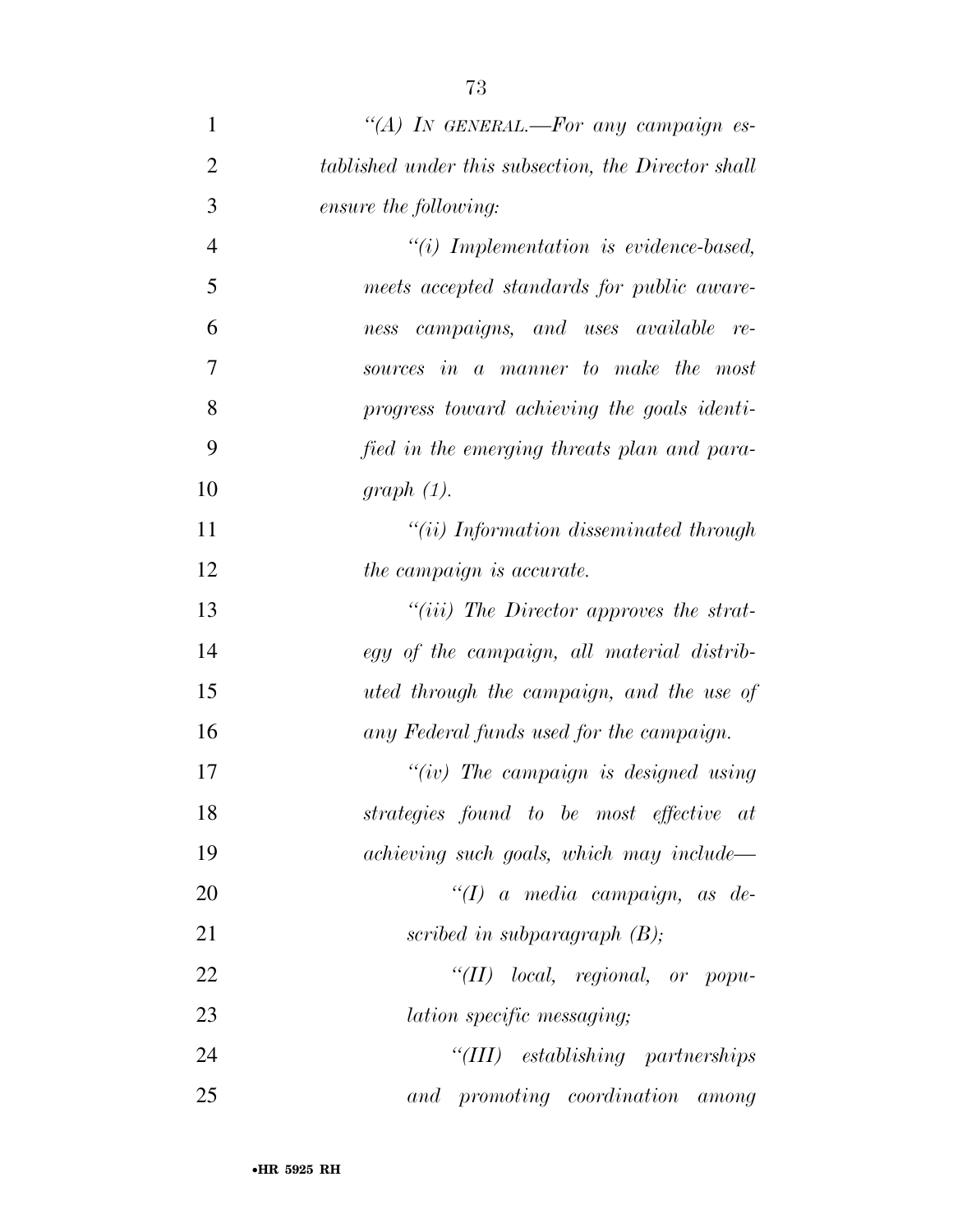| $\mathbf{1}$   | "(A) IN GENERAL.-For any campaign es-               |
|----------------|-----------------------------------------------------|
| $\overline{2}$ | tablished under this subsection, the Director shall |
| 3              | ensure the following:                               |
| $\overline{4}$ | $``(i)$ Implementation is evidence-based,           |
| 5              | meets accepted standards for public aware-          |
| 6              | campaigns, and uses available<br>re-<br>ness        |
| 7              | sources in a manner to make the most                |
| 8              | progress toward achieving the goals identi-         |
| 9              | fied in the emerging threats plan and para-         |
| 10             | graph(1).                                           |
| 11             | $``(ii)$ Information disseminated through           |
| 12             | the campaign is accurate.                           |
| 13             | "(iii) The Director approves the strat-             |
| 14             | egy of the campaign, all material distrib-          |
| 15             | uted through the campaign, and the use of           |
| 16             | any Federal funds used for the campaign.            |
| 17             | "(iv) The campaign is designed using                |
| 18             | strategies found to be most effective at            |
| 19             | achieving such goals, which may include—            |
| 20             | $\lq (I)$ a media campaign, as de-                  |
| 21             | scribed in subparagraph $(B)$ ;                     |
| 22             | " $(II)$ local, regional, or popu-                  |
| 23             | <i>lation specific messaging</i> ;                  |
| 24             | "(III) establishing partnerships                    |
| 25             | and promoting coordination among                    |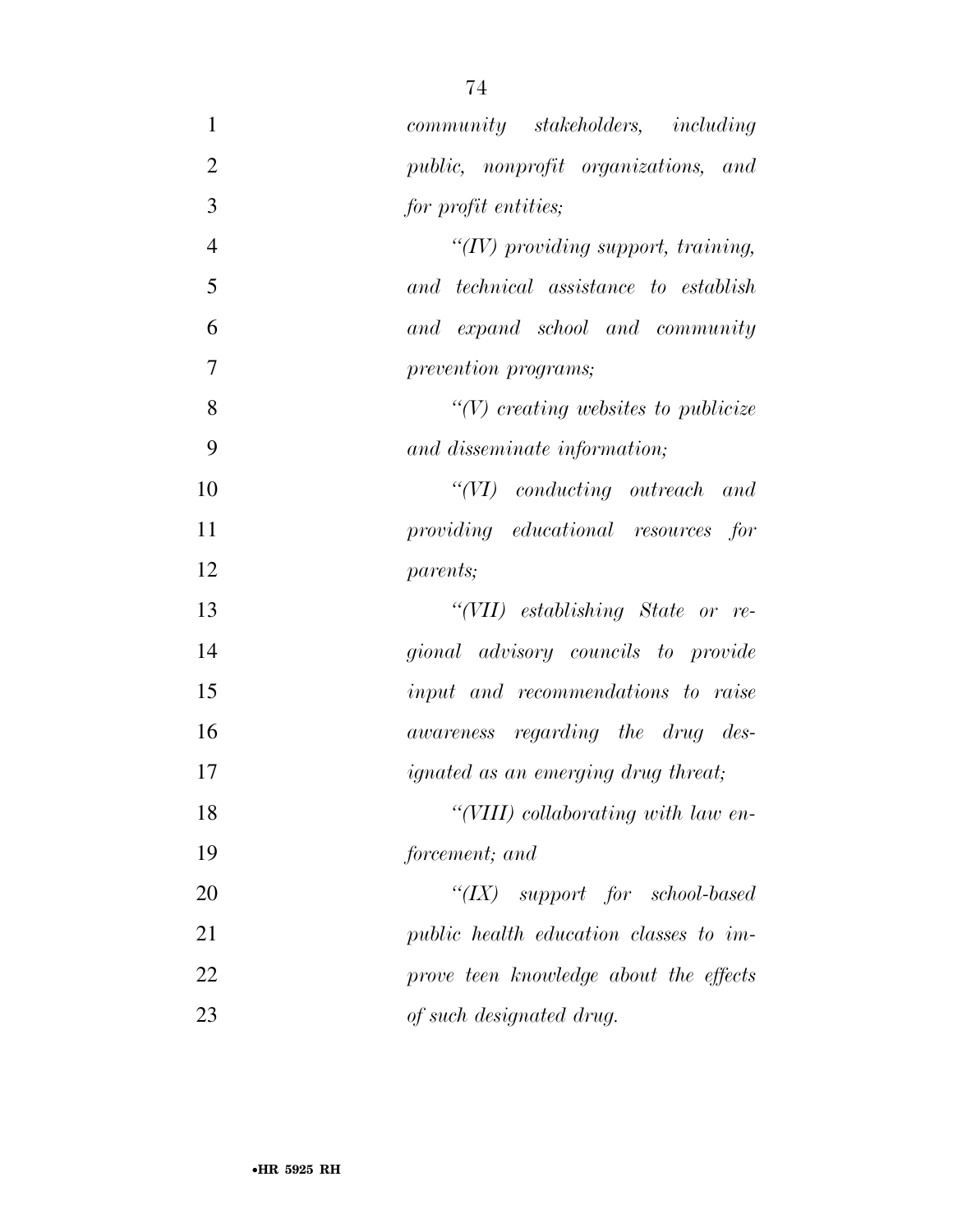| $\mathbf{1}$   | community stakeholders, including           |
|----------------|---------------------------------------------|
| $\overline{2}$ | public, nonprofit organizations, and        |
| 3              | for profit entities;                        |
| $\overline{4}$ | " $(IV)$ providing support, training,       |
| 5              | and technical assistance to establish       |
| 6              | and expand school and community             |
| $\tau$         | prevention programs;                        |
| 8              | $\lq (V)$ creating websites to publicize    |
| 9              | and disseminate information;                |
| 10             | $``(VI)$ conducting outreach and            |
| 11             | providing educational resources for         |
| 12             | <i>parents</i> ;                            |
| 13             | "(VII) establishing State or re-            |
| 14             | gional advisory councils to provide         |
| 15             | input and recommendations to raise          |
| 16             | awareness regarding the drug des-           |
| 17             | <i>ignated as an emerging drug threat</i> ; |
| 18             | "(VIII) collaborating with law en-          |
| 19             | forcement; and                              |
| 20             | " $(IX)$ support for school-based           |
| 21             | public health education classes to im-      |
| 22             | prove teen knowledge about the effects      |
| 23             | of such designated drug.                    |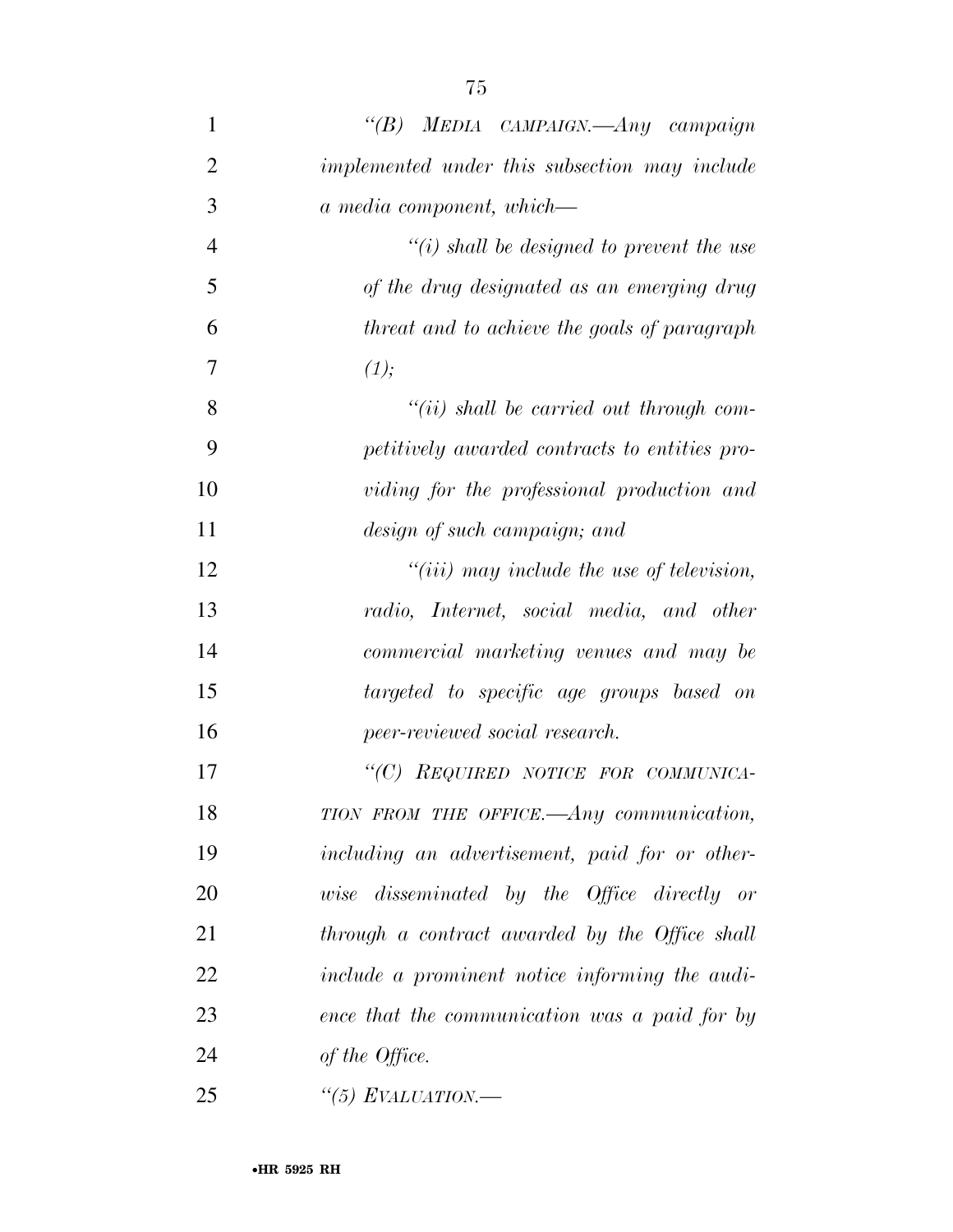| 1              | "(B) MEDIA CAMPAIGN.—Any campaign                |
|----------------|--------------------------------------------------|
| $\overline{2}$ | implemented under this subsection may include    |
| 3              | a media component, which—                        |
| $\overline{4}$ | $\lq\lq(i)$ shall be designed to prevent the use |
| 5              | of the drug designated as an emerging drug       |
| 6              | threat and to achieve the goals of paragraph     |
| 7              | (1);                                             |
| 8              | $``(ii)$ shall be carried out through com-       |
| 9              | petitively awarded contracts to entities pro-    |
| 10             | viding for the professional production and       |
| 11             | design of such campaign; and                     |
| 12             | $``(iii)$ may include the use of television,     |
| 13             | radio, Internet, social media, and other         |
| 14             | commercial marketing venues and may be           |
| 15             | targeted to specific age groups based on         |
| 16             | peer-reviewed social research.                   |
| 17             | "(C) REQUIRED NOTICE FOR COMMUNICA-              |
| 18             | TION FROM THE OFFICE. Any communication,         |
| 19             | including an advertisement, paid for or other-   |
| 20             | wise disseminated by the Office directly or      |
| 21             | through a contract awarded by the Office shall   |
| 22             | include a prominent notice informing the audi-   |
| 23             | ence that the communication was a paid for by    |

*of the Office.* 

*''(5) EVALUATION.—*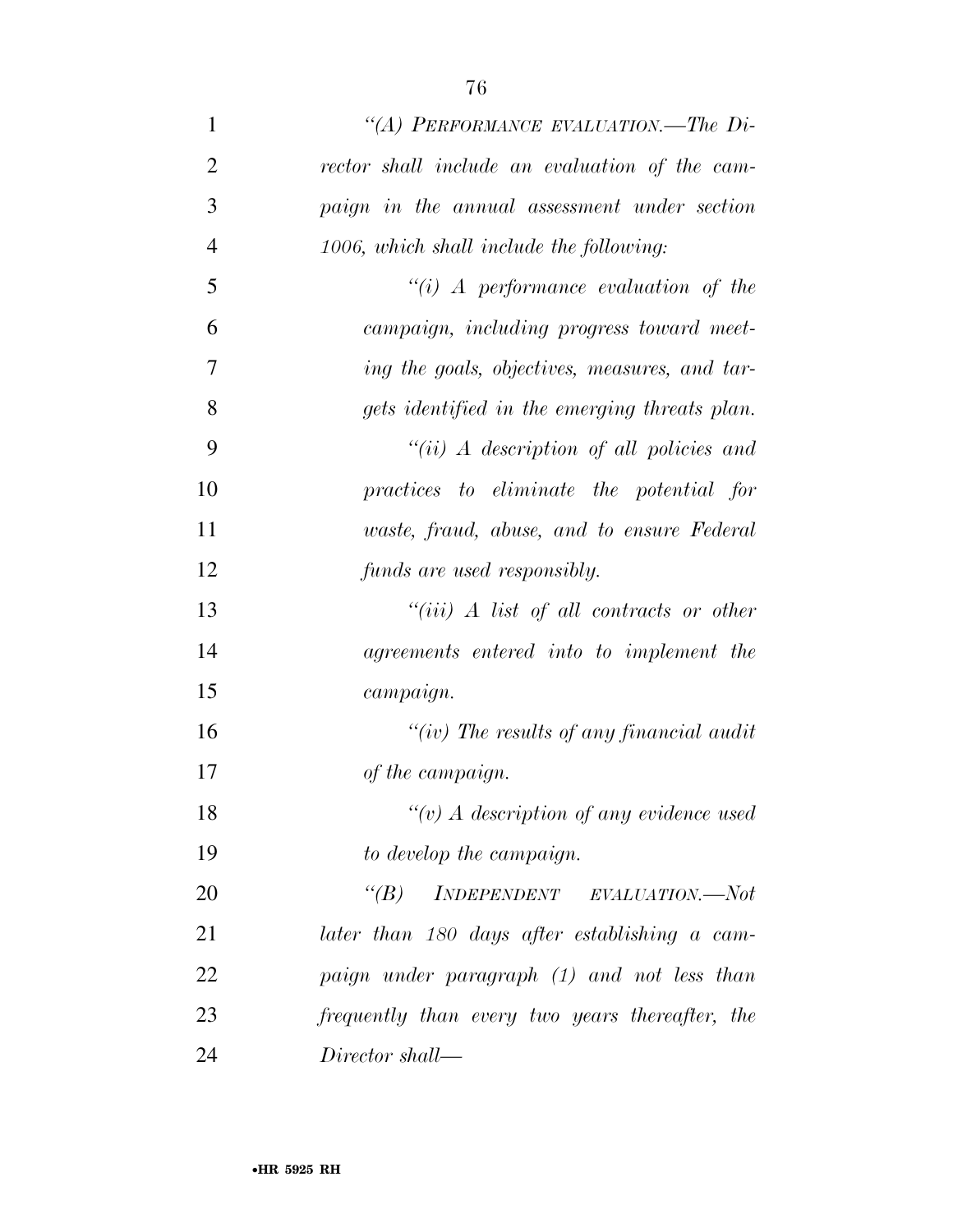| $\mathbf{1}$   | "(A) PERFORMANCE EVALUATION.—The Di-                                                                                    |
|----------------|-------------------------------------------------------------------------------------------------------------------------|
| $\overline{2}$ | rector shall include an evaluation of the cam-                                                                          |
| 3              | paign in the annual assessment under section                                                                            |
| $\overline{4}$ | 1006, which shall include the following:                                                                                |
| 5              | "(i) A performance evaluation of the                                                                                    |
| 6              | campaign, including progress toward meet-                                                                               |
| 7              | ing the goals, objectives, measures, and tar-                                                                           |
| 8              | gets identified in the emerging threats plan.                                                                           |
| 9              | $``(ii)$ A description of all policies and                                                                              |
| 10             | practices to eliminate the potential for                                                                                |
| 11             | waste, fraud, abuse, and to ensure Federal                                                                              |
| 12             | funds are used responsibly.                                                                                             |
| 13             | "(iii) $A$ list of all contracts or other                                                                               |
| 14             | agreements entered into to implement the                                                                                |
| 15             | campaign.                                                                                                               |
| 16             | "(iv) The results of any financial audit                                                                                |
| 17             | of the campaign.                                                                                                        |
| 18             | $``(v)$ A description of any evidence used                                                                              |
| 19             | to develop the campaign.                                                                                                |
| 20             | $\begin{minipage}{0.9\linewidth} \textit{INDEPENDENT} & \textit{EVALUATION}.\textit{---Not} \end{minipage}$<br>$\lq(B)$ |
| 21             | later than 180 days after establishing a cam-                                                                           |
| 22             | paign under paragraph (1) and not less than                                                                             |
| 23             | frequently than every two years thereafter, the                                                                         |
| 24             | Director shall—                                                                                                         |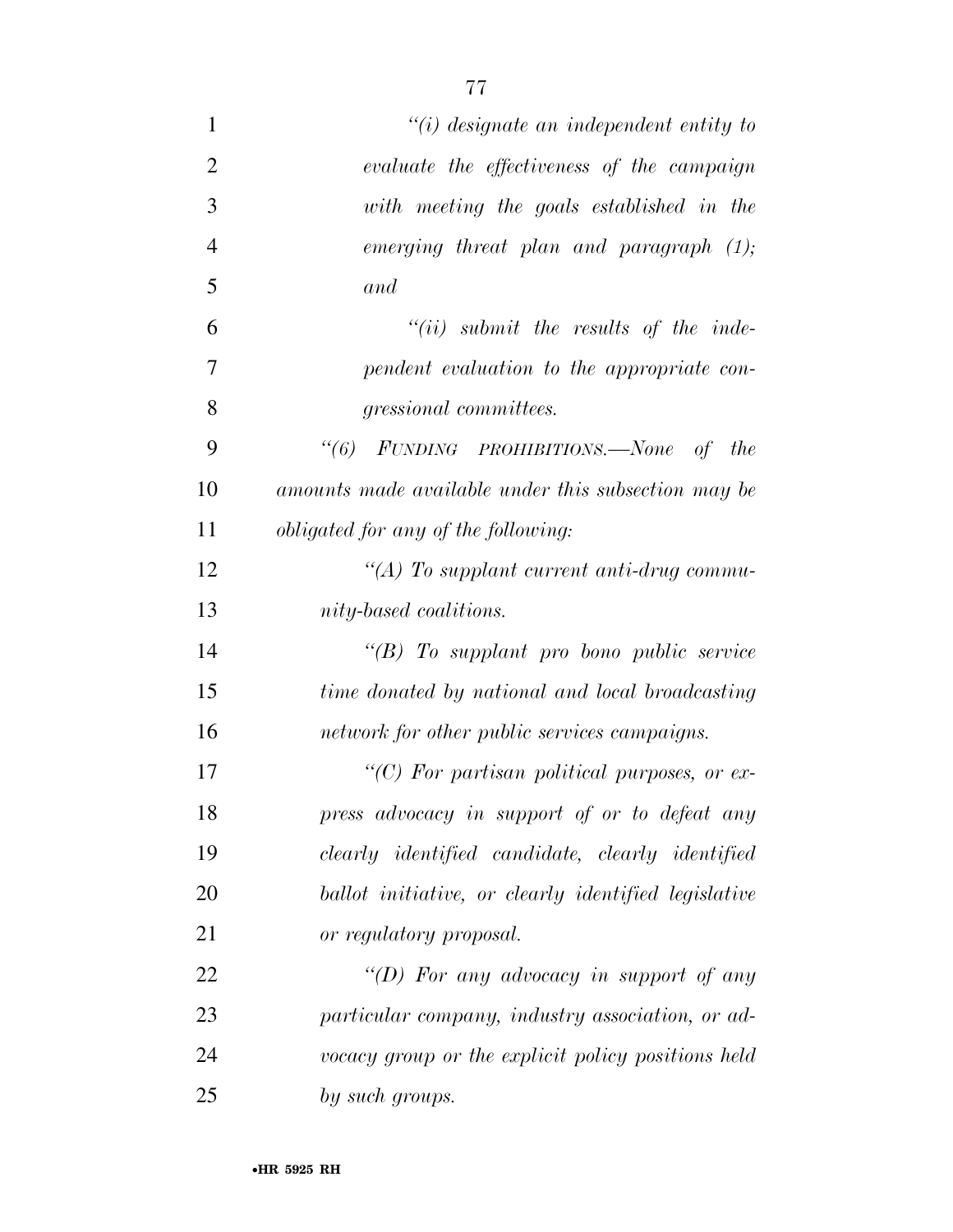| $\mathbf{1}$   | $"(i)$ designate an independent entity to            |
|----------------|------------------------------------------------------|
| $\overline{2}$ | evaluate the effectiveness of the campaign           |
| 3              | with meeting the goals established in the            |
| $\overline{4}$ | emerging threat plan and paragraph $(1)$ ;           |
| 5              | and                                                  |
| 6              | $``(ii)$ submit the results of the inde-             |
| $\overline{7}$ | pendent evaluation to the appropriate con-           |
| 8              | <i>gressional committees.</i>                        |
| 9              | "(6) FUNDING PROHIBITIONS.—None of<br>the            |
| 10             | amounts made available under this subsection may be  |
| 11             | <i>obligated for any of the following:</i>           |
| 12             | "(A) To supplant current anti-drug commu-            |
| 13             | nity-based coalitions.                               |
| 14             | $\lq\lq B$ To supplant pro bono public service       |
| 15             | time donated by national and local broadcasting      |
| 16             | network for other public services campaigns.         |
| 17             | "(C) For partisan political purposes, or ex-         |
| 18             | press advocacy in support of or to defeat any        |
| 19             | clearly identified candidate, clearly identified     |
| 20             | ballot initiative, or clearly identified legislative |
| 21             | or regulatory proposal.                              |
| 22             | "(D) For any advocacy in support of any              |
| 23             | particular company, industry association, or ad-     |
| 24             | vocacy group or the explicit policy positions held   |
| 25             | by such groups.                                      |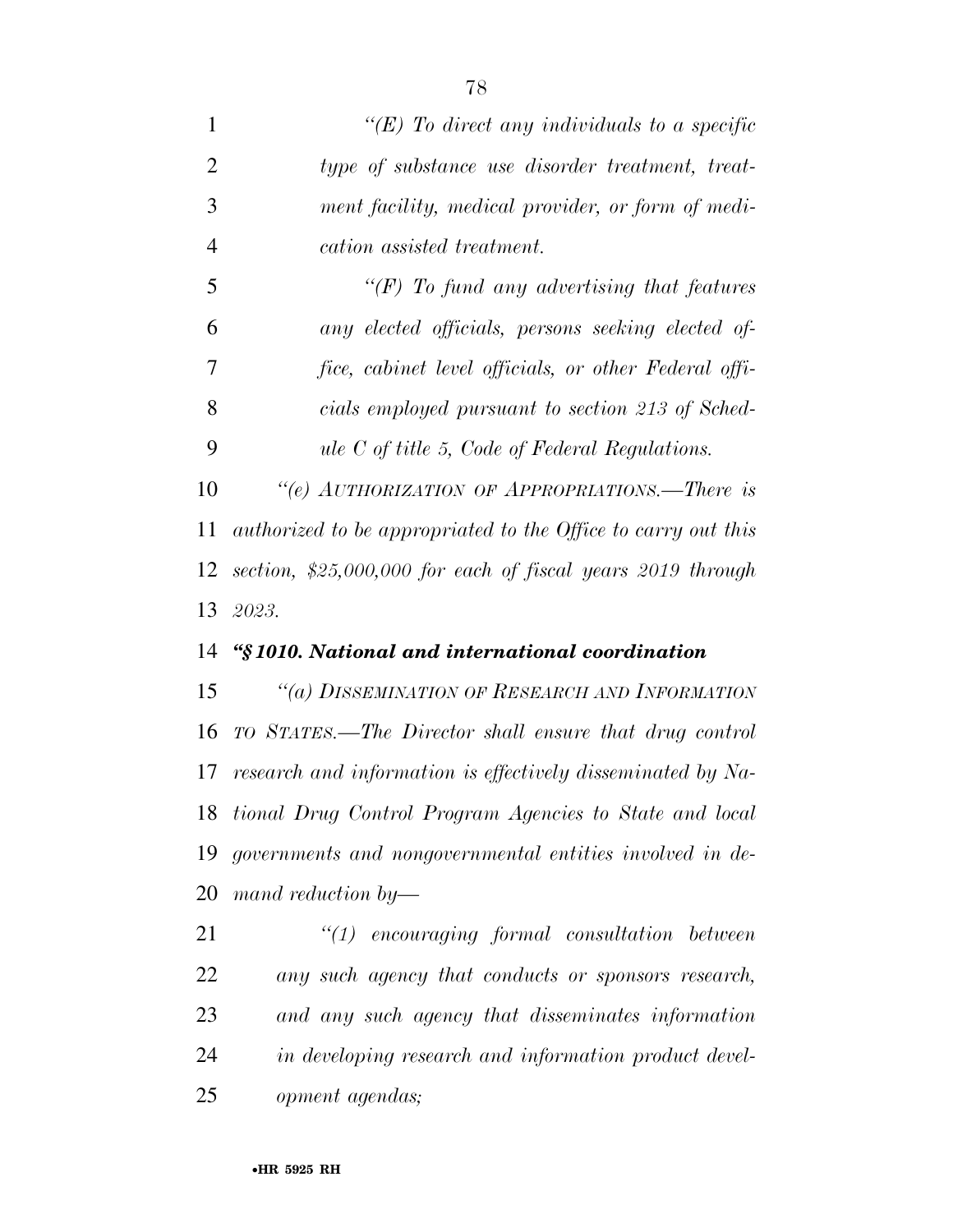| $\mathbf{1}$   | "(E) To direct any individuals to a specific                   |
|----------------|----------------------------------------------------------------|
| $\overline{2}$ | type of substance use disorder treatment, treat-               |
| 3              | ment facility, medical provider, or form of medi-              |
| $\overline{4}$ | cation assisted treatment.                                     |
| 5              | $\lq (F)$ To fund any advertising that features                |
| 6              | any elected officials, persons seeking elected of-             |
| 7              | fice, cabinet level officials, or other Federal offi-          |
| 8              | cials employed pursuant to section 213 of Sched-               |
| 9              | ule $C$ of title 5, Code of Federal Regulations.               |
| 10             | "(e) AUTHORIZATION OF APPROPRIATIONS.—There is                 |
| 11             | authorized to be appropriated to the Office to carry out this  |
| 12             | section, $$25,000,000$ for each of fiscal years $2019$ through |
| 13             | 2023.                                                          |
| 14             | "§1010. National and international coordination                |
| 15             | "(a) DISSEMINATION OF RESEARCH AND INFORMATION                 |
| 16             | TO STATES.—The Director shall ensure that drug control         |
| 17             | research and information is effectively disseminated by Na-    |
|                | 18 tional Drug Control Program Agencies to State and local     |
| 19             | governments and nongovernmental entities involved in de-       |
| 20             | mand reduction by-                                             |
| 21             | $\lq(1)$ encouraging formal consultation between               |
| 22             | any such agency that conducts or sponsors research,            |

*in developing research and information product devel-*

*and any such agency that disseminates information* 

*opment agendas;*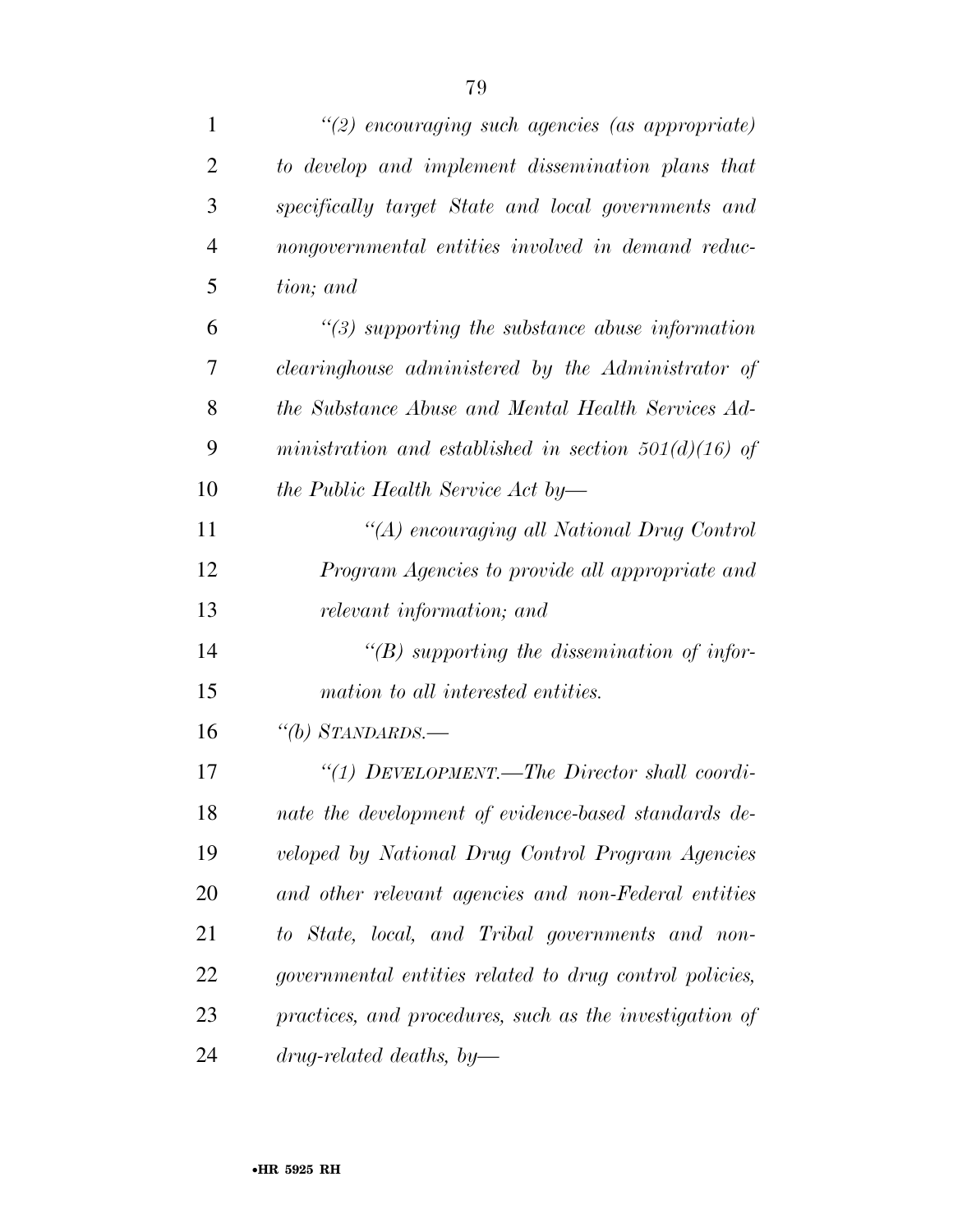| $\mathbf{1}$   | $\lq(2)$ encouraging such agencies (as appropriate)     |
|----------------|---------------------------------------------------------|
| $\overline{2}$ | to develop and implement dissemination plans that       |
| 3              | specifically target State and local governments and     |
| $\overline{4}$ | nongovernmental entities involved in demand reduc-      |
| 5              | tion; and                                               |
| 6              | $\lq(3)$ supporting the substance abuse information     |
| 7              | clearinghouse administered by the Administrator of      |
| 8              | the Substance Abuse and Mental Health Services Ad-      |
| 9              | ministration and established in section $501(d)(16)$ of |
| 10             | the Public Health Service Act by-                       |
| 11             | "(A) encouraging all National Drug Control              |
| 12             | Program Agencies to provide all appropriate and         |
| 13             | relevant information; and                               |
| 14             | "(B) supporting the dissemination of infor-             |
| 15             | mation to all interested entities.                      |
| 16             | "(b) STANDARDS.-                                        |
| 17             | "(1) $D$ EVELOPMENT.—The Director shall coordi-         |
| 18             | nate the development of evidence-based standards de-    |
| 19             | veloped by National Drug Control Program Agencies       |
| 20             | and other relevant agencies and non-Federal entities    |
| 21             | to State, local, and Tribal governments and non-        |
| 22             | governmental entities related to drug control policies, |
| 23             | practices, and procedures, such as the investigation of |
| 24             | $drug-related$ deaths, by-                              |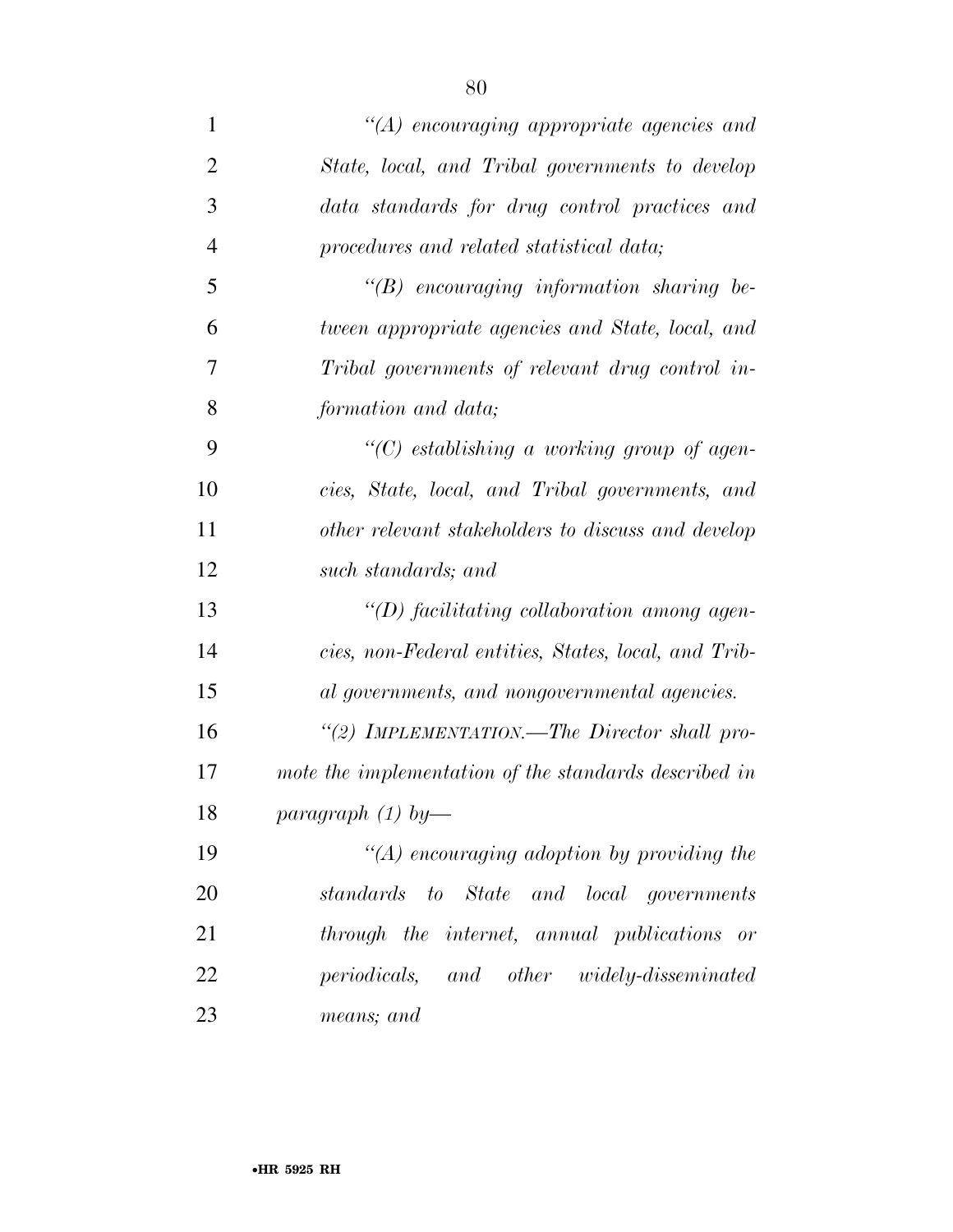| $\mathbf{1}$   | $"(A)$ encouraging appropriate agencies and           |
|----------------|-------------------------------------------------------|
| $\overline{2}$ | State, local, and Tribal governments to develop       |
| 3              | data standards for drug control practices and         |
| 4              | procedures and related statistical data;              |
| 5              | $\lq\lq B$ encouraging information sharing be-        |
| 6              | tween appropriate agencies and State, local, and      |
| 7              | Tribal governments of relevant drug control in-       |
| 8              | formation and data;                                   |
| 9              | $\lq\lq C$ establishing a working group of agen-      |
| 10             | cies, State, local, and Tribal governments, and       |
| 11             | other relevant stakeholders to discuss and develop    |
| 12             | such standards; and                                   |
| 13             | $\lq (D)$ facilitating collaboration among agen-      |
| 14             | cies, non-Federal entities, States, local, and Trib-  |
| 15             | al governments, and nongovernmental agencies.         |
| 16             | "(2) IMPLEMENTATION.—The Director shall pro-          |
| 17             | mote the implementation of the standards described in |
| 18             | paragraph $(1)$ by-                                   |
| 19             | $\lq (A)$ encouraging adoption by providing the       |
| 20             | standards to State and local governments              |
| 21             | through the internet, annual publications or          |
| 22             | periodicals, and other widely-disseminated            |
| 23             | means; and                                            |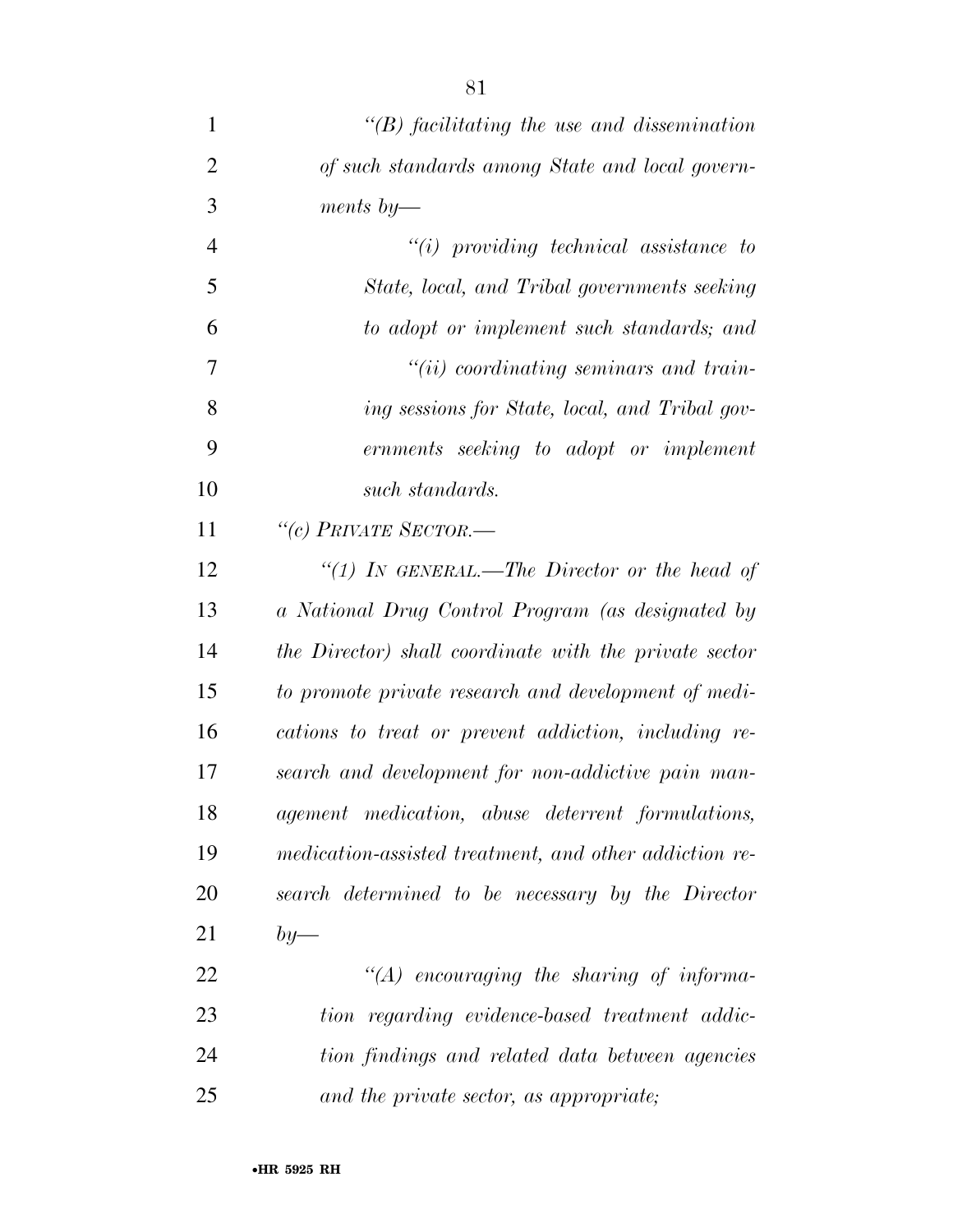| $\mathbf{1}$   | $\lq\lq B$ facilitating the use and dissemination      |
|----------------|--------------------------------------------------------|
| $\overline{2}$ | of such standards among State and local govern-        |
| 3              | ments $\mathit{by}$ —                                  |
| $\overline{4}$ | $``(i)$ providing technical assistance to              |
| 5              | State, local, and Tribal governments seeking           |
| 6              | to adopt or implement such standards; and              |
| 7              | $"(ii)$ coordinating seminars and train-               |
| 8              | ing sessions for State, local, and Tribal gov-         |
| 9              | ernments seeking to adopt or implement                 |
| 10             | such standards.                                        |
| 11             | "(c) PRIVATE SECTOR.—                                  |
| 12             | "(1) In GENERAL.—The Director or the head of           |
| 13             | a National Drug Control Program (as designated by      |
| 14             | the Director) shall coordinate with the private sector |
| 15             | to promote private research and development of medi-   |
| 16             | cations to treat or prevent addiction, including re-   |
| 17             | search and development for non-addictive pain man-     |
| 18             | agement medication, abuse deterrent formulations,      |
| 19             | medication-assisted treatment, and other addiction re- |
| 20             | search determined to be necessary by the Director      |
| 21             | $by-$                                                  |
| 22             | $\lq\lq (A)$ encouraging the sharing of informa-       |
| 23             | tion regarding evidence-based treatment addic-         |
| 24             | tion findings and related data between agencies        |
| 25             | and the private sector, as appropriate;                |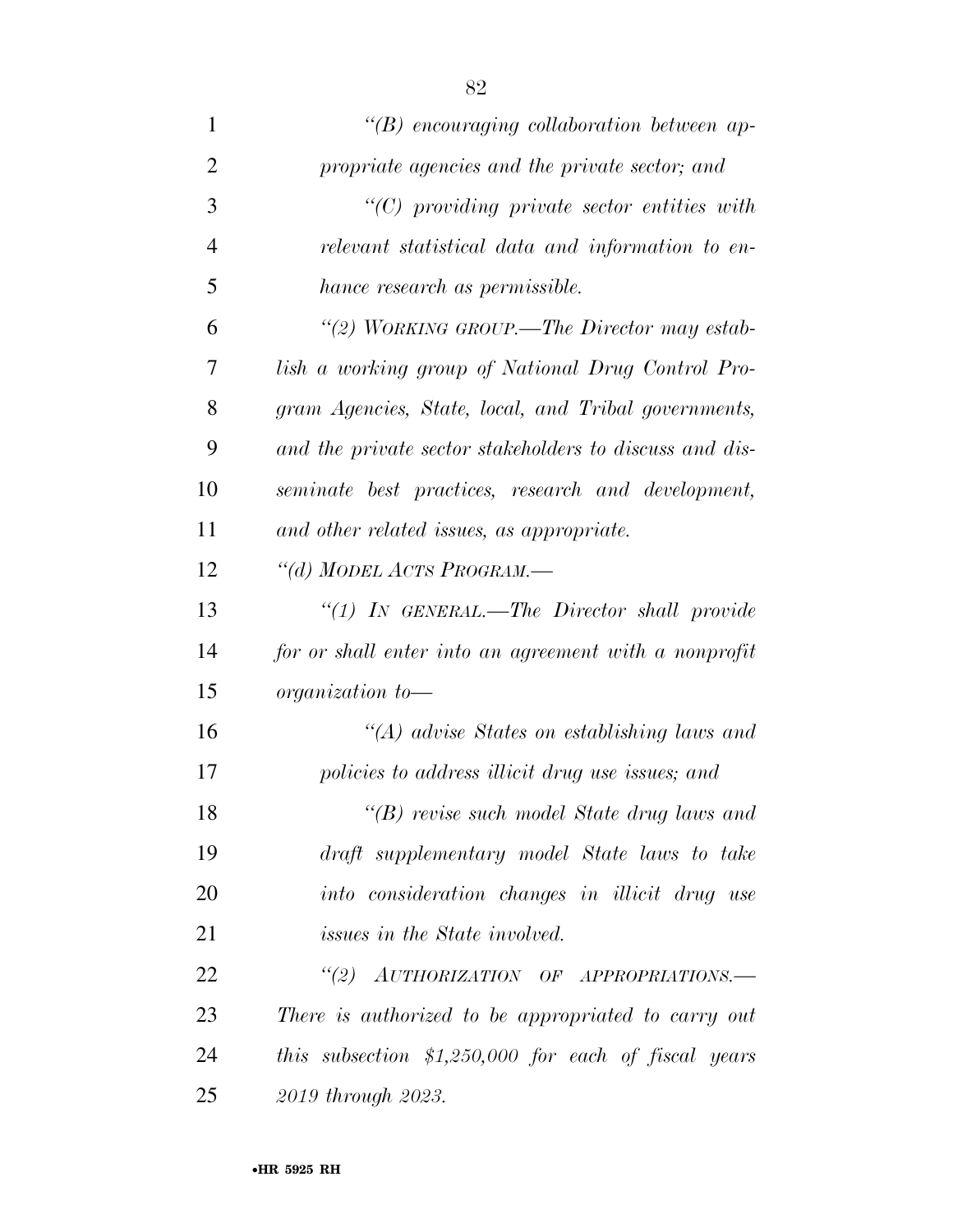| 1              | $\lq\lq(B)$ encouraging collaboration between ap-       |
|----------------|---------------------------------------------------------|
| $\overline{2}$ | propriate agencies and the private sector; and          |
| 3              | $"(C)$ providing private sector entities with           |
| $\overline{4}$ | relevant statistical data and information to en-        |
| 5              | hance research as permissible.                          |
| 6              | "(2) WORKING GROUP.—The Director may estab-             |
| 7              | lish a working group of National Drug Control Pro-      |
| 8              | gram Agencies, State, local, and Tribal governments,    |
| 9              | and the private sector stakeholders to discuss and dis- |
| 10             | seminate best practices, research and development,      |
| 11             | and other related issues, as appropriate.               |
| 12             | "(d) MODEL ACTS PROGRAM.-                               |
| 13             | "(1) IN GENERAL.—The Director shall provide             |
| 14             | for or shall enter into an agreement with a nonprofit   |
| 15             | organization to-                                        |
| 16             | $\lq (A)$ advise States on establishing laws and        |
| 17             | policies to address illicit drug use issues; and        |
| 18             | $\lq\lq(B)$ revise such model State drug laws and       |
| 19             | draft supplementary model State laws to take            |
| 20             | into consideration changes in illicit drug use          |
| 21             | issues in the State involved.                           |
| 22             | (2)<br>AUTHORIZATION OF APPROPRIATIONS.-                |
| 23             | There is authorized to be appropriated to carry out     |
| 24             | this subsection $$1,250,000$ for each of fiscal years   |
| 25             | 2019 through 2023.                                      |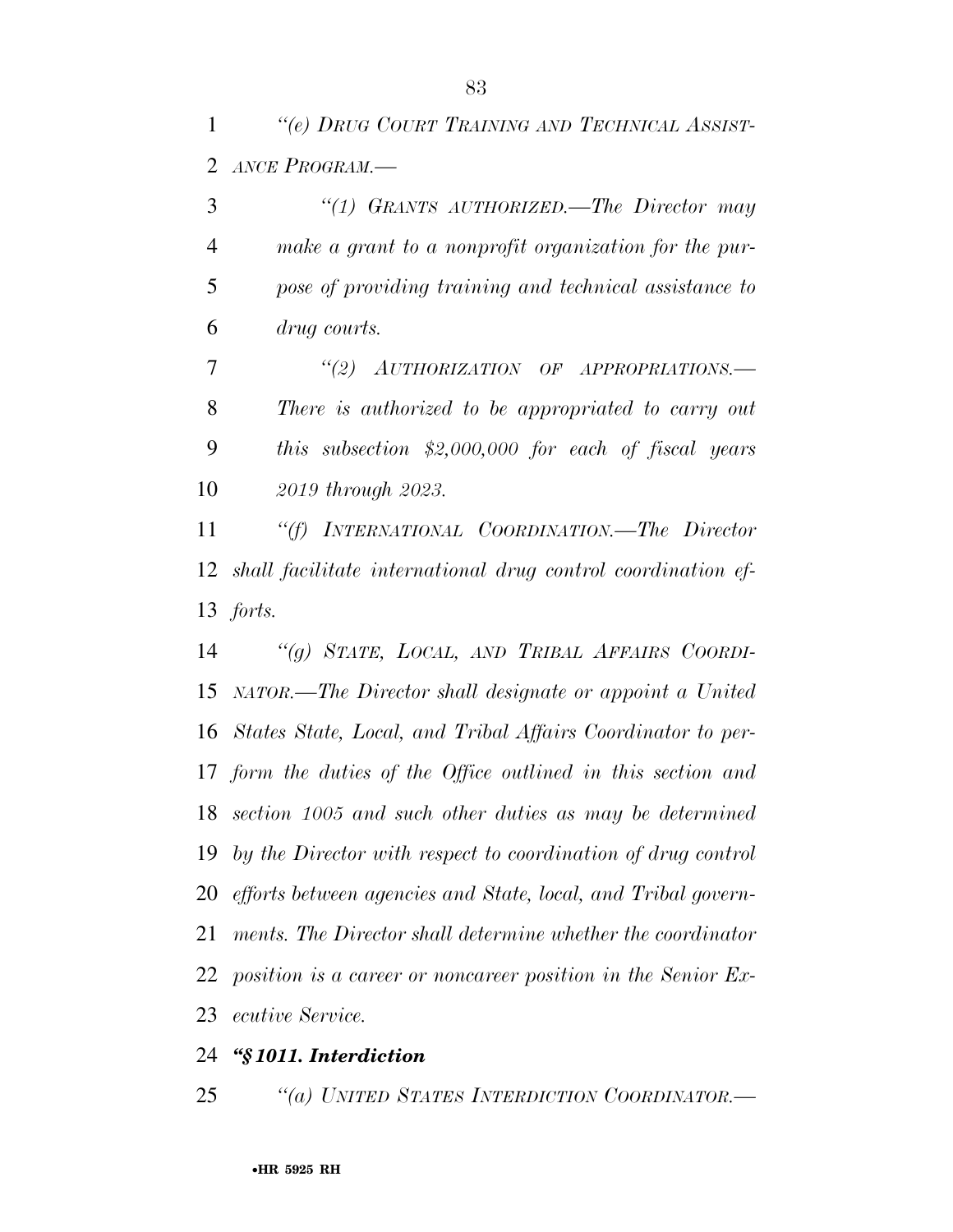*''(e) DRUG COURT TRAINING AND TECHNICAL ASSIST-ANCE PROGRAM.—* 

 *''(1) GRANTS AUTHORIZED.—The Director may make a grant to a nonprofit organization for the pur- pose of providing training and technical assistance to drug courts.* 

 *''(2) AUTHORIZATION OF APPROPRIATIONS.— There is authorized to be appropriated to carry out this subsection \$2,000,000 for each of fiscal years 2019 through 2023.* 

 *''(f) INTERNATIONAL COORDINATION.—The Director shall facilitate international drug control coordination ef-forts.* 

 *''(g) STATE, LOCAL, AND TRIBAL AFFAIRS COORDI- NATOR.—The Director shall designate or appoint a United States State, Local, and Tribal Affairs Coordinator to per- form the duties of the Office outlined in this section and section 1005 and such other duties as may be determined by the Director with respect to coordination of drug control efforts between agencies and State, local, and Tribal govern- ments. The Director shall determine whether the coordinator position is a career or noncareer position in the Senior Ex-ecutive Service.* 

## *''§ 1011. Interdiction*

*''(a) UNITED STATES INTERDICTION COORDINATOR.—*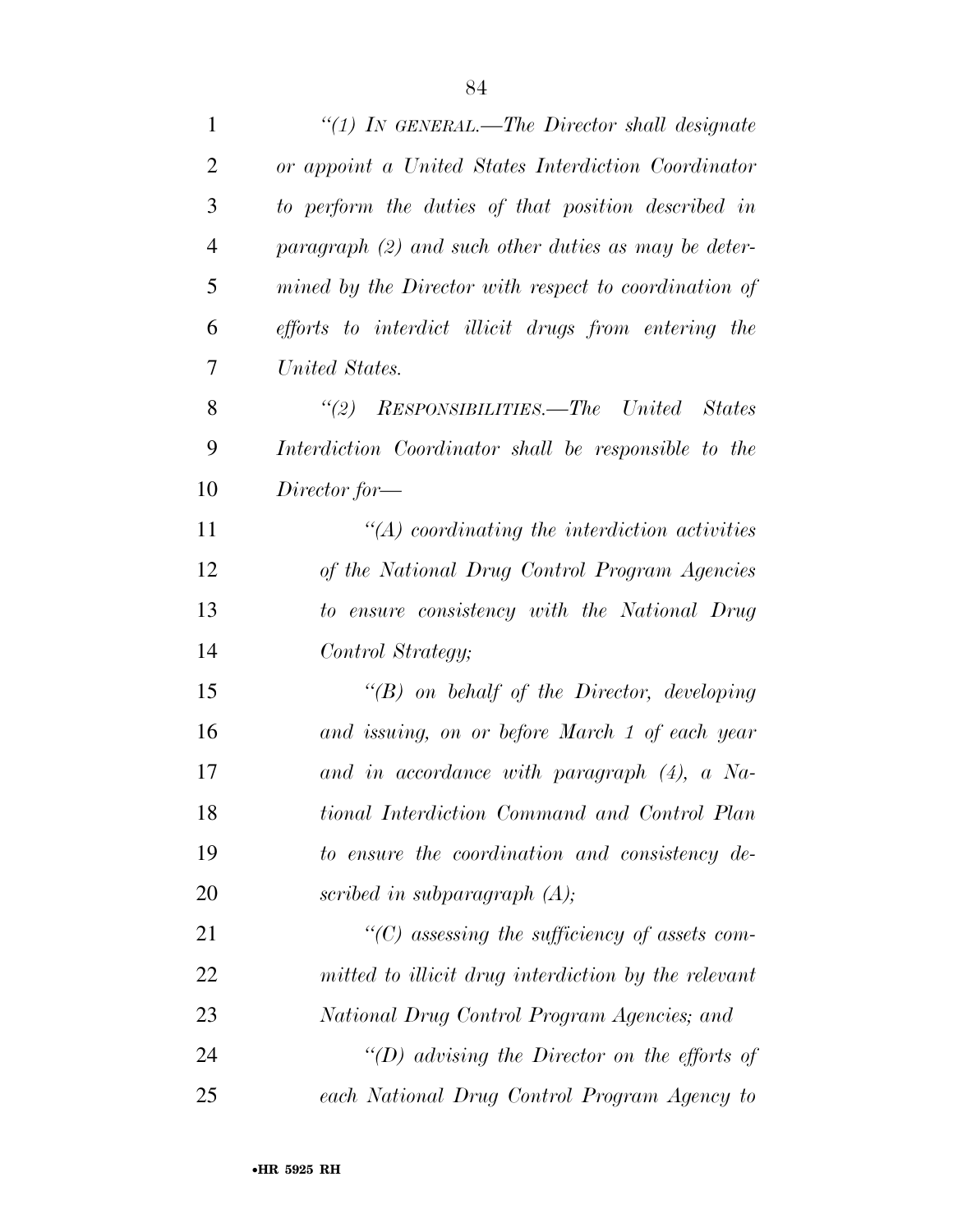| $\mathbf{1}$   | "(1) IN GENERAL.—The Director shall designate         |
|----------------|-------------------------------------------------------|
| $\overline{2}$ | or appoint a United States Interdiction Coordinator   |
| 3              | to perform the duties of that position described in   |
| $\overline{4}$ | $paramph (2)$ and such other duties as may be deter-  |
| 5              | mined by the Director with respect to coordination of |
| 6              | efforts to interdict illicit drugs from entering the  |
| 7              | United States.                                        |
| 8              | "(2) RESPONSIBILITIES.—The United<br>States           |
| 9              | Interdiction Coordinator shall be responsible to the  |
| 10             | $Director$ for —                                      |
| 11             | $\lq (A)$ coordinating the interdiction activities    |
| 12             | of the National Drug Control Program Agencies         |
| 13             | to ensure consistency with the National Drug          |
| 14             | Control Strategy;                                     |
| 15             | $\lq\lq(B)$ on behalf of the Director, developing     |
| 16             | and issuing, on or before March 1 of each year        |
| 17             | and in accordance with paragraph $(4)$ , a Na-        |
| 18             | tional Interdiction Command and Control Plan          |
| 19             | to ensure the coordination and consistency de-        |
| 20             | scribed in subparagraph $(A)$ ;                       |
| 21             | $\lq\lq$ consessing the sufficiency of assets com-    |
| 22             | mitted to illicit drug interdiction by the relevant   |
| 23             | National Drug Control Program Agencies; and           |
| 24             | "(D) advising the Director on the efforts of          |
| 25             | each National Drug Control Program Agency to          |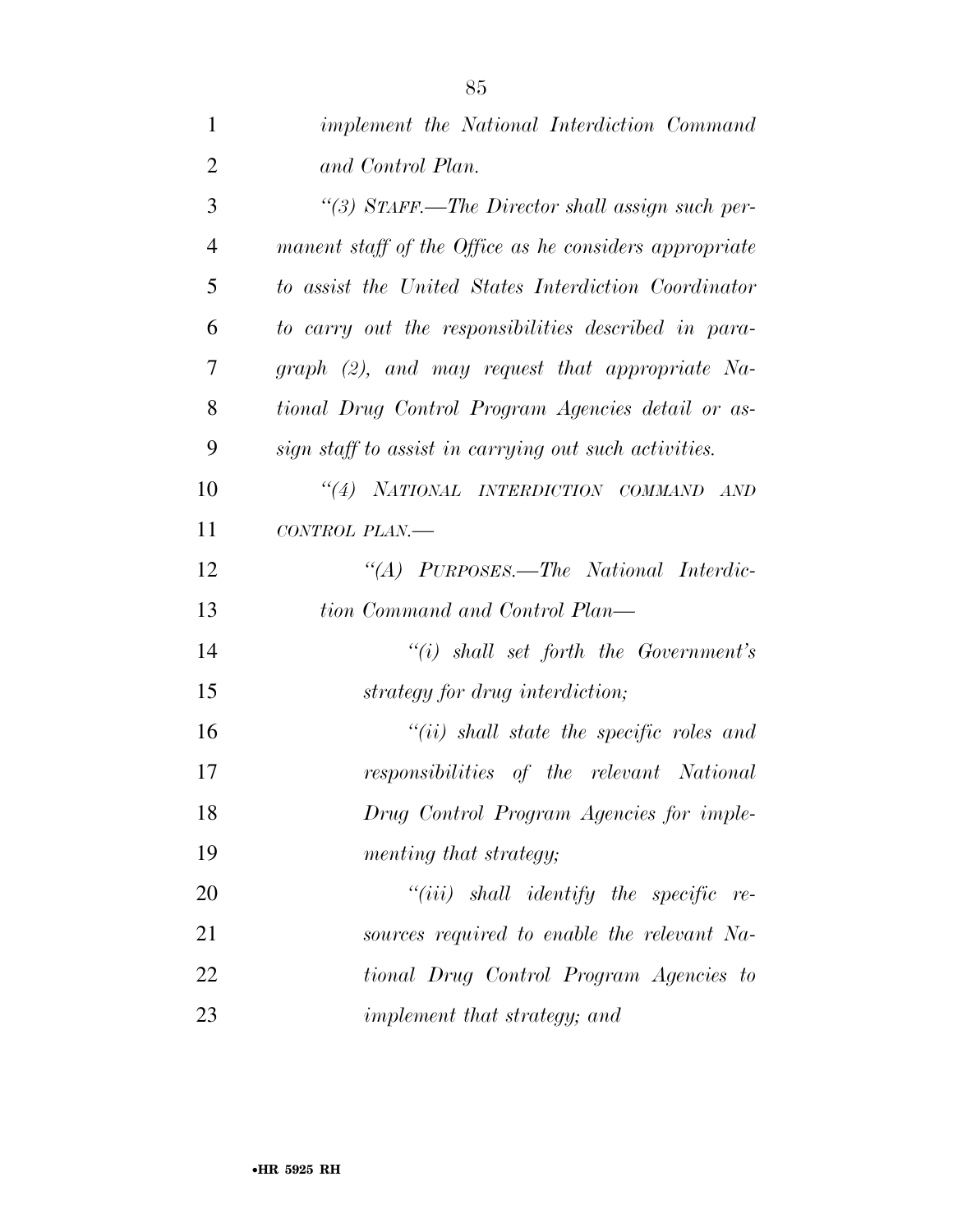| $\mathbf{1}$   | <i>implement the National Interdiction Command</i>     |
|----------------|--------------------------------------------------------|
| $\overline{2}$ | and Control Plan.                                      |
| 3              | "(3) STAFF.—The Director shall assign such per-        |
| $\overline{4}$ | manent staff of the Office as he considers appropriate |
| 5              | to assist the United States Interdiction Coordinator   |
| 6              | to carry out the responsibilities described in para-   |
| 7              | $graph$ (2), and may request that appropriate Na-      |
| 8              | tional Drug Control Program Agencies detail or as-     |
| 9              | sign staff to assist in carrying out such activities.  |
| 10             | "(4) NATIONAL INTERDICTION COMMAND AND                 |
| 11             | CONTROL PLAN.-                                         |
| 12             | "(A) PURPOSES.—The National Interdic-                  |
| 13             | tion Command and Control Plan—                         |
| 14             | $``(i)$ shall set forth the Government's               |
| 15             | strategy for drug interdiction;                        |
| 16             | $``(ii)$ shall state the specific roles and            |
| 17             | responsibilities of the relevant National              |
| 18             | Drug Control Program Agencies for imple-               |
| 19             | menting that strategy;                                 |
| 20             | $"(iii)$ shall identify the specific<br>$re-$          |
| 21             | sources required to enable the relevant Na-            |
| 22             | tional Drug Control Program Agencies to                |
| 23             | implement that strategy; and                           |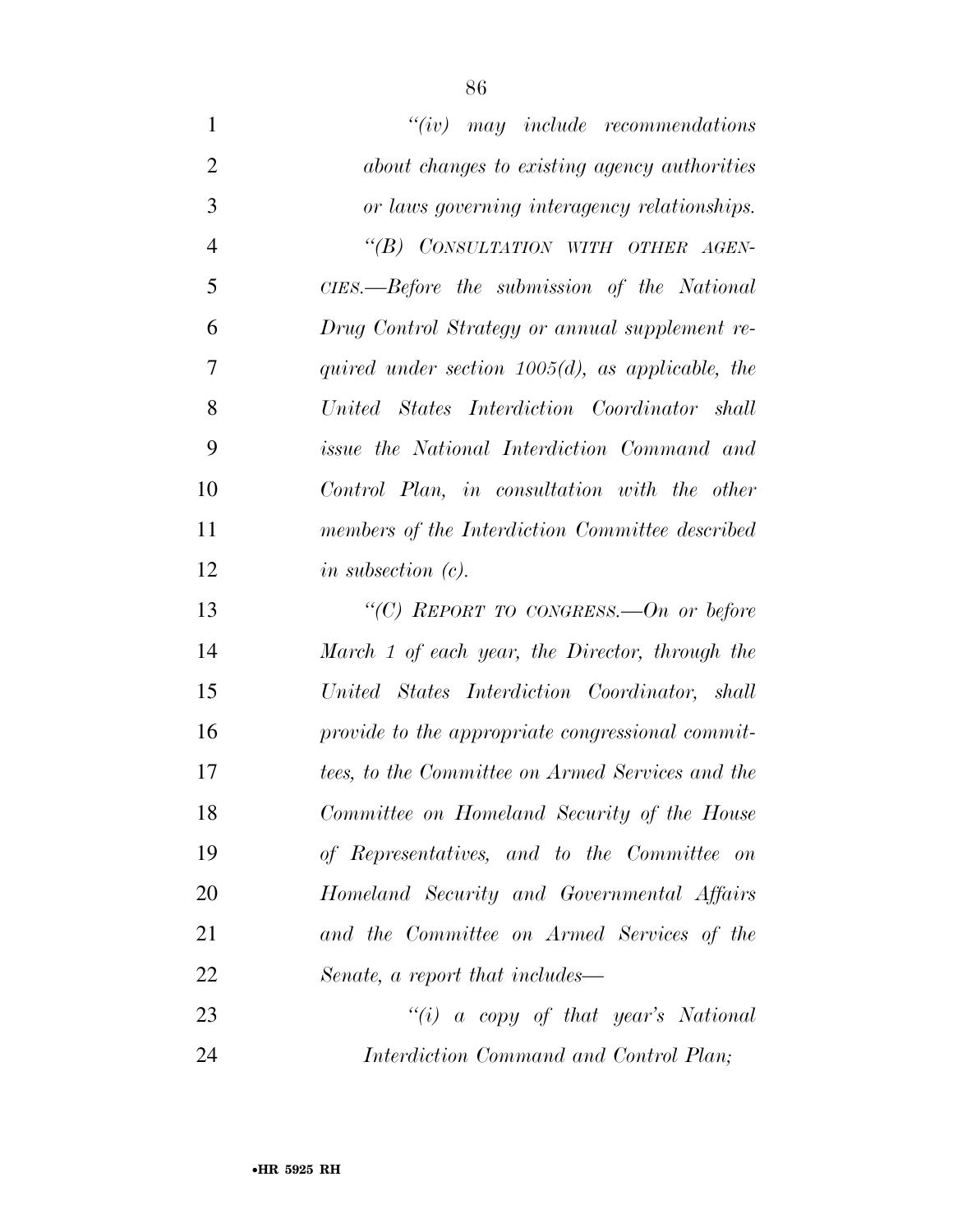| $\mathbf{1}$   | $``(iv)$ may include recommendations                |
|----------------|-----------------------------------------------------|
| $\overline{2}$ | about changes to existing agency authorities        |
| 3              | or laws governing interagency relationships.        |
| $\overline{4}$ | "(B) CONSULTATION WITH OTHER AGEN-                  |
| 5              | CIES.—Before the submission of the National         |
| 6              | Drug Control Strategy or annual supplement re-      |
| 7              | quired under section $1005(d)$ , as applicable, the |
| 8              | United States Interdiction Coordinator shall        |
| 9              | <i>issue the National Interdiction Command and</i>  |
| 10             | Control Plan, in consultation with the other        |
| 11             | members of the Interdiction Committee described     |
| 12             | in subsection $(c)$ .                               |
| 13             | "(C) REPORT TO CONGRESS.—On or before               |
| 14             | March 1 of each year, the Director, through the     |
| 15             | United States Interdiction Coordinator, shall       |
| 16             | provide to the appropriate congressional commit-    |
| 17             | tees, to the Committee on Armed Services and the    |
| 18             | Committee on Homeland Security of the House         |
| 19             | of Representatives, and to the Committee on         |
| 20             | Homeland Security and Governmental Affairs          |
| 21             | and the Committee on Armed Services of the          |
| 22             | Senate, a report that includes—                     |
| 23             | "(i) a copy of that year's National                 |
| 24             | Interdiction Command and Control Plan;              |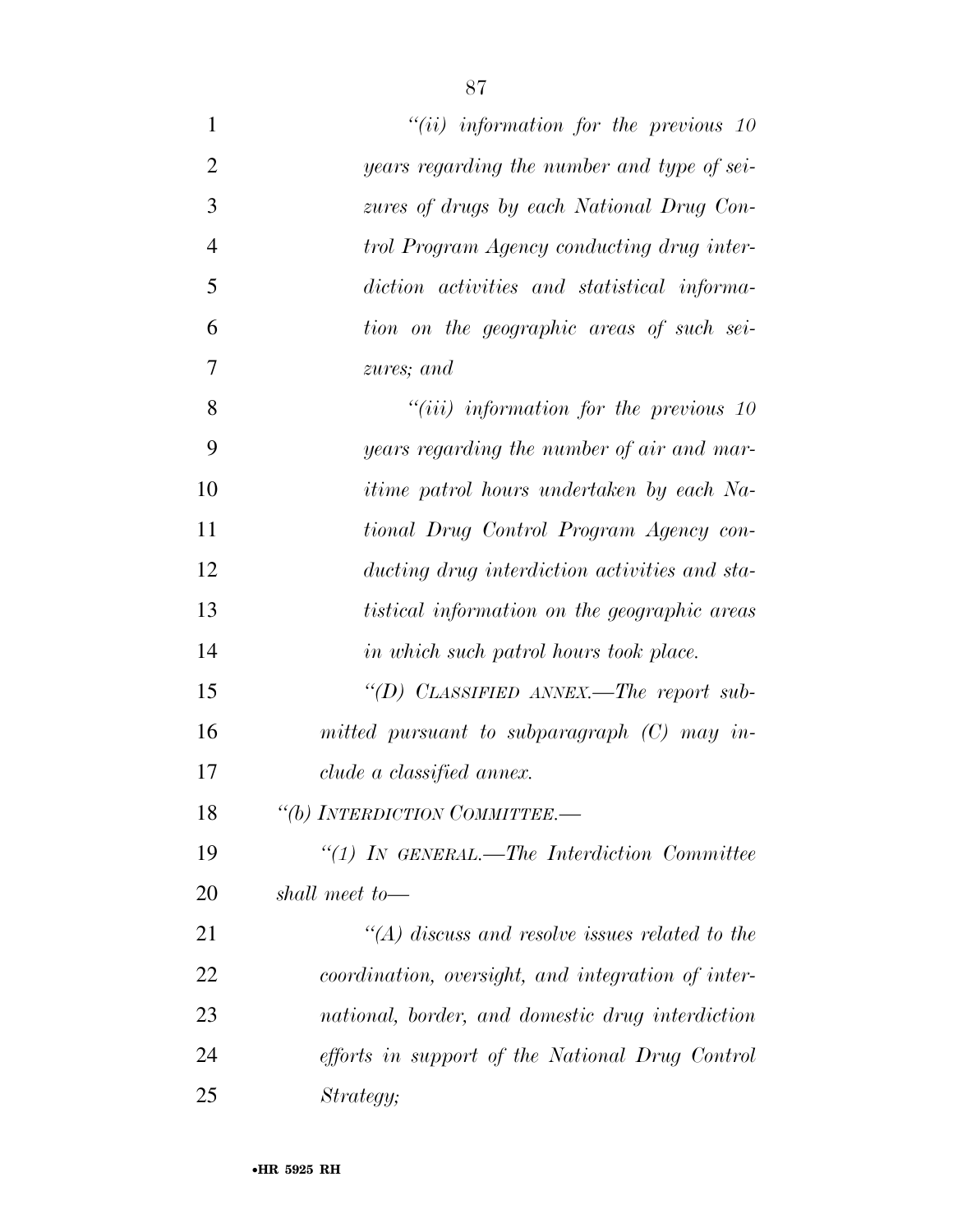| $\mathbf{1}$   | $``(ii)$ information for the previous 10            |
|----------------|-----------------------------------------------------|
| $\overline{2}$ | years regarding the number and type of sei-         |
| 3              | zures of drugs by each National Drug Con-           |
| $\overline{4}$ | trol Program Agency conducting drug inter-          |
| 5              | diction activities and statistical informa-         |
| 6              | tion on the geographic areas of such sei-           |
| $\overline{7}$ | zures; and                                          |
| 8              | $``(iii)$ information for the previous 10           |
| 9              | years regarding the number of air and mar-          |
| 10             | <i>itime patrol hours undertaken by each Na-</i>    |
| 11             | tional Drug Control Program Agency con-             |
| 12             | ducting drug interdiction activities and sta-       |
| 13             | <i>tistical information on the geographic areas</i> |
| 14             | in which such patrol hours took place.              |
| 15             | "(D) CLASSIFIED ANNEX.—The report sub-              |
| 16             | mitted pursuant to subparagraph $(C)$ may in-       |
| 17             | clude a classified annex.                           |
| 18             | "(b) INTERDICTION COMMITTEE.-                       |
| 19             | $\lq(1)$ In GENERAL.—The Interdiction Committee     |
| 20             | shall meet to—                                      |
| 21             | $\lq (A)$ discuss and resolve issues related to the |
| 22             | coordination, oversight, and integration of inter-  |
| 23             | national, border, and domestic drug interdiction    |
| 24             | efforts in support of the National Drug Control     |
| 25             | Strategy;                                           |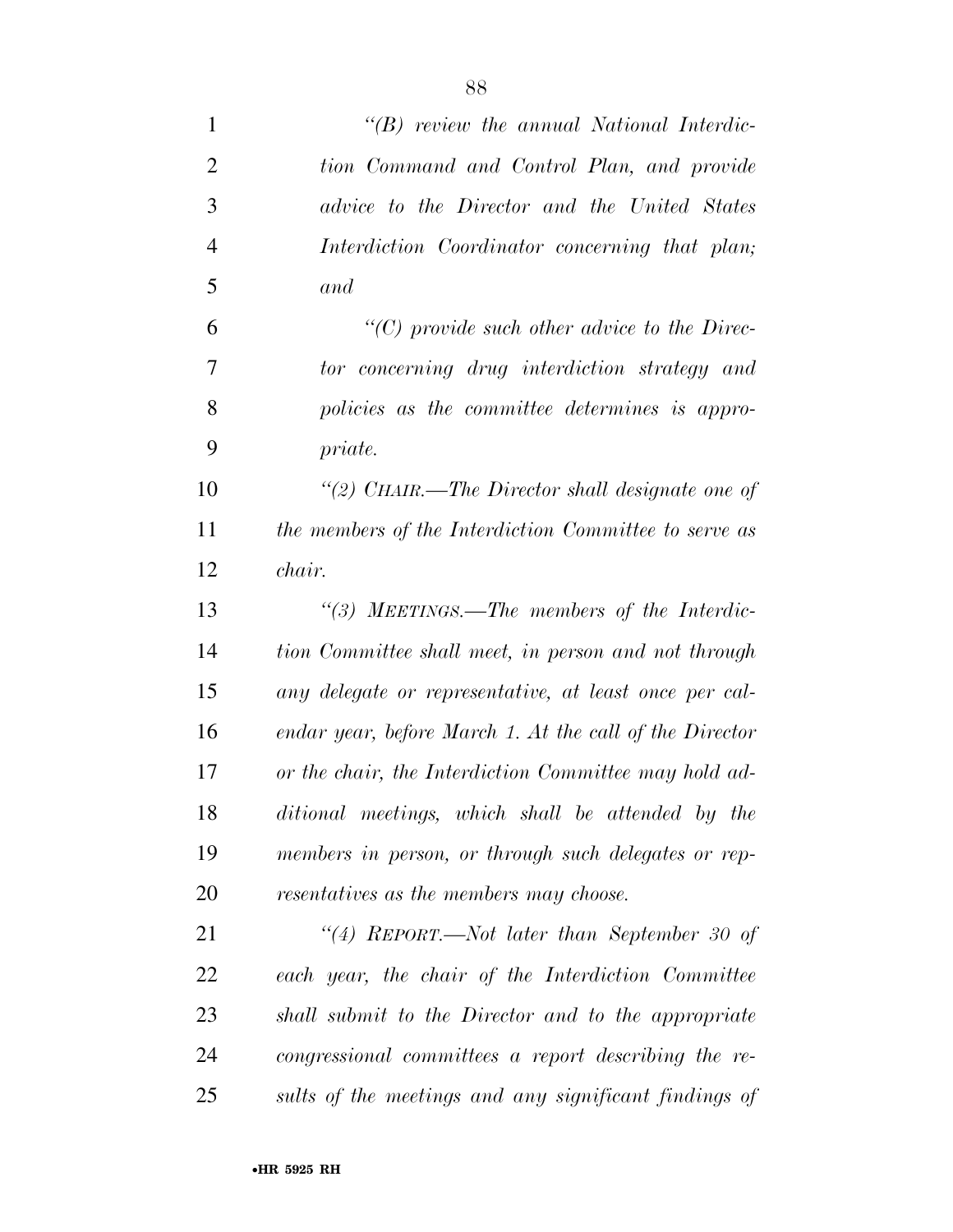| $\mathbf{1}$   | $\lq\lq B$ review the annual National Interdic-         |
|----------------|---------------------------------------------------------|
| $\overline{2}$ | tion Command and Control Plan, and provide              |
| 3              | advice to the Director and the United States            |
| $\overline{4}$ | Interdiction Coordinator concerning that plan;          |
| 5              | and                                                     |
| 6              | $\lq\lq$ (C) provide such other advice to the Direc-    |
| $\overline{7}$ | tor concerning drug interdiction strategy and           |
| 8              | policies as the committee determines is appro-          |
| 9              | priate.                                                 |
| 10             | "(2) CHAIR.—The Director shall designate one of         |
| 11             | the members of the Interdiction Committee to serve as   |
| 12             | chair.                                                  |
| 13             | "(3) MEETINGS.—The members of the Interdic-             |
| 14             | tion Committee shall meet, in person and not through    |
| 15             | any delegate or representative, at least once per cal-  |
| 16             | endar year, before March 1. At the call of the Director |
| 17             | or the chair, the Interdiction Committee may hold ad-   |
| 18             | ditional meetings, which shall be attended by the       |
| 19             | members in person, or through such delegates or rep-    |
| 20             | resentatives as the members may choose.                 |
| 21             | "(4) REPORT.—Not later than September 30 of             |
| 22             | each year, the chair of the Interdiction Committee      |
| 23             | shall submit to the Director and to the appropriate     |
| 24             | congressional committees a report describing the re-    |
| 25             | sults of the meetings and any significant findings of   |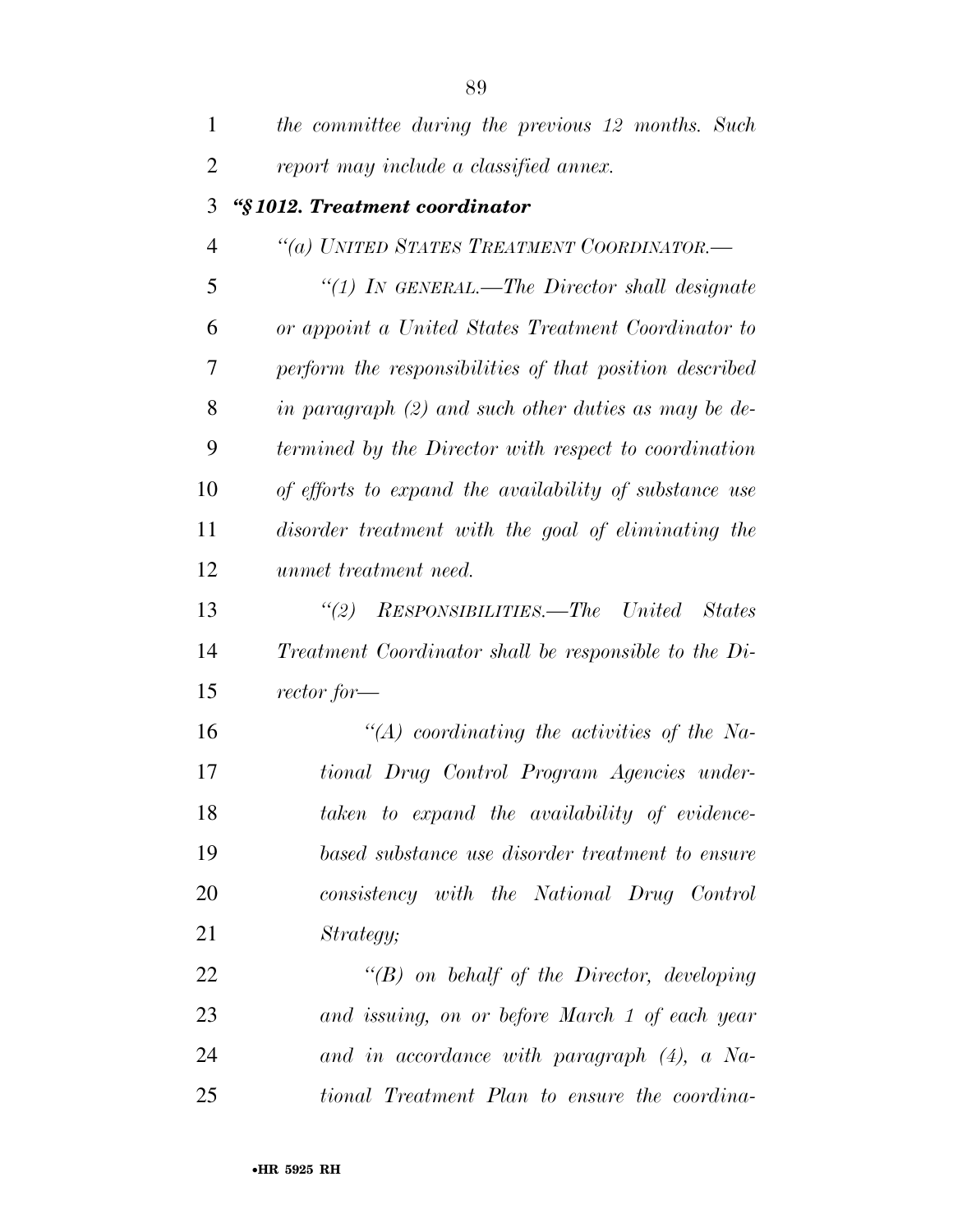| $\mathbf{1}$   | the committee during the previous 12 months. Such       |
|----------------|---------------------------------------------------------|
| $\overline{2}$ | report may include a classified annex.                  |
| 3              | "§1012. Treatment coordinator                           |
| 4              | "(a) UNITED STATES TREATMENT COORDINATOR.-              |
| 5              | "(1) IN GENERAL.—The Director shall designate           |
| 6              | or appoint a United States Treatment Coordinator to     |
| 7              | perform the responsibilities of that position described |
| 8              | in paragraph $(2)$ and such other duties as may be de-  |
| 9              | termined by the Director with respect to coordination   |
| 10             | of efforts to expand the availability of substance use  |
| 11             | disorder treatment with the goal of eliminating the     |
| 12             | unmet treatment need.                                   |
| 13             | (2)<br>RESPONSIBILITIES.—The United<br><b>States</b>    |
| 14             | Treatment Coordinator shall be responsible to the Di-   |
| 15             | $vector for -$                                          |
| 16             | $\lq (A)$ coordinating the activities of the Na-        |
| 17             | tional Drug Control Program Agencies under-             |
| 18             | taken to expand the availability of evidence-           |
| 19             | based substance use disorder treatment to ensure        |
| 20             | consistency with the National Drug Control              |
| 21             | Strategy;                                               |
| 22             | $\lq\lq(B)$ on behalf of the Director, developing       |
| 23             | and issuing, on or before March 1 of each year          |
| 24             | and in accordance with paragraph $(4)$ , a Na-          |
| 25             | tional Treatment Plan to ensure the coordina-           |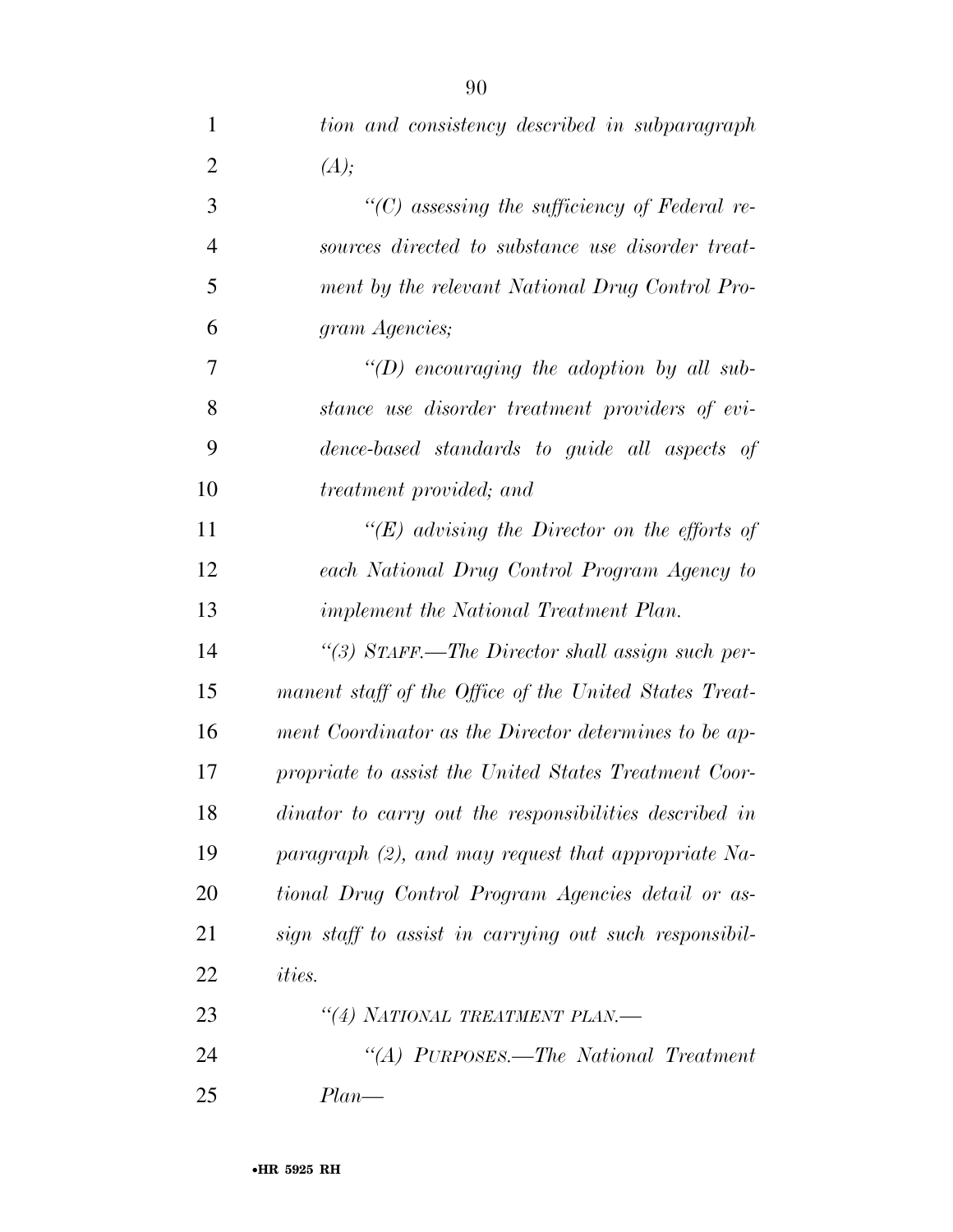| $\mathbf{1}$   | tion and consistency described in subparagraph         |
|----------------|--------------------------------------------------------|
| $\overline{2}$ | (A);                                                   |
| 3              | $"$ (C) assessing the sufficiency of Federal re-       |
| $\overline{4}$ | sources directed to substance use disorder treat-      |
| 5              | ment by the relevant National Drug Control Pro-        |
| 6              | gram Agencies;                                         |
| 7              | $\lq (D)$ encouraging the adoption by all sub-         |
| 8              | stance use disorder treatment providers of evi-        |
| 9              | dence-based standards to guide all aspects of          |
| 10             | treatment provided; and                                |
| 11             | "(E) advising the Director on the efforts of           |
| 12             | each National Drug Control Program Agency to           |
| 13             | <i>implement the National Treatment Plan.</i>          |
| 14             | "(3) STAFF.—The Director shall assign such per-        |
| 15             | manent staff of the Office of the United States Treat- |
| 16             | ment Coordinator as the Director determines to be ap-  |
| 17             | propriate to assist the United States Treatment Coor-  |
| 18             | dinator to carry out the responsibilities described in |
| 19             | paragraph (2), and may request that appropriate Na-    |
| 20             | tional Drug Control Program Agencies detail or as-     |
| 21             | sign staff to assist in carrying out such responsibil- |
| 22             | <i>ities.</i>                                          |
| 23             | "(4) NATIONAL TREATMENT PLAN.-                         |
| 24             | "(A) PURPOSES.—The National Treatment                  |
| 25             | $Plan$ —                                               |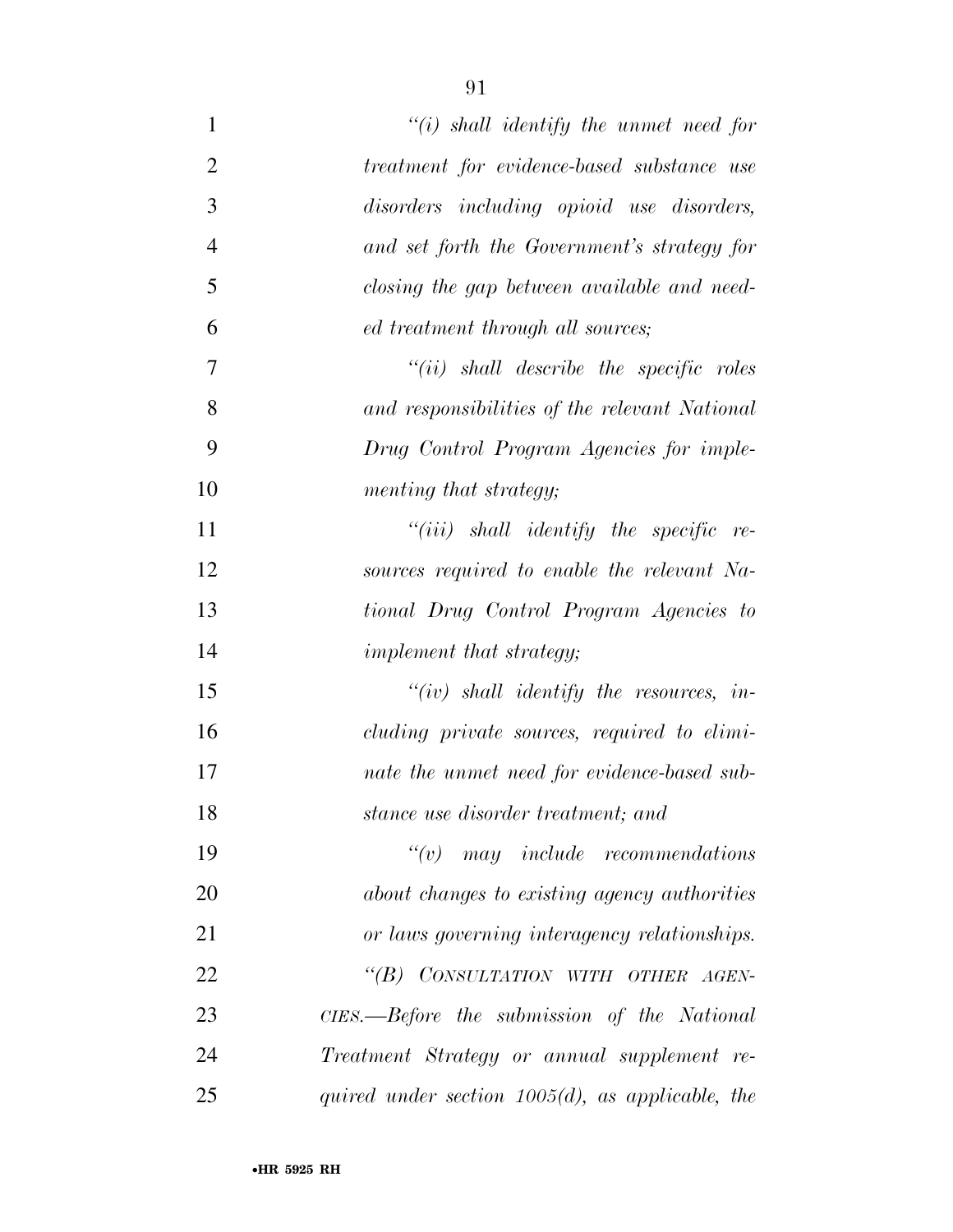| $\mathbf{1}$   | $\lq\lq(i)$ shall identify the unmet need for       |
|----------------|-----------------------------------------------------|
| $\overline{2}$ | treatment for evidence-based substance use          |
| 3              | disorders including opioid use disorders,           |
| $\overline{4}$ | and set forth the Government's strategy for         |
| 5              | closing the gap between available and need-         |
| 6              | ed treatment through all sources;                   |
| $\overline{7}$ | $``(ii)$ shall describe the specific roles          |
| 8              | and responsibilities of the relevant National       |
| 9              | Drug Control Program Agencies for imple-            |
| 10             | menting that strategy;                              |
| 11             | $``(iii)$ shall identify the specific re-           |
| 12             | sources required to enable the relevant Na-         |
| 13             | tional Drug Control Program Agencies to             |
| 14             | implement that strategy;                            |
| 15             | $``(iv)$ shall identify the resources, in-          |
| 16             | cluding private sources, required to elimi-         |
| 17             | nate the unmet need for evidence-based sub-         |
| 18             | stance use disorder treatment; and                  |
| 19             |                                                     |
| 20             | about changes to existing agency authorities        |
| 21             | or laws governing interagency relationships.        |
| 22             | "(B) CONSULTATION WITH OTHER AGEN-                  |
| 23             | CIES.—Before the submission of the National         |
| 24             | Treatment Strategy or annual supplement re-         |
| 25             | quired under section $1005(d)$ , as applicable, the |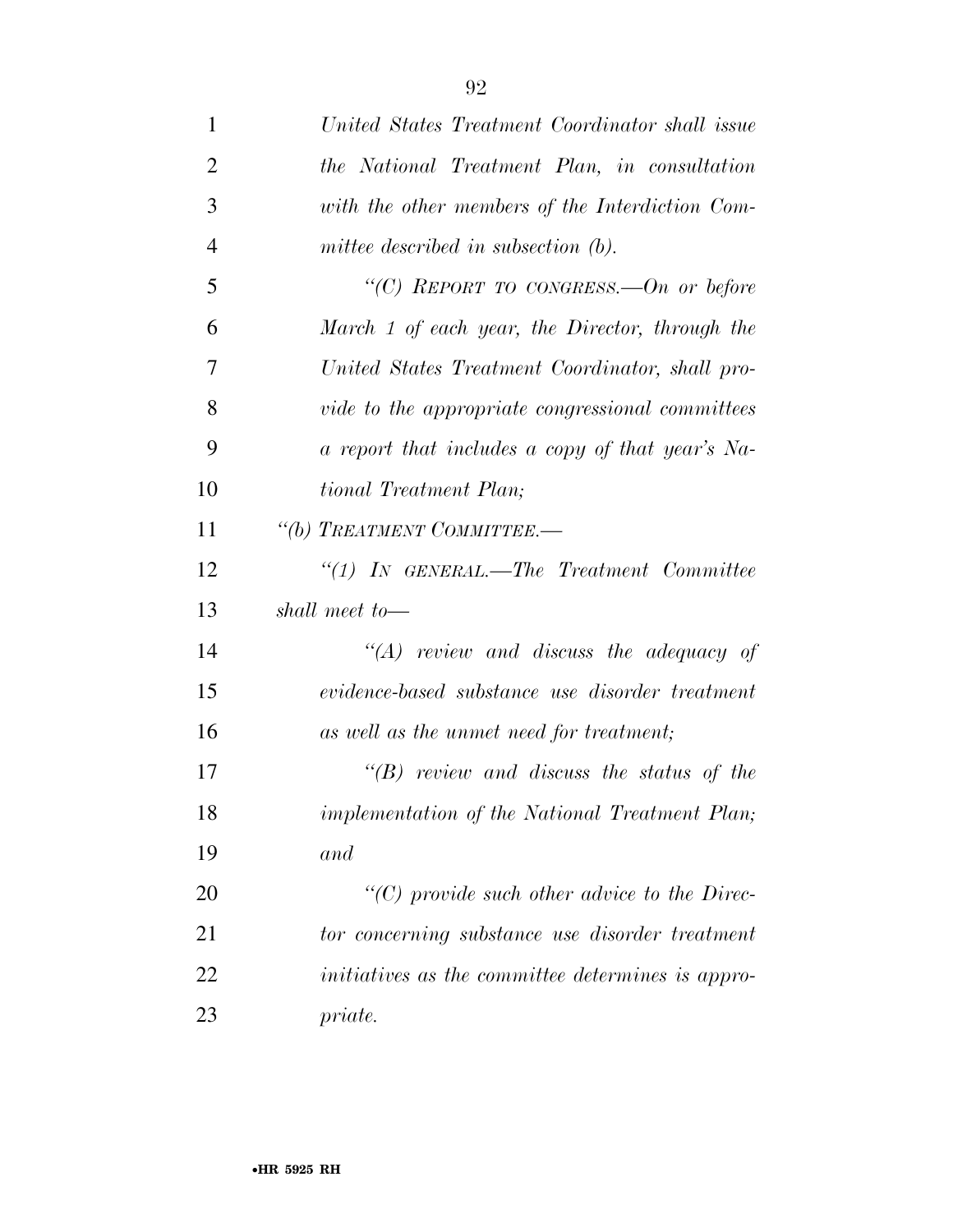| $\mathbf{1}$   | United States Treatment Coordinator shall issue      |
|----------------|------------------------------------------------------|
| $\overline{2}$ | the National Treatment Plan, in consultation         |
| 3              | with the other members of the Interdiction Com-      |
| $\overline{4}$ | mittee described in subsection $(b)$ .               |
| 5              | "(C) REPORT TO CONGRESS.—On or before                |
| 6              | March 1 of each year, the Director, through the      |
| 7              | United States Treatment Coordinator, shall pro-      |
| 8              | vide to the appropriate congressional committees     |
| 9              | a report that includes a copy of that year's Na-     |
| 10             | tional Treatment Plan;                               |
| 11             | "(b) TREATMENT COMMITTEE.-                           |
| 12             | $``(1)$ In GENERAL.—The Treatment Committee          |
| 13             | shall meet to—                                       |
| 14             | $\lq\lq (A)$ review and discuss the adequacy of      |
| 15             | evidence-based substance use disorder treatment      |
| 16             | as well as the unmet need for treatment;             |
| 17             | $\lq\lq B$ review and discuss the status of the      |
| 18             | implementation of the National Treatment Plan;       |
| 19             | and                                                  |
| 20             | $\lq\lq C$ ) provide such other advice to the Direc- |
| 21             | tor concerning substance use disorder treatment      |
| 22             | initiatives as the committee determines is appro-    |
| 23             | priate.                                              |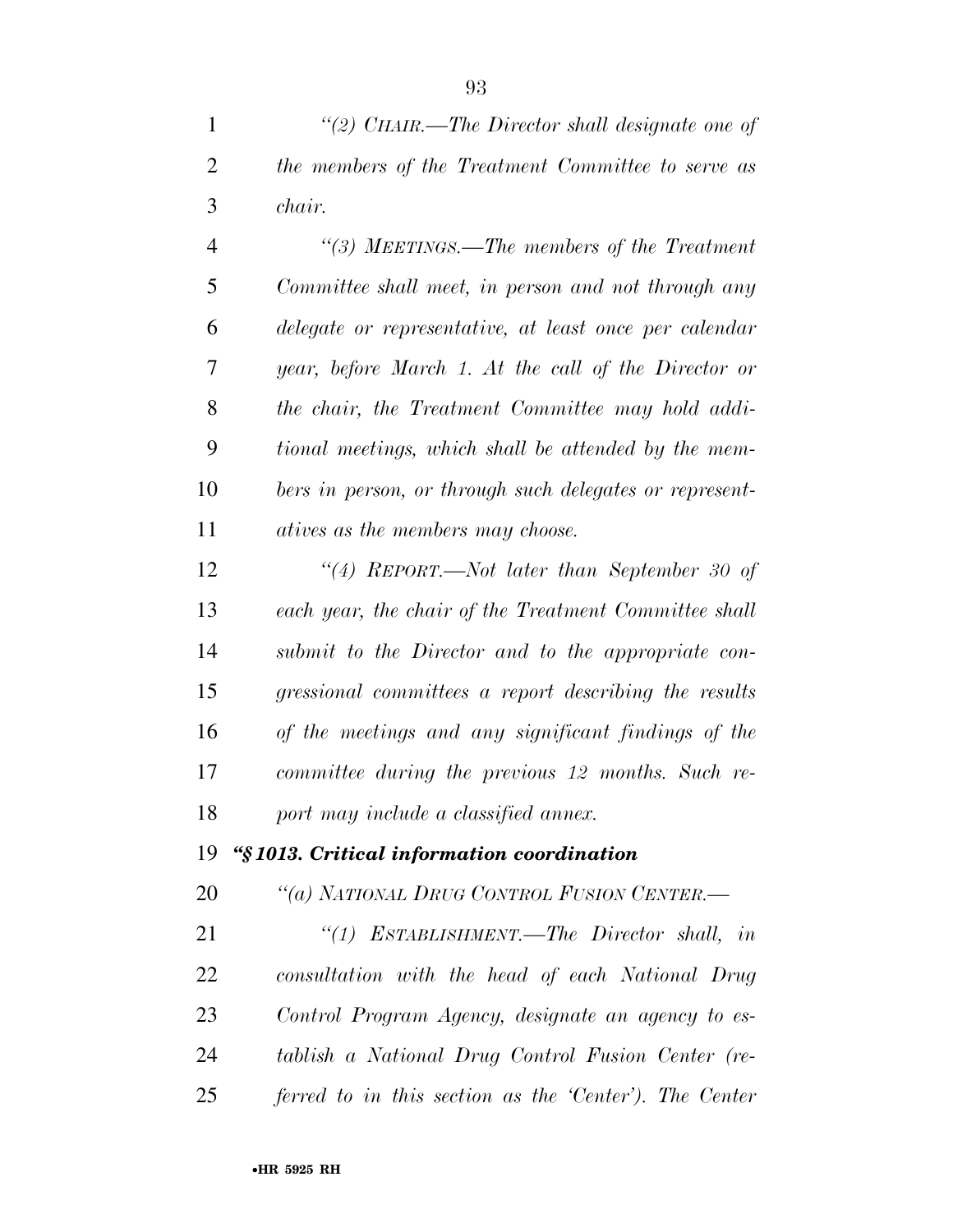| 1              | "(2) CHAIR.—The Director shall designate one of         |
|----------------|---------------------------------------------------------|
| $\overline{2}$ | the members of the Treatment Committee to serve as      |
| 3              | chair.                                                  |
| $\overline{4}$ | "(3) MEETINGS.—The members of the Treatment             |
| 5              | Committee shall meet, in person and not through any     |
| 6              | delegate or representative, at least once per calendar  |
| 7              | year, before March 1. At the call of the Director or    |
| 8              | the chair, the Treatment Committee may hold addi-       |
| 9              | tional meetings, which shall be attended by the mem-    |
| 10             | bers in person, or through such delegates or represent- |
| 11             | atives as the members may choose.                       |
| 12             | "(4) REPORT.—Not later than September 30 of             |
| 13             | each year, the chair of the Treatment Committee shall   |
| 14             | submit to the Director and to the appropriate con-      |
| 15             | gressional committees a report describing the results   |
| 16             | of the meetings and any significant findings of the     |
| 17             | committee during the previous 12 months. Such re-       |
| 18             | port may include a classified annex.                    |
| 19             | "§1013. Critical information coordination               |
| 20             | "(a) NATIONAL DRUG CONTROL FUSION CENTER.-              |

 *''(1) ESTABLISHMENT.—The Director shall, in consultation with the head of each National Drug Control Program Agency, designate an agency to es- tablish a National Drug Control Fusion Center (re-ferred to in this section as the 'Center'). The Center*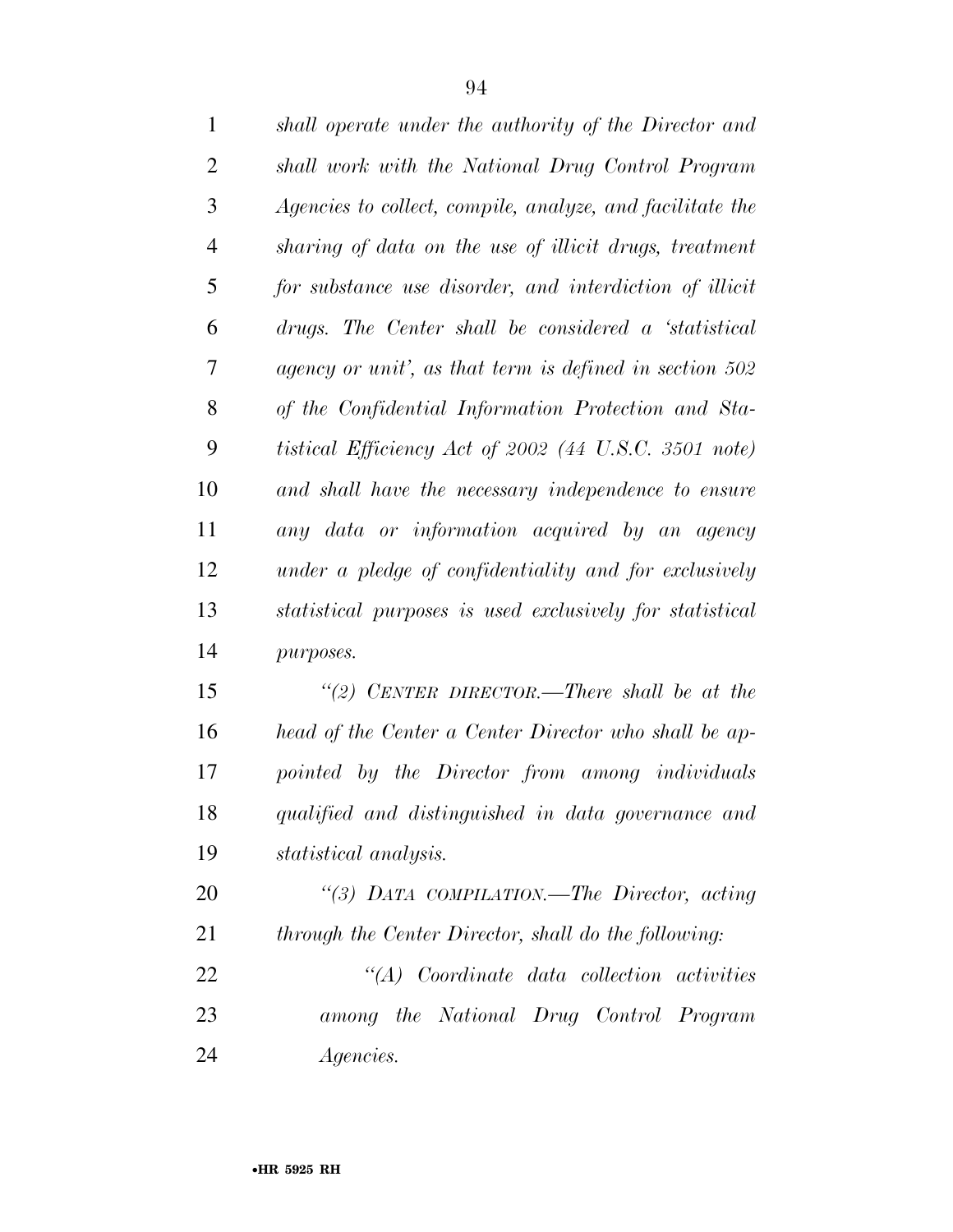| $\mathbf{1}$   | shall operate under the authority of the Director and     |
|----------------|-----------------------------------------------------------|
| $\overline{2}$ | shall work with the National Drug Control Program         |
| 3              | Agencies to collect, compile, analyze, and facilitate the |
| $\overline{4}$ | sharing of data on the use of illicit drugs, treatment    |
| 5              | for substance use disorder, and interdiction of illicit   |
| 6              | drugs. The Center shall be considered a 'statistical      |
| $\tau$         | agency or unit', as that term is defined in section 502   |
| 8              | of the Confidential Information Protection and Sta-       |
| 9              | tistical Efficiency Act of 2002 (44 U.S.C. 3501 note)     |
| 10             | and shall have the necessary independence to ensure       |
| 11             | any data or information acquired by an agency             |
| 12             | under a pledge of confidentiality and for exclusively     |
| 13             | statistical purposes is used exclusively for statistical  |
| 14             | purposes.                                                 |
| 15             | "(2) CENTER DIRECTOR.—There shall be at the               |
| 16             | head of the Center a Center Director who shall be ap-     |
| 17             | pointed by the Director from among individuals            |
| 18             | qualified and distinguished in data governance and        |
| 19             | statistical analysis.                                     |
| 20             | "(3) DATA COMPILATION.—The Director, acting               |
| 21             | through the Center Director, shall do the following:      |
| 22             | "(A) Coordinate data collection activities                |
| 23             | among the National Drug Control Program                   |
| 24             | <i>Agencies.</i>                                          |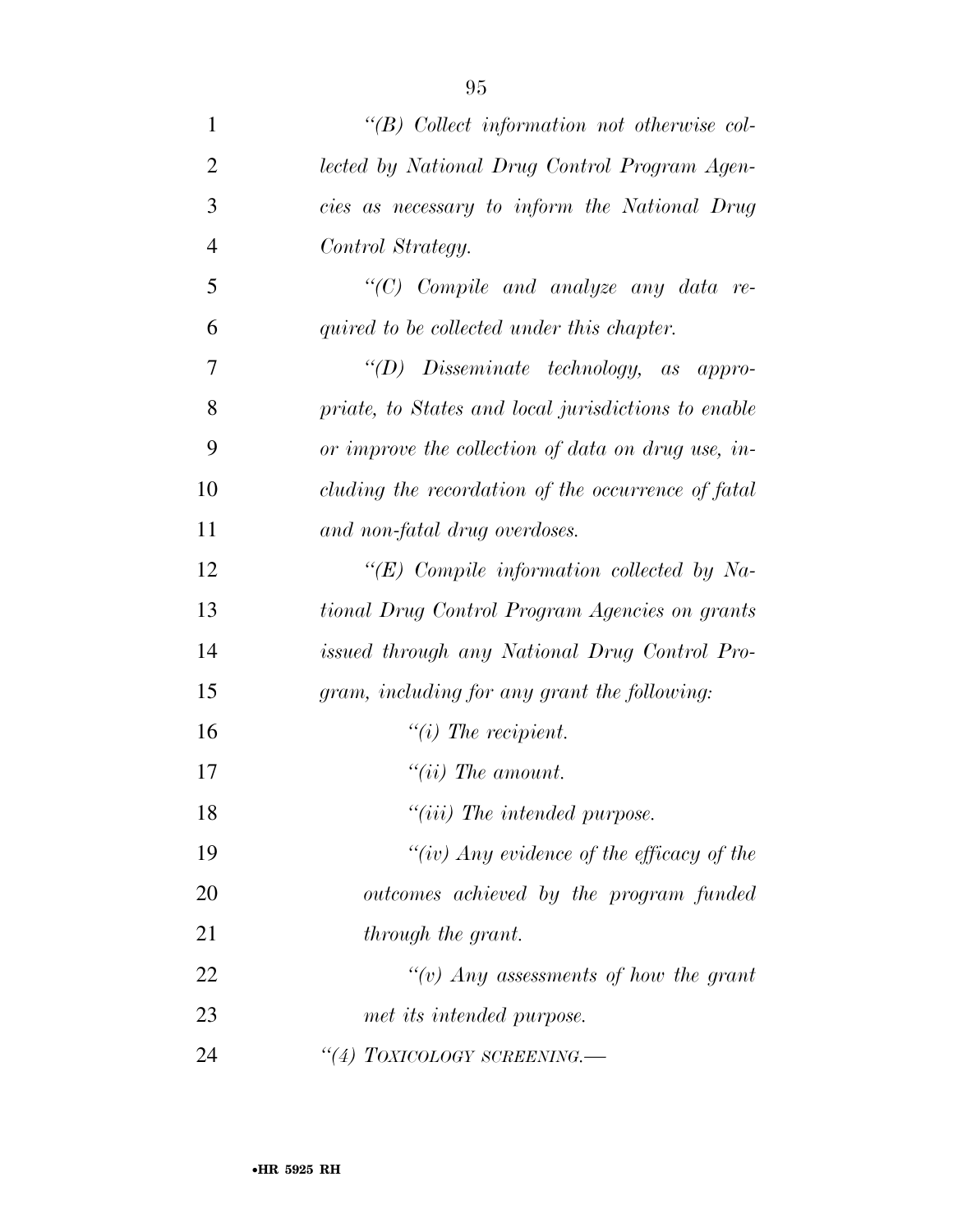| $\mathbf{1}$   | $\lq\lq B$ Collect information not otherwise col-   |
|----------------|-----------------------------------------------------|
| $\overline{2}$ | lected by National Drug Control Program Agen-       |
| 3              | cies as necessary to inform the National Drug       |
| $\overline{4}$ | Control Strategy.                                   |
| 5              | "(C) Compile and analyze any data re-               |
| 6              | quired to be collected under this chapter.          |
| 7              | "(D) Disseminate technology, as appro-              |
| 8              | priate, to States and local jurisdictions to enable |
| 9              | or improve the collection of data on drug use, in-  |
| 10             | cluding the recordation of the occurrence of fatal  |
| 11             | and non-fatal drug overdoses.                       |
| 12             | " $(E)$ Compile information collected by Na-        |
| 13             | tional Drug Control Program Agencies on grants      |
| 14             | issued through any National Drug Control Pro-       |
| 15             | gram, including for any grant the following:        |
| 16             | $"(i)$ The recipient.                               |
| 17             | "(ii) The amount.                                   |
| 18             | "(iii) The intended purpose.                        |
| 19             | "(iv) Any evidence of the efficacy of the           |
| 20             | outcomes achieved by the program funded             |
| 21             | through the grant.                                  |
| 22             | "(v) Any assessments of how the grant               |
| 23             | met its intended purpose.                           |
| 24             | "(4) TOXICOLOGY SCREENING.-                         |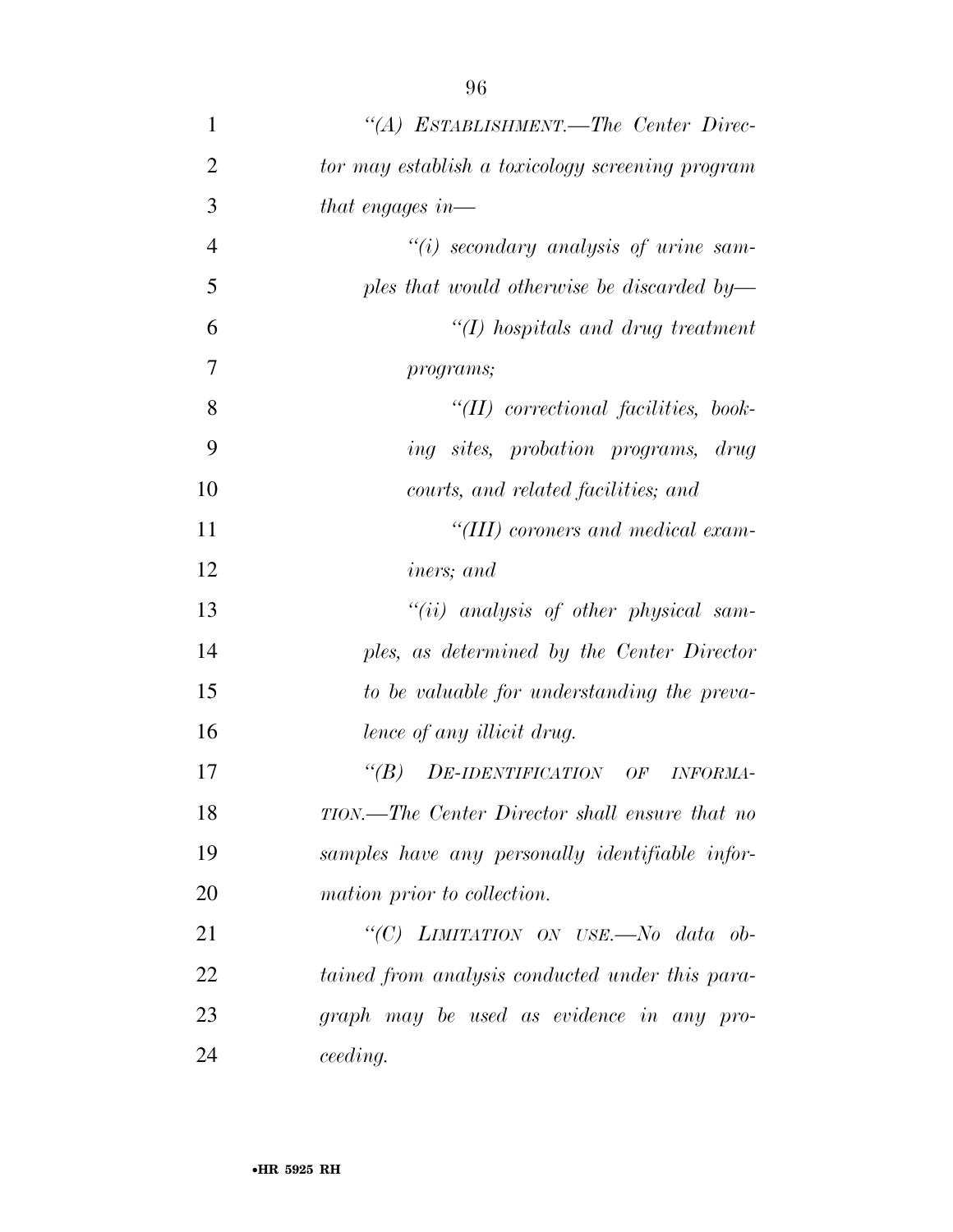| $\mathbf{1}$   | "(A) ESTABLISHMENT.—The Center Direc-               |
|----------------|-----------------------------------------------------|
| $\overline{2}$ | tor may establish a toxicology screening program    |
| 3              | that engages in—                                    |
| $\overline{4}$ | $``(i)$ secondary analysis of urine sam-            |
| 5              | ples that would otherwise be discarded by—          |
| 6              | $\lq (I)$ hospitals and drug treatment              |
| $\overline{7}$ | programs;                                           |
| 8              | $\lq (II)$ correctional facilities, book-           |
| 9              | <i>ing sites, probation programs, drug</i>          |
| 10             | courts, and related facilities; and                 |
| 11             | "(III) coroners and medical exam-                   |
| 12             | <i>iners</i> ; and                                  |
| 13             | $``(ii)$ analysis of other physical sam-            |
| 14             | ples, as determined by the Center Director          |
| 15             | to be valuable for understanding the preva-         |
| 16             | lence of any illicit drug.                          |
| 17             | $\lq(B)$<br>DE-IDENTIFICATION OF<br><b>INFORMA-</b> |
| 18             | TION.—The Center Director shall ensure that no      |
| 19             | samples have any personally identifiable infor-     |
| 20             | mation prior to collection.                         |
| 21             | "(C) LIMITATION ON USE.-No data ob-                 |
| 22             | tained from analysis conducted under this para-     |
| 23             | graph may be used as evidence in any pro-           |
| 24             | ceeding.                                            |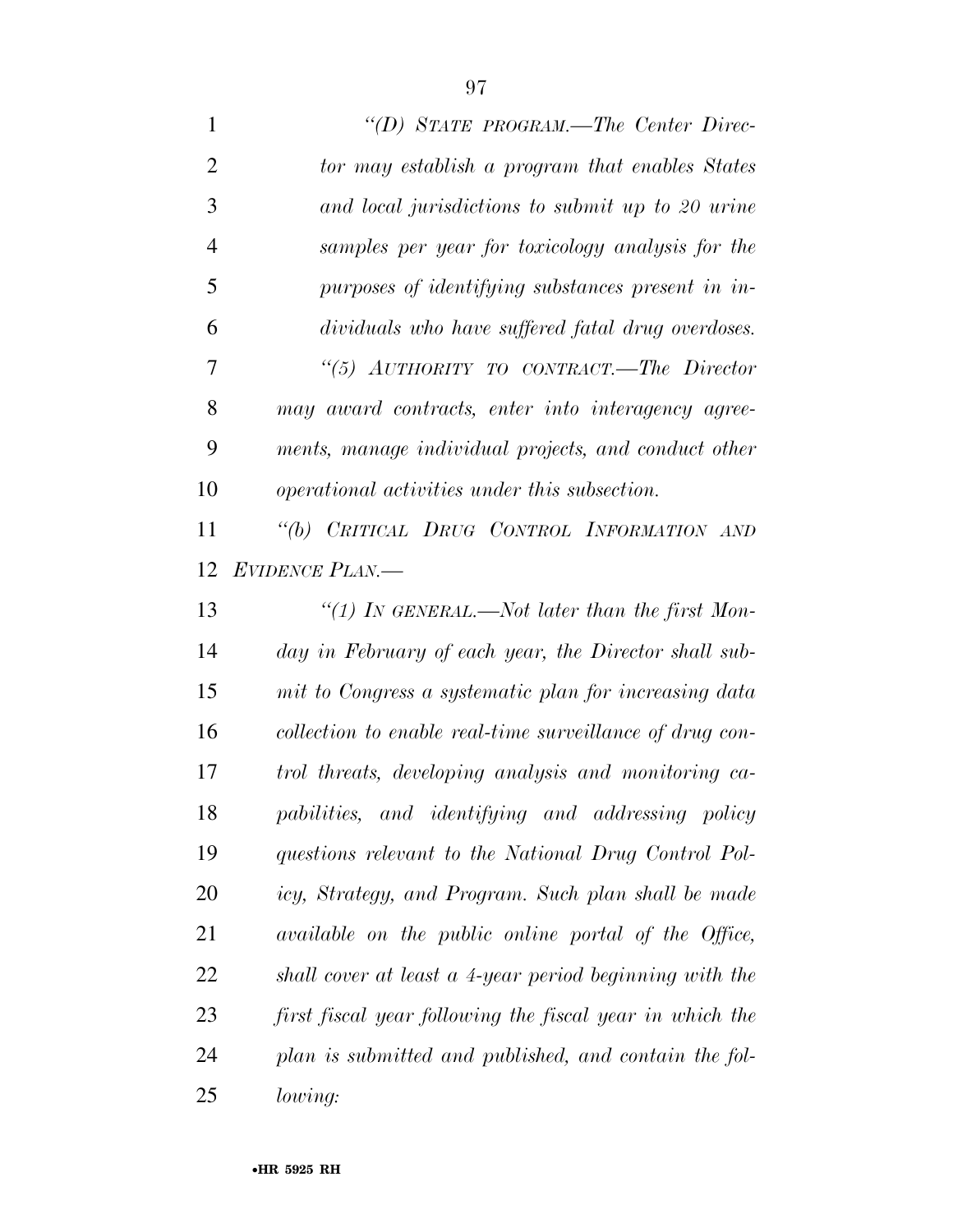| $\mathbf{1}$   | "(D) STATE PROGRAM.—The Center Direc-                    |
|----------------|----------------------------------------------------------|
| $\overline{2}$ | tor may establish a program that enables States          |
| 3              | and local jurisdictions to submit up to 20 urine         |
| $\overline{4}$ | samples per year for toxicology analysis for the         |
| 5              | purposes of identifying substances present in in-        |
| 6              | dividuals who have suffered fatal drug overdoses.        |
| 7              | "(5) AUTHORITY TO CONTRACT.—The Director                 |
| 8              | may award contracts, enter into interagency agree-       |
| 9              | ments, manage individual projects, and conduct other     |
| 10             | operational activities under this subsection.            |
| 11             | "(b) CRITICAL DRUG CONTROL INFORMATION AND               |
| 12             | <b>EVIDENCE PLAN.—</b>                                   |
| 13             | "(1) IN GENERAL.—Not later than the first Mon-           |
| 14             | day in February of each year, the Director shall sub-    |
| 15             | mit to Congress a systematic plan for increasing data    |
| 16             | collection to enable real-time surveillance of drug con- |
| 17             | trol threats, developing analysis and monitoring ca-     |
| 18             | pabilities, and identifying and addressing policy        |
| 19             | questions relevant to the National Drug Control Pol-     |
| 20             | icy, Strategy, and Program. Such plan shall be made      |
| 21             | available on the public online portal of the Office,     |
| 22             | shall cover at least a 4-year period beginning with the  |
| 23             | first fiscal year following the fiscal year in which the |
| 24             | plan is submitted and published, and contain the fol-    |
| 25             | lowing:                                                  |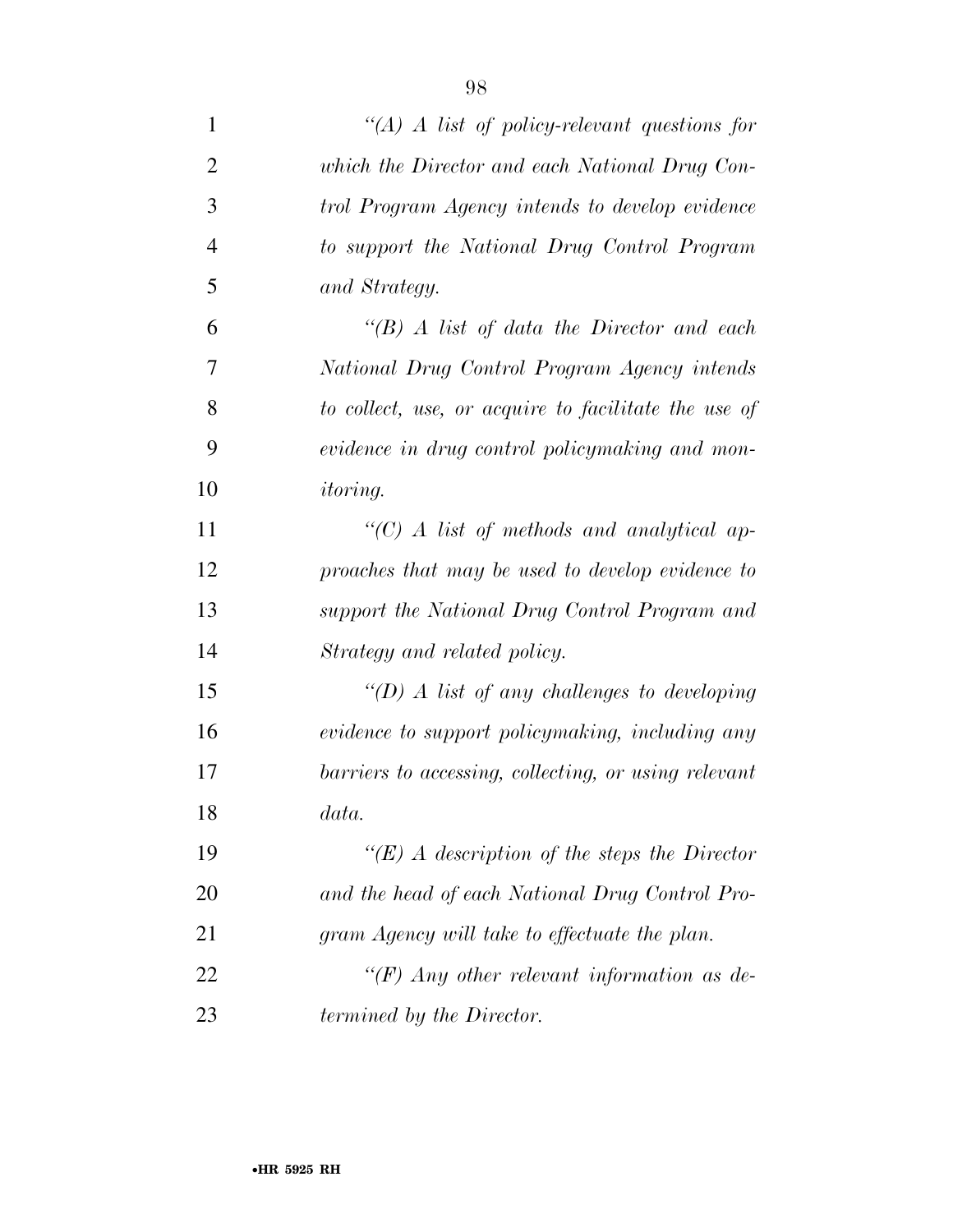| $\mathbf{1}$   | $\lq (A)$ A list of policy-relevant questions for    |
|----------------|------------------------------------------------------|
| 2              | which the Director and each National Drug Con-       |
| 3              | trol Program Agency intends to develop evidence      |
| $\overline{4}$ | to support the National Drug Control Program         |
| 5              | and Strategy.                                        |
| 6              | $\lq (B)$ A list of data the Director and each       |
| 7              | National Drug Control Program Agency intends         |
| 8              | to collect, use, or acquire to facilitate the use of |
| 9              | evidence in drug control policymaking and mon-       |
| 10             | <i>itoring.</i>                                      |
| 11             | $\lq\lq C$ A list of methods and analytical ap-      |
| 12             | proaches that may be used to develop evidence to     |
| 13             | support the National Drug Control Program and        |
| 14             | Strategy and related policy.                         |
| 15             | $\lq (D)$ A list of any challenges to developing     |
| 16             | evidence to support policymaking, including any      |
| 17             | barriers to accessing, collecting, or using relevant |
| 18             | data.                                                |
| 19             | "(E) A description of the steps the Director"        |
| 20             | and the head of each National Drug Control Pro-      |
| 21             | gram Agency will take to effectuate the plan.        |
| 22             | "(F) Any other relevant information as de-           |
| 23             | termined by the Director.                            |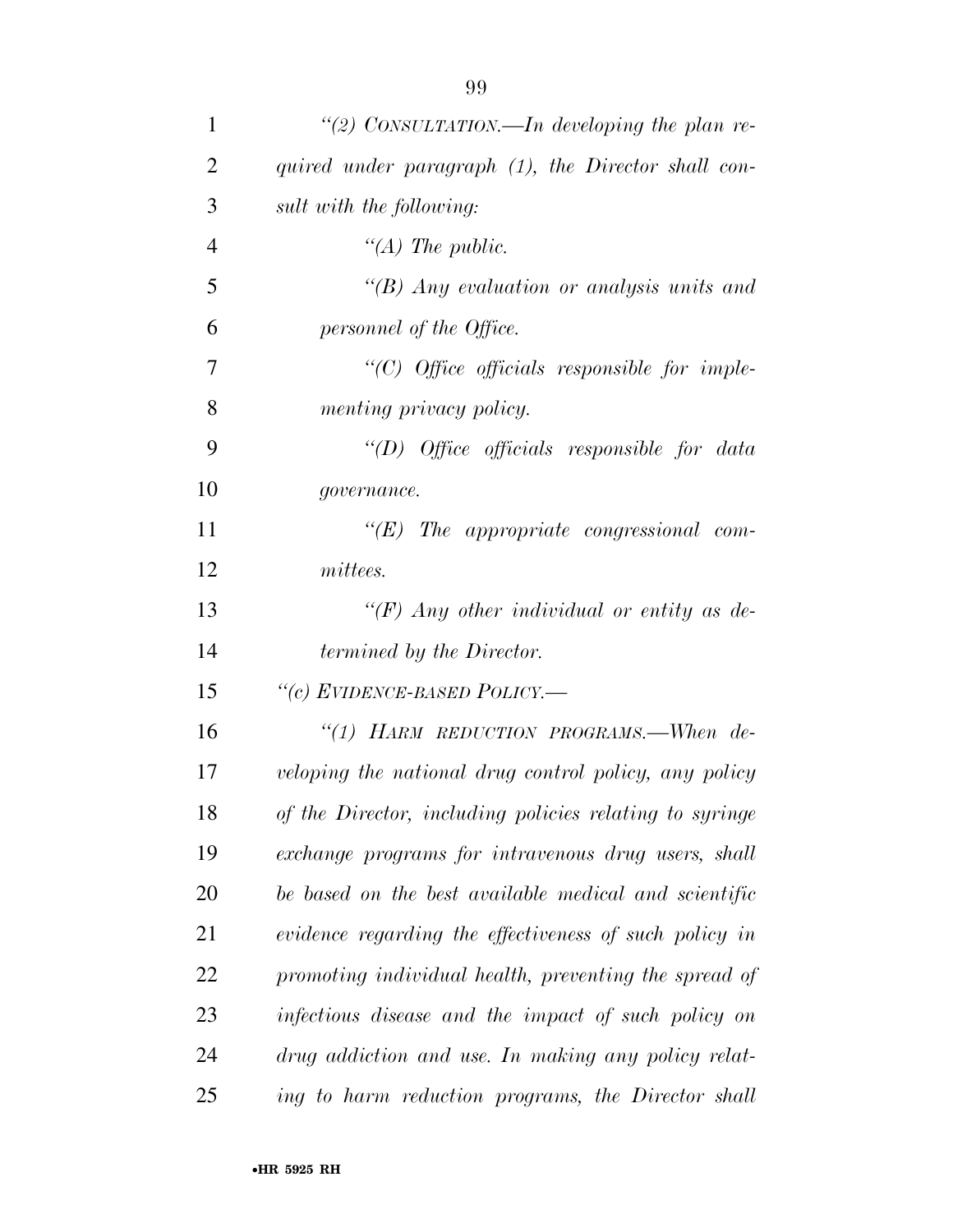| 1              | "(2) CONSULTATION.—In developing the plan re-           |
|----------------|---------------------------------------------------------|
| $\overline{2}$ | quired under paragraph (1), the Director shall con-     |
| 3              | sult with the following:                                |
| $\overline{4}$ | "(A) The public.                                        |
| 5              | " $(B)$ Any evaluation or analysis units and            |
| 6              | personnel of the Office.                                |
| 7              | $"$ (C) Office officials responsible for imple-         |
| 8              | menting privacy policy.                                 |
| 9              | "(D) Office officials responsible for data              |
| 10             | governance.                                             |
| 11             | $\lq\lq (E)$ The appropriate congressional com-         |
| 12             | mittees.                                                |
| 13             | "(F) Any other individual or entity as de-              |
| 14             | termined by the Director.                               |
| 15             | "(c) EVIDENCE-BASED POLICY.-                            |
| 16             | "(1) HARM REDUCTION PROGRAMS.—When $de-$                |
| 17             | veloping the national drug control policy, any policy   |
| 18             | of the Director, including policies relating to syringe |
| 19             | exchange programs for intravenous drug users, shall     |
| 20             | be based on the best available medical and scientific   |
| 21             | evidence regarding the effectiveness of such policy in  |
| 22             | promoting individual health, preventing the spread of   |
| 23             | infectious disease and the impact of such policy on     |
| 24             | drug addiction and use. In making any policy relat-     |
| 25             | ing to harm reduction programs, the Director shall      |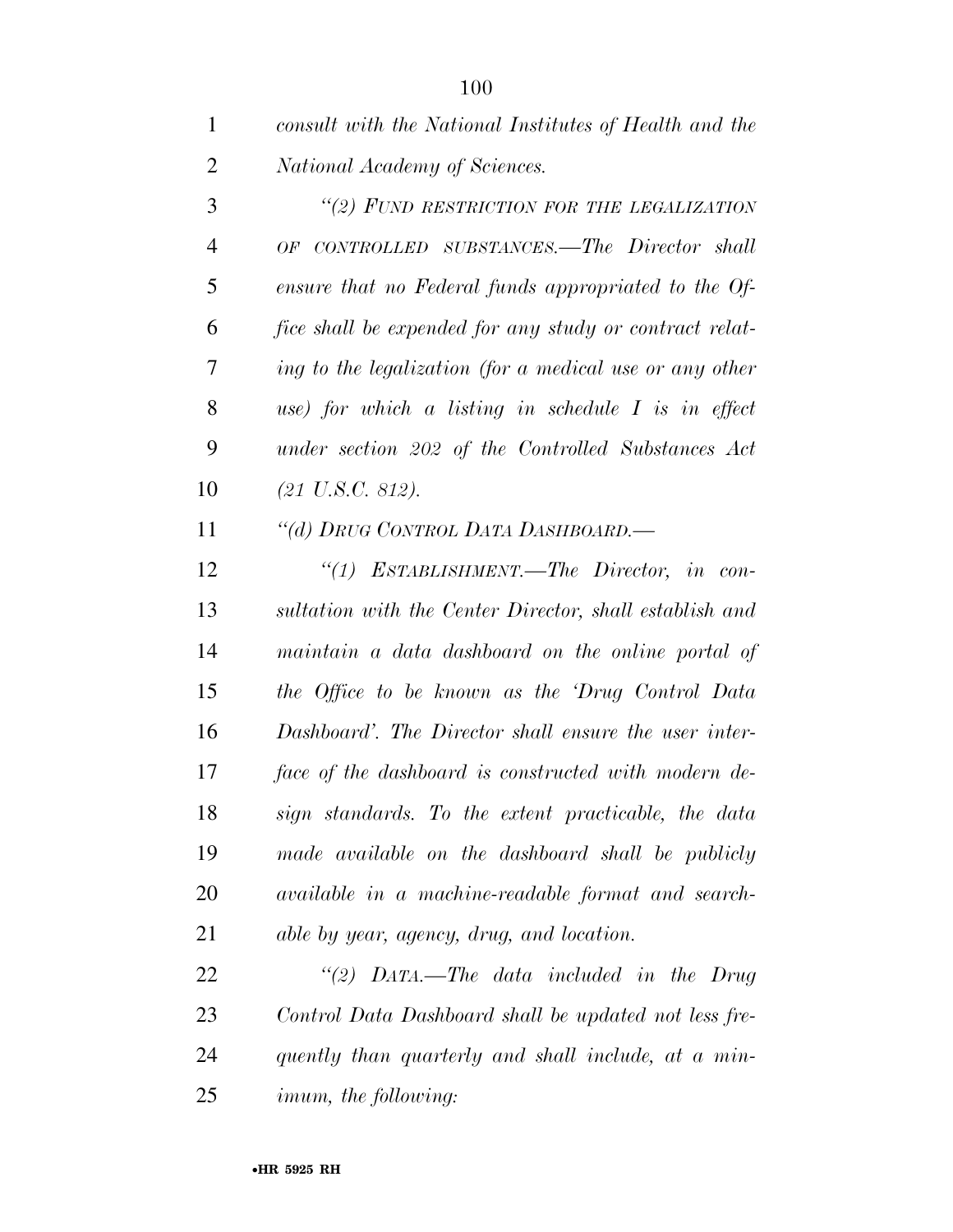| consult with the National Institutes of Health and the |
|--------------------------------------------------------|
| National Academy of Sciences.                          |

 *''(2) FUND RESTRICTION FOR THE LEGALIZATION OF CONTROLLED SUBSTANCES.—The Director shall ensure that no Federal funds appropriated to the Of- fice shall be expended for any study or contract relat- ing to the legalization (for a medical use or any other use) for which a listing in schedule I is in effect under section 202 of the Controlled Substances Act (21 U.S.C. 812).* 

*''(d) DRUG CONTROL DATA DASHBOARD.—* 

 *''(1) ESTABLISHMENT.—The Director, in con- sultation with the Center Director, shall establish and maintain a data dashboard on the online portal of the Office to be known as the 'Drug Control Data Dashboard'. The Director shall ensure the user inter- face of the dashboard is constructed with modern de- sign standards. To the extent practicable, the data made available on the dashboard shall be publicly available in a machine-readable format and search-able by year, agency, drug, and location.* 

 *''(2) DATA.—The data included in the Drug Control Data Dashboard shall be updated not less fre- quently than quarterly and shall include, at a min-imum, the following:*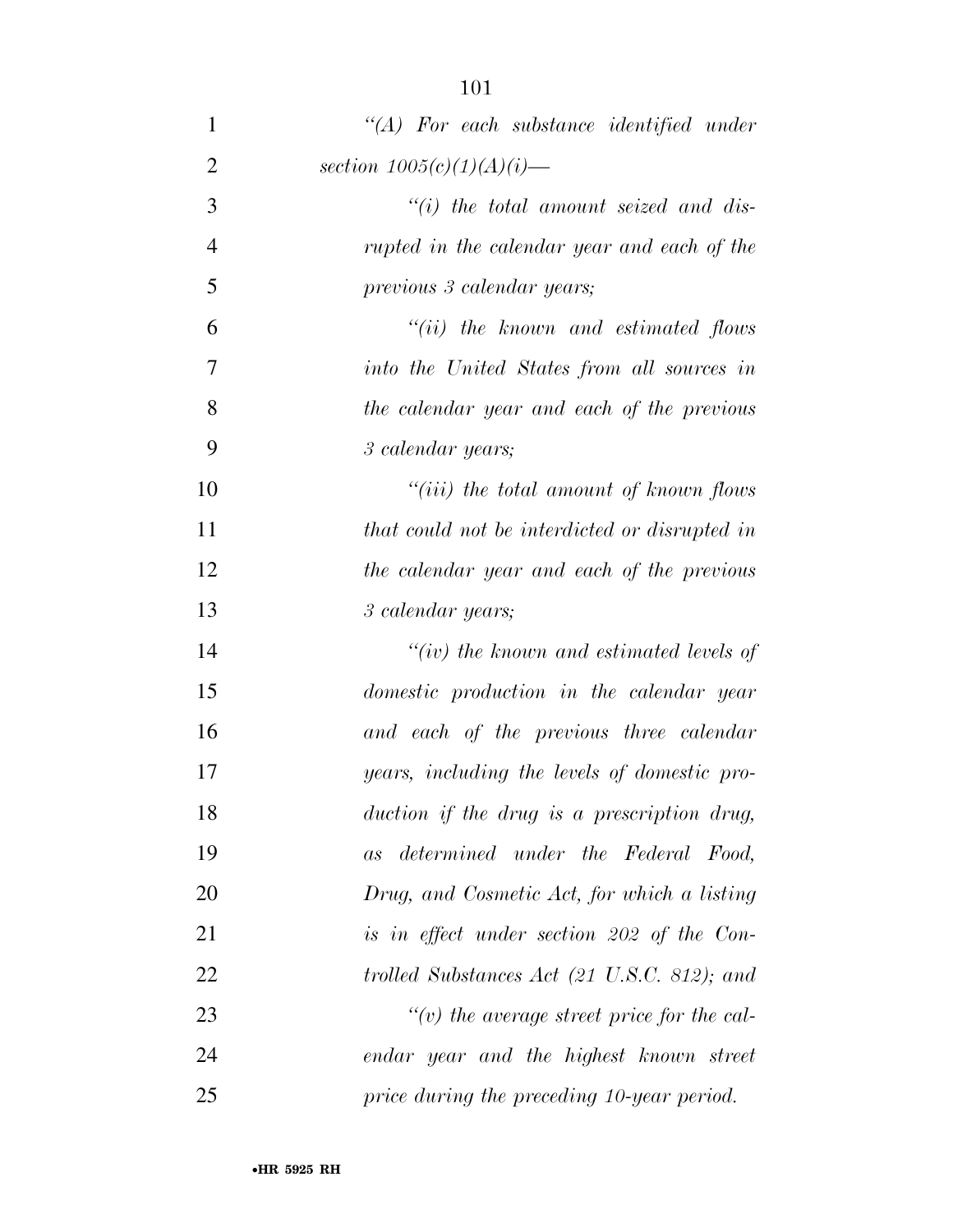| $\mathbf{1}$   | $\lq (A)$ For each substance identified under     |
|----------------|---------------------------------------------------|
| $\overline{2}$ | section $1005(c)(1)(A)(i)$ —                      |
| 3              | $``(i)$ the total amount seized and dis-          |
| $\overline{4}$ | rupted in the calendar year and each of the       |
| 5              | previous 3 calendar years;                        |
| 6              | $``(ii)$ the known and estimated flows            |
| 7              | into the United States from all sources in        |
| 8              | the calendar year and each of the previous        |
| 9              | 3 calendar years;                                 |
| 10             | "(iii) the total amount of known flows            |
| 11             | that could not be interdicted or disrupted in     |
| 12             | the calendar year and each of the previous        |
| 13             | 3 calendar years;                                 |
| 14             | "(iv) the known and estimated levels of           |
| 15             | domestic production in the calendar year          |
| 16             | and each of the previous three calendar           |
| 17             | years, including the levels of domestic pro-      |
| 18             | duction if the drug is a prescription drug,       |
| 19             | determined under the Federal Food,<br>as          |
| 20             | Drug, and Cosmetic Act, for which a listing       |
| 21             | is in effect under section 202 of the Con-        |
| 22             | trolled Substances Act (21 U.S.C. 812); and       |
| 23             | $\lq\lq(v)$ the average street price for the cal- |
| 24             | endar year and the highest known street           |
| 25             | price during the preceding 10-year period.        |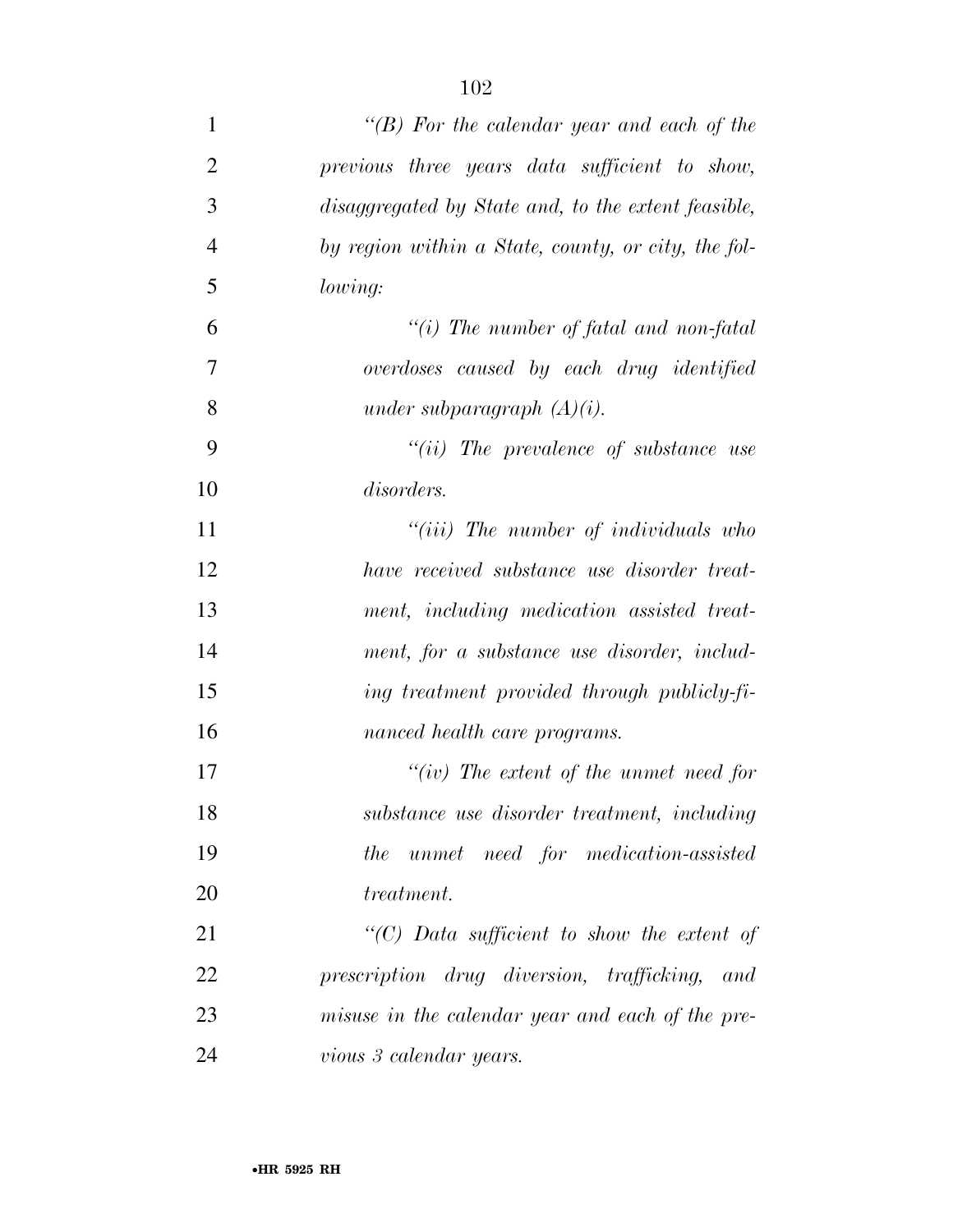| $\mathbf{1}$   | "(B) For the calendar year and each of the          |
|----------------|-----------------------------------------------------|
| $\overline{2}$ | previous three years data sufficient to show,       |
| 3              | disaggregated by State and, to the extent feasible, |
| $\overline{4}$ | by region within a State, county, or city, the fol- |
| 5              | lowing:                                             |
| 6              | "(i) The number of fatal and non-fatal              |
| 7              | overdoses caused by each drug identified            |
| 8              | under subparagraph $(A)(i)$ .                       |
| 9              | $``(ii)$ The prevalence of substance use            |
| 10             | disorders.                                          |
| 11             | $``(iii)$ The number of individuals who             |
| 12             | have received substance use disorder treat-         |
| 13             | ment, including medication assisted treat-          |
| 14             | ment, for a substance use disorder, includ-         |
| 15             | ing treatment provided through publicly-fi-         |
| 16             | nanced health care programs.                        |
| 17             | "(iv) The extent of the unmet need for              |
| 18             | substance use disorder treatment, including         |
| 19             | the unmet need for medication-assisted              |
| 20             | treatment.                                          |
| 21             | "(C) Data sufficient to show the extent of          |
| 22             | prescription drug diversion, trafficking, and       |
| 23             | misuse in the calendar year and each of the pre-    |
| 24             | vious 3 calendar years.                             |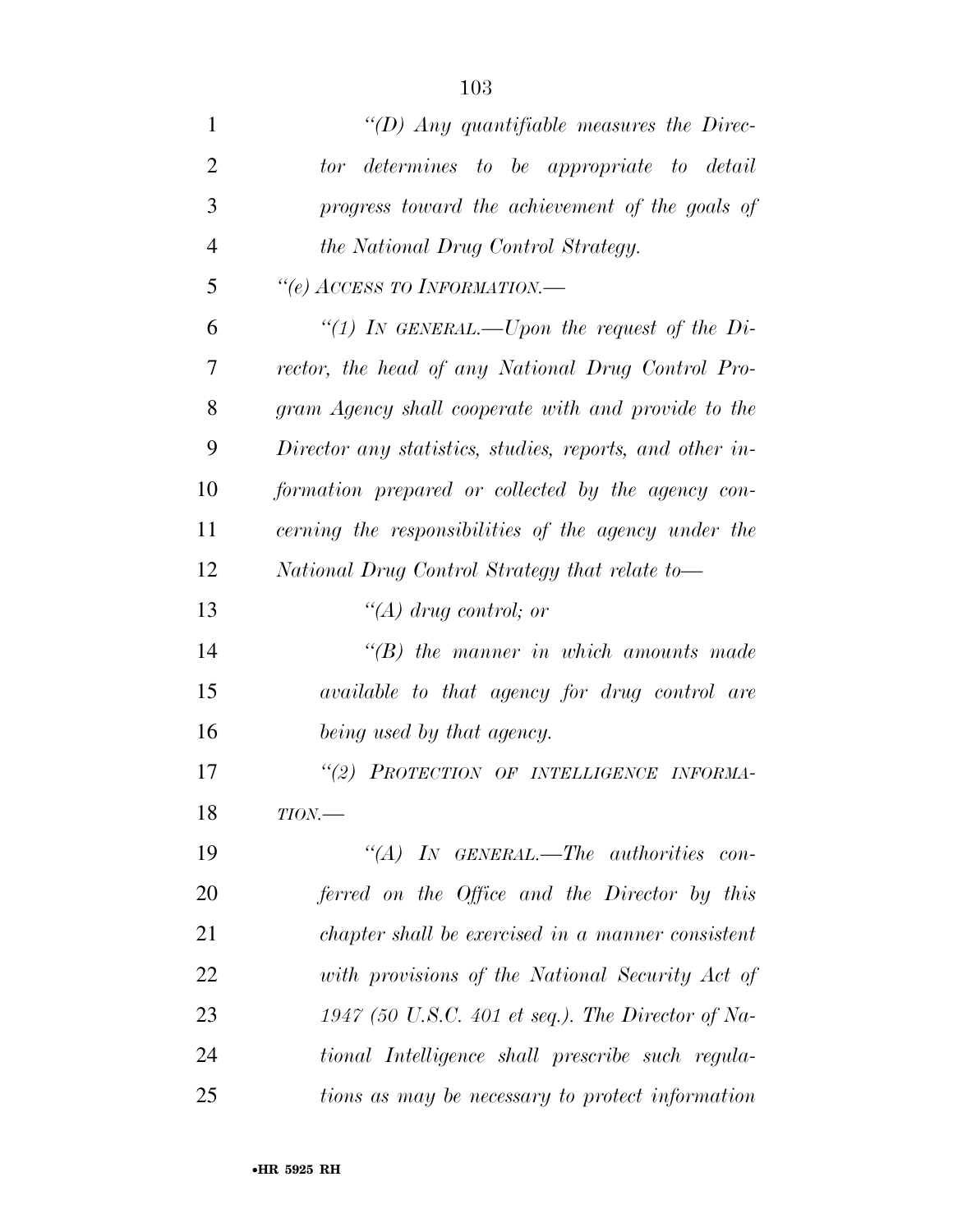| 1              | "(D) Any quantifiable measures the Direc-                |
|----------------|----------------------------------------------------------|
| $\overline{2}$ | tor determines to be appropriate to detail               |
| 3              | progress toward the achievement of the goals of          |
| 4              | <i>the National Drug Control Strategy.</i>               |
| 5              | "(e) ACCESS TO INFORMATION.-                             |
| 6              | "(1) In GENERAL.—Upon the request of the Di-             |
| 7              | rector, the head of any National Drug Control Pro-       |
| 8              | gram Agency shall cooperate with and provide to the      |
| 9              | Director any statistics, studies, reports, and other in- |
| 10             | formation prepared or collected by the agency con-       |
| 11             | cerning the responsibilities of the agency under the     |
| 12             | National Drug Control Strategy that relate to-           |
| 13             | "(A) drug control; or                                    |
| 14             | $\lq\lq B$ the manner in which amounts made              |
| 15             | <i>available to that agency for drug control are</i>     |
| 16             | being used by that agency.                               |
| 17             | "(2) PROTECTION OF INTELLIGENCE INFORMA-                 |
| 18             | $TION$ —                                                 |
| 19             | "(A) IN GENERAL.—The authorities con-                    |
| 20             | ferred on the Office and the Director by this            |
| 21             | chapter shall be exercised in a manner consistent        |
| 22             | with provisions of the National Security Act of          |
| 23             | 1947 (50 U.S.C. 401 et seq.). The Director of Na-        |
| 24             | tional Intelligence shall prescribe such regula-         |
| 25             | tions as may be necessary to protect information         |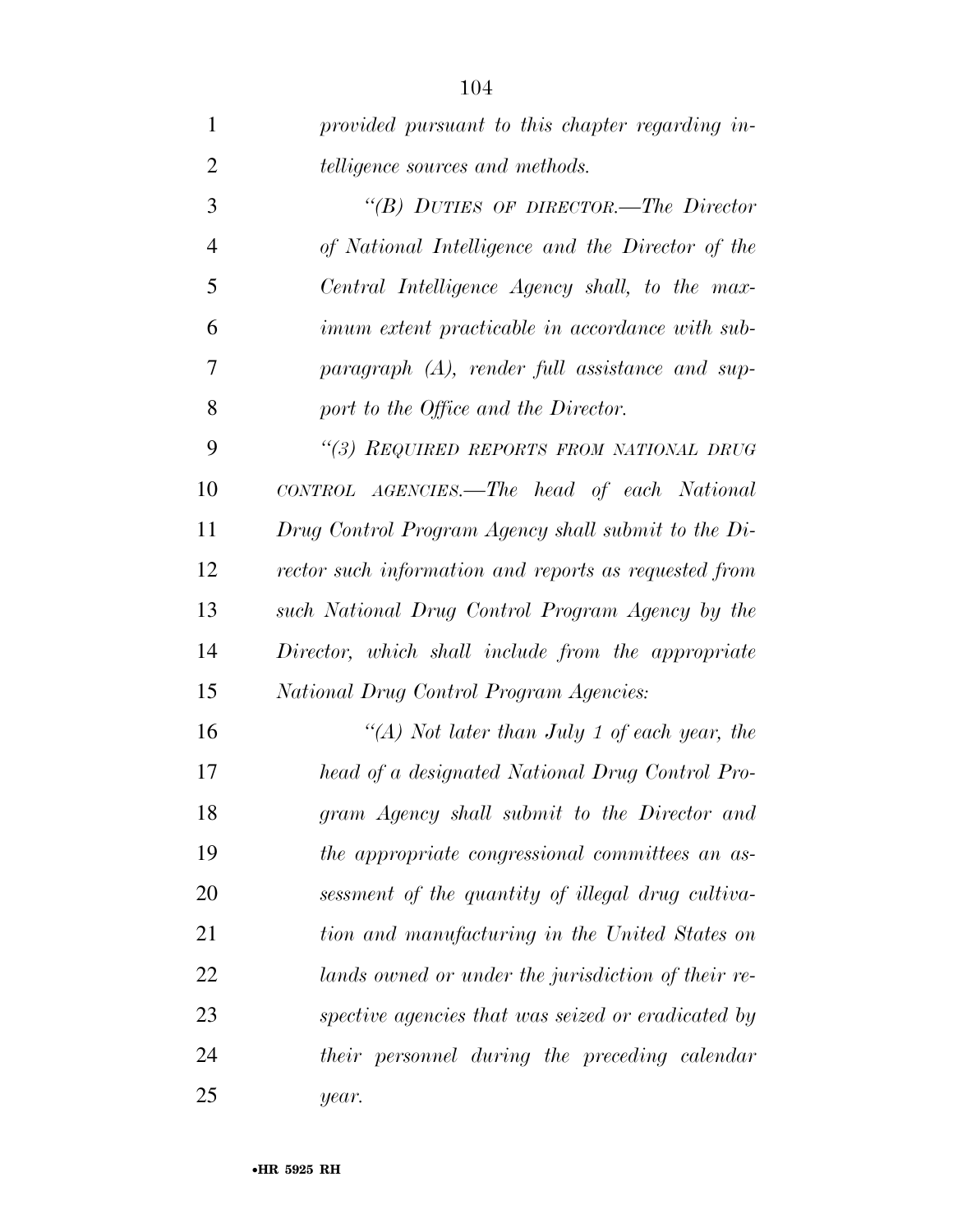| $\mathbf{1}$   | provided pursuant to this chapter regarding in-        |
|----------------|--------------------------------------------------------|
| $\overline{2}$ | <i>telligence sources and methods.</i>                 |
| 3              | "(B) DUTIES OF DIRECTOR.—The Director                  |
| $\overline{4}$ | of National Intelligence and the Director of the       |
| 5              | Central Intelligence Agency shall, to the max-         |
| 6              | <i>imum extent practicable in accordance with sub-</i> |
| 7              | $paragnph$ (A), render full assistance and sup-        |
| 8              | port to the Office and the Director.                   |
| 9              | "(3) REQUIRED REPORTS FROM NATIONAL DRUG               |
| 10             | CONTROL AGENCIES.—The head of each National            |
| 11             | Drug Control Program Agency shall submit to the Di-    |
| 12             | rector such information and reports as requested from  |
| 13             | such National Drug Control Program Agency by the       |
| 14             | Director, which shall include from the appropriate     |
| 15             | National Drug Control Program Agencies:                |
| 16             | "(A) Not later than July 1 of each year, the           |
| 17             | head of a designated National Drug Control Pro-        |
| 18             | gram Agency shall submit to the Director and           |
| 19             | the appropriate congressional committees an as-        |
| 20             | sessment of the quantity of illegal drug cultiva-      |
| 21             | tion and manufacturing in the United States on         |
| 22             | lands owned or under the jurisdiction of their re-     |
| 23             | spective agencies that was seized or eradicated by     |
| 24             | their personnel during the preceding calendar          |
| 25             | year.                                                  |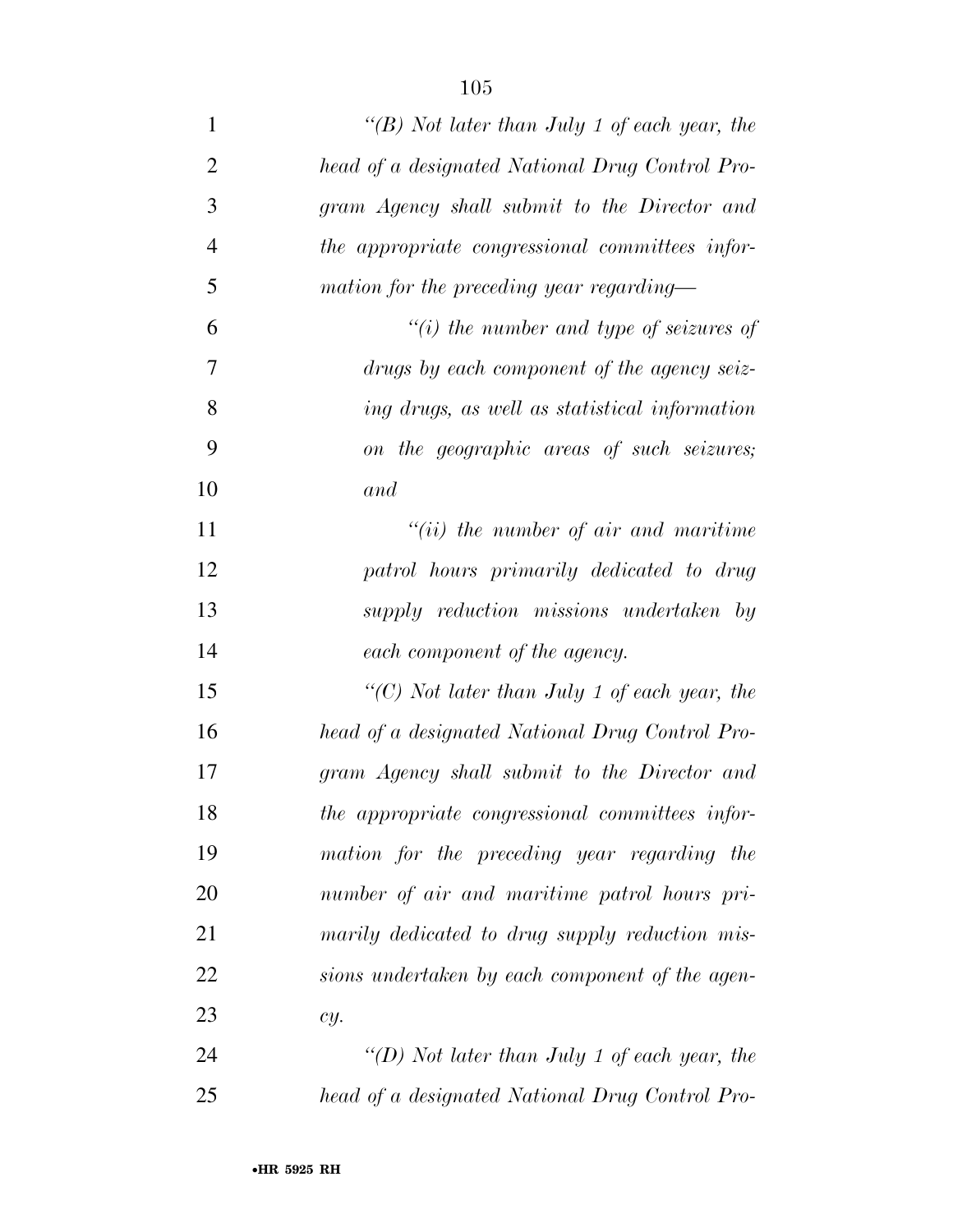| $\mathbf{1}$   | "(B) Not later than July 1 of each year, the    |
|----------------|-------------------------------------------------|
| $\overline{2}$ | head of a designated National Drug Control Pro- |
| 3              | gram Agency shall submit to the Director and    |
| $\overline{4}$ | the appropriate congressional committees infor- |
| 5              | mation for the preceding year regarding—        |
| 6              | "(i) the number and type of seizures of         |
| 7              | drugs by each component of the agency seiz-     |
| 8              | ing drugs, as well as statistical information   |
| 9              | on the geographic areas of such seizures;       |
| 10             | and                                             |
| 11             | $``(ii)$ the number of air and maritime         |
| 12             | patrol hours primarily dedicated to drug        |
| 13             | supply reduction missions undertaken by         |
| 14             | each component of the agency.                   |
| 15             | " $(C)$ Not later than July 1 of each year, the |
| 16             | head of a designated National Drug Control Pro- |
| 17             | gram Agency shall submit to the Director and    |
| 18             | the appropriate congressional committees infor- |
| 19             | mation for the preceding year regarding the     |
| 20             | number of air and maritime patrol hours pri-    |
| 21             | marily dedicated to drug supply reduction mis-  |
| 22             | sions undertaken by each component of the agen- |
| 23             | cy.                                             |
| 24             | "(D) Not later than July 1 of each year, the    |
| 25             | head of a designated National Drug Control Pro- |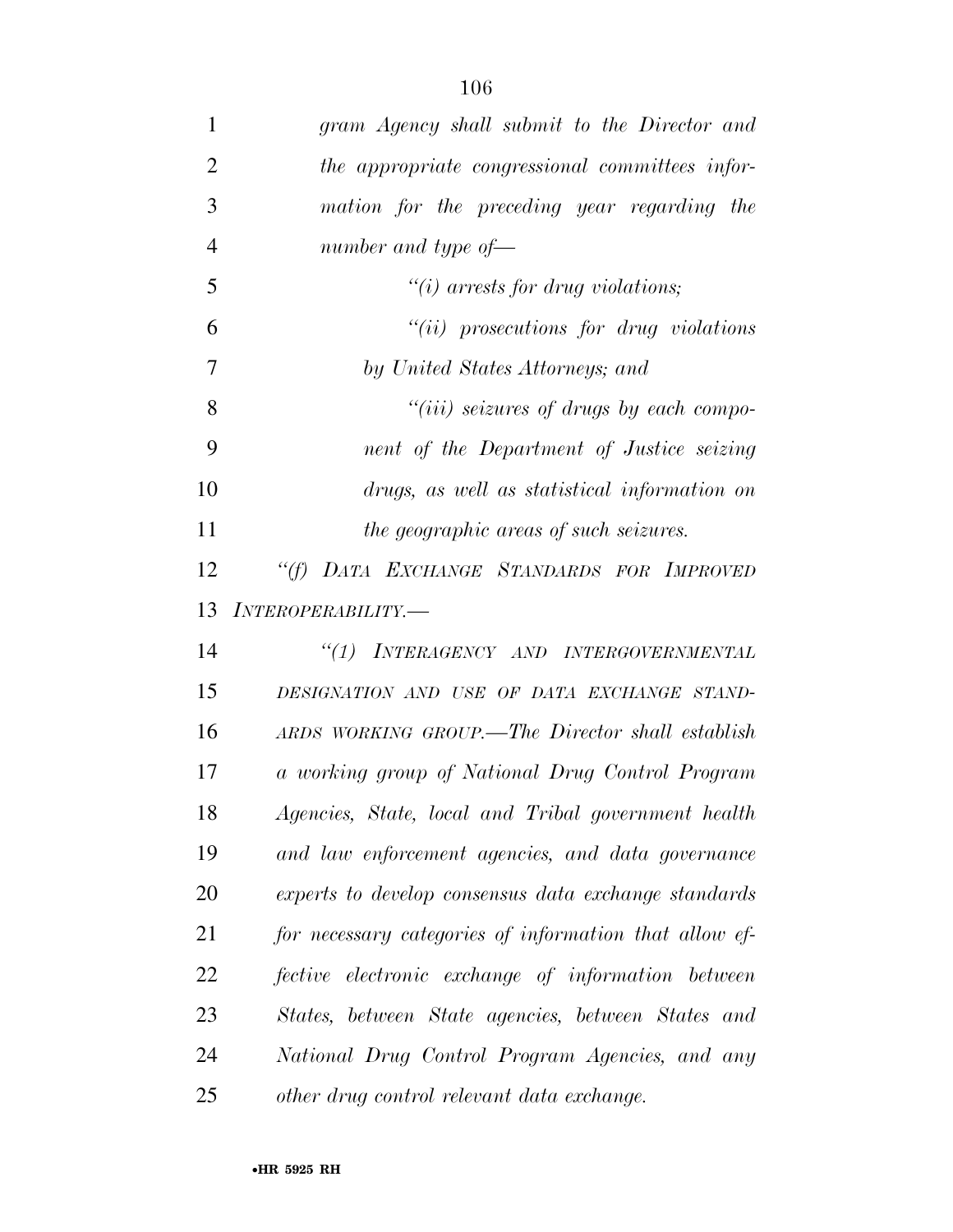| $\mathbf{1}$   | gram Agency shall submit to the Director and           |
|----------------|--------------------------------------------------------|
| $\overline{2}$ | the appropriate congressional committees infor-        |
| 3              | mation for the preceding year regarding the            |
| $\overline{4}$ | number and type of-                                    |
| 5              | " $(i)$ arrests for drug violations;                   |
| 6              | $``(ii)$ prosecutions for drug violations              |
| 7              | by United States Attorneys; and                        |
| 8              | $``(iii)$ seizures of drugs by each compo-             |
| 9              | nent of the Department of Justice seizing              |
| 10             | drugs, as well as statistical information on           |
| 11             | the geographic areas of such seizures.                 |
| 12             | "(f) DATA EXCHANGE STANDARDS FOR IMPROVED              |
| 13             | INTEROPERABILITY.-                                     |
| 14             | "(1) INTERAGENCY AND INTERGOVERNMENTAL                 |
| 15             | DESIGNATION AND USE OF DATA EXCHANGE STAND-            |
| 16             | ARDS WORKING GROUP.—The Director shall establish       |
| 17             | a working group of National Drug Control Program       |
| 18             | Agencies, State, local and Tribal government health    |
| 19             | and law enforcement agencies, and data governance      |
| 20             | experts to develop consensus data exchange standards   |
| 21             | for necessary categories of information that allow ef- |
| 22             | fective electronic exchange of information between     |
| 23             | States, between State agencies, between States and     |
| 24             | National Drug Control Program Agencies, and any        |
| 25             | other drug control relevant data exchange.             |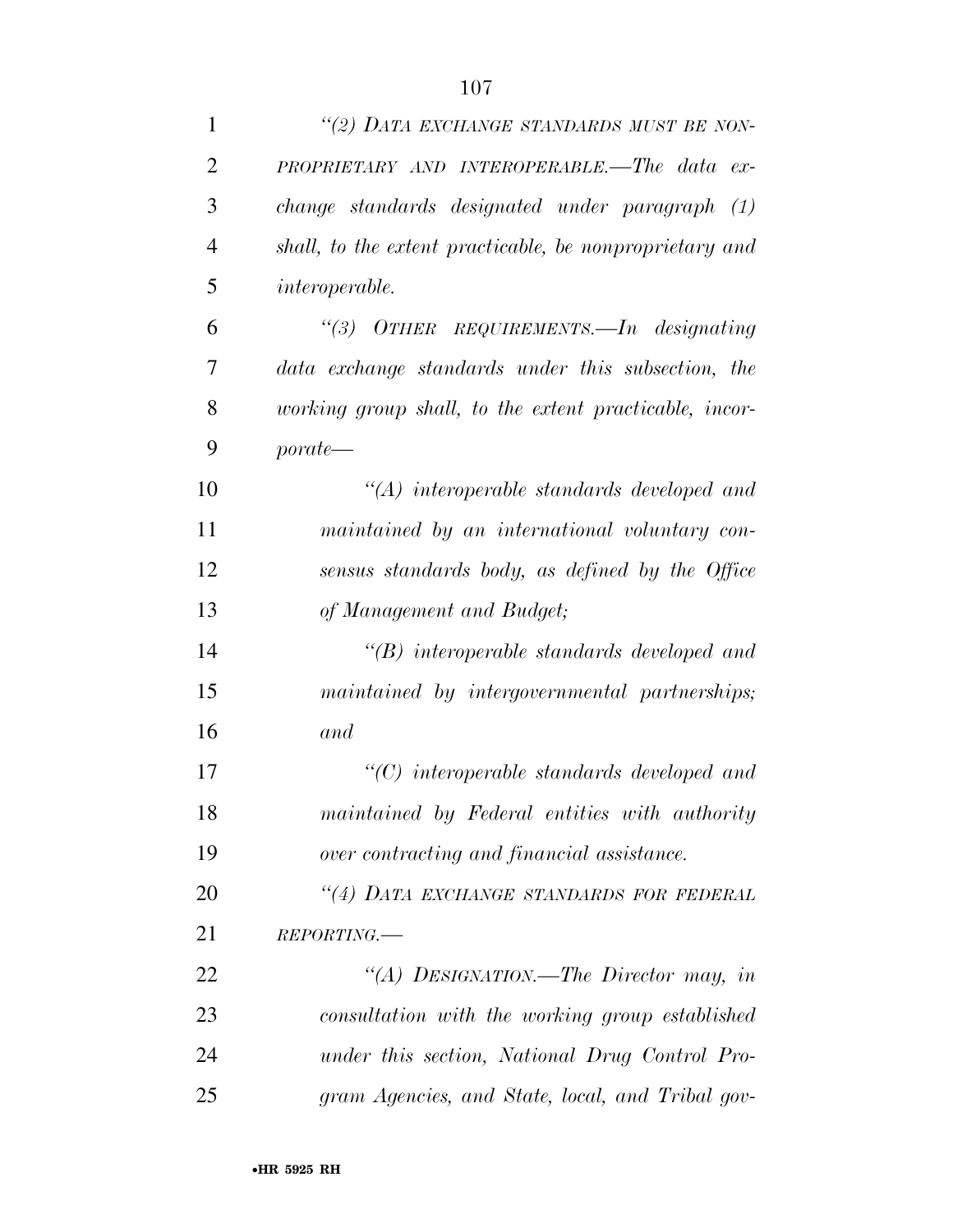| $\mathbf{1}$   | "(2) DATA EXCHANGE STANDARDS MUST BE NON-               |
|----------------|---------------------------------------------------------|
| $\overline{2}$ | PROPRIETARY AND INTEROPERABLE.—The data ex-             |
| 3              | change standards designated under paragraph (1)         |
| $\overline{4}$ | shall, to the extent practicable, be nonproprietary and |
| 5              | <i>interoperable.</i>                                   |
| 6              | "(3) OTHER REQUIREMENTS.—In designating                 |
| 7              | data exchange standards under this subsection, the      |
| 8              | working group shall, to the extent practicable, incor-  |
| 9              | $\textit{porate}$                                       |
| 10             | $\lq\lq (A)$ interoperable standards developed and      |
| 11             | maintained by an international voluntary con-           |
| 12             | sensus standards body, as defined by the Office         |
| 13             | of Management and Budget;                               |
| 14             | $\lq\lq B$ interoperable standards developed and        |
| 15             | maintained by intergovernmental partnerships;           |
| 16             | and                                                     |
| 17             | $\lq\lq C$ ) interoperable standards developed and      |
| 18             | maintained by Federal entities with authority           |
| 19             | over contracting and financial assistance.              |
| 20             | "(4) DATA EXCHANGE STANDARDS FOR FEDERAL                |
| 21             | REPORTING.                                              |
| 22             | "(A) DESIGNATION.—The Director may, in                  |
| 23             | consultation with the working group established         |
| 24             | under this section, National Drug Control Pro-          |
| 25             | gram Agencies, and State, local, and Tribal gov-        |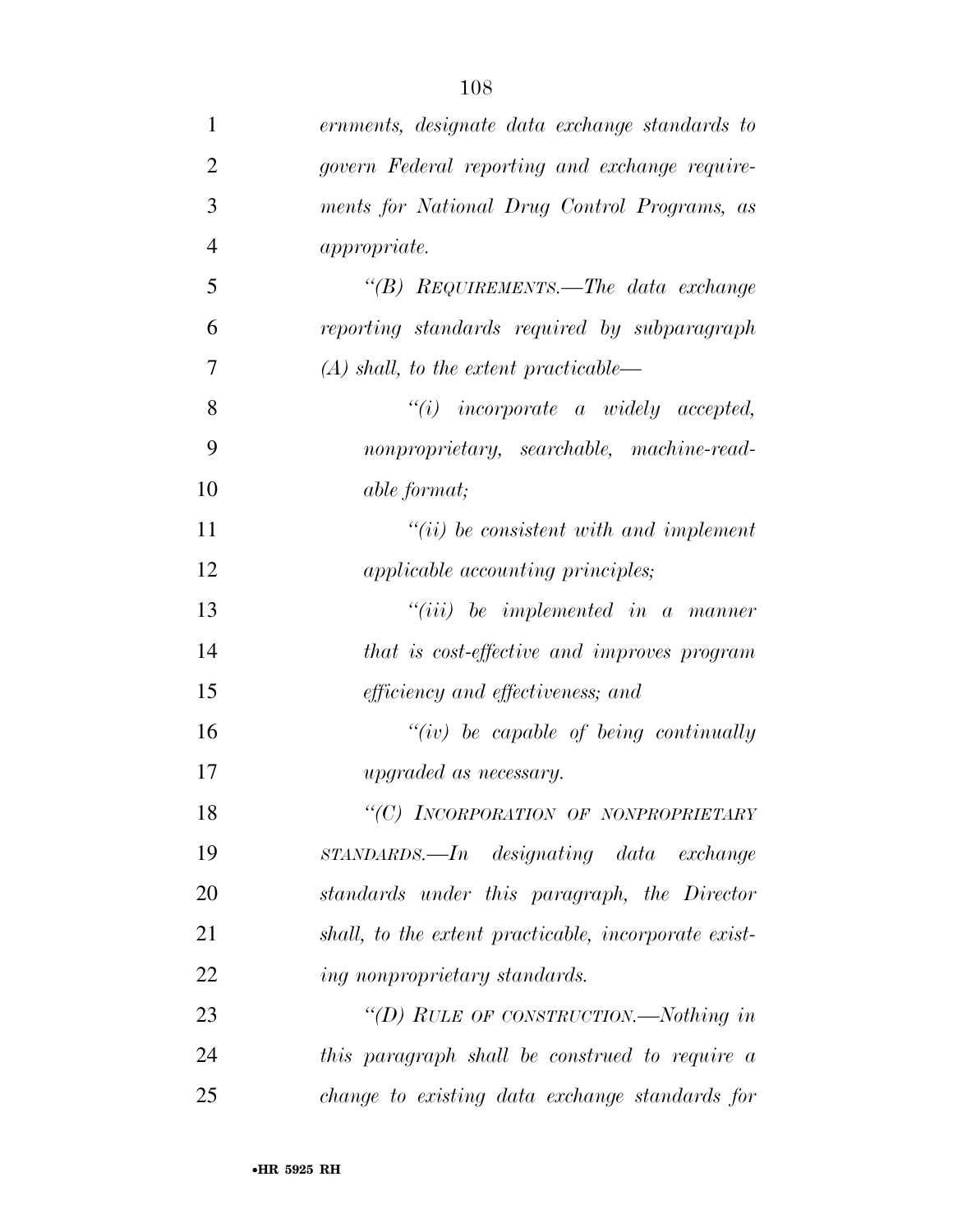| $\mathbf{1}$   | ernments, designate data exchange standards to                     |
|----------------|--------------------------------------------------------------------|
| $\overline{2}$ | govern Federal reporting and exchange require-                     |
| 3              | ments for National Drug Control Programs, as                       |
| $\overline{4}$ | <i>appropriate.</i>                                                |
| 5              | "(B) $ReQUIREMENTS.$ The data exchange                             |
| 6              | reporting standards required by subparagraph                       |
| 7              | $(A)$ shall, to the extent practicable—                            |
| 8              | $"(i)$ incorporate a widely accepted,                              |
| 9              | nonproprietary, searchable, machine-read-                          |
| 10             | <i>able format</i> ;                                               |
| 11             | $``(ii)$ be consistent with and implement                          |
| 12             | <i>applicable accounting principles;</i>                           |
| 13             | $``(iii)$ be implemented in a manner                               |
| 14             | that is cost-effective and improves program                        |
| 15             | <i>efficiency and effectiveness; and</i>                           |
| 16             | $``(iv)$ be capable of being continually                           |
| 17             | <i>upgraded as necessary.</i>                                      |
| 18             | "(C) INCORPORATION OF NONPROPRIETARY                               |
| 19             | $STANDARDS.$ $\longrightarrow$ <i>In</i> designating data exchange |
| 20             | standards under this paragraph, the Director                       |
| 21             | shall, to the extent practicable, incorporate exist-               |
| 22             | ing nonproprietary standards.                                      |
| 23             | "(D) RULE OF CONSTRUCTION.—Nothing in                              |
| 24             | this paragraph shall be construed to require a                     |
| 25             | change to existing data exchange standards for                     |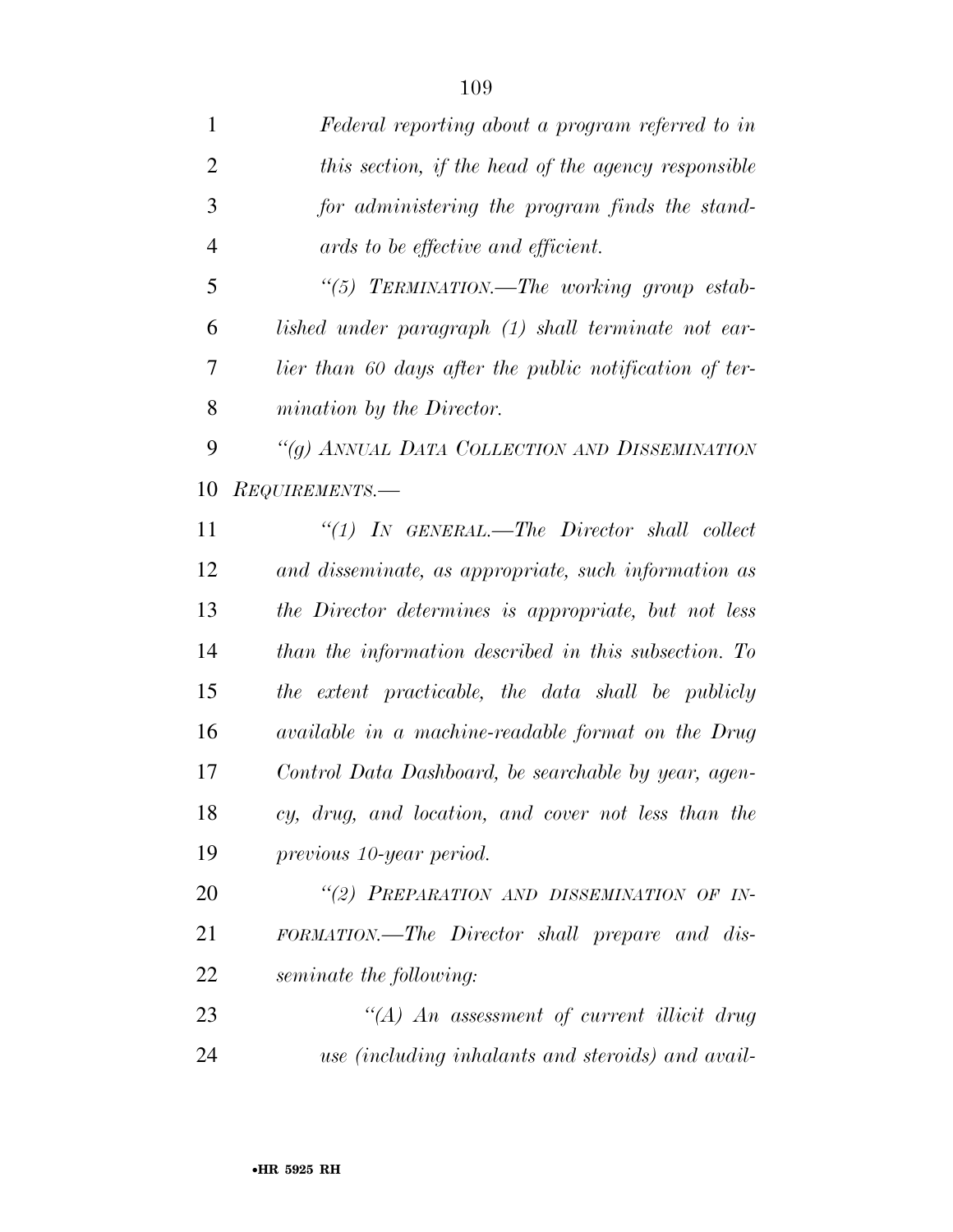| $\mathbf{1}$   | Federal reporting about a program referred to in        |
|----------------|---------------------------------------------------------|
| $\overline{2}$ | this section, if the head of the agency responsible     |
| 3              | for administering the program finds the stand-          |
| $\overline{4}$ | ards to be effective and efficient.                     |
| 5              | "(5) TERMINATION.—The working group estab-              |
| 6              | lished under paragraph (1) shall terminate not ear-     |
| 7              | lier than 60 days after the public notification of ter- |
| 8              | mination by the Director.                               |
| 9              | "(g) ANNUAL DATA COLLECTION AND DISSEMINATION           |
| 10             | REQUIREMENTS.-                                          |
| 11             | $\lq(1)$ IN GENERAL.—The Director shall collect         |
| 12             | and disseminate, as appropriate, such information as    |
| 13             | the Director determines is appropriate, but not less    |
| 14             | than the information described in this subsection. To   |
| 15             | the extent practicable, the data shall be publicly      |
| 16             | available in a machine-readable format on the Drug      |
| 17             | Control Data Dashboard, be searchable by year, agen-    |
| 18             | cy, drug, and location, and cover not less than the     |
| 19             | previous 10-year period.                                |
| 20             | "(2) PREPARATION AND DISSEMINATION OF IN-               |
| 21             | FORMATION.—The Director shall prepare and dis-          |
| 22             | seminate the following:                                 |
| 23             | "(A) An assessment of current illicit drug              |
| 24             | use (including inhalants and steroids) and avail-       |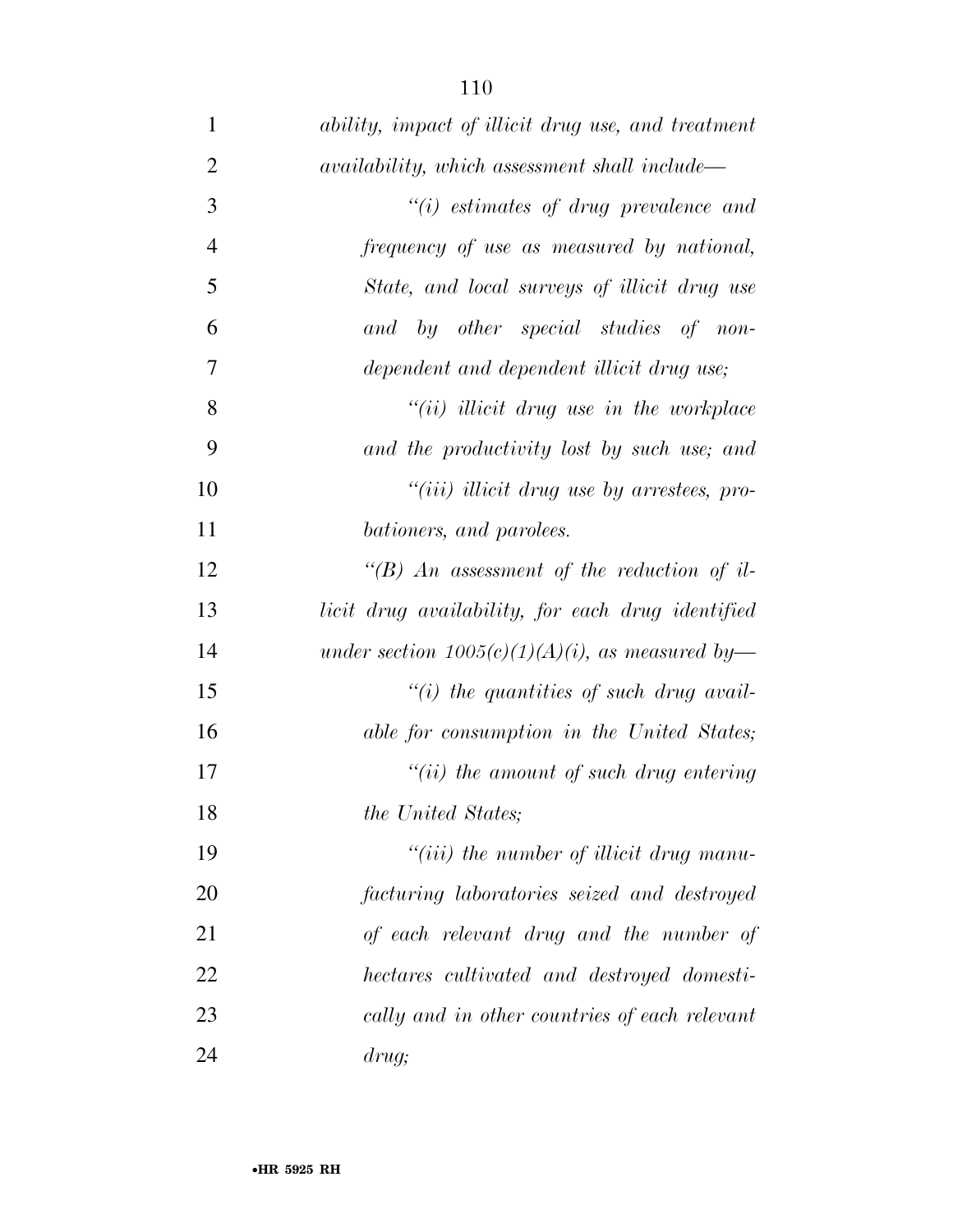| $\mathbf{1}$   | ability, impact of illicit drug use, and treatment |
|----------------|----------------------------------------------------|
| $\overline{2}$ | availability, which assessment shall include—      |
| 3              | $"(i)$ estimates of drug prevalence and            |
| $\overline{4}$ | frequency of use as measured by national,          |
| 5              | State, and local surveys of illicit drug use       |
| 6              | and by other special studies of non-               |
| $\overline{7}$ | dependent and dependent illicit drug use;          |
| 8              | $``(ii)$ illicit drug use in the workplace         |
| 9              | and the productivity lost by such use; and         |
| 10             | "(iii) illicit drug use by arrestees, pro-         |
| 11             | bationers, and parolees.                           |
| 12             | "(B) An assessment of the reduction of il-         |
| 13             | licit drug availability, for each drug identified  |
| 14             | under section $1005(c)(1)(A)(i)$ , as measured by- |
| 15             | "(i) the quantities of such drug avail-            |
| 16             | able for consumption in the United States;         |
| 17             | $``(ii)$ the amount of such drug entering          |
| 18             | the United States;                                 |
| 19             | $``(iii)$ the number of illicit drug manu-         |
| 20             | facturing laboratories seized and destroyed        |
| 21             | of each relevant drug and the number of            |
| 22             | hectares cultivated and destroyed domesti-         |
| 23             | cally and in other countries of each relevant      |
| 24             | drug;                                              |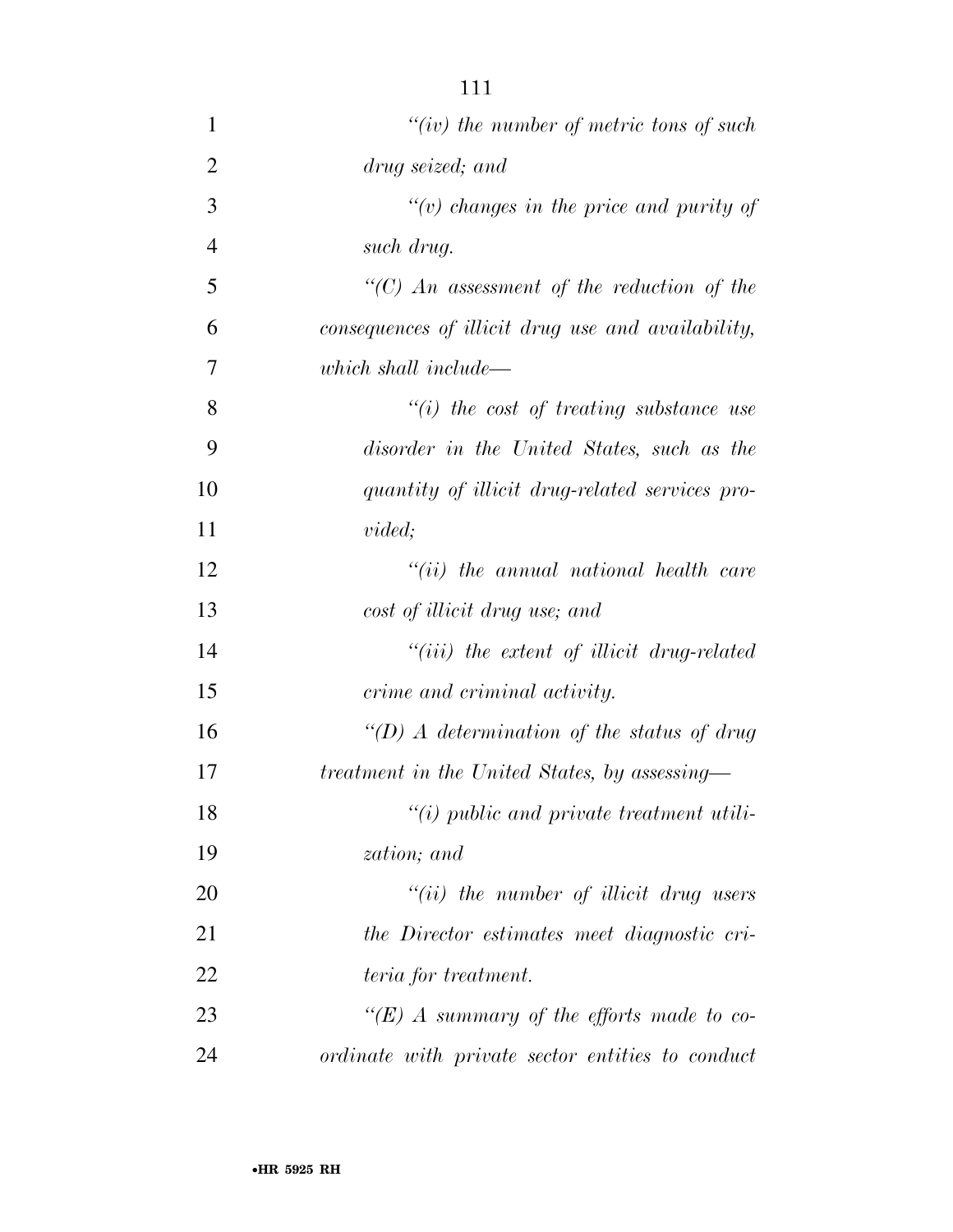| $\mathbf{1}$   | "(iv) the number of metric tons of such            |
|----------------|----------------------------------------------------|
| $\overline{2}$ | drug seized; and                                   |
| 3              | "(v) changes in the price and purity of            |
| $\overline{4}$ | such drug.                                         |
|                |                                                    |
| 5              | $\lq\lq$ (C) An assessment of the reduction of the |
| 6              | consequences of illicit drug use and availability, |
| 7              | which shall include—                               |
| 8              | $``(i)$ the cost of treating substance use         |
| 9              | disorder in the United States, such as the         |
| 10             | quantity of illicit drug-related services pro-     |
| 11             | <i>vided;</i>                                      |
| 12             | $``(ii)$ the annual national health care           |
| 13             | cost of illicit drug use; and                      |
| 14             | $``(iii)$ the extent of illicit drug-related       |
| 15             | crime and criminal activity.                       |
| 16             | "(D) A determination of the status of drug         |
| 17             | treatment in the United States, by assessing-      |
| 18             | $"(i)$ public and private treatment utili-         |
| 19             | zation; and                                        |
| 20             | $``(ii)$ the number of illicit drug users          |
| 21             | the Director estimates meet diagnostic cri-        |
| 22             | teria for treatment.                               |
| 23             | "(E) A summary of the efforts made to co-          |
| 24             | ordinate with private sector entities to conduct   |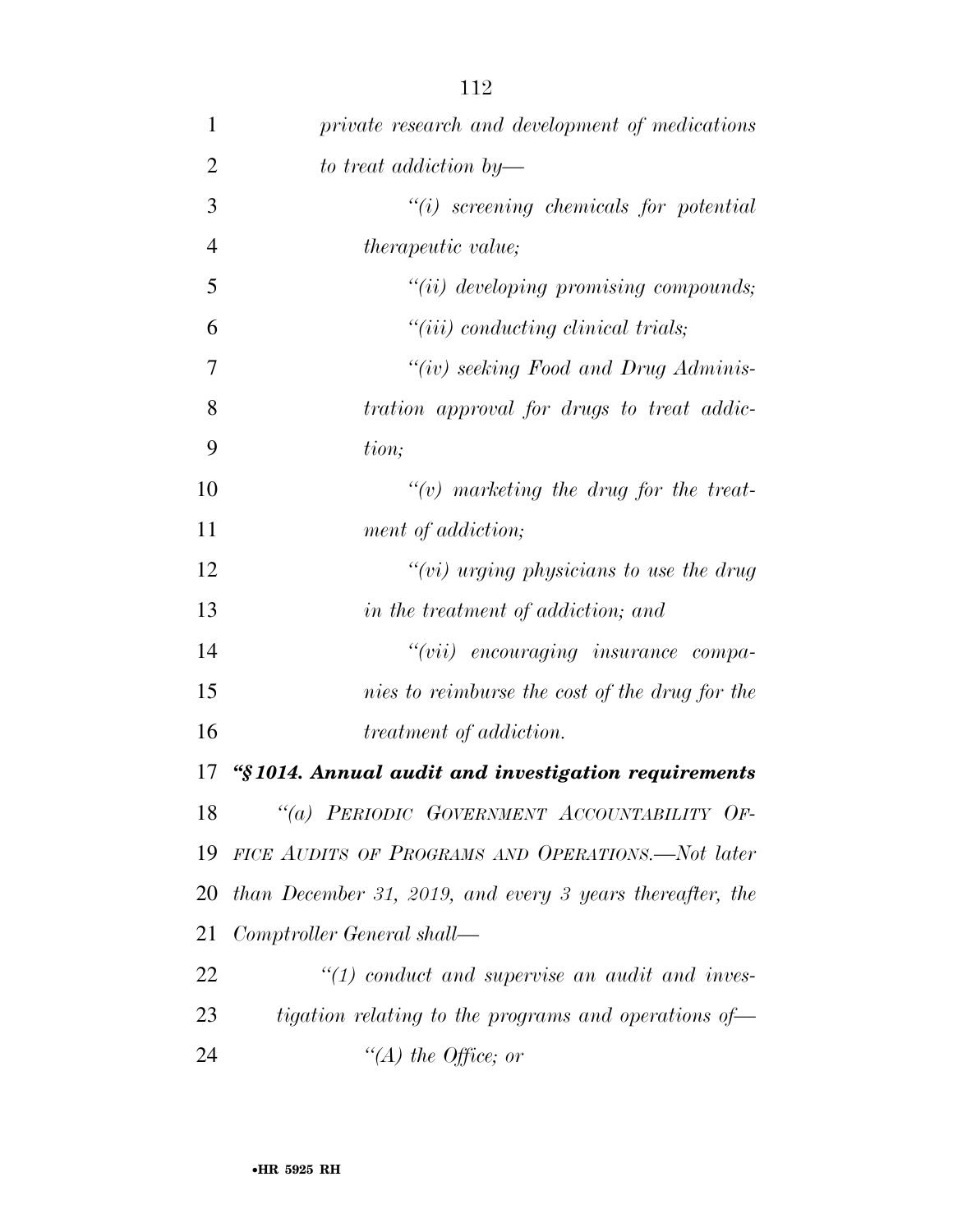| $\mathbf{1}$   | private research and development of medications           |
|----------------|-----------------------------------------------------------|
| $\overline{2}$ | to treat addiction by—                                    |
| 3              | $``(i)$ screening chemicals for potential                 |
| $\overline{4}$ | <i>therapeutic value;</i>                                 |
| 5              | "(ii) developing promising compounds;                     |
| 6              | $"(iii)$ conducting clinical trials;                      |
| $\overline{7}$ | "(iv) seeking Food and Drug Adminis-                      |
| 8              | tration approval for drugs to treat addic-                |
| 9              | tion;                                                     |
| 10             | $\lq\lq(v)$ marketing the drug for the treat-             |
| 11             | ment of addiction;                                        |
| 12             | " $(vi)$ urging physicians to use the drug                |
| 13             | in the treatment of addiction; and                        |
| 14             | "(vii) encouraging insurance compa-                       |
| 15             | nies to reimburse the cost of the drug for the            |
| 16             | treatment of addiction.                                   |
| 17             | "§1014. Annual audit and investigation requirements       |
| 18             | "(a) PERIODIC GOVERNMENT ACCOUNTABILITY OF-               |
| 19             | FICE AUDITS OF PROGRAMS AND OPERATIONS.-Not later         |
| 20             | than December 31, 2019, and every 3 years thereafter, the |
| 21             | Comptroller General shall—                                |
| 22             | $\lq(1)$ conduct and supervise an audit and inves-        |
| 23             | tigation relating to the programs and operations of       |
| 24             | "(A) the Office; or                                       |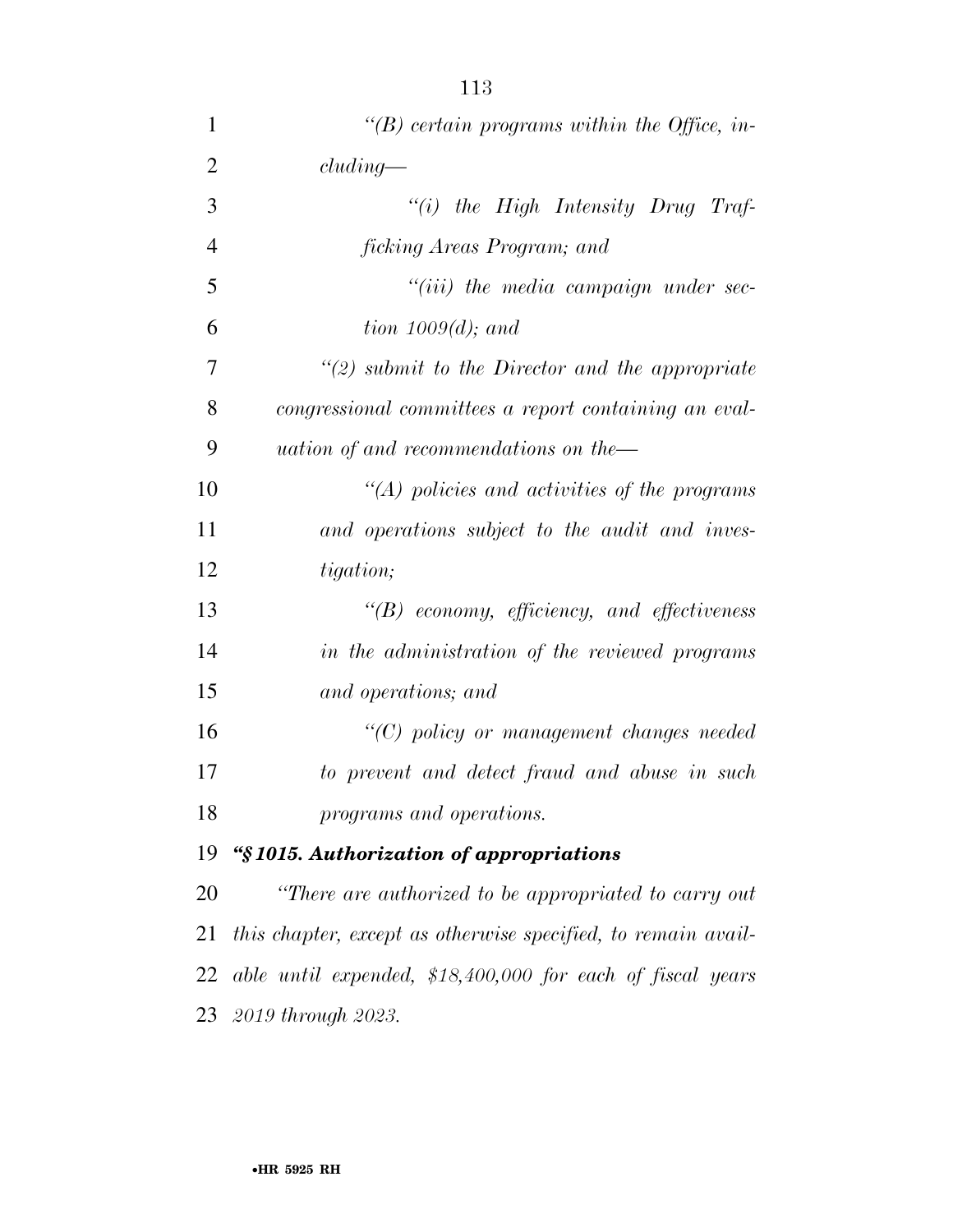| $\mathbf{1}$   | "(B) certain programs within the Office, in-          |
|----------------|-------------------------------------------------------|
| $\overline{2}$ | cluding                                               |
| 3              | "(i) the High Intensity Drug Traf-                    |
| $\overline{4}$ | <i>ficking Areas Program; and</i>                     |
| 5              | $``(iii)$ the media campaign under sec-               |
| 6              | tion $1009(d)$ ; and                                  |
| 7              | $\lq(2)$ submit to the Director and the appropriate   |
| 8              | congressional committees a report containing an eval- |
| 9              | uation of and recommendations on the-                 |
| 10             | $\lq (A)$ policies and activities of the programs     |
| 11             | and operations subject to the audit and inves-        |
| 12             | <i>tigation</i> ;                                     |
| 13             | $\lq\lq B$ economy, efficiency, and effectiveness     |
| 14             | in the administration of the reviewed programs        |
| 15             | and operations; and                                   |
| 16             | $\lq\lq C$ policy or management changes needed        |
| 17             | to prevent and detect fraud and abuse in such         |
| 18             | programs and operations.                              |
| 19             | "§1015. Authorization of appropriations               |
| 20             | "There are authorized to be appropriated to carry out |

 *this chapter, except as otherwise specified, to remain avail- able until expended, \$18,400,000 for each of fiscal years 2019 through 2023.*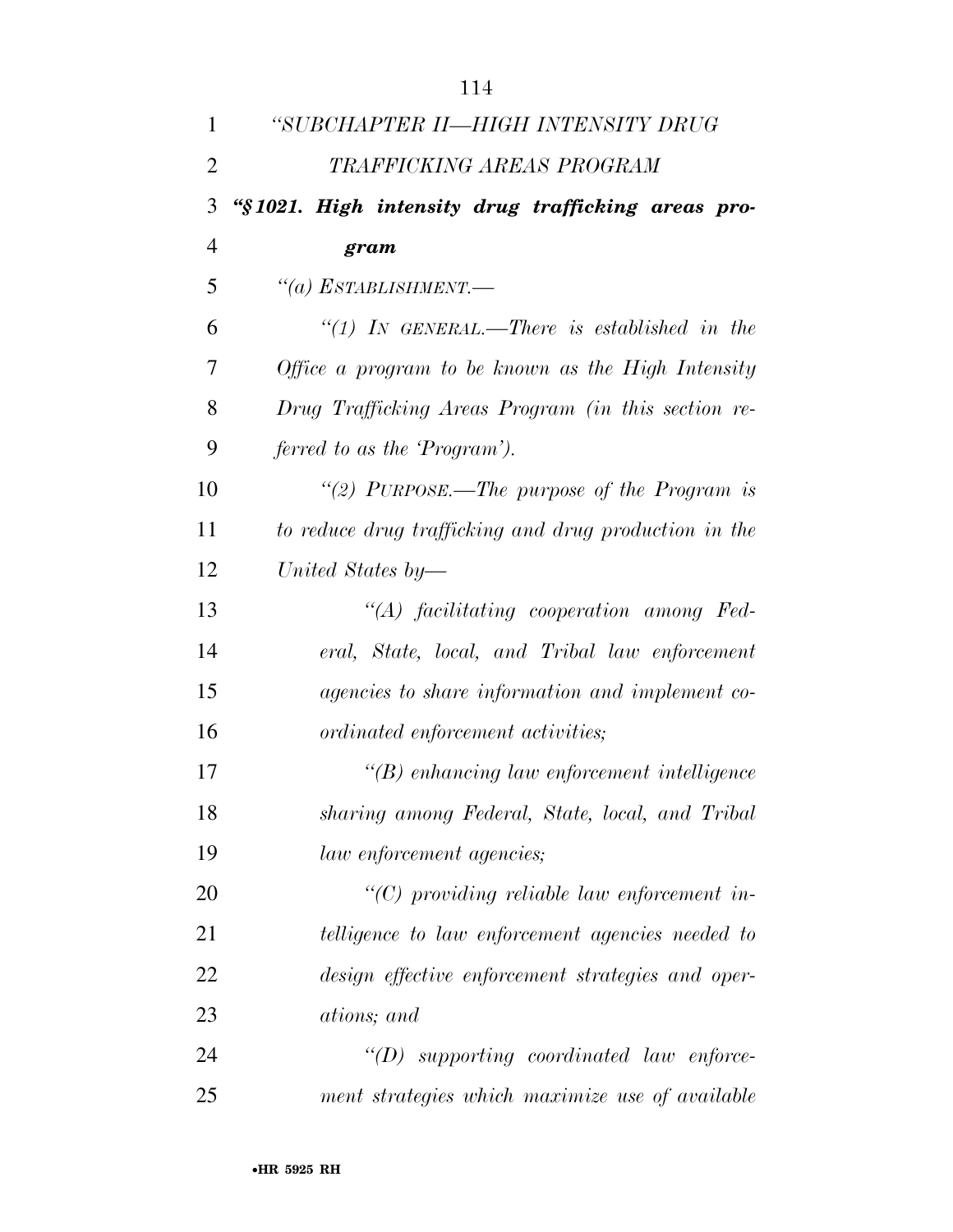| 1              | "SUBCHAPTER II-HIGH INTENSITY DRUG                     |
|----------------|--------------------------------------------------------|
| $\overline{2}$ | TRAFFICKING AREAS PROGRAM                              |
| 3              | "§1021. High intensity drug trafficking areas pro-     |
| 4              | gram                                                   |
| 5              | $``(a)$ ESTABLISHMENT.—                                |
| 6              | "(1) IN GENERAL.—There is established in the           |
| 7              | Office a program to be known as the High Intensity     |
| 8              | Drug Trafficking Areas Program (in this section re-    |
| 9              | ferred to as the 'Program').                           |
| 10             | "(2) PURPOSE.—The purpose of the Program is            |
| 11             | to reduce drug trafficking and drug production in the  |
| 12             | United States by-                                      |
| 13             | $\lq\lq (A)$ facilitating cooperation among Fed-       |
| 14             | eral, State, local, and Tribal law enforcement         |
| 15             | <i>agencies to share information and implement co-</i> |
| 16             | ordinated enforcement activities;                      |
| 17             | $\lq\lq(B)$ enhancing law enforcement intelligence     |
| 18             | sharing among Federal, State, local, and Tribal        |
| 19             | <i>law enforcement agencies</i> ;                      |
| 20             | $\lq\lq C$ ) providing reliable law enforcement in-    |
| 21             | telligence to law enforcement agencies needed to       |
| 22             | design effective enforcement strategies and oper-      |
| 23             | <i>ations</i> ; and                                    |
| 24             | $\lq\lq(D)$ supporting coordinated law enforce-        |
| 25             | ment strategies which maximize use of available        |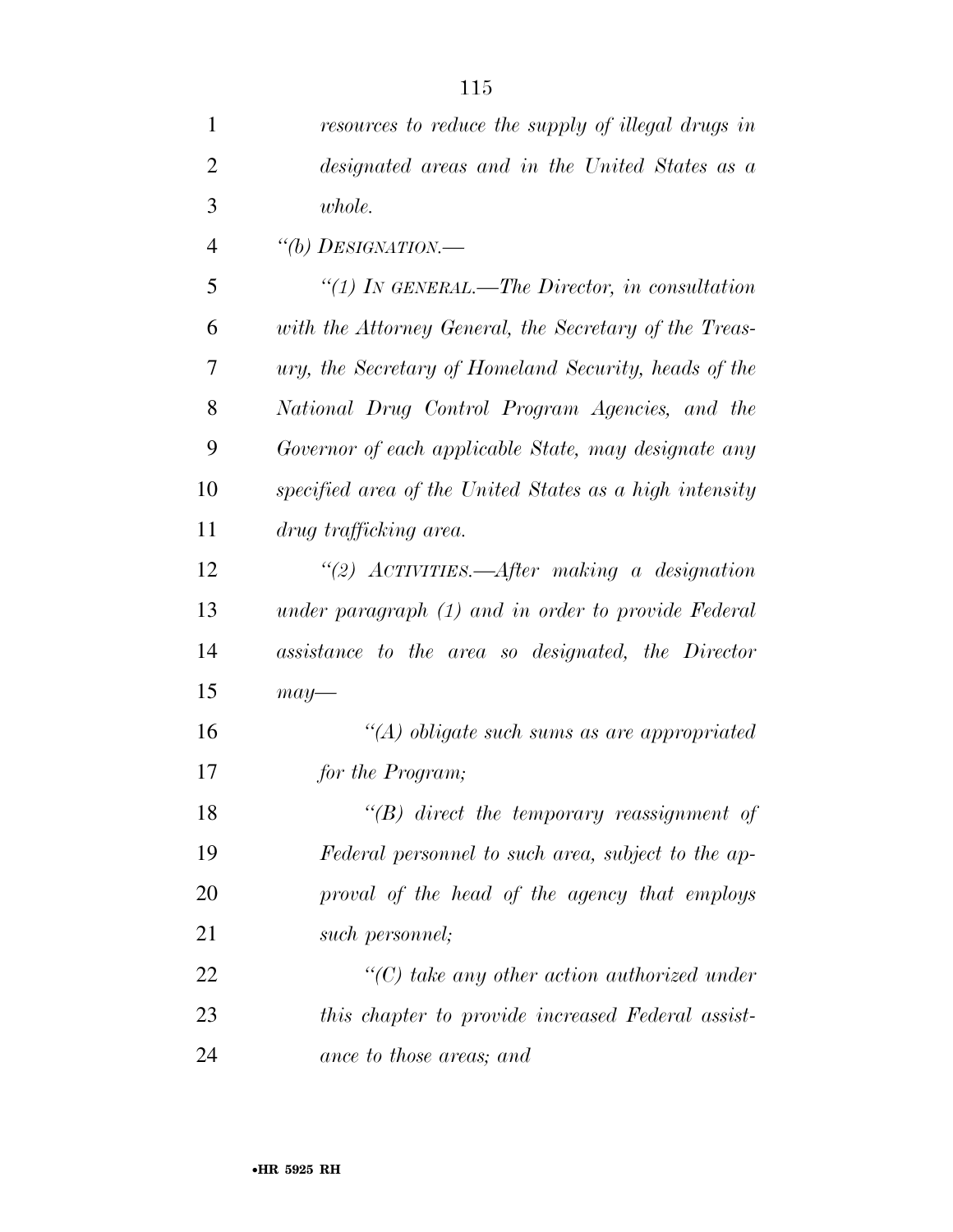| $\mathbf{1}$   | resources to reduce the supply of illegal drugs in      |
|----------------|---------------------------------------------------------|
| $\overline{2}$ | designated areas and in the United States as a          |
| 3              | whole.                                                  |
| $\overline{4}$ | "(b) DESIGNATION.—                                      |
| 5              | "(1) In GENERAL.—The Director, in consultation          |
| 6              | with the Attorney General, the Secretary of the Treas-  |
| 7              | ury, the Secretary of Homeland Security, heads of the   |
| 8              | National Drug Control Program Agencies, and the         |
| 9              | Governor of each applicable State, may designate any    |
| 10             | specified area of the United States as a high intensity |
| 11             | drug trafficking area.                                  |
| 12             | "(2) $ACTIVITIES. - After making a designation$         |
| 13             | under paragraph (1) and in order to provide Federal     |
| 14             | assistance to the area so designated, the Director      |
| 15             | $may-$                                                  |
| 16             | $\lq(A)$ obligate such sums as are appropriated         |
| 17             | for the Program;                                        |
| 18             | $\lq\lq B$ direct the temporary reassignment of         |
| 19             | Federal personnel to such area, subject to the ap-      |
| 20             | proval of the head of the agency that employs           |
| 21             | such personnel;                                         |
| 22             | $\lq\lq C$ take any other action authorized under       |
| 23             | this chapter to provide increased Federal assist-       |
| 24             | ance to those areas; and                                |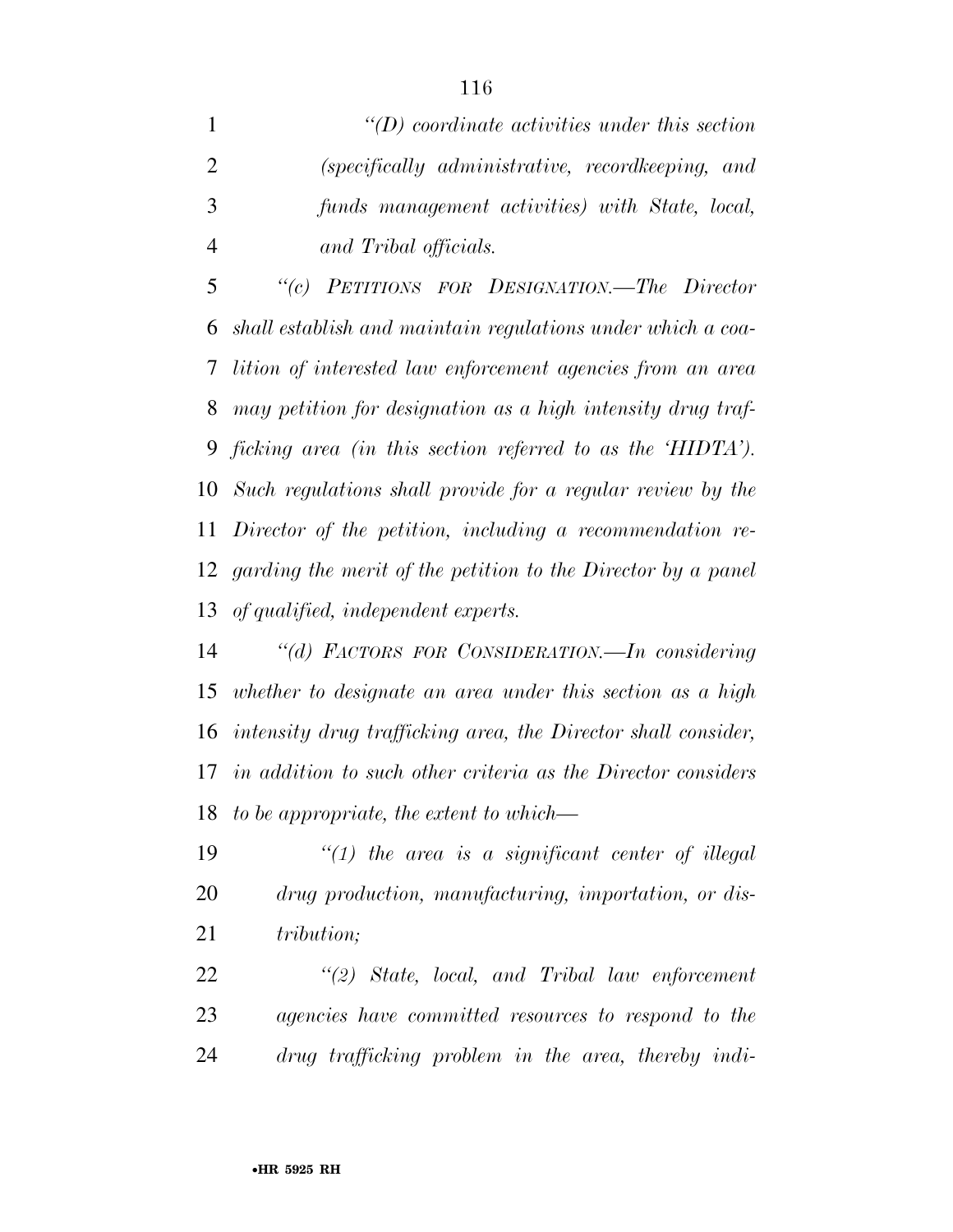*''(D) coordinate activities under this section (specifically administrative, recordkeeping, and funds management activities) with State, local, and Tribal officials.* 

 *''(c) PETITIONS FOR DESIGNATION.—The Director shall establish and maintain regulations under which a coa- lition of interested law enforcement agencies from an area may petition for designation as a high intensity drug traf- ficking area (in this section referred to as the 'HIDTA'). Such regulations shall provide for a regular review by the Director of the petition, including a recommendation re- garding the merit of the petition to the Director by a panel of qualified, independent experts.* 

 *''(d) FACTORS FOR CONSIDERATION.—In considering whether to designate an area under this section as a high intensity drug trafficking area, the Director shall consider, in addition to such other criteria as the Director considers to be appropriate, the extent to which—* 

 *''(1) the area is a significant center of illegal drug production, manufacturing, importation, or dis-tribution;* 

 *''(2) State, local, and Tribal law enforcement agencies have committed resources to respond to the drug trafficking problem in the area, thereby indi-*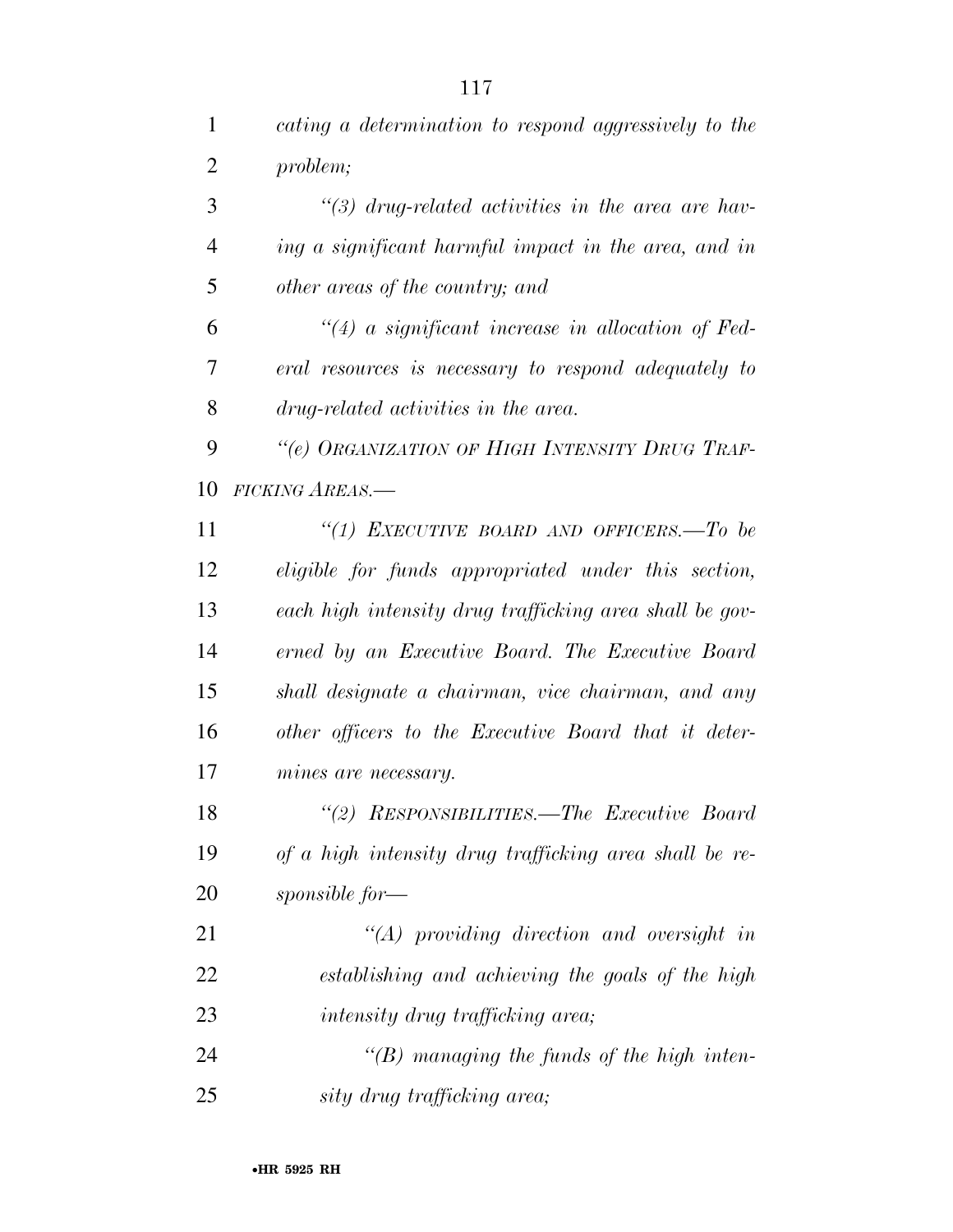| $\mathbf{1}$   | cating a determination to respond aggressively to the   |
|----------------|---------------------------------------------------------|
| $\overline{2}$ | problem;                                                |
| 3              | $\lq(3)$ drug-related activities in the area are hav-   |
| $\overline{4}$ | ing a significant harmful impact in the area, and in    |
| 5              | other areas of the country; and                         |
| 6              | $\lq(4)$ a significant increase in allocation of Fed-   |
| 7              | eral resources is necessary to respond adequately to    |
| 8              | drug-related activities in the area.                    |
| 9              | "(e) ORGANIZATION OF HIGH INTENSITY DRUG TRAF-          |
| 10             | FICKING AREAS.                                          |
| 11             | "(1) EXECUTIVE BOARD AND OFFICERS.—To be                |
| 12             | eligible for funds appropriated under this section,     |
| 13             | each high intensity drug trafficking area shall be gov- |
| 14             | erned by an Executive Board. The Executive Board        |
| 15             | shall designate a chairman, vice chairman, and any      |
| 16             | other officers to the Executive Board that it deter-    |
| 17             | mines are necessary.                                    |
| 18             | "(2) RESPONSIBILITIES.—The Executive Board              |
| 19             | of a high intensity drug trafficking area shall be re-  |
| 20             | sponsible for—                                          |
| 21             | $\lq (A)$ providing direction and oversight in          |
| 22             | establishing and achieving the goals of the high        |
| 23             | <i>intensity drug trafficking area;</i>                 |
| 24             | $\lq\lq(B)$ managing the funds of the high inten-       |
| 25             | sity drug trafficking area;                             |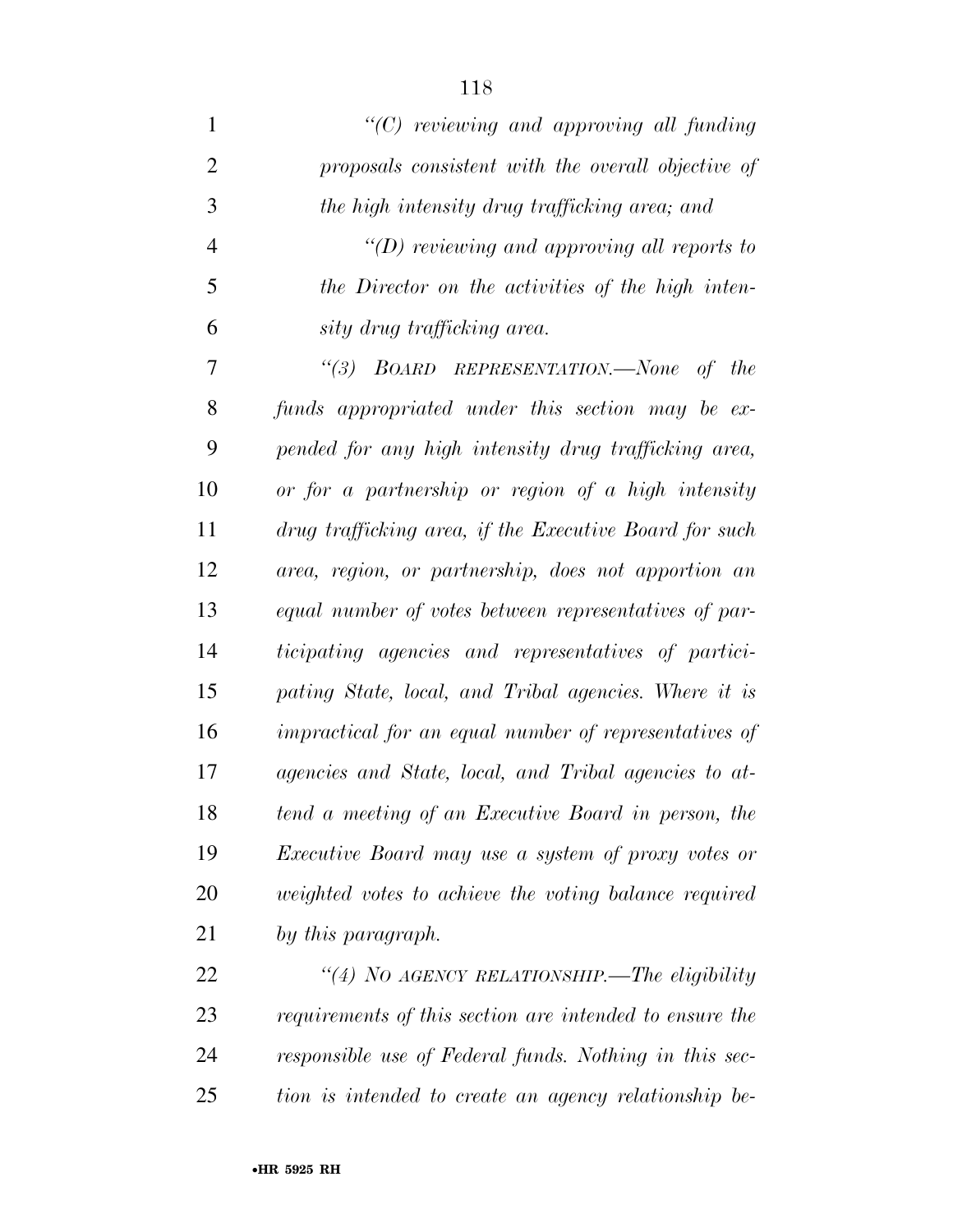*''(C) reviewing and approving all funding proposals consistent with the overall objective of the high intensity drug trafficking area; and ''(D) reviewing and approving all reports to the Director on the activities of the high inten- sity drug trafficking area. ''(3) BOARD REPRESENTATION.—None of the funds appropriated under this section may be ex- pended for any high intensity drug trafficking area, or for a partnership or region of a high intensity drug trafficking area, if the Executive Board for such area, region, or partnership, does not apportion an equal number of votes between representatives of par-ticipating agencies and representatives of partici-*

 *pating State, local, and Tribal agencies. Where it is impractical for an equal number of representatives of agencies and State, local, and Tribal agencies to at- tend a meeting of an Executive Board in person, the Executive Board may use a system of proxy votes or weighted votes to achieve the voting balance required by this paragraph.* 

 *''(4) NO AGENCY RELATIONSHIP.—The eligibility requirements of this section are intended to ensure the responsible use of Federal funds. Nothing in this sec-tion is intended to create an agency relationship be-*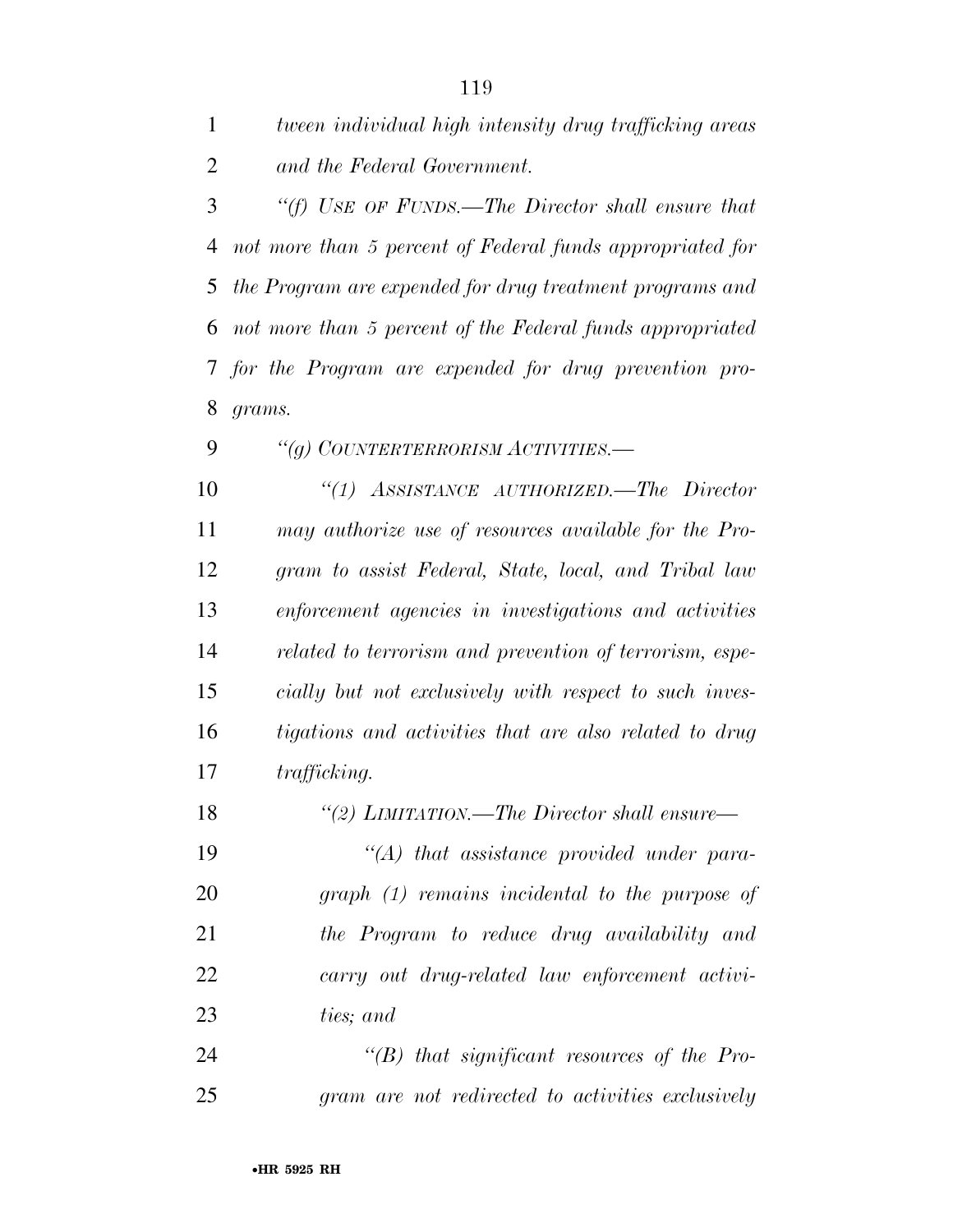*tween individual high intensity drug trafficking areas and the Federal Government.* 

 *''(f) USE OF FUNDS.—The Director shall ensure that not more than 5 percent of Federal funds appropriated for the Program are expended for drug treatment programs and not more than 5 percent of the Federal funds appropriated for the Program are expended for drug prevention pro-grams.* 

*''(g) COUNTERTERRORISM ACTIVITIES.—* 

 *''(1) ASSISTANCE AUTHORIZED.—The Director may authorize use of resources available for the Pro- gram to assist Federal, State, local, and Tribal law enforcement agencies in investigations and activities related to terrorism and prevention of terrorism, espe- cially but not exclusively with respect to such inves- tigations and activities that are also related to drug trafficking.* 

*''(2) LIMITATION.—The Director shall ensure—* 

 *''(A) that assistance provided under para- graph (1) remains incidental to the purpose of the Program to reduce drug availability and carry out drug-related law enforcement activi-ties; and* 

 *''(B) that significant resources of the Pro-gram are not redirected to activities exclusively*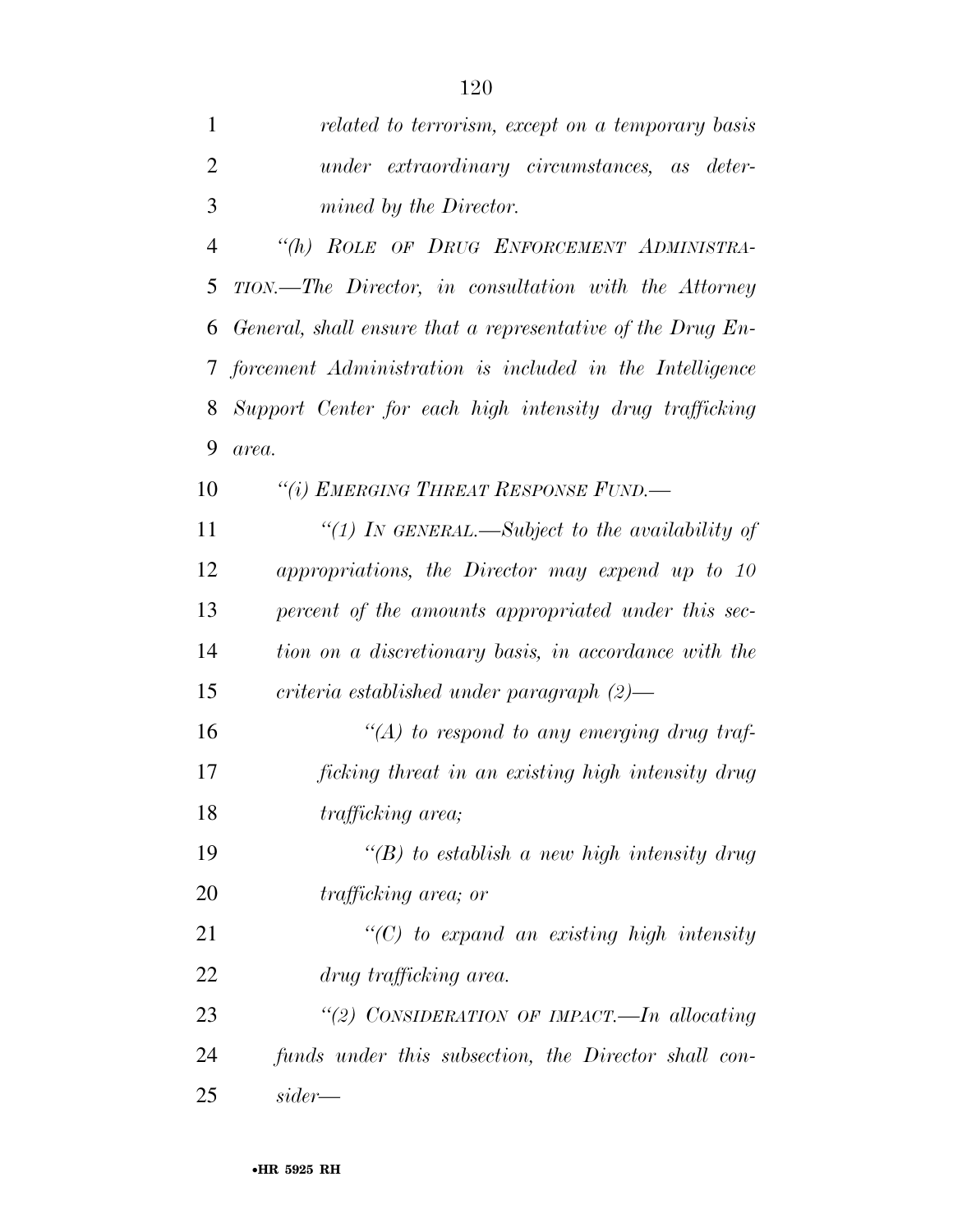*related to terrorism, except on a temporary basis* 

| $\overline{2}$ | under extraordinary circumstances, as deter-                |
|----------------|-------------------------------------------------------------|
| 3              | mined by the Director.                                      |
| $\overline{4}$ | "(h) ROLE OF DRUG ENFORCEMENT ADMINISTRA-                   |
| 5              | TION.—The Director, in consultation with the Attorney       |
| 6              | General, shall ensure that a representative of the Drug En- |
| 7              | forcement Administration is included in the Intelligence    |
| 8              | Support Center for each high intensity drug trafficking     |
| 9              | area.                                                       |
| 10             | "(i) EMERGING THREAT RESPONSE FUND.-                        |
| 11             | "(1) In GENERAL.—Subject to the availability of             |
| 12             | appropriations, the Director may expend up to 10            |
| 13             | percent of the amounts appropriated under this sec-         |
| 14             | tion on a discretionary basis, in accordance with the       |
| 15             | $criterion$ established under paragraph $(2)$ —             |
| 16             | $\lq (A)$ to respond to any emerging drug traf-             |
| 17             | ficking threat in an existing high intensity drug           |
| 18             | trafficking area;                                           |
| 19             | "(B) to establish a new high intensity drug                 |
| 20             | <i>trafficking area; or</i>                                 |
| 21             | $\lq\lq C$ to expand an existing high intensity             |
| 22             | drug trafficking area.                                      |
| 23             | "(2) CONSIDERATION OF IMPACT.—In allocating                 |
| 24             | funds under this subsection, the Director shall con-        |
| 25             | $sider$ —                                                   |
|                | •HR 5925 RH                                                 |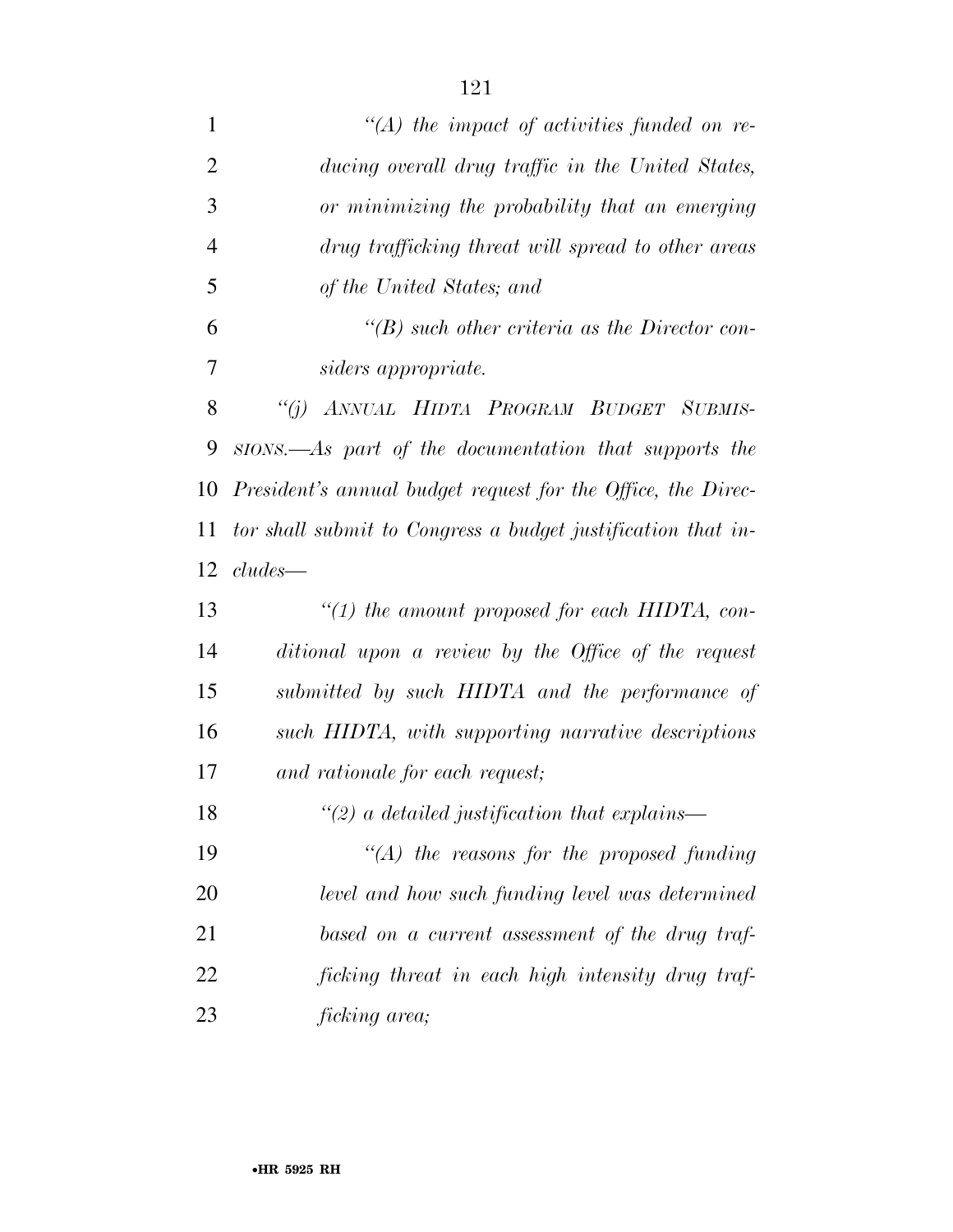| $\mathbf{1}$   | $\lq (A)$ the impact of activities funded on re-             |
|----------------|--------------------------------------------------------------|
| $\overline{2}$ | ducing overall drug traffic in the United States,            |
| 3              | or minimizing the probability that an emerging               |
| $\overline{4}$ | drug trafficking threat will spread to other areas           |
| 5              | of the United States; and                                    |
| 6              | $\lq\lq(B)$ such other criteria as the Director con-         |
| 7              | siders appropriate.                                          |
| 8              | "(j) ANNUAL HIDTA PROGRAM BUDGET SUBMIS-                     |
| 9              | sions.—As part of the documentation that supports the        |
| 10             | President's annual budget request for the Office, the Direc- |
| 11             | tor shall submit to Congress a budget justification that in- |
| 12             | $cludes$ —                                                   |
| 13             | "(1) the amount proposed for each HIDTA, con-                |
| 14             | ditional upon a review by the Office of the request          |
| 15             | submitted by such HIDTA and the performance of               |
| 16             | such HIDTA, with supporting narrative descriptions           |
| 17             | and rationale for each request;                              |
| 18             | $\lq(2)$ a detailed justification that explains—             |
| 19             | $\lq (A)$ the reasons for the proposed funding               |
| <b>20</b>      | level and how such funding level was determined              |
| 21             | based on a current assessment of the drug traf-              |
| 22             | ficking threat in each high intensity drug traf-             |
| 23             | ficking area;                                                |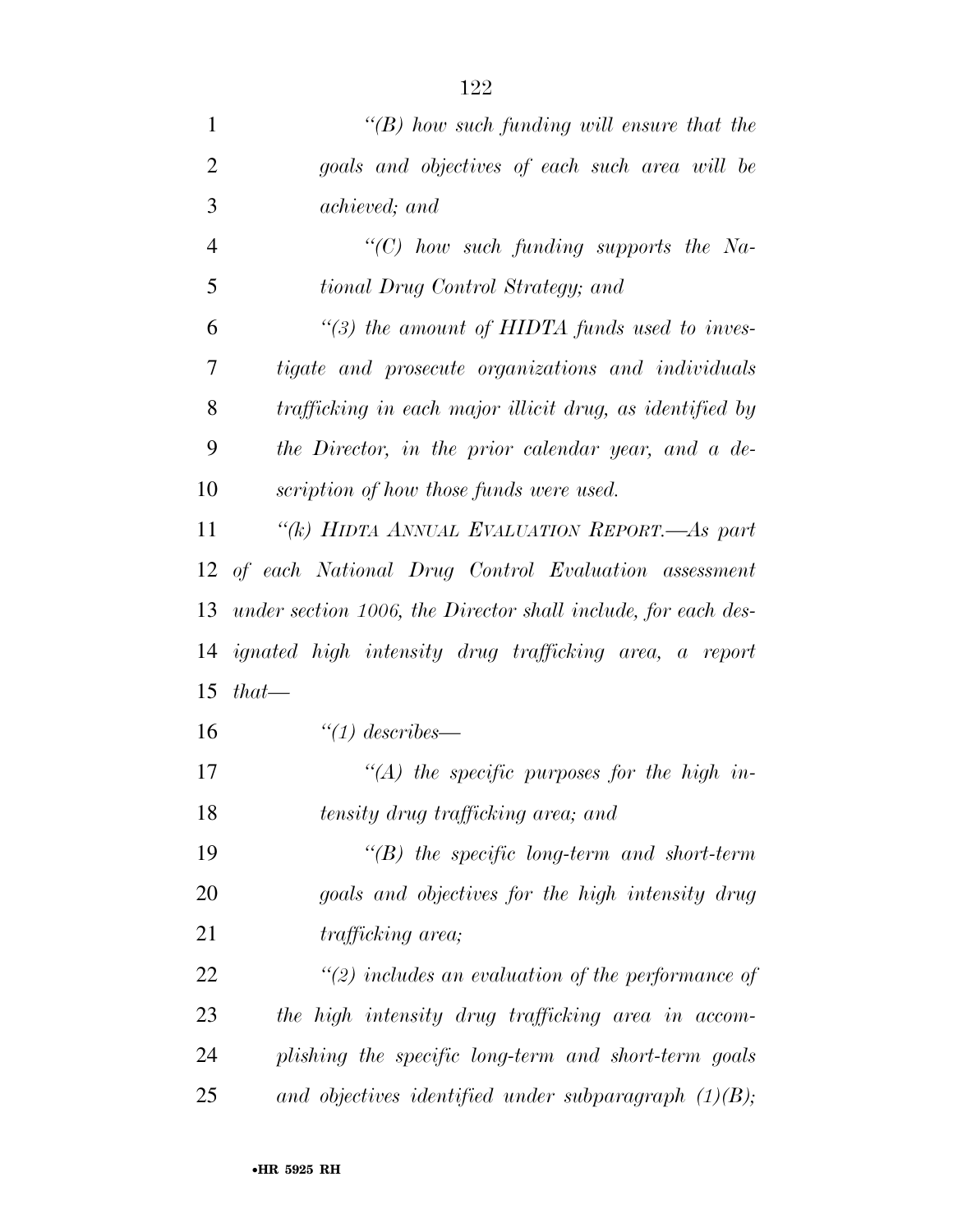| 1              | "(B) how such funding will ensure that the                    |
|----------------|---------------------------------------------------------------|
| $\overline{2}$ | goals and objectives of each such area will be                |
| 3              | achieved; and                                                 |
| $\overline{4}$ | " $(C)$ how such funding supports the Na-                     |
| 5              | tional Drug Control Strategy; and                             |
| 6              | $\lq(3)$ the amount of HIDTA funds used to inves-             |
| 7              | tigate and prosecute organizations and individuals            |
| 8              | trafficking in each major illicit drug, as identified by      |
| 9              | the Director, in the prior calendar year, and a de-           |
| 10             | scription of how those funds were used.                       |
| 11             | "(k) HIDTA ANNUAL EVALUATION REPORT.—As part                  |
|                | 12 of each National Drug Control Evaluation assessment        |
| 13             | under section 1006, the Director shall include, for each des- |
| 14             | <i>ignated high intensity drug trafficking area, a report</i> |
| 15             | $that-$                                                       |
| 16             | $\degree$ (1) describes—                                      |
| 17             | $\lq (A)$ the specific purposes for the high in-              |
| 18             | tensity drug trafficking area; and                            |
| 19             | $\lq\lq(B)$ the specific long-term and short-term             |
| 20             | goals and objectives for the high intensity drug              |
| 21             | <i>trafficking area</i> ;                                     |
| 22             | $\lq(2)$ includes an evaluation of the performance of         |
| 23             | the high intensity drug trafficking area in accom-            |
| 24             | plishing the specific long-term and short-term goals          |
| 25             | and objectives identified under subparagraph $(1)(B)$ ;       |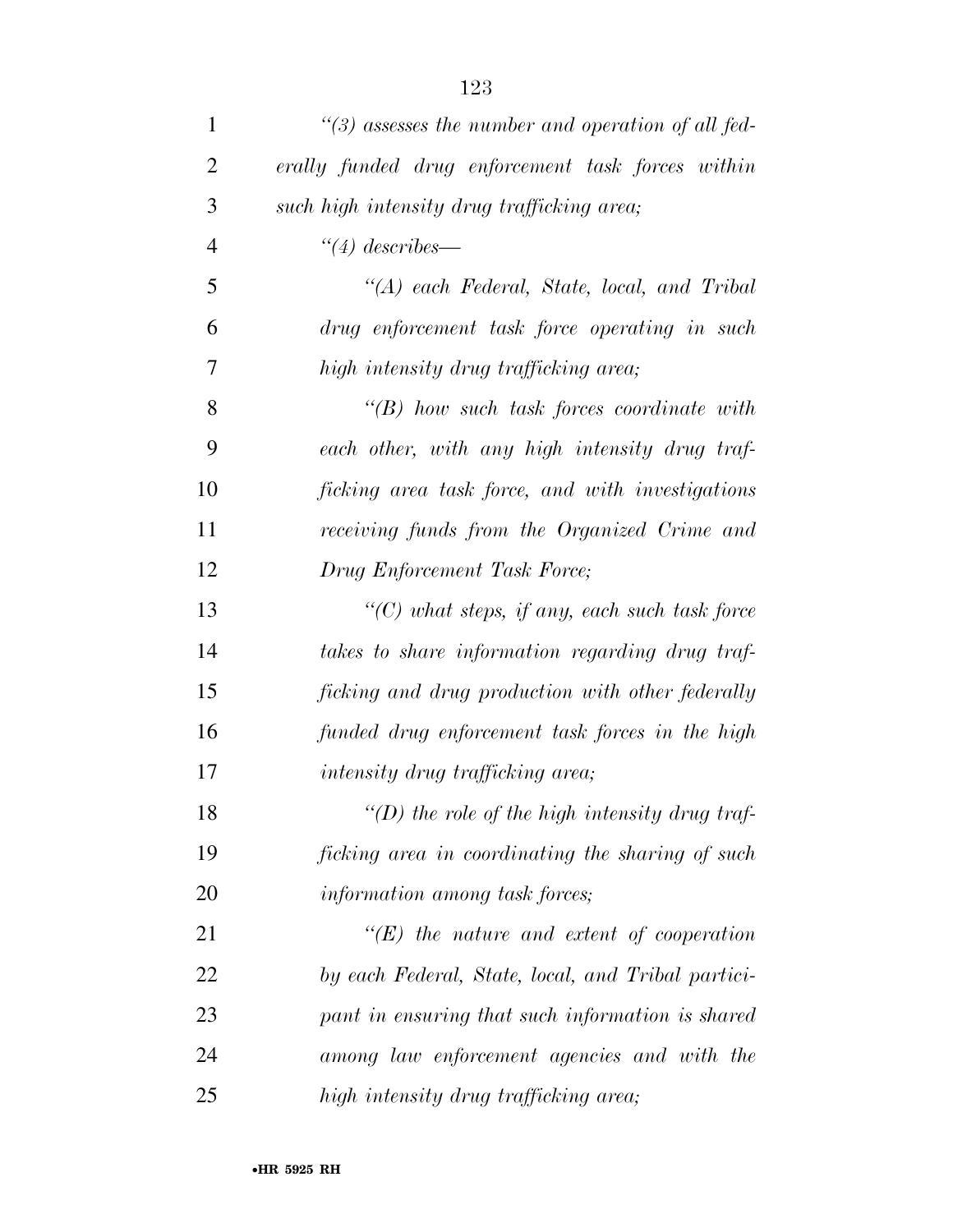| $\mathbf{1}$   | $\lq(3)$ assesses the number and operation of all fed- |
|----------------|--------------------------------------------------------|
| $\overline{2}$ | erally funded drug enforcement task forces within      |
| 3              | such high intensity drug trafficking area;             |
| $\overline{4}$ | $\degree$ (4) describes—                               |
| 5              | "(A) each Federal, State, local, and Tribal            |
| 6              | drug enforcement task force operating in such          |
| 7              | high intensity drug trafficking area;                  |
| 8              | $\lq\lq B$ ) how such task forces coordinate with      |
| 9              | each other, with any high intensity drug traf-         |
| 10             | ficking area task force, and with investigations       |
| 11             | receiving funds from the Organized Crime and           |
| 12             | Drug Enforcement Task Force;                           |
| 13             | $\lq\lq$ what steps, if any, each such task force      |
| 14             | takes to share information regarding drug traf-        |
| 15             | ficking and drug production with other federally       |
| 16             | funded drug enforcement task forces in the high        |
| 17             | <i>intensity drug trafficking area;</i>                |
| 18             | "(D) the role of the high intensity drug traf-         |
| 19             | ficking area in coordinating the sharing of such       |
| 20             | information among task forces;                         |
| 21             | $\lq\lq(E)$ the nature and extent of cooperation       |
| 22             | by each Federal, State, local, and Tribal partici-     |
| 23             | pant in ensuring that such information is shared       |
| 24             | among law enforcement agencies and with the            |
| 25             | high intensity drug trafficking area;                  |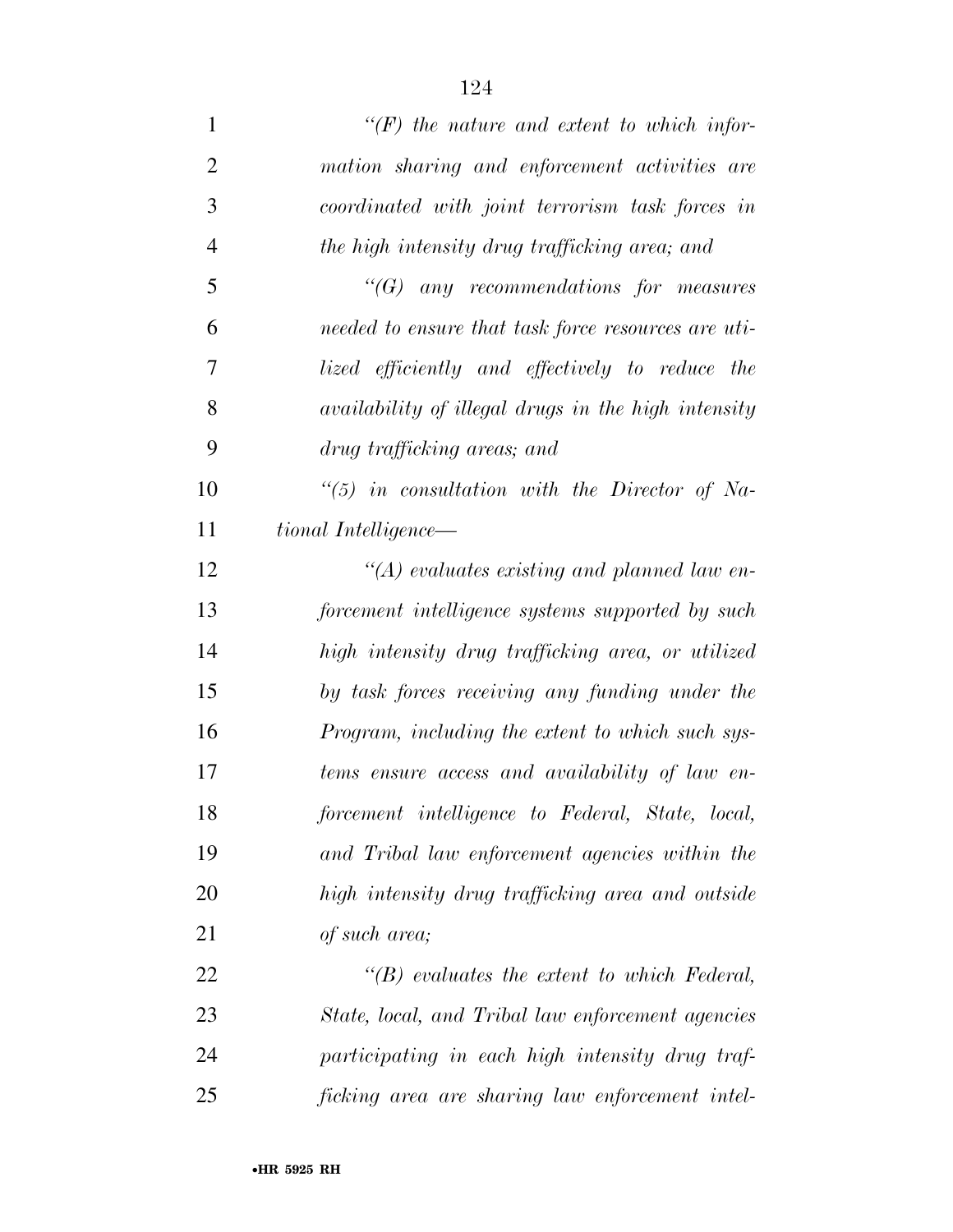| $\mathbf{1}$   | $\lq (F)$ the nature and extent to which infor-     |
|----------------|-----------------------------------------------------|
| $\overline{2}$ | mation sharing and enforcement activities are       |
| 3              | coordinated with joint terrorism task forces in     |
| $\overline{4}$ | the high intensity drug trafficking area; and       |
| 5              | $\lq\lq G$ any recommendations for measures         |
| 6              | needed to ensure that task force resources are uti- |
| 7              | lized efficiently and effectively to reduce the     |
| 8              | availability of illegal drugs in the high intensity |
| 9              | drug trafficking areas; and                         |
| 10             | $\lq(5)$ in consultation with the Director of Na-   |
| 11             | tional Intelligence—                                |
| 12             | $\lq (A)$ evaluates existing and planned law en-    |
| 13             | forcement intelligence systems supported by such    |
| 14             | high intensity drug trafficking area, or utilized   |
| 15             | by task forces receiving any funding under the      |
| 16             | Program, including the extent to which such sys-    |
| 17             | tems ensure access and availability of law en-      |
| 18             | forcement intelligence to Federal, State, local,    |
| 19             | and Tribal law enforcement agencies within the      |
| 20             | high intensity drug trafficking area and outside    |
| 21             | of such area;                                       |
| 22             | $\lq\lq B$ evaluates the extent to which Federal,   |
| 23             | State, local, and Tribal law enforcement agencies   |
| 24             | participating in each high intensity drug traf-     |
| 25             | ficking area are sharing law enforcement intel-     |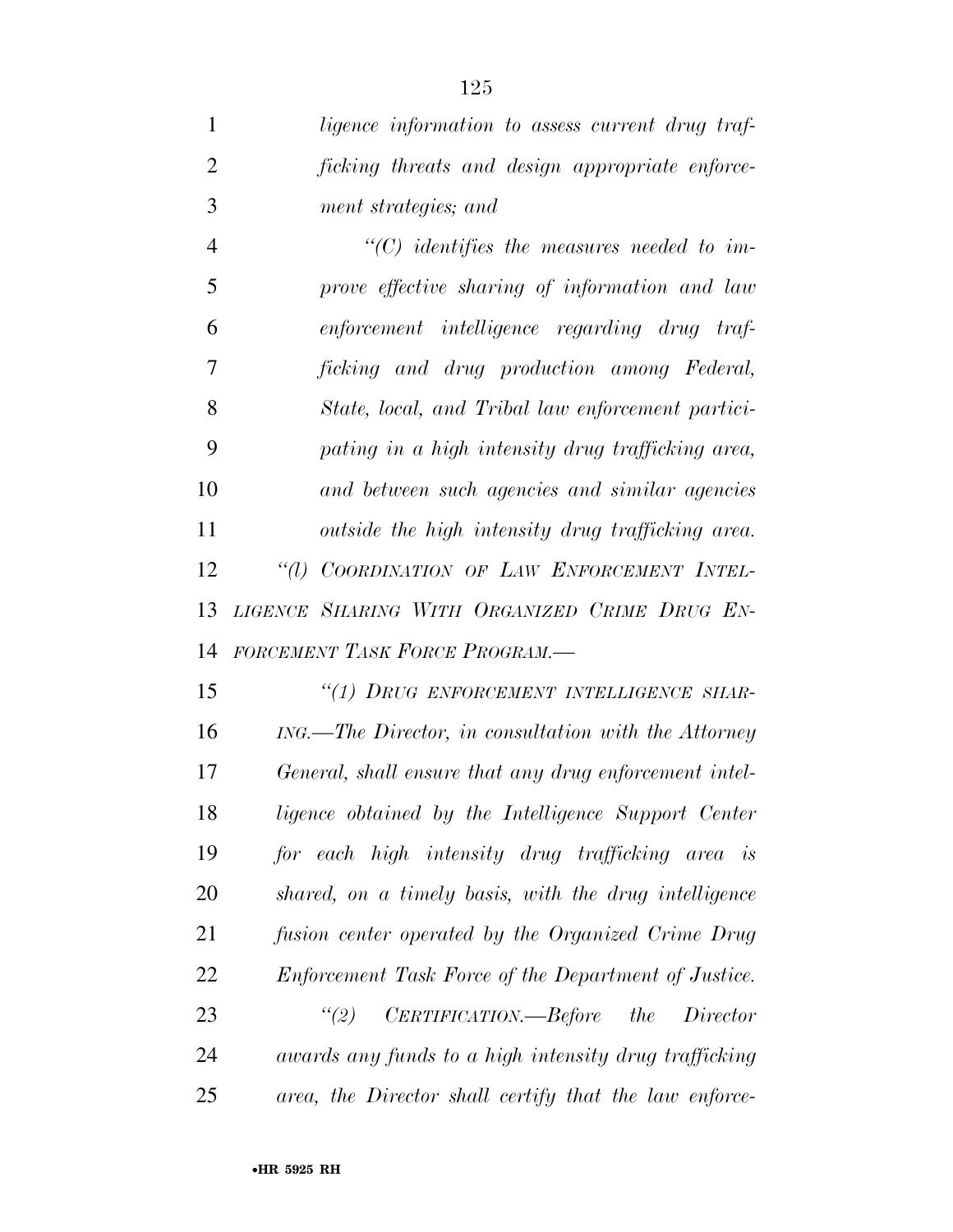*ligence information to assess current drug traf- ficking threats and design appropriate enforce-ment strategies; and* 

 *''(C) identifies the measures needed to im- prove effective sharing of information and law enforcement intelligence regarding drug traf- ficking and drug production among Federal, State, local, and Tribal law enforcement partici- pating in a high intensity drug trafficking area, and between such agencies and similar agencies outside the high intensity drug trafficking area. ''(l) COORDINATION OF LAW ENFORCEMENT INTEL- LIGENCE SHARING WITH ORGANIZED CRIME DRUG EN-FORCEMENT TASK FORCE PROGRAM.—* 

 *''(1) DRUG ENFORCEMENT INTELLIGENCE SHAR- ING.—The Director, in consultation with the Attorney General, shall ensure that any drug enforcement intel- ligence obtained by the Intelligence Support Center for each high intensity drug trafficking area is shared, on a timely basis, with the drug intelligence fusion center operated by the Organized Crime Drug Enforcement Task Force of the Department of Justice. ''(2) CERTIFICATION.—Before the Director awards any funds to a high intensity drug trafficking area, the Director shall certify that the law enforce-*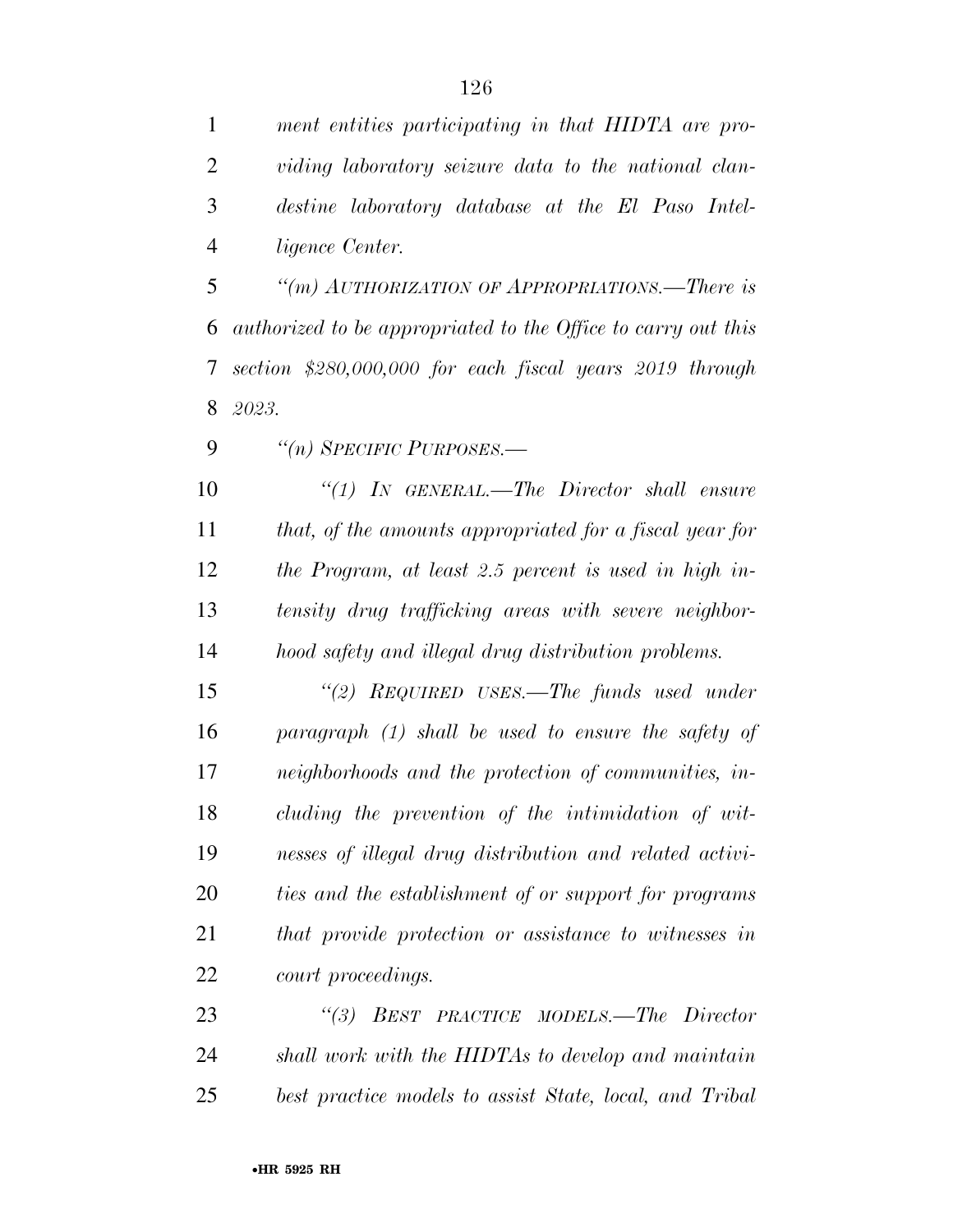*ment entities participating in that HIDTA are pro- viding laboratory seizure data to the national clan- destine laboratory database at the El Paso Intel-ligence Center.* 

 *''(m) AUTHORIZATION OF APPROPRIATIONS.—There is authorized to be appropriated to the Office to carry out this section \$280,000,000 for each fiscal years 2019 through 2023.* 

*''(n) SPECIFIC PURPOSES.—* 

 *''(1) IN GENERAL.—The Director shall ensure that, of the amounts appropriated for a fiscal year for the Program, at least 2.5 percent is used in high in- tensity drug trafficking areas with severe neighbor-hood safety and illegal drug distribution problems.* 

 *''(2) REQUIRED USES.—The funds used under paragraph (1) shall be used to ensure the safety of neighborhoods and the protection of communities, in- cluding the prevention of the intimidation of wit- nesses of illegal drug distribution and related activi- ties and the establishment of or support for programs that provide protection or assistance to witnesses in court proceedings.* 

 *''(3) BEST PRACTICE MODELS.—The Director shall work with the HIDTAs to develop and maintain best practice models to assist State, local, and Tribal*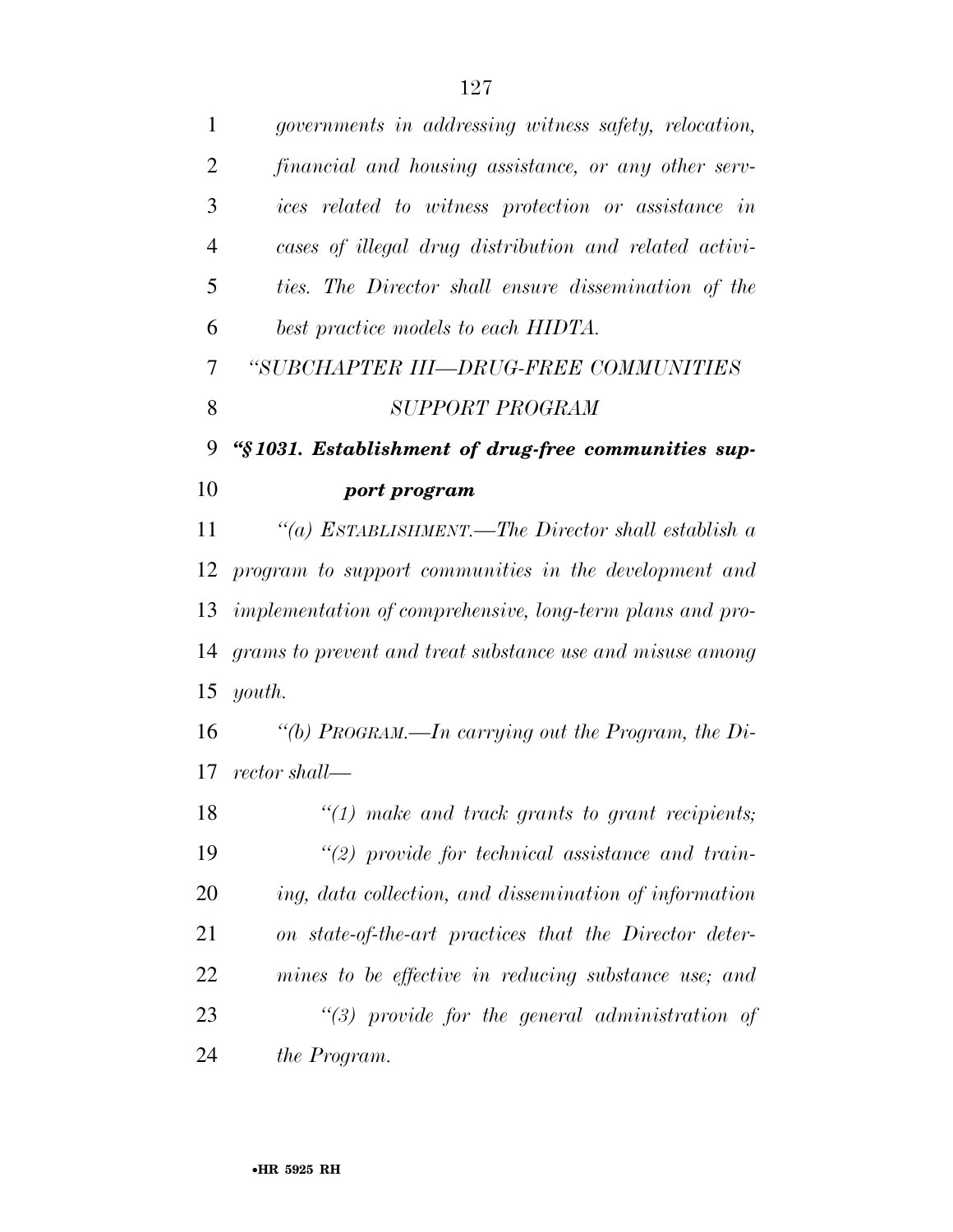| $\mathbf{1}$   | governments in addressing witness safety, relocation,     |
|----------------|-----------------------------------------------------------|
| $\overline{2}$ | financial and housing assistance, or any other serv-      |
| 3              | ices related to witness protection or assistance in       |
| $\overline{4}$ | cases of illegal drug distribution and related activi-    |
| 5              | ties. The Director shall ensure dissemination of the      |
| 6              | best practice models to each HIDTA.                       |
| 7              | "SUBCHAPTER III—DRUG-FREE COMMUNITIES                     |
| 8              | SUPPORT PROGRAM                                           |
| 9              | "§1031. Establishment of drug-free communities sup-       |
| 10             | port program                                              |
| 11             | "(a) ESTABLISHMENT.—The Director shall establish a        |
| 12             | program to support communities in the development and     |
| 13             | implementation of comprehensive, long-term plans and pro- |
| 14             | grams to prevent and treat substance use and misuse among |
| 15             | youth.                                                    |
| 16             | "(b) PROGRAM.—In carrying out the Program, the Di-        |
| 17             | rector shall—                                             |
| 18             | $"(1)$ make and track grants to grant recipients;         |
| 19             | $\lq(2)$ provide for technical assistance and train-      |
| 20             | ing, data collection, and dissemination of information    |
| 21             | on state-of-the-art practices that the Director deter-    |
| 22             | mines to be effective in reducing substance use; and      |
| 23             | $\lq(3)$ provide for the general administration of        |
| 24             | the Program.                                              |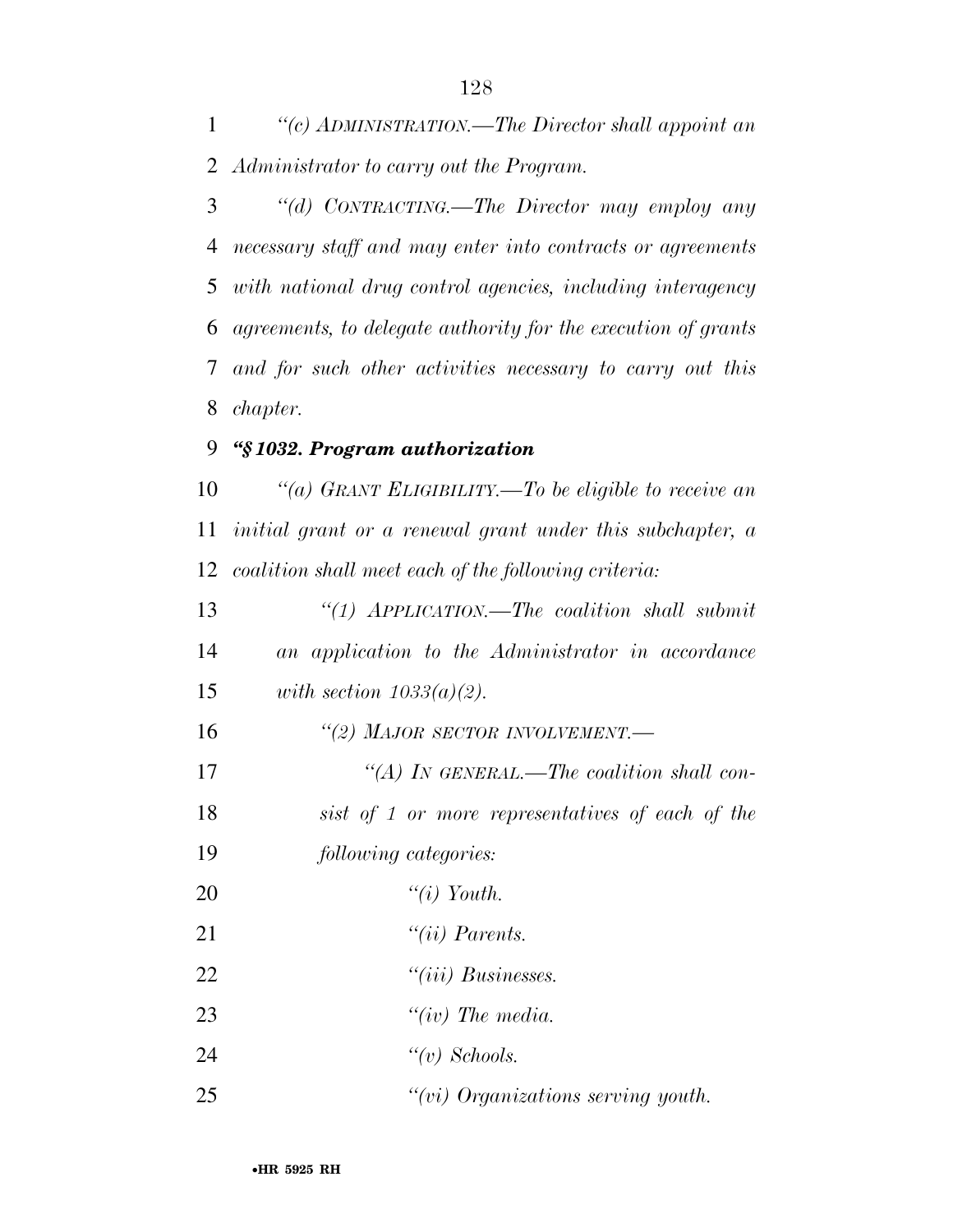*''(c) ADMINISTRATION.—The Director shall appoint an Administrator to carry out the Program.* 

 *''(d) CONTRACTING.—The Director may employ any necessary staff and may enter into contracts or agreements with national drug control agencies, including interagency agreements, to delegate authority for the execution of grants and for such other activities necessary to carry out this chapter.* 

## *''§ 1032. Program authorization*

 *''(a) GRANT ELIGIBILITY.—To be eligible to receive an initial grant or a renewal grant under this subchapter, a coalition shall meet each of the following criteria:* 

 *''(1) APPLICATION.—The coalition shall submit an application to the Administrator in accordance with section 1033(a)(2). ''(2) MAJOR SECTOR INVOLVEMENT.— ''(A) IN GENERAL.—The coalition shall con- sist of 1 or more representatives of each of the following categories: ''(i) Youth. ''(ii) Parents. ''(iii) Businesses. ''(iv) The media. ''(v) Schools.* 

*''(vi) Organizations serving youth.*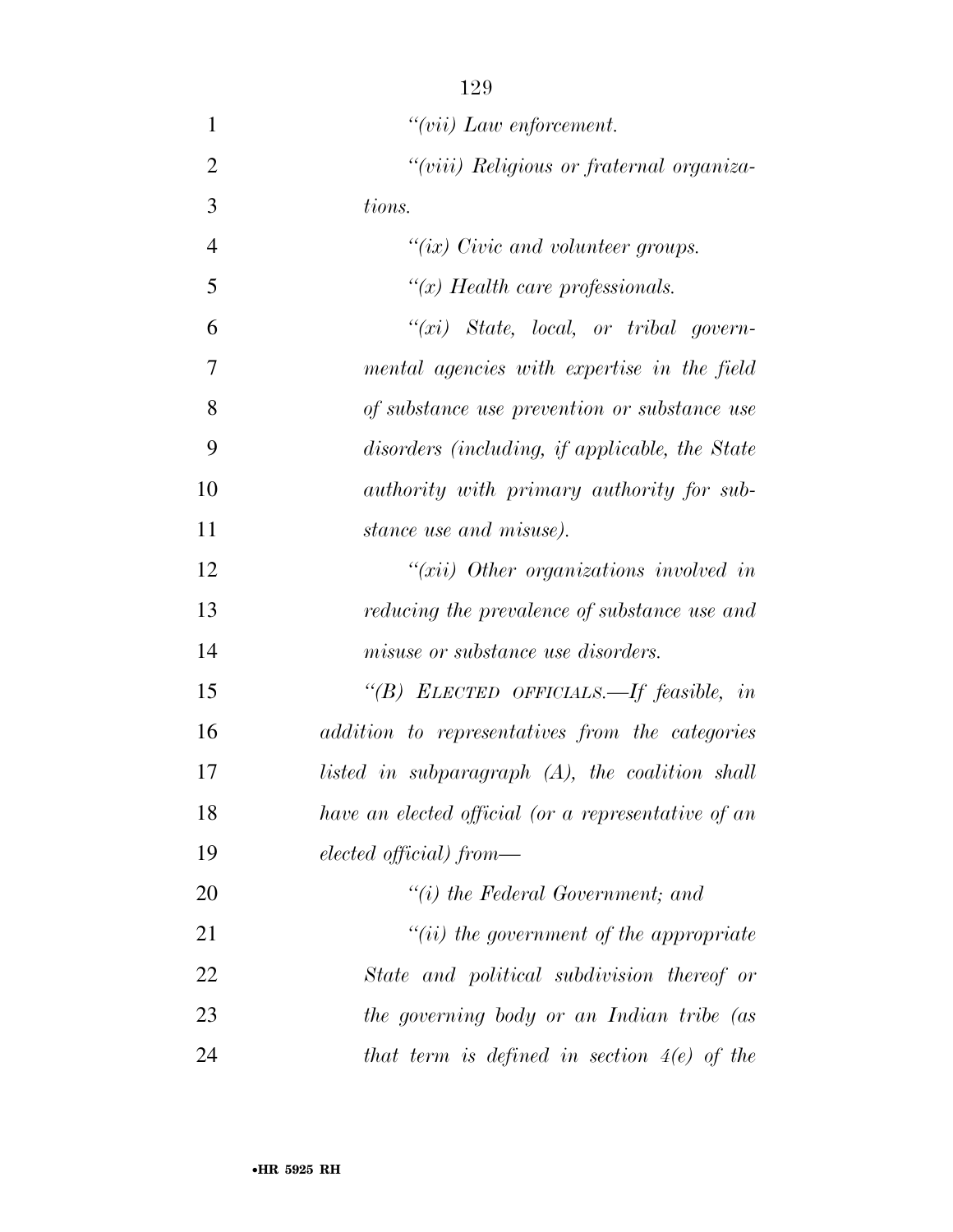| $\mathbf{1}$   | $``(vii)$ Law enforcement.                               |
|----------------|----------------------------------------------------------|
| $\overline{2}$ | "(viii) Religious or fraternal organiza-                 |
| 3              | tions.                                                   |
| $\overline{4}$ | " $(ix)$ Civic and volunteer groups.                     |
| 5              | " $(x)$ Health care professionals.                       |
| 6              | $``(xi)$ State, local, or tribal govern-                 |
| $\overline{7}$ | mental agencies with expertise in the field              |
| 8              | of substance use prevention or substance use             |
| 9              | disorders (including, if applicable, the State           |
| 10             | authority with primary authority for sub-                |
| 11             | stance use and misuse).                                  |
| 12             | " $(xii)$ Other organizations involved in                |
| 13             | reducing the prevalence of substance use and             |
| 14             | misuse or substance use disorders.                       |
| 15             | "(B) ELECTED OFFICIALS.—If feasible, in                  |
| 16             | addition to representatives from the categories          |
| 17             | listed in subparagraph $(A)$ , the coalition shall       |
| 18             | have an elected official (or a representative of an      |
| 19             | $elected \; \text{efficient}) \; \text{from} \text{---}$ |
| 20             | $``(i)$ the Federal Government; and                      |
| 21             | $"(ii)$ the government of the appropriate                |
| 22             | State and political subdivision thereof or               |
| 23             | the governing body or an Indian tribe (as                |
| 24             | that term is defined in section $4(e)$ of the            |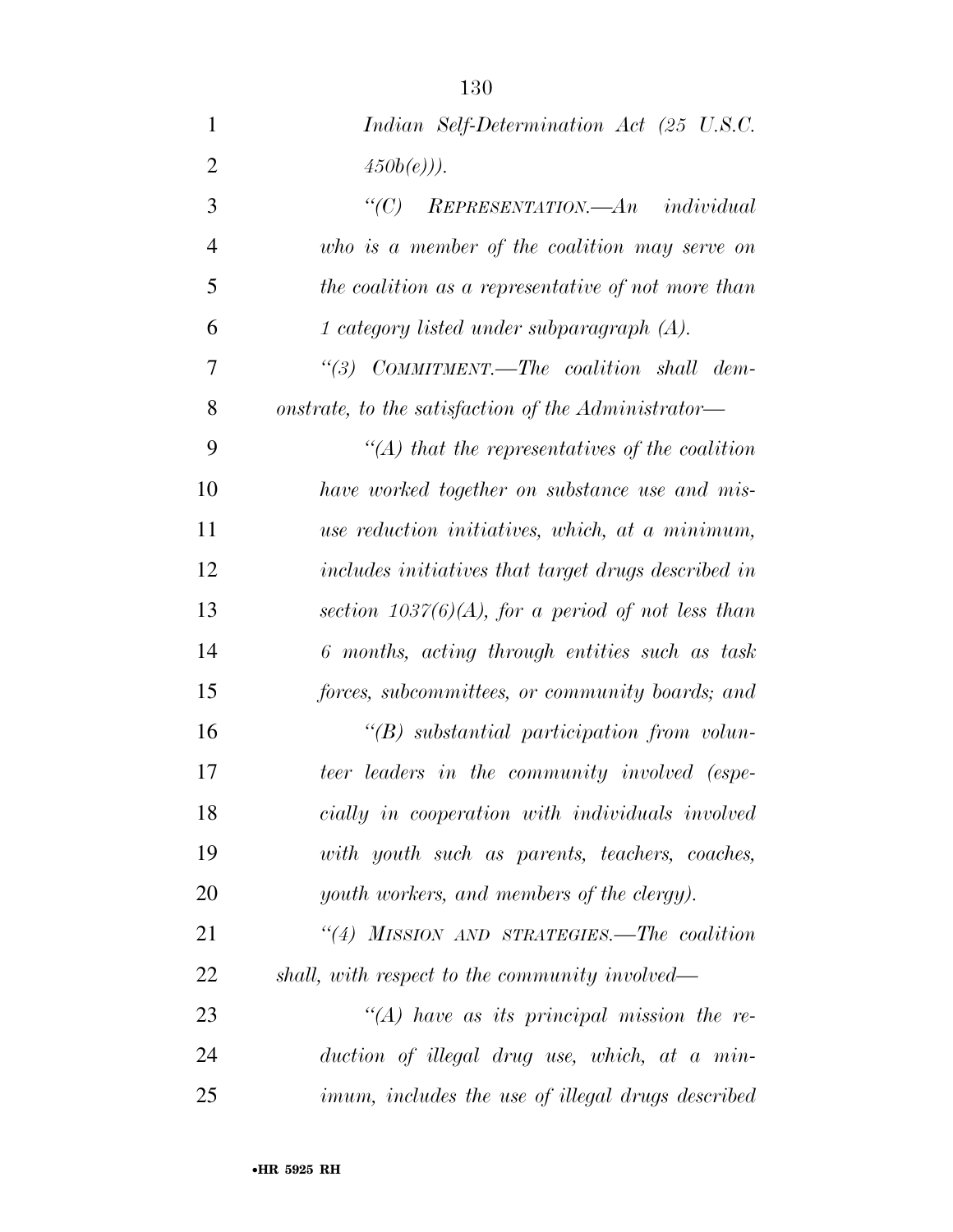| $\mathbf{1}$   | Indian Self-Determination Act (25 U.S.C.                 |
|----------------|----------------------------------------------------------|
| $\overline{2}$ | $(450b(e))$ .                                            |
| 3              | $REPRESENTATION. - An individual$<br>$\lq C$ )           |
| $\overline{4}$ | who is a member of the coalition may serve on            |
| 5              | the coalition as a representative of not more than       |
| 6              | 1 category listed under subparagraph $(A)$ .             |
| 7              | "(3) $COMMITMENT. - The coalition shall dem-$            |
| 8              | onstrate, to the satisfaction of the Administrator—      |
| 9              | $\lq (A)$ that the representatives of the coalition      |
| 10             | have worked together on substance use and mis-           |
| 11             | use reduction initiatives, which, at a minimum,          |
| 12             | includes initiatives that target drugs described in      |
| 13             | section $1037(6)(A)$ , for a period of not less than     |
| 14             | 6 months, acting through entities such as task           |
| 15             | forces, subcommittees, or community boards; and          |
| 16             | $\lq\lq B$ substantial participation from volun-         |
| 17             | teer leaders in the community involved (espe-            |
| 18             | cially in cooperation with individuals involved          |
| 19             | with youth such as parents, teachers, coaches,           |
| 20             | youth workers, and members of the clergy).               |
| 21             | "(4) MISSION AND STRATEGIES.—The coalition               |
| 22             | shall, with respect to the community involved—           |
| 23             | "(A) have as its principal mission the re-               |
| 24             | duction of illegal drug use, which, at a min-            |
| 25             | <i>imum, includes the use of illegal drugs described</i> |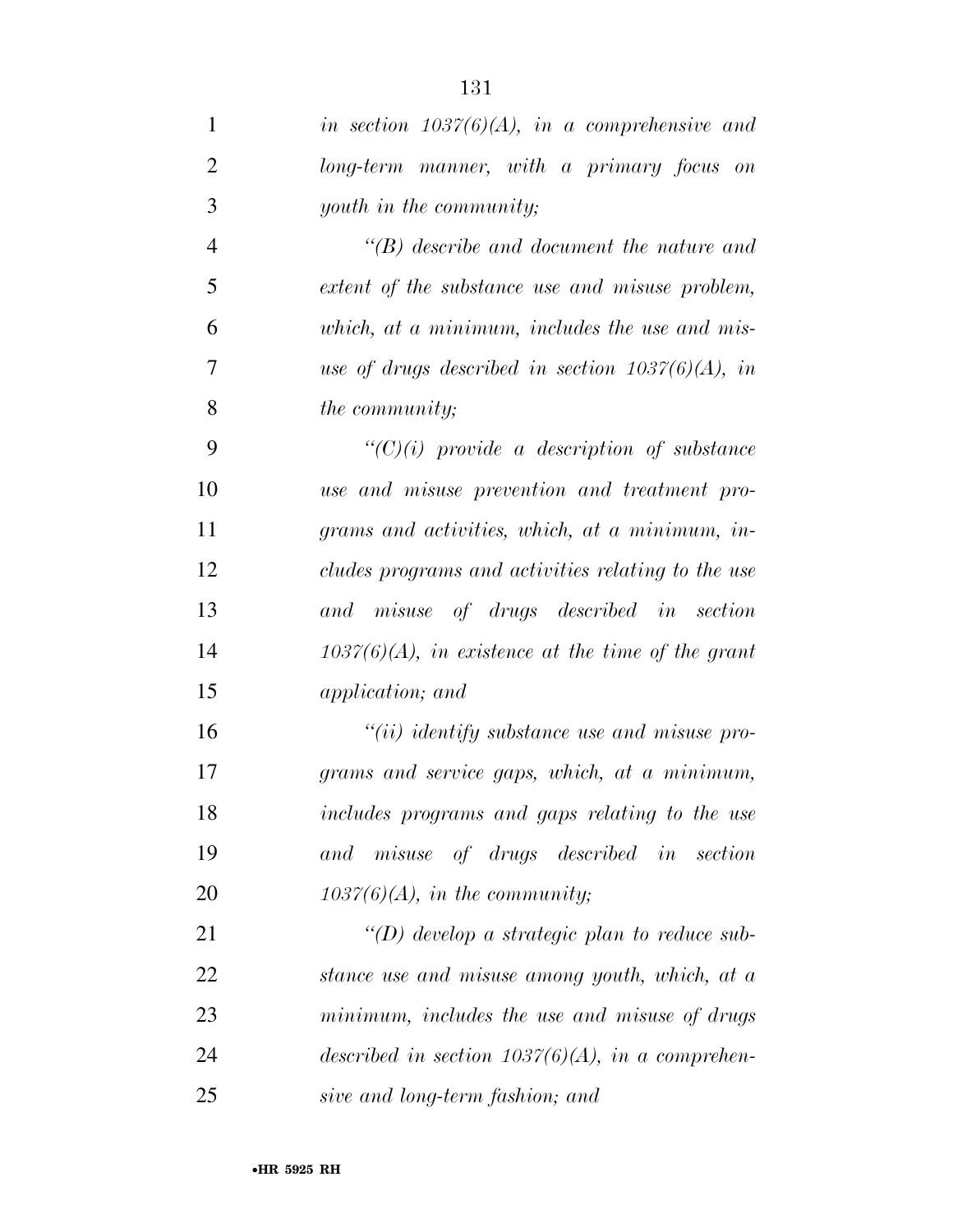| $\mathbf{1}$   | in section $1037(6)(A)$ , in a comprehensive and     |
|----------------|------------------------------------------------------|
| $\overline{2}$ | long-term manner, with a primary focus on            |
| 3              | youth in the community;                              |
| $\overline{4}$ | $\lq\lq B$ ) describe and document the nature and    |
| 5              | extent of the substance use and misuse problem,      |
| 6              | which, at a minimum, includes the use and mis-       |
| $\overline{7}$ | use of drugs described in section $1037(6)(A)$ , in  |
| 8              | <i>the community;</i>                                |
| 9              | $``(C)(i)$ provide a description of substance        |
| 10             | use and misuse prevention and treatment pro-         |
| 11             | grams and activities, which, at a minimum, in-       |
| 12             | cludes programs and activities relating to the use   |
| 13             | and misuse of drugs described in section             |
| 14             | $1037(6)(A)$ , in existence at the time of the grant |
| 15             | <i>application</i> ; and                             |
| 16             | $``(ii)$ identify substance use and misuse pro-      |
| 17             | grams and service gaps, which, at a minimum,         |
| 18             | includes programs and gaps relating to the use       |
| 19             | and misuse of drugs described in section             |
| 20             | $1037(6)(A)$ , in the community;                     |
| 21             | "(D) develop a strategic plan to reduce sub-         |
| 22             | stance use and misuse among youth, which, at a       |
| 23             | minimum, includes the use and misuse of drugs        |
| 24             | described in section $1037(6)(A)$ , in a comprehen-  |
| 25             | sive and long-term fashion; and                      |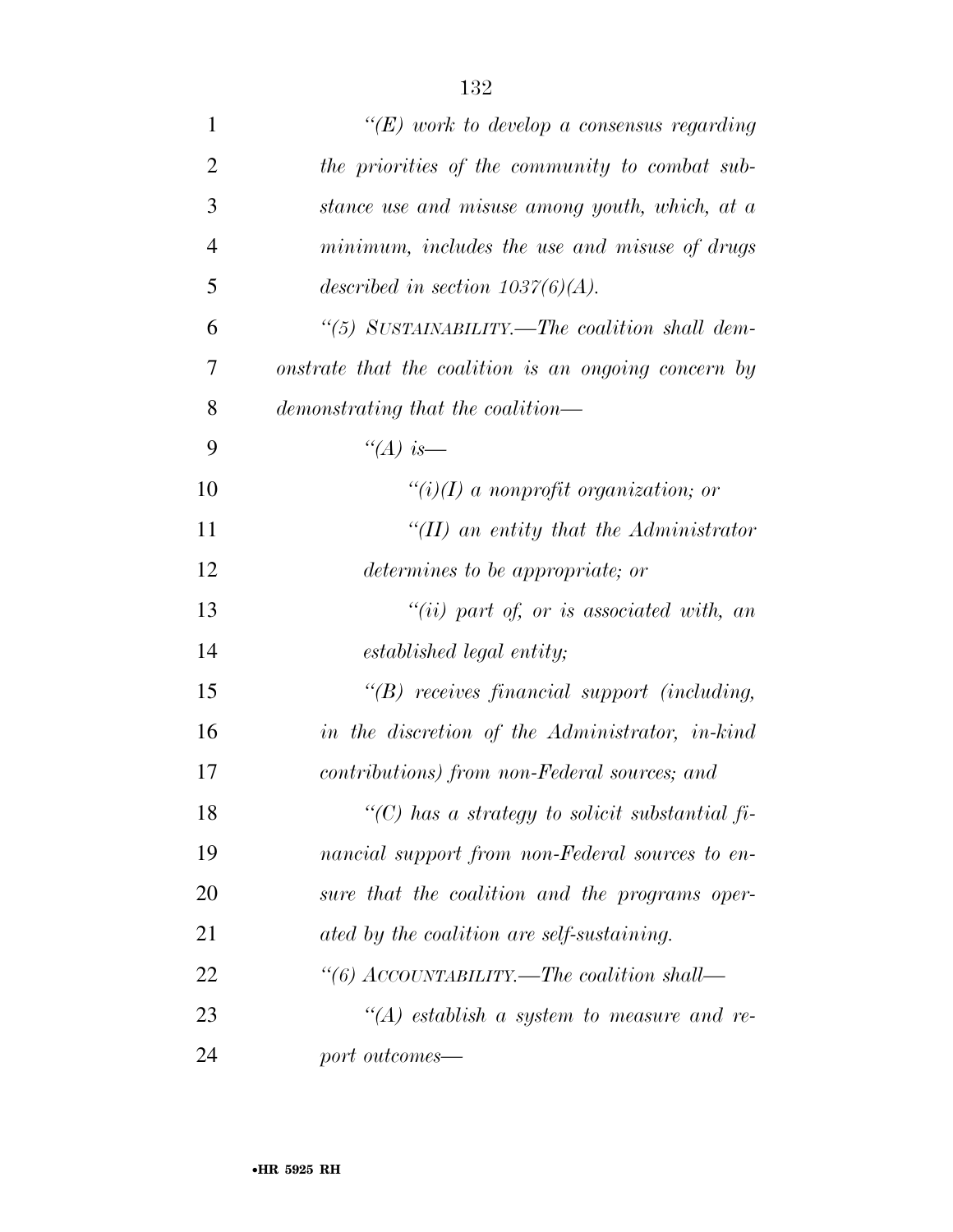| $\mathbf{1}$   | " $(E)$ work to develop a consensus regarding        |
|----------------|------------------------------------------------------|
| $\overline{2}$ | the priorities of the community to combat sub-       |
| 3              | stance use and misuse among youth, which, at a       |
| 4              | minimum, includes the use and misuse of drugs        |
| 5              | described in section $1037(6)(A)$ .                  |
| 6              | "(5) SUSTAINABILITY.—The coalition shall dem-        |
| 7              | onstrate that the coalition is an ongoing concern by |
| 8              | demonstrating that the coalition—                    |
| 9              | "(A) is—                                             |
| 10             | $\lq\lq(i)(I)$ a nonprofit organization; or          |
| 11             | "(II) an entity that the Administrator               |
| 12             | determines to be appropriate; or                     |
| 13             | "(ii) part of, or is associated with, an             |
| 14             | established legal entity;                            |
| 15             | $\lq\lq(B)$ receives financial support (including,   |
| 16             | in the discretion of the Administrator, in-kind      |
| 17             | contributions) from non-Federal sources; and         |
| 18             | " $(C)$ has a strategy to solicit substantial fi-    |
| 19             | nancial support from non-Federal sources to en-      |
| 20             | sure that the coalition and the programs oper-       |
| 21             | ated by the coalition are self-sustaining.           |
| 22             | "(6) ACCOUNTABILITY.—The coalition shall—            |
| 23             | "(A) establish a system to measure and re-           |
| 24             | port outcomes—                                       |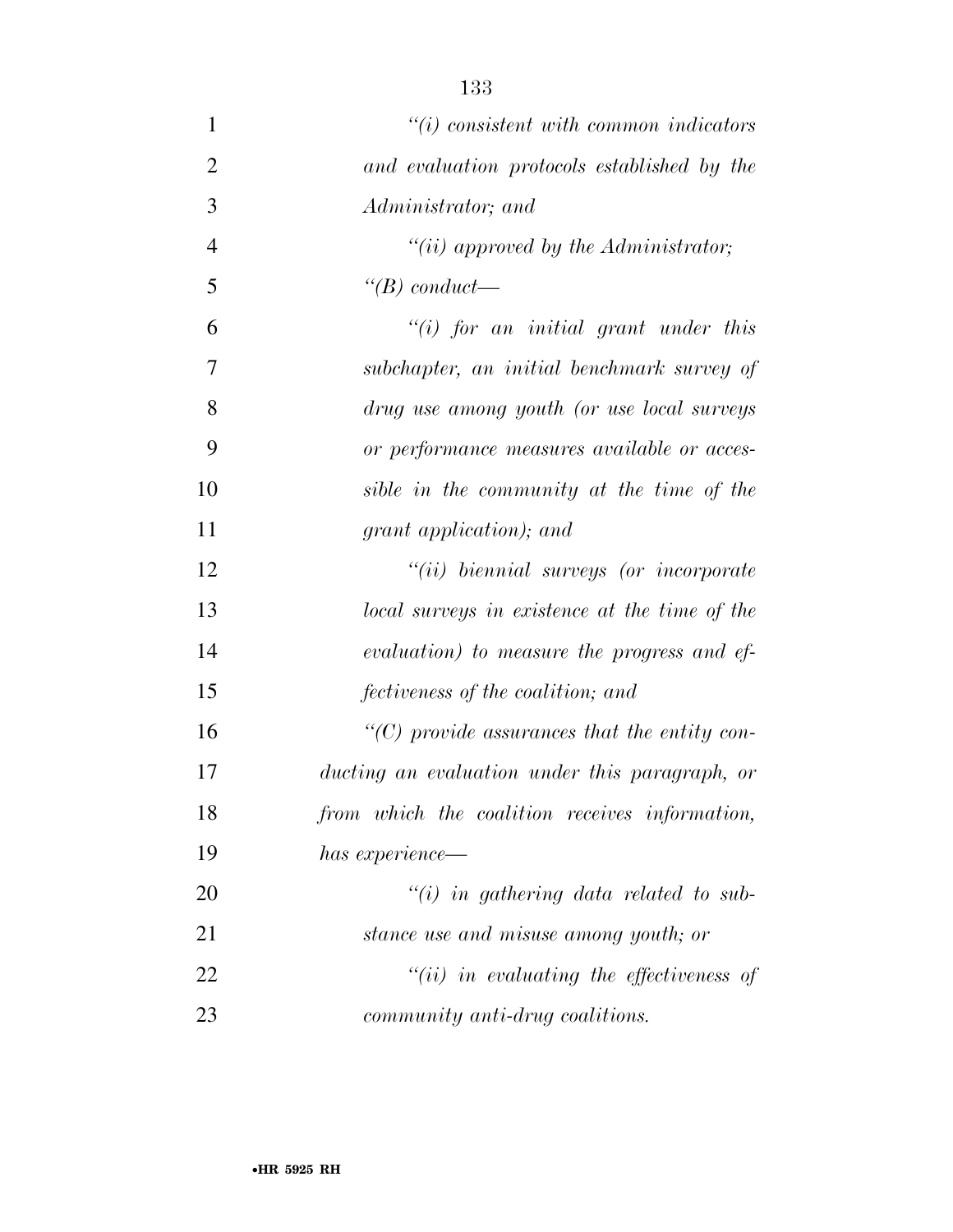| $\mathbf{1}$   | $\tilde{u}(i)$ consistent with common indicators               |
|----------------|----------------------------------------------------------------|
| $\overline{2}$ | and evaluation protocols established by the                    |
| 3              | Administrator; and                                             |
| $\overline{4}$ | "(ii) approved by the Administrator;                           |
| 5              | $\lq (B)$ conduct—                                             |
| 6              | "(i) for an initial grant under this                           |
| 7              | subchapter, an initial benchmark survey of                     |
| 8              | drug use among youth (or use local surveys                     |
| 9              | or performance measures available or acces-                    |
| 10             | sible in the community at the time of the                      |
| 11             | grant application); and                                        |
| 12             | $``(ii)$ biennial surveys (or incorporate                      |
| 13             | local surveys in existence at the time of the                  |
| 14             | evaluation) to measure the progress and ef-                    |
| 15             | fectiveness of the coalition; and                              |
| 16             | $\lq$ <sup>"</sup> (C) provide assurances that the entity con- |
| 17             | ducting an evaluation under this paragraph, or                 |
| 18             | from which the coalition receives information,                 |
| 19             | has experience—                                                |
| 20             | $\tilde{f}(i)$ in gathering data related to sub-               |
| 21             | stance use and misuse among youth; or                          |
| 22             | $``(ii)$ in evaluating the effectiveness of                    |
| 23             | community anti-drug coalitions.                                |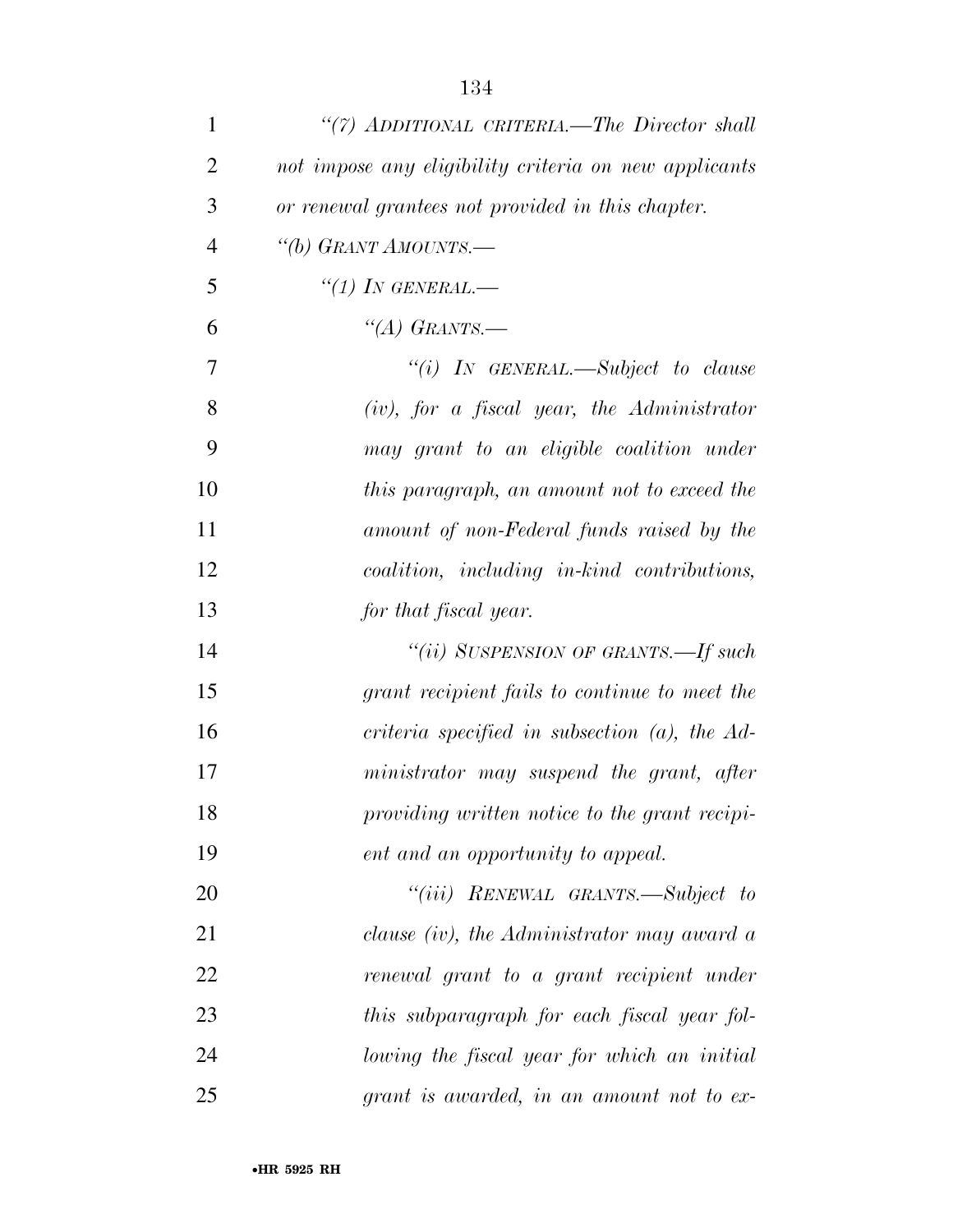| $\mathbf{1}$   | "(7) ADDITIONAL CRITERIA.—The Director shall          |
|----------------|-------------------------------------------------------|
| $\overline{2}$ | not impose any eligibility criteria on new applicants |
| 3              | or renewal grantees not provided in this chapter.     |
| $\overline{4}$ | "(b) GRANT AMOUNTS.-                                  |
| 5              | $``(1)$ IN GENERAL.—                                  |
| 6              | "(A) GRANTS.—                                         |
| $\tau$         | "(i) IN GENERAL.—Subject to clause                    |
| 8              | $(iv)$ , for a fiscal year, the Administrator         |
| 9              | may grant to an eligible coalition under              |
| 10             | this paragraph, an amount not to exceed the           |
| 11             | amount of non-Federal funds raised by the             |
| 12             | coalition, including in-kind contributions,           |
| 13             | for that fiscal year.                                 |
| 14             | "(ii) SUSPENSION OF GRANTS.—If such                   |
| 15             | grant recipient fails to continue to meet the         |
| 16             | criteria specified in subsection $(a)$ , the $Ad-$    |
| 17             | ministrator may suspend the grant, after              |
| 18             | providing written notice to the grant recipi-         |
| 19             | ent and an opportunity to appeal.                     |
| 20             | "(iii) RENEWAL GRANTS.—Subject to                     |
| 21             | clause (iv), the Administrator may award a            |
| 22             | renewal grant to a grant recipient under              |
| 23             | this subparagraph for each fiscal year fol-           |
| 24             | lowing the fiscal year for which an initial           |
| 25             | grant is awarded, in an amount not to ex-             |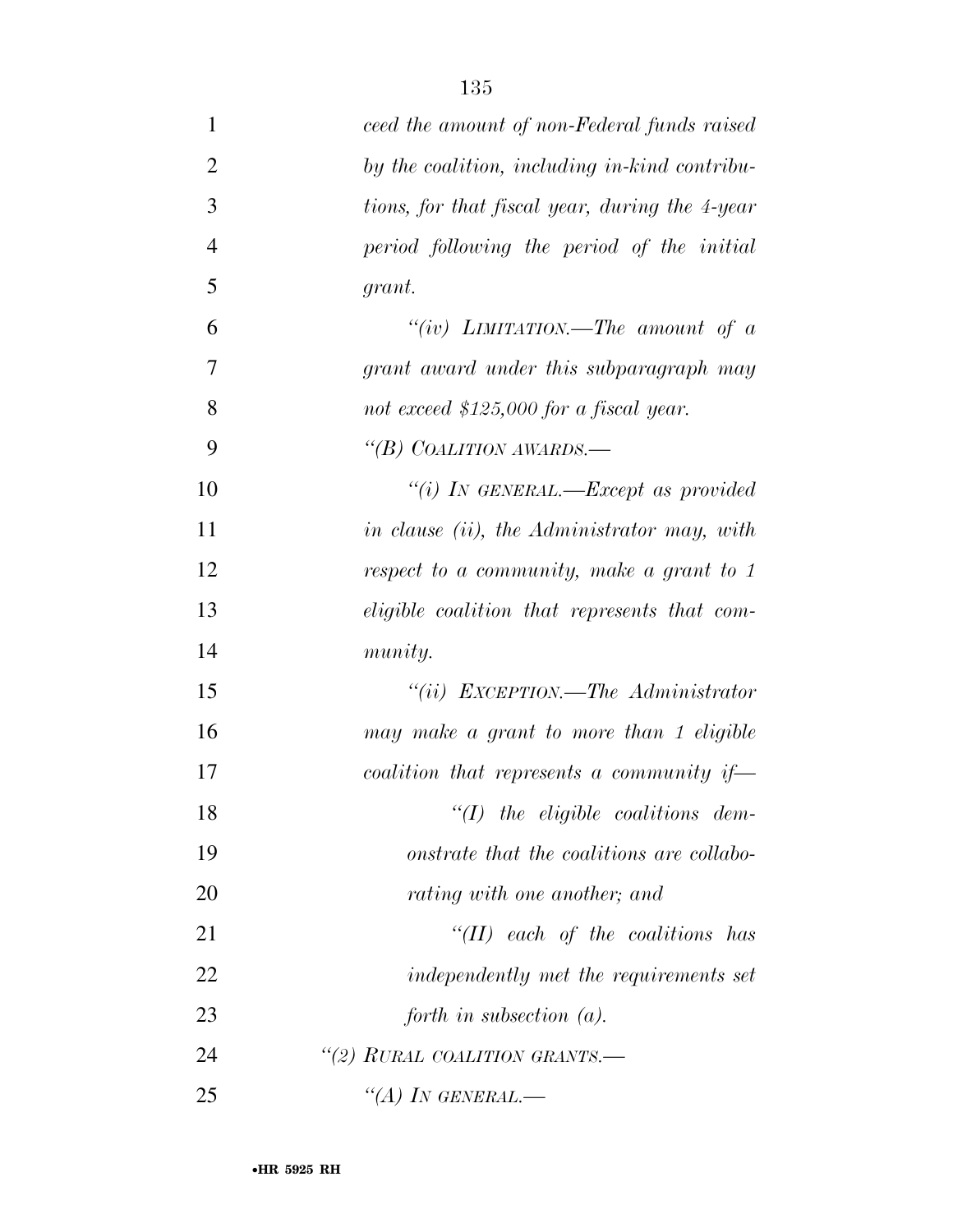| $\mathbf{1}$   | ceed the amount of non-Federal funds raised    |
|----------------|------------------------------------------------|
| $\overline{2}$ | by the coalition, including in-kind contribu-  |
| 3              | tions, for that fiscal year, during the 4-year |
| $\overline{4}$ | period following the period of the initial     |
| 5              | grant.                                         |
| 6              | "(iv) LIMITATION.—The amount of $a$            |
| 7              | grant award under this subparagraph may        |
| 8              | not exceed $$125,000$ for a fiscal year.       |
| 9              | "(B) COALITION AWARDS.—                        |
| 10             | "(i) IN GENERAL.—Except as provided            |
| 11             | in clause (ii), the Administrator may, with    |
| 12             | respect to a community, make a grant to 1      |
| 13             | eligible coalition that represents that com-   |
| 14             | munity.                                        |
| 15             | "(ii) $EXCEPTION$ —The Administrator           |
| 16             | may make a grant to more than 1 eligible       |
| 17             | coalition that represents a community if-      |
| 18             | $\lq (I)$ the eligible coalitions dem-         |
| 19             | onstrate that the coalitions are collabo-      |
| 20             | rating with one another; and                   |
| 21             | $``(II)$ each of the coalitions has            |
| 22             | independently met the requirements set         |
| 23             | forth in subsection $(a)$ .                    |
| 24             | "(2) RURAL COALITION GRANTS.-                  |
| 25             | "(A) IN GENERAL.—                              |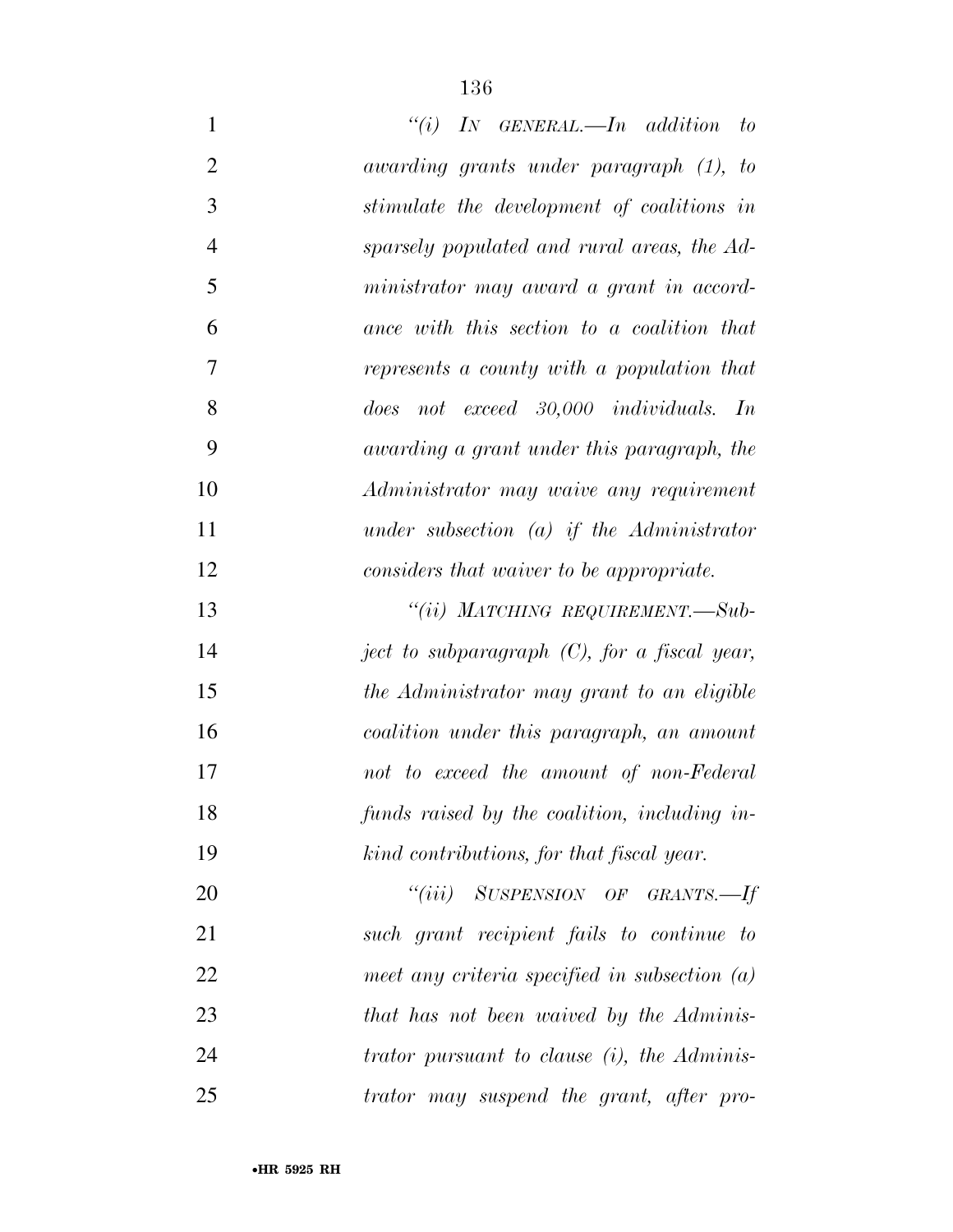| $\mathbf{1}$   | $``(i)$ IN GENERAL.—In addition<br>$- to$       |
|----------------|-------------------------------------------------|
| $\overline{2}$ | awarding grants under paragraph (1), to         |
| 3              | stimulate the development of coalitions in      |
| $\overline{4}$ | sparsely populated and rural areas, the Ad-     |
| 5              | ministrator may award a grant in accord-        |
| 6              | ance with this section to a coalition that      |
| 7              | represents a county with a population that      |
| 8              | does not exceed 30,000 individuals. In          |
| 9              | awarding a grant under this paragraph, the      |
| 10             | Administrator may waive any requirement         |
| 11             | under subsection $(a)$ if the Administrator     |
| 12             | considers that waiver to be appropriate.        |
| 13             | "(ii) MATCHING REQUIREMENT.—Sub-                |
| 14             | ject to subparagraph $(C)$ , for a fiscal year, |
| 15             | the Administrator may grant to an eligible      |
| 16             | coalition under this paragraph, an amount       |
| 17             | not to exceed the amount of non-Federal         |
| 18             | funds raised by the coalition, including in-    |
| 19             | kind contributions, for that fiscal year.       |
| 20             | "(iii) SUSPENSION OF GRANTS.—If                 |
| 21             | such grant recipient fails to continue to       |
| 22             | meet any criteria specified in subsection $(a)$ |
| 23             | that has not been waived by the Adminis-        |
| 24             | trator pursuant to clause $(i)$ , the Adminis-  |
| 25             | trator may suspend the grant, after pro-        |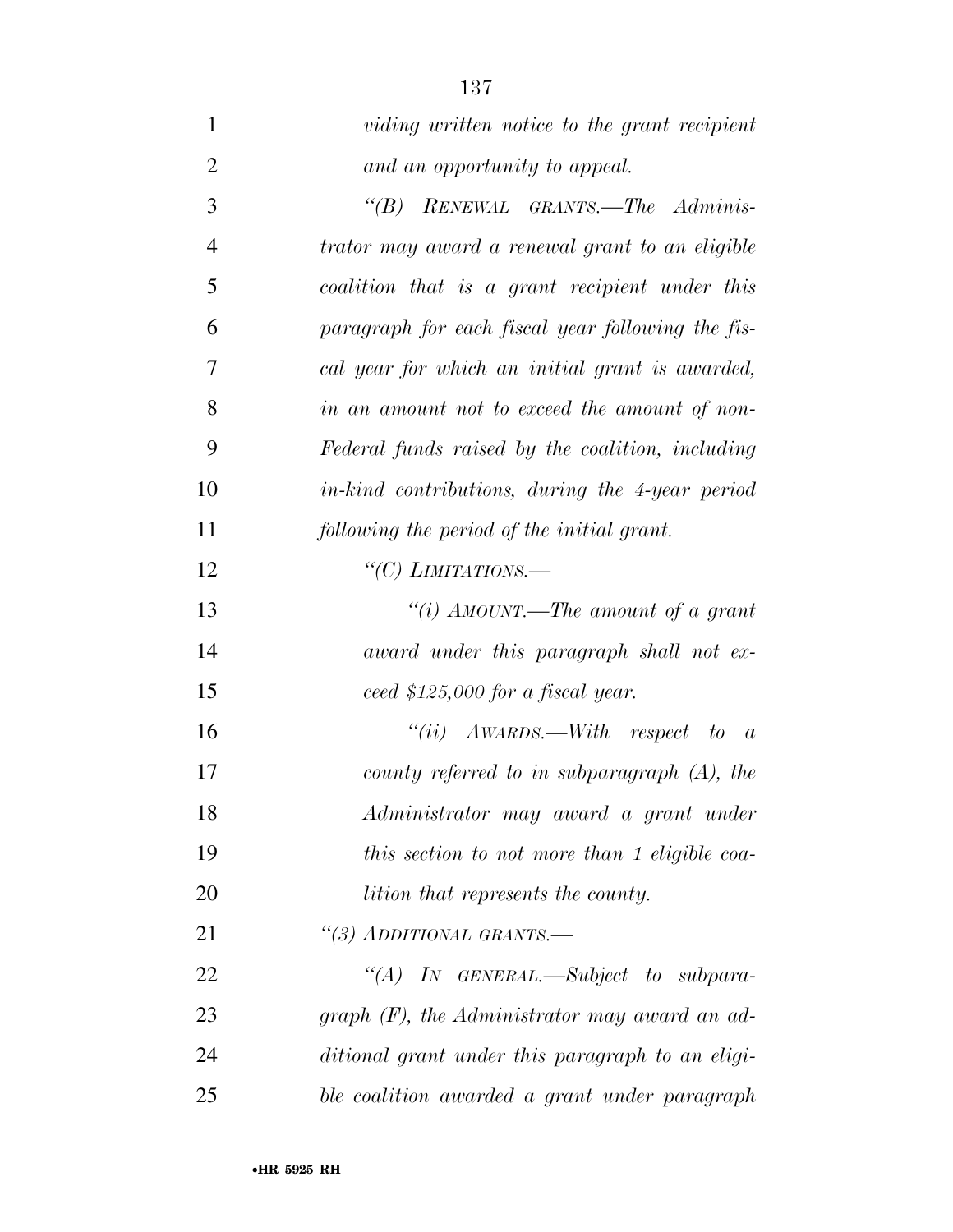| $\mathbf{1}$   | viding written notice to the grant recipient       |
|----------------|----------------------------------------------------|
| $\overline{2}$ | and an opportunity to appeal.                      |
| 3              | RENEWAL GRANTS.-The Adminis-<br>$\lq(B)$           |
| $\overline{4}$ | trator may award a renewal grant to an eligible    |
| 5              | coalition that is a grant recipient under this     |
| 6              | paragraph for each fiscal year following the fis-  |
| 7              | cal year for which an initial grant is awarded,    |
| 8              | in an amount not to exceed the amount of non-      |
| 9              | Federal funds raised by the coalition, including   |
| 10             | in-kind contributions, during the 4-year period    |
| 11             | following the period of the initial grant.         |
| 12             | "(C) LIMITATIONS.—                                 |
| 13             | "(i) AMOUNT.—The amount of a grant                 |
| 14             | award under this paragraph shall not ex-           |
| 15             | ceed \$125,000 for a fiscal year.                  |
| 16             | "(ii) $A\text{WARDS}.$ With respect to<br>$\alpha$ |
| 17             | county referred to in subparagraph $(A)$ , the     |
| 18             | Administrator may award a grant under              |
| 19             | this section to not more than 1 eligible coa-      |
| 20             | <i>lition that represents the county.</i>          |
| 21             | "(3) ADDITIONAL GRANTS.-                           |
| 22             | "(A) IN GENERAL.—Subject to subpara-               |
| 23             | graph $(F)$ , the Administrator may award an ad-   |
| 24             | ditional grant under this paragraph to an eligi-   |
| 25             | ble coalition awarded a grant under paragraph      |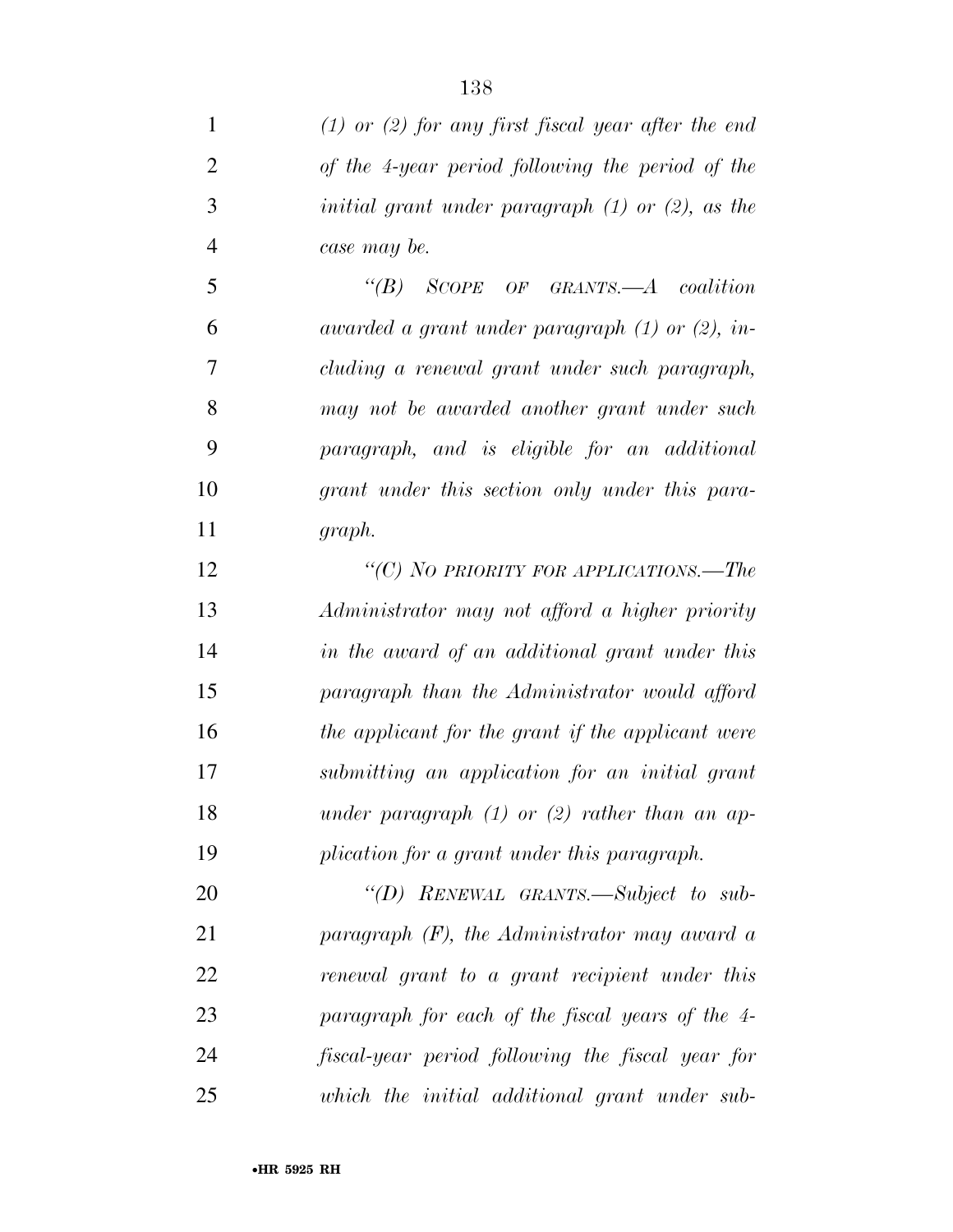| $\mathbf{1}$   | $(1)$ or $(2)$ for any first fiscal year after the end       |
|----------------|--------------------------------------------------------------|
| $\overline{2}$ | of the 4-year period following the period of the             |
| 3              | <i>initial grant under paragraph</i> $(1)$ or $(2)$ , as the |
| $\overline{4}$ | case may be.                                                 |
| 5              | $\lq\lq B$ SCOPE OF GRANTS.—A coalition                      |
| 6              | awarded a grant under paragraph $(1)$ or $(2)$ , in-         |
| 7              | cluding a renewal grant under such paragraph,                |
| 8              | may not be awarded another grant under such                  |
| 9              | paragraph, and is eligible for an additional                 |
| 10             | grant under this section only under this para-               |
| 11             | graph.                                                       |
| 12             | "(C) NO PRIORITY FOR APPLICATIONS.—The                       |
| 13             | Administrator may not afford a higher priority               |
| 14             | in the award of an additional grant under this               |
| 15             | paragraph than the Administrator would afford                |
| 16             | the applicant for the grant if the applicant were            |
| 17             | submitting an application for an initial grant               |
| 18             | under paragraph $(1)$ or $(2)$ rather than an ap-            |
| 19             | plication for a grant under this paragraph.                  |
| 20             | "(D) RENEWAL GRANTS.—Subject to sub-                         |
| 21             | paragraph $(F)$ , the Administrator may award a              |
| 22             | renewal grant to a grant recipient under this                |
| 23             | paragraph for each of the fiscal years of the 4-             |
| 24             | fiscal-year period following the fiscal year for             |
| 25             | which the initial additional grant under sub-                |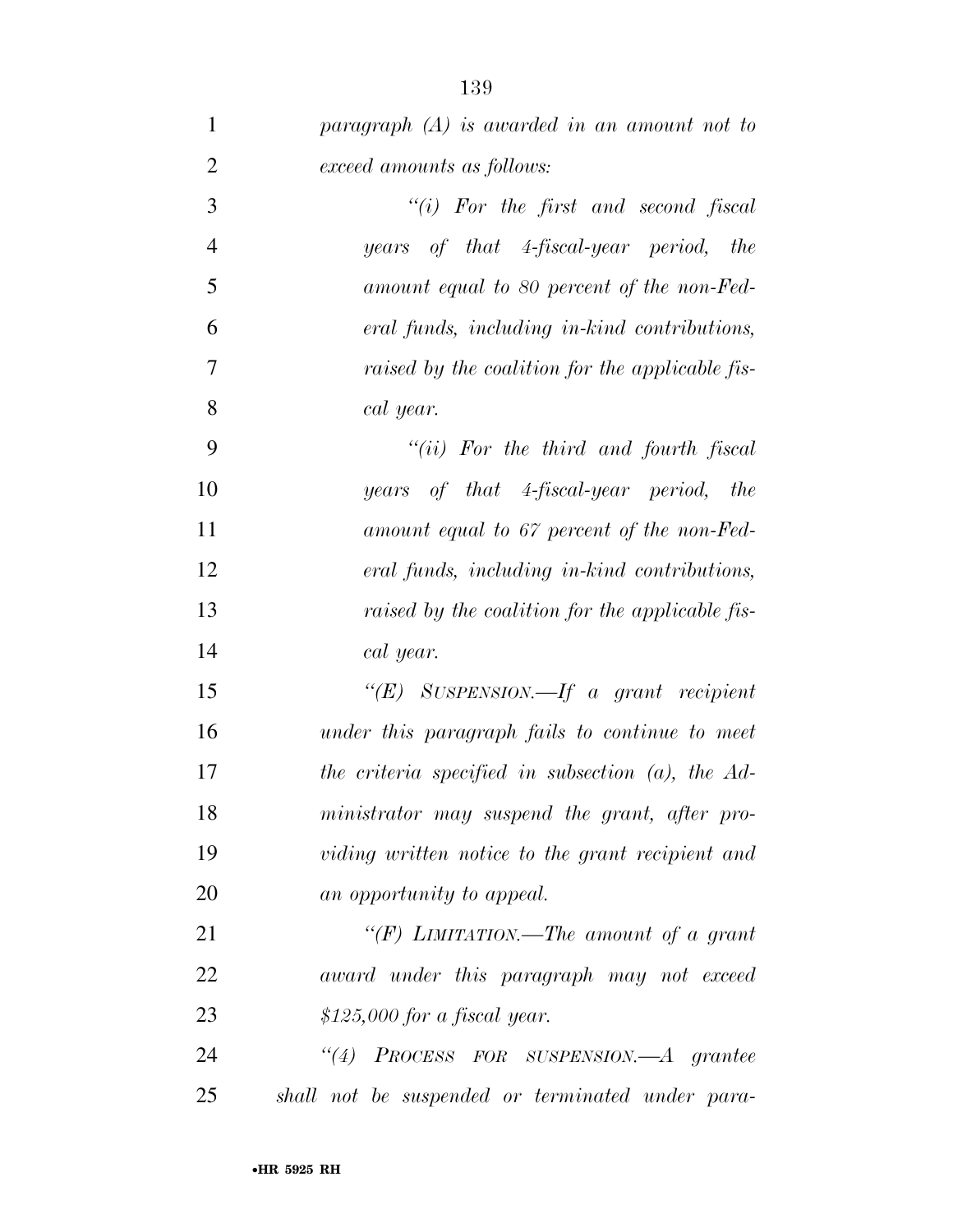| $\mathbf{1}$   | paragraph $(A)$ is awarded in an amount not to       |
|----------------|------------------------------------------------------|
| $\overline{2}$ | exceed amounts as follows:                           |
| 3              | "(i) For the first and second fiscal                 |
| $\overline{4}$ | years of that 4-fiscal-year period, the              |
| $\mathfrak{S}$ | amount equal to 80 percent of the non-Fed-           |
| 6              | eral funds, including in-kind contributions,         |
| $\overline{7}$ | raised by the coalition for the applicable fis-      |
| 8              | cal year.                                            |
| 9              | $``(ii)$ For the third and fourth fiscal             |
| 10             | years of that 4-fiscal-year period, the              |
| 11             | amount equal to 67 percent of the non-Fed-           |
| 12             | eral funds, including in-kind contributions,         |
| 13             | raised by the coalition for the applicable fis-      |
| 14             | cal year.                                            |
| 15             | " $(E)$ SUSPENSION.—If a grant recipient             |
| 16             | under this paragraph fails to continue to meet       |
| 17             | the criteria specified in subsection $(a)$ , the Ad- |
| 18             | ministrator may suspend the grant, after pro-        |
| 19             | viding written notice to the grant recipient and     |
| 20             | an opportunity to appeal.                            |
| 21             | "(F) LIMITATION.—The amount of a grant               |
| 22             | award under this paragraph may not exceed            |
| 23             | $$125,000$ for a fiscal year.                        |
| 24             | "(4) PROCESS FOR SUSPENSION.—A grantee               |
| 25             | shall not be suspended or terminated under para-     |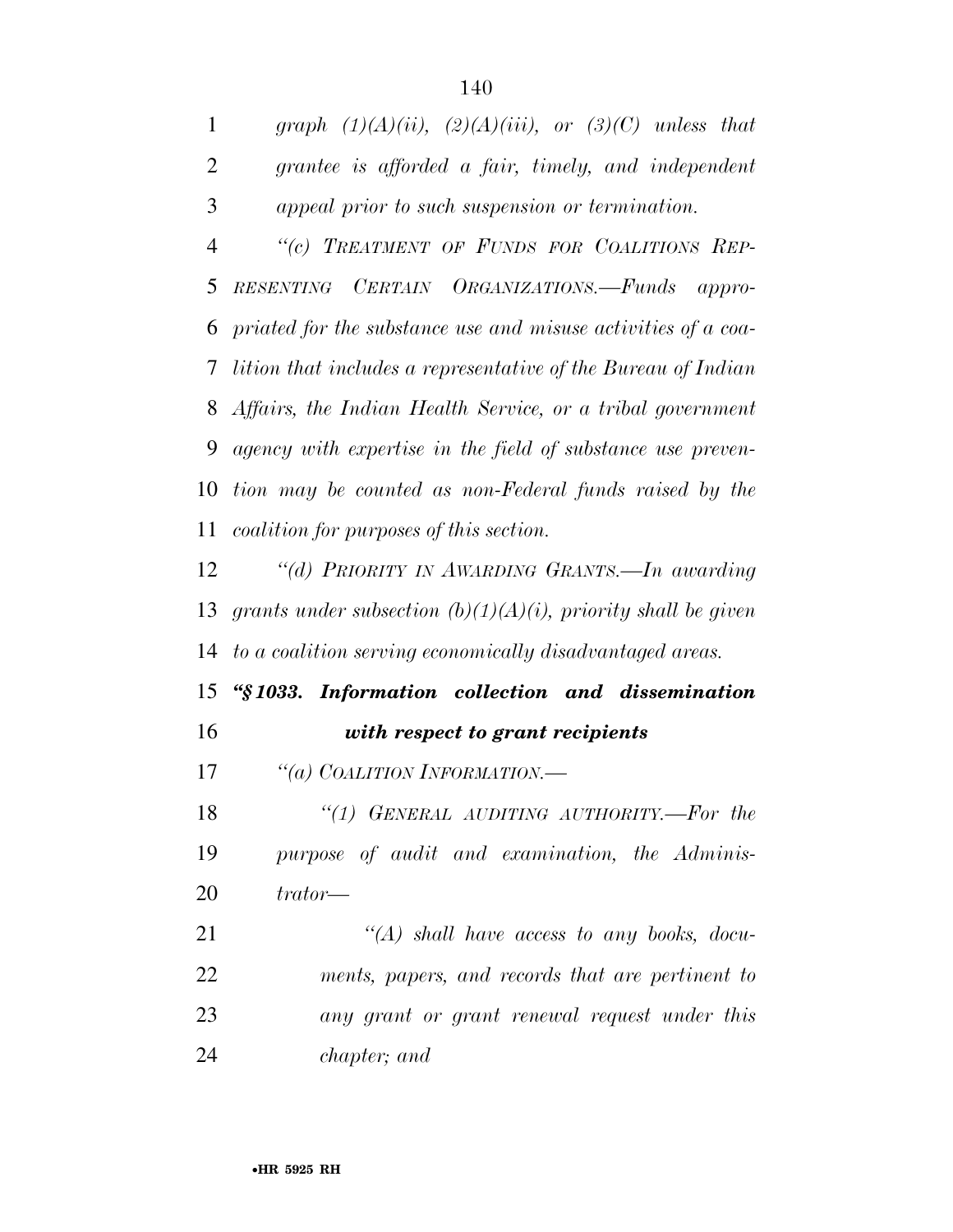*graph (1)(A)(ii), (2)(A)(iii), or (3)(C) unless that grantee is afforded a fair, timely, and independent appeal prior to such suspension or termination. ''(c) TREATMENT OF FUNDS FOR COALITIONS REP- RESENTING CERTAIN ORGANIZATIONS.—Funds appro- priated for the substance use and misuse activities of a coa- lition that includes a representative of the Bureau of Indian Affairs, the Indian Health Service, or a tribal government agency with expertise in the field of substance use preven-*

 *tion may be counted as non-Federal funds raised by the coalition for purposes of this section.* 

 *''(d) PRIORITY IN AWARDING GRANTS.—In awarding grants under subsection (b)(1)(A)(i), priority shall be given to a coalition serving economically disadvantaged areas.* 

## *''§ 1033. Information collection and dissemination with respect to grant recipients*

*''(a) COALITION INFORMATION.—* 

 *''(1) GENERAL AUDITING AUTHORITY.—For the purpose of audit and examination, the Adminis-trator—* 

 *''(A) shall have access to any books, docu- ments, papers, and records that are pertinent to any grant or grant renewal request under this chapter; and*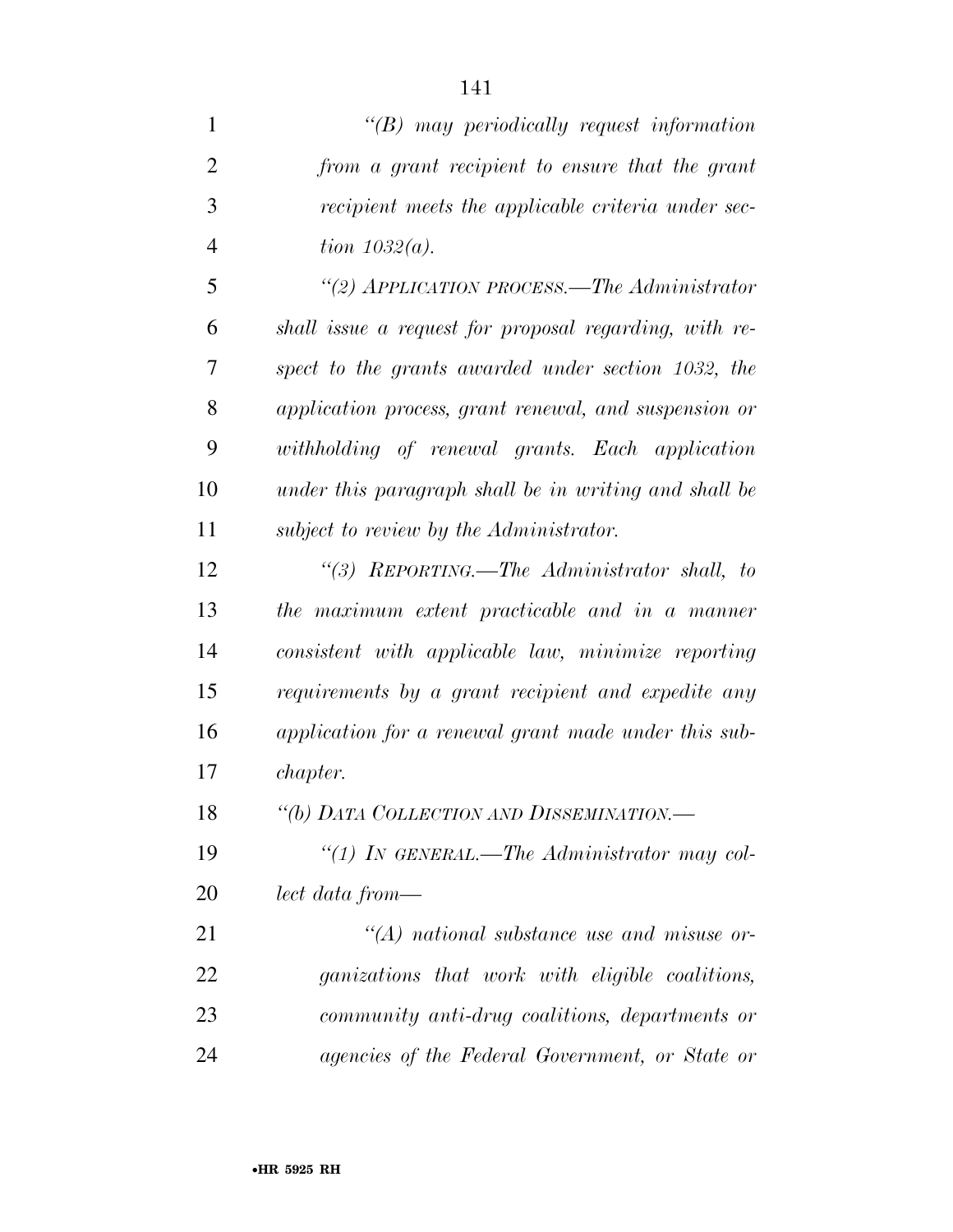| $\mathbf{1}$   | $\lq\lq B$ may periodically request information        |
|----------------|--------------------------------------------------------|
| $\overline{2}$ | from a grant recipient to ensure that the grant        |
| 3              | recipient meets the applicable criteria under sec-     |
| $\overline{4}$ | tion $1032(a)$ .                                       |
| 5              | "(2) APPLICATION PROCESS.—The Administrator            |
| 6              | shall issue a request for proposal regarding, with re- |
| 7              | spect to the grants awarded under section 1032, the    |
| 8              | application process, grant renewal, and suspension or  |
| 9              | withholding of renewal grants. Each application        |
| 10             | under this paragraph shall be in writing and shall be  |
| 11             | subject to review by the Administrator.                |
| 12             | "(3) REPORTING.—The Administrator shall, to            |
| 13             | the maximum extent practicable and in a manner         |
| 14             | consistent with applicable law, minimize reporting     |
| 15             | requirements by a grant recipient and expedite any     |
| 16             | application for a renewal grant made under this sub-   |
| 17             | <i>chapter.</i>                                        |
| 18             | "(b) DATA COLLECTION AND DISSEMINATION.-               |
| 19             | "(1) IN GENERAL.—The Administrator may col-            |
| 20             | lect data from—                                        |
| 21             | $\lq\lq (A)$ national substance use and misuse or-     |
| 22             | ganizations that work with eligible coalitions,        |

 *community anti-drug coalitions, departments or agencies of the Federal Government, or State or*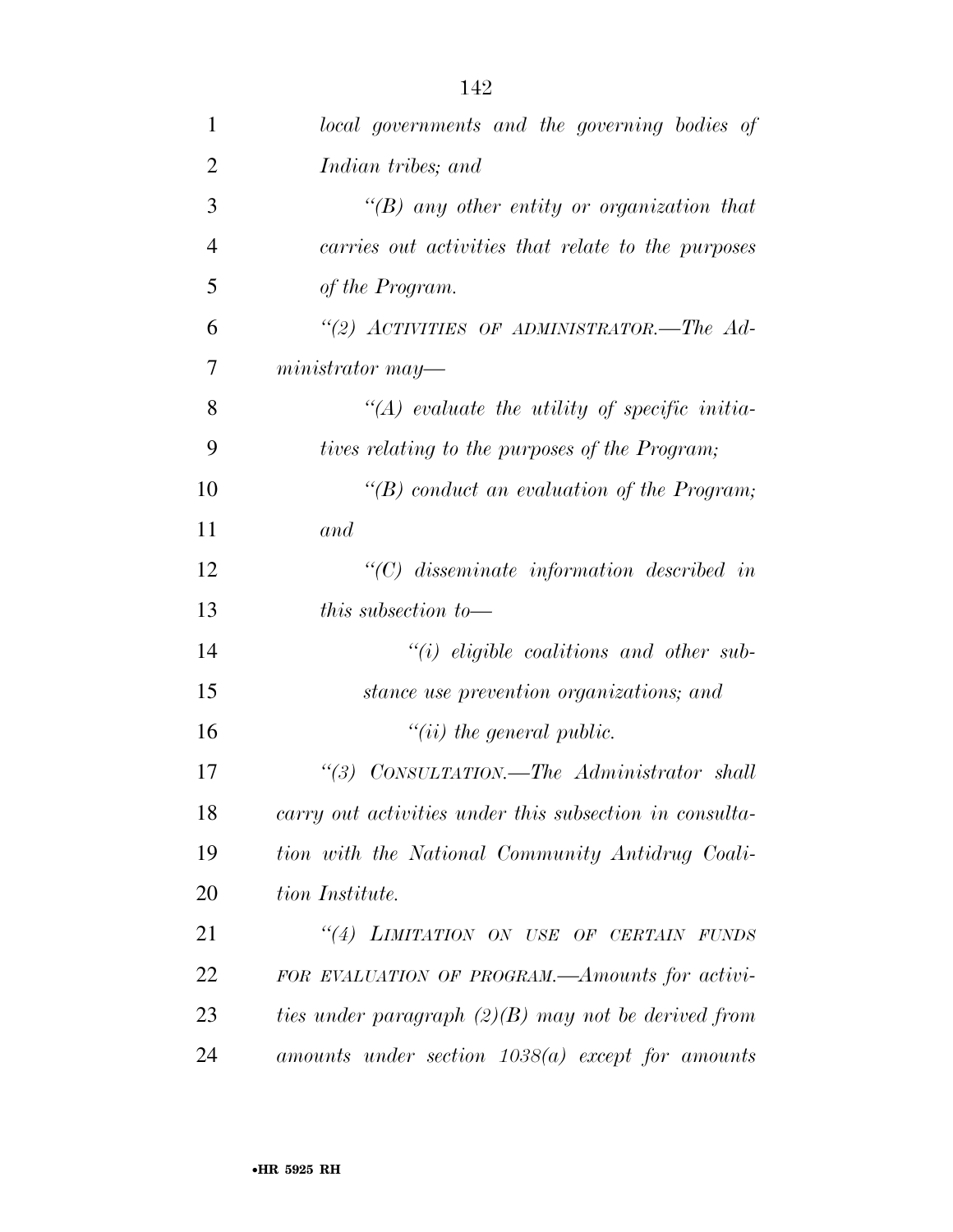| 1              | local governments and the governing bodies of           |
|----------------|---------------------------------------------------------|
| $\overline{2}$ | Indian tribes; and                                      |
| 3              | "(B) any other entity or organization that              |
| $\overline{4}$ | carries out activities that relate to the purposes      |
| 5              | of the Program.                                         |
| 6              | "(2) ACTIVITIES OF ADMINISTRATOR.—The Ad-               |
| 7              | $ministrator$ may—                                      |
| 8              | $\lq (A)$ evaluate the utility of specific initia-      |
| 9              | tives relating to the purposes of the Program;          |
| 10             | "(B) conduct an evaluation of the Program;              |
| 11             | and                                                     |
| 12             | $\lq$ (C) disseminate information described in          |
| 13             | <i>this subsection to</i> —                             |
| 14             | $``(i)$ eligible coalitions and other sub-              |
| 15             | stance use prevention organizations; and                |
| 16             | $``(ii)$ the general public.                            |
| 17             | "(3) CONSULTATION.—The Administrator shall              |
| 18             | carry out activities under this subsection in consulta- |
| 19             | tion with the National Community Antidrug Coali-        |
| 20             | tion Institute.                                         |
| 21             | "(4) LIMITATION ON USE OF CERTAIN FUNDS                 |
| 22             | FOR EVALUATION OF PROGRAM.—Amounts for activi-          |
| 23             | ties under paragraph $(2)(B)$ may not be derived from   |
| 24             | $amounts$ under section $1038(a)$ except for amounts    |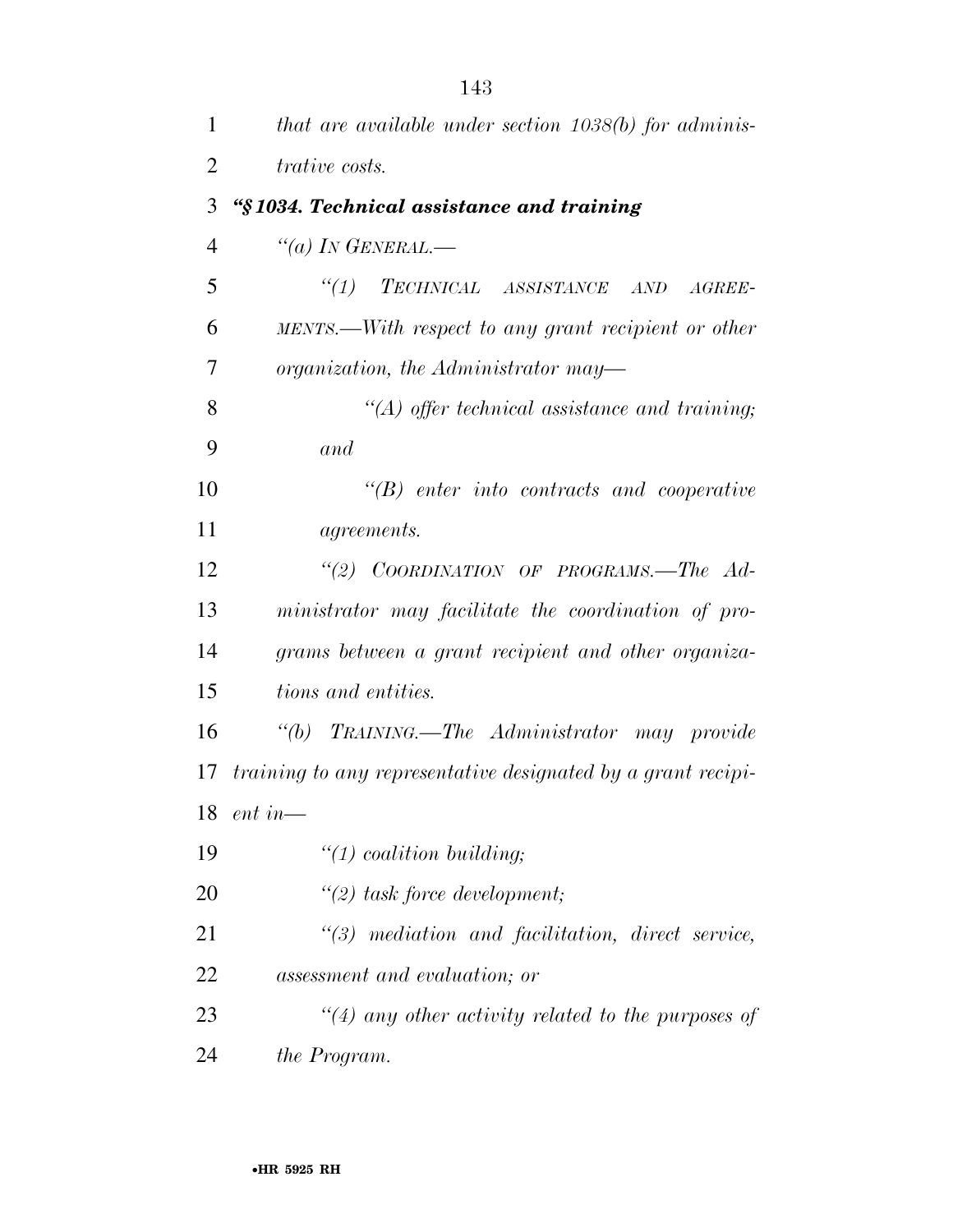| 1              | that are available under section 1038(b) for adminis-        |
|----------------|--------------------------------------------------------------|
| $\overline{2}$ | <i>trative costs.</i>                                        |
| 3              | "§1034. Technical assistance and training                    |
| $\overline{4}$ | "(a) IN GENERAL.—                                            |
| 5              | "(1) TECHNICAL ASSISTANCE AND<br>$AGREE-$                    |
| 6              | MENTS.—With respect to any grant recipient or other          |
| 7              | organization, the Administrator may—                         |
| 8              | $\lq (A)$ offer technical assistance and training;           |
| 9              | and                                                          |
| 10             | $\lq\lq B$ enter into contracts and cooperative              |
| 11             | <i>agreements.</i>                                           |
| 12             | "(2) COORDINATION OF PROGRAMS.—The Ad-                       |
| 13             | ministrator may facilitate the coordination of pro-          |
| 14             | grams between a grant recipient and other organiza-          |
| 15             | <i>tions and entities.</i>                                   |
| 16             | "(b) TRAINING.—The Administrator may provide                 |
| 17             | training to any representative designated by a grant recipi- |
| 18             | $ent in$ —                                                   |
| 19             | $\lq(1)$ coalition building;                                 |
| 20             | $\lq(2)$ task force development;                             |
| 21             | $\lq(3)$ mediation and facilitation, direct service,         |
| 22             | assessment and evaluation; or                                |
| 23             | $\lq(4)$ any other activity related to the purposes of       |
| 24             | the Program.                                                 |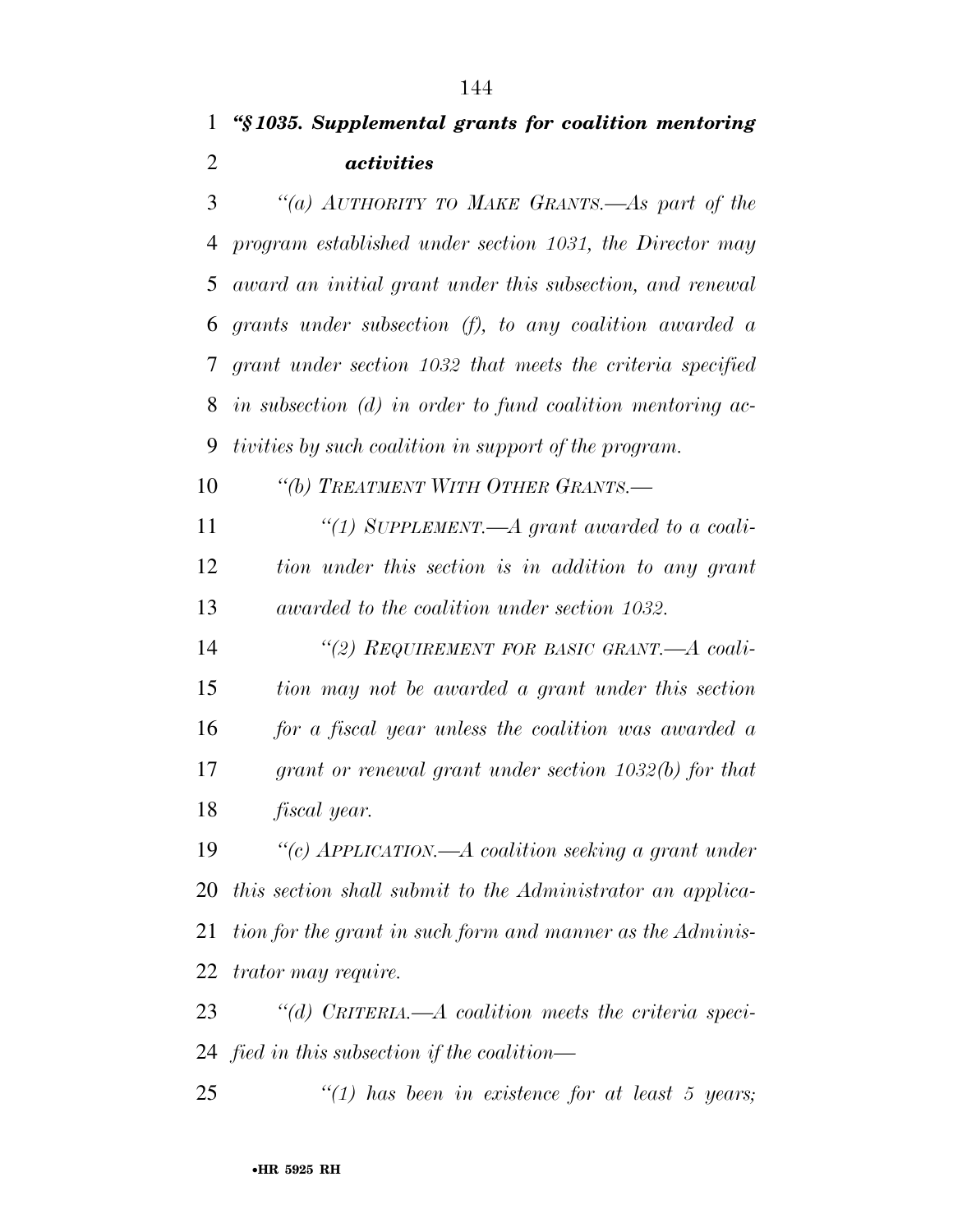*''(a) AUTHORITY TO MAKE GRANTS.—As part of the program established under section 1031, the Director may award an initial grant under this subsection, and renewal grants under subsection (f), to any coalition awarded a grant under section 1032 that meets the criteria specified in subsection (d) in order to fund coalition mentoring ac-tivities by such coalition in support of the program.* 

*''(b) TREATMENT WITH OTHER GRANTS.—* 

 *''(1) SUPPLEMENT.—A grant awarded to a coali- tion under this section is in addition to any grant awarded to the coalition under section 1032.* 

 *''(2) REQUIREMENT FOR BASIC GRANT.—A coali- tion may not be awarded a grant under this section for a fiscal year unless the coalition was awarded a grant or renewal grant under section 1032(b) for that fiscal year.* 

 *''(c) APPLICATION.—A coalition seeking a grant under this section shall submit to the Administrator an applica- tion for the grant in such form and manner as the Adminis-trator may require.* 

 *''(d) CRITERIA.—A coalition meets the criteria speci-fied in this subsection if the coalition—* 

*''(1) has been in existence for at least 5 years;*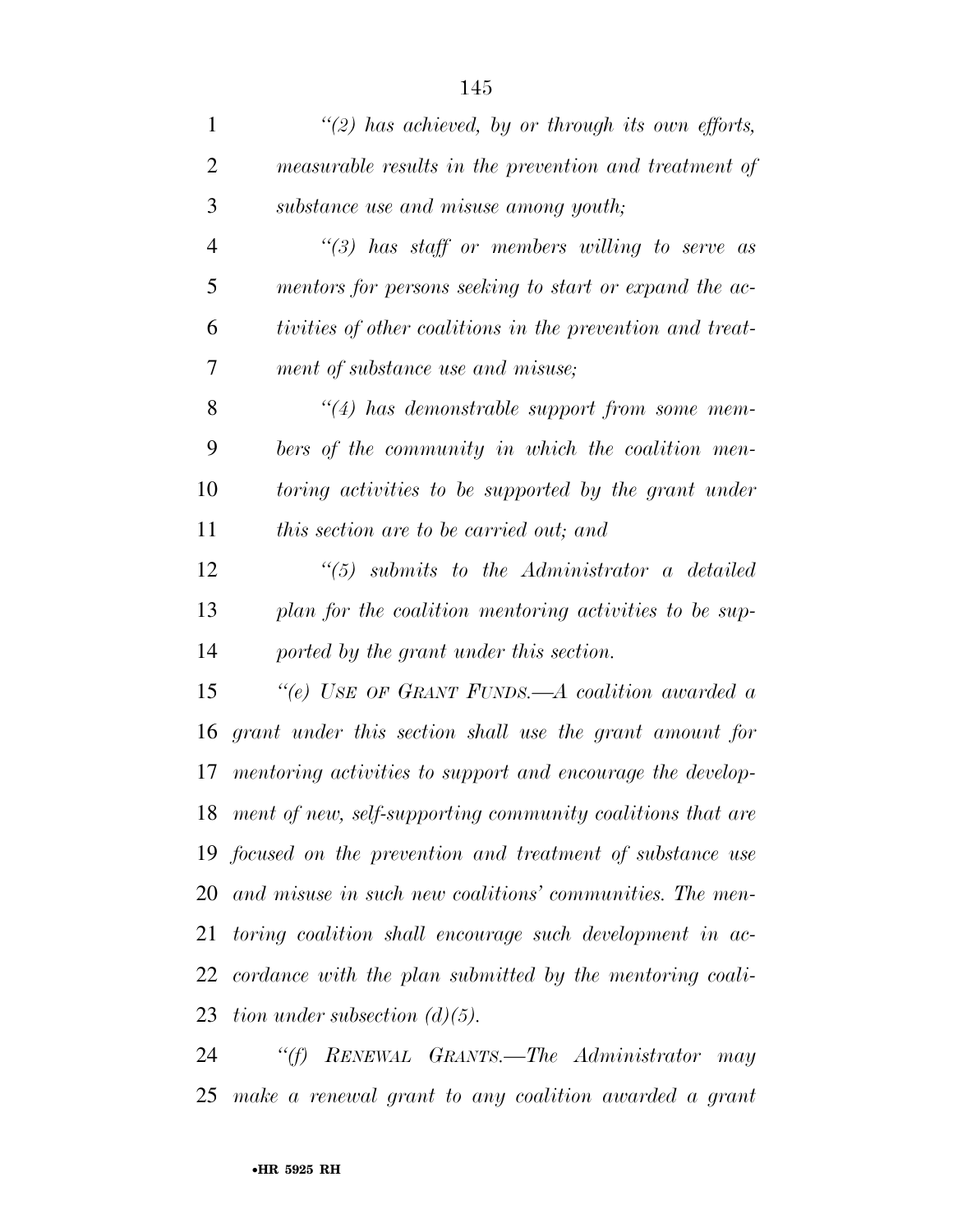| $\mathbf{1}$   | $\lq(2)$ has achieved, by or through its own efforts,       |
|----------------|-------------------------------------------------------------|
| $\overline{2}$ | measurable results in the prevention and treatment of       |
| 3              | substance use and misuse among youth;                       |
| $\overline{4}$ | "(3) has staff or members willing to serve as               |
| 5              | mentors for persons seeking to start or expand the ac-      |
| 6              | tivities of other coalitions in the prevention and treat-   |
| 7              | ment of substance use and misuse;                           |
| 8              | $\lq(4)$ has demonstrable support from some mem-            |
| 9              | bers of the community in which the coalition men-           |
| 10             | toring activities to be supported by the grant under        |
| 11             | this section are to be carried out; and                     |
| 12             | $\lq(5)$ submits to the Administrator a detailed            |
| 13             | plan for the coalition mentoring activities to be sup-      |
| 14             | ported by the grant under this section.                     |
| 15             | "(e) USE OF GRANT FUNDS.—A coalition awarded a              |
| 16             | grant under this section shall use the grant amount for     |
| 17             | mentoring activities to support and encourage the develop-  |
| 18             | ment of new, self-supporting community coalitions that are  |
|                | 19 focused on the prevention and treatment of substance use |
| 20             | and misuse in such new coalitions' communities. The men-    |
| 21             | toring coalition shall encourage such development in ac-    |
| 22             | cordance with the plan submitted by the mentoring coali-    |
| 23             | tion under subsection $(d)(5)$ .                            |
| 24             | RENEWAL GRANTS.—The Administrator<br>``(f)<br>may           |

*make a renewal grant to any coalition awarded a grant*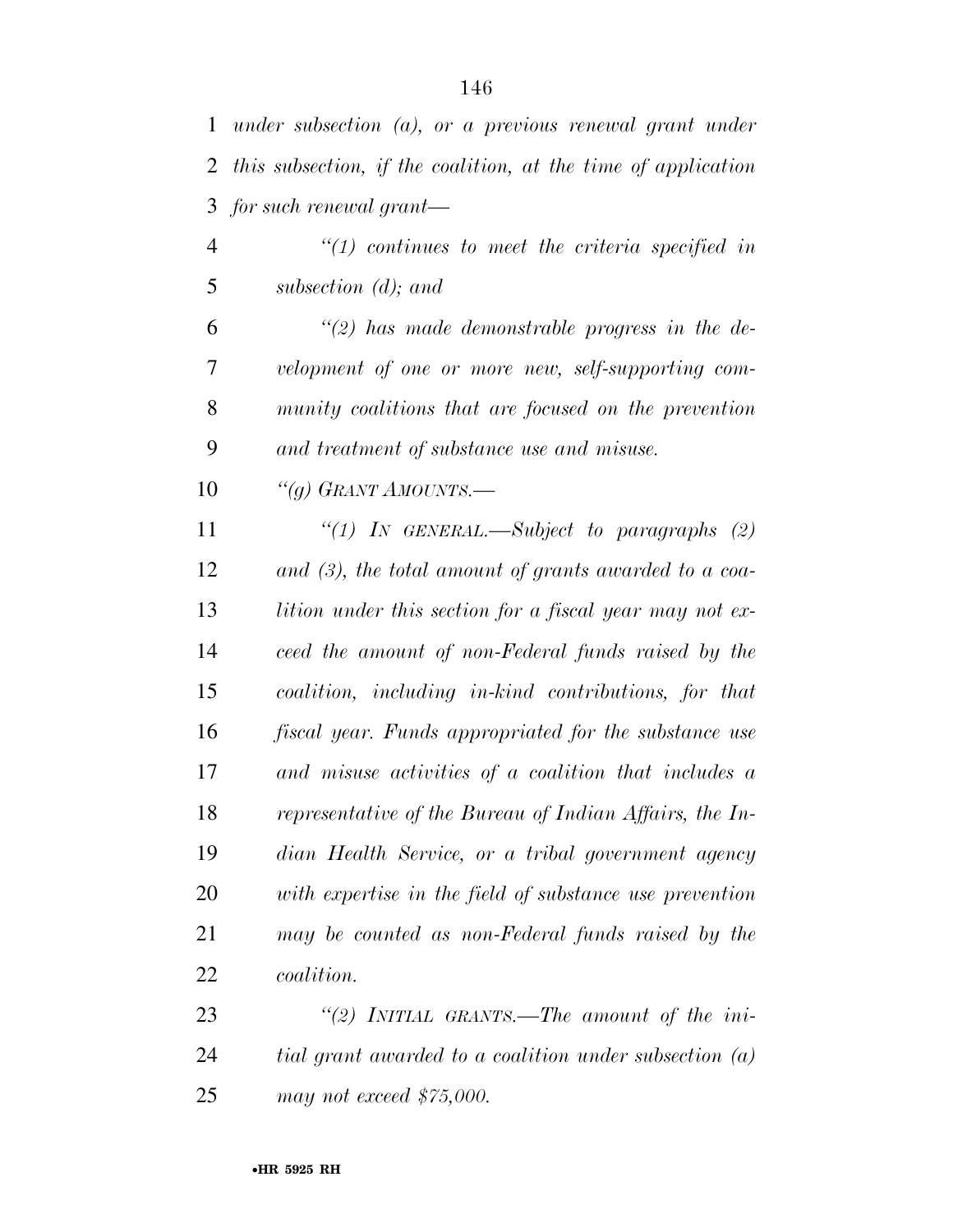| $\mathbf{1}$   | under subsection $(a)$ , or a previous renewal grant under    |
|----------------|---------------------------------------------------------------|
| 2              | this subsection, if the coalition, at the time of application |
| 3              | $for such$ renewal grant—                                     |
| $\overline{4}$ | $\lq(1)$ continues to meet the criteria specified in          |
| 5              | subsection $(d)$ ; and                                        |
| 6              | $\lq(2)$ has made demonstrable progress in the de-            |
| 7              | velopment of one or more new, self-supporting com-            |
| 8              | munity coalitions that are focused on the prevention          |
| 9              | and treatment of substance use and misuse.                    |
| 10             | "(g) GRANT AMOUNTS.—                                          |
| 11             | "(1) In GENERAL.—Subject to paragraphs $(2)$                  |
| 12             | and $(3)$ , the total amount of grants awarded to a coa-      |
| 13             | lition under this section for a fiscal year may not ex-       |
| 14             | ceed the amount of non-Federal funds raised by the            |
| 15             | coalition, including in-kind contributions, for that          |
| 16             | fiscal year. Funds appropriated for the substance use         |
| 17             | and misuse activities of a coalition that includes a          |
| 18             | representative of the Bureau of Indian Affairs, the In-       |
| 19             | dian Health Service, or a tribal government agency            |
| 20             | with expertise in the field of substance use prevention       |
| 21             | may be counted as non-Federal funds raised by the             |
| 22             | <i>coalition.</i>                                             |

 *''(2) INITIAL GRANTS.—The amount of the ini- tial grant awarded to a coalition under subsection (a) may not exceed \$75,000.*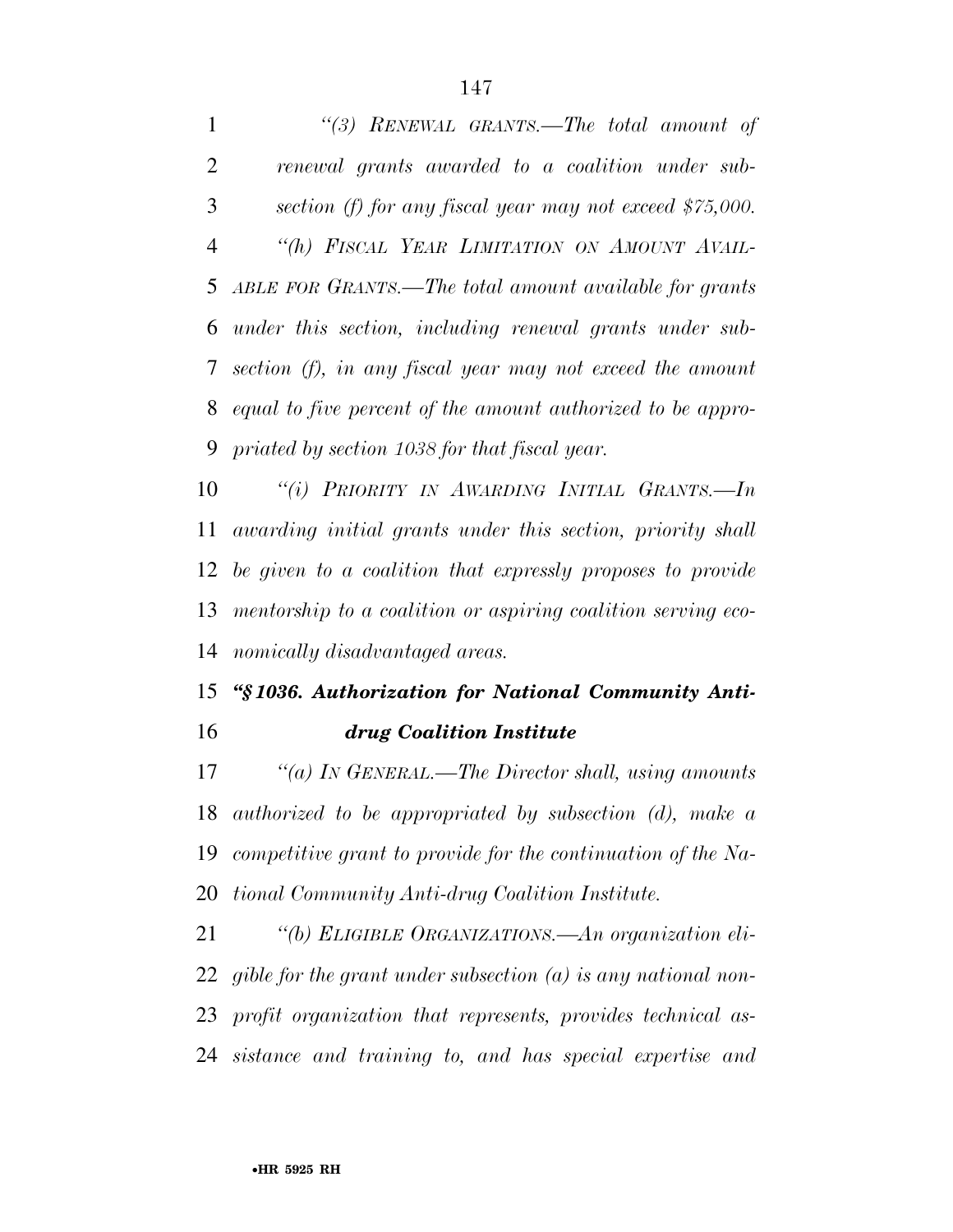*''(3) RENEWAL GRANTS.—The total amount of renewal grants awarded to a coalition under sub- section (f) for any fiscal year may not exceed \$75,000. ''(h) FISCAL YEAR LIMITATION ON AMOUNT AVAIL- ABLE FOR GRANTS.—The total amount available for grants under this section, including renewal grants under sub- section (f), in any fiscal year may not exceed the amount equal to five percent of the amount authorized to be appro-priated by section 1038 for that fiscal year.* 

 *''(i) PRIORITY IN AWARDING INITIAL GRANTS.—In awarding initial grants under this section, priority shall be given to a coalition that expressly proposes to provide mentorship to a coalition or aspiring coalition serving eco-nomically disadvantaged areas.* 

## *''§ 1036. Authorization for National Community Anti-drug Coalition Institute*

 *''(a) IN GENERAL.—The Director shall, using amounts authorized to be appropriated by subsection (d), make a competitive grant to provide for the continuation of the Na-tional Community Anti-drug Coalition Institute.* 

 *''(b) ELIGIBLE ORGANIZATIONS.—An organization eli- gible for the grant under subsection (a) is any national non- profit organization that represents, provides technical as-sistance and training to, and has special expertise and*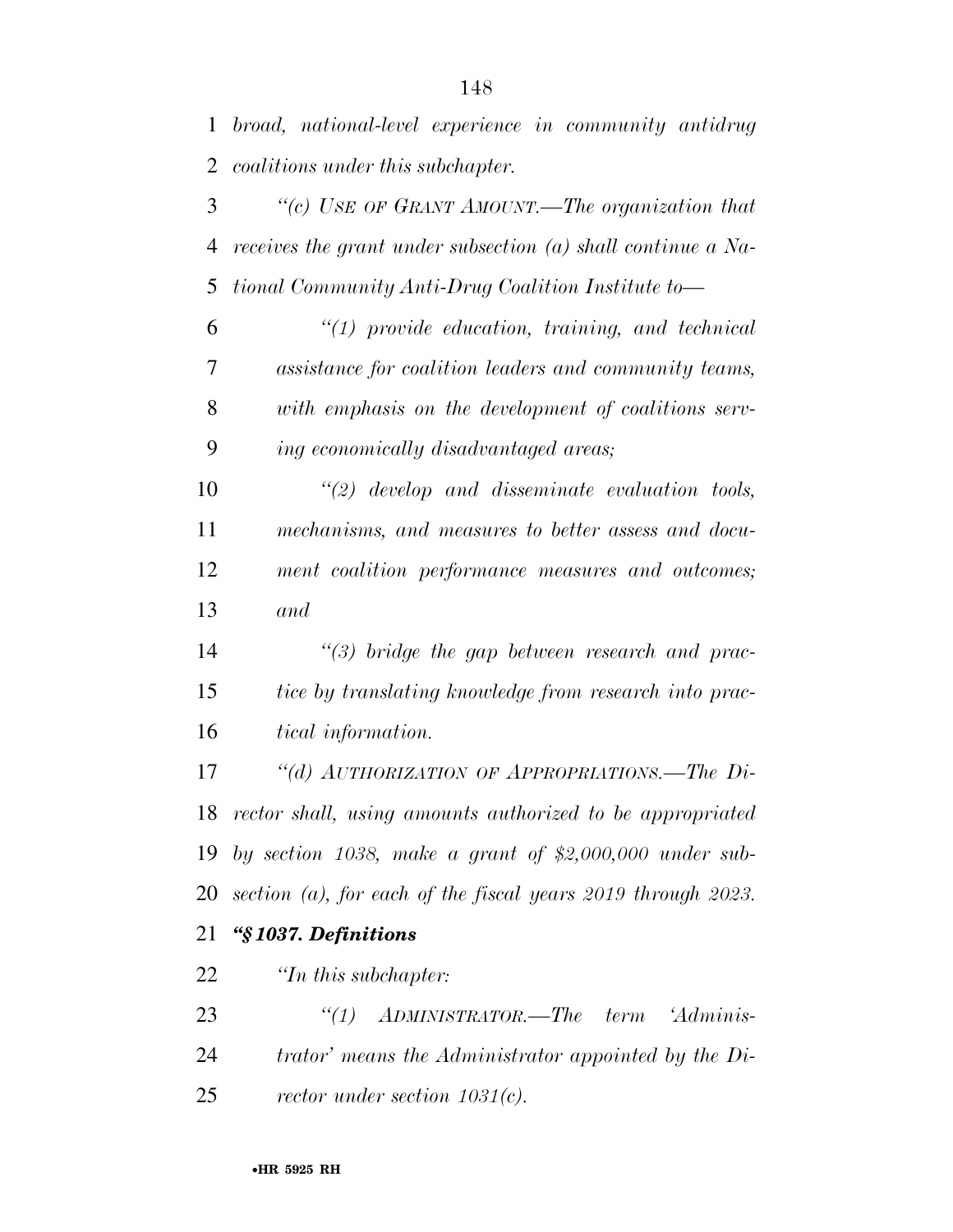*''(c) USE OF GRANT AMOUNT.—The organization that receives the grant under subsection (a) shall continue a Na-tional Community Anti-Drug Coalition Institute to—* 

 *''(1) provide education, training, and technical assistance for coalition leaders and community teams, with emphasis on the development of coalitions serv-ing economically disadvantaged areas;* 

 *''(2) develop and disseminate evaluation tools, mechanisms, and measures to better assess and docu- ment coalition performance measures and outcomes; and* 

 *''(3) bridge the gap between research and prac- tice by translating knowledge from research into prac-tical information.* 

 *''(d) AUTHORIZATION OF APPROPRIATIONS.—The Di- rector shall, using amounts authorized to be appropriated by section 1038, make a grant of \$2,000,000 under sub-section (a), for each of the fiscal years 2019 through 2023.* 

## *''§ 1037. Definitions*

*''In this subchapter:* 

 *''(1) ADMINISTRATOR.—The term 'Adminis- trator' means the Administrator appointed by the Di-rector under section 1031(c).*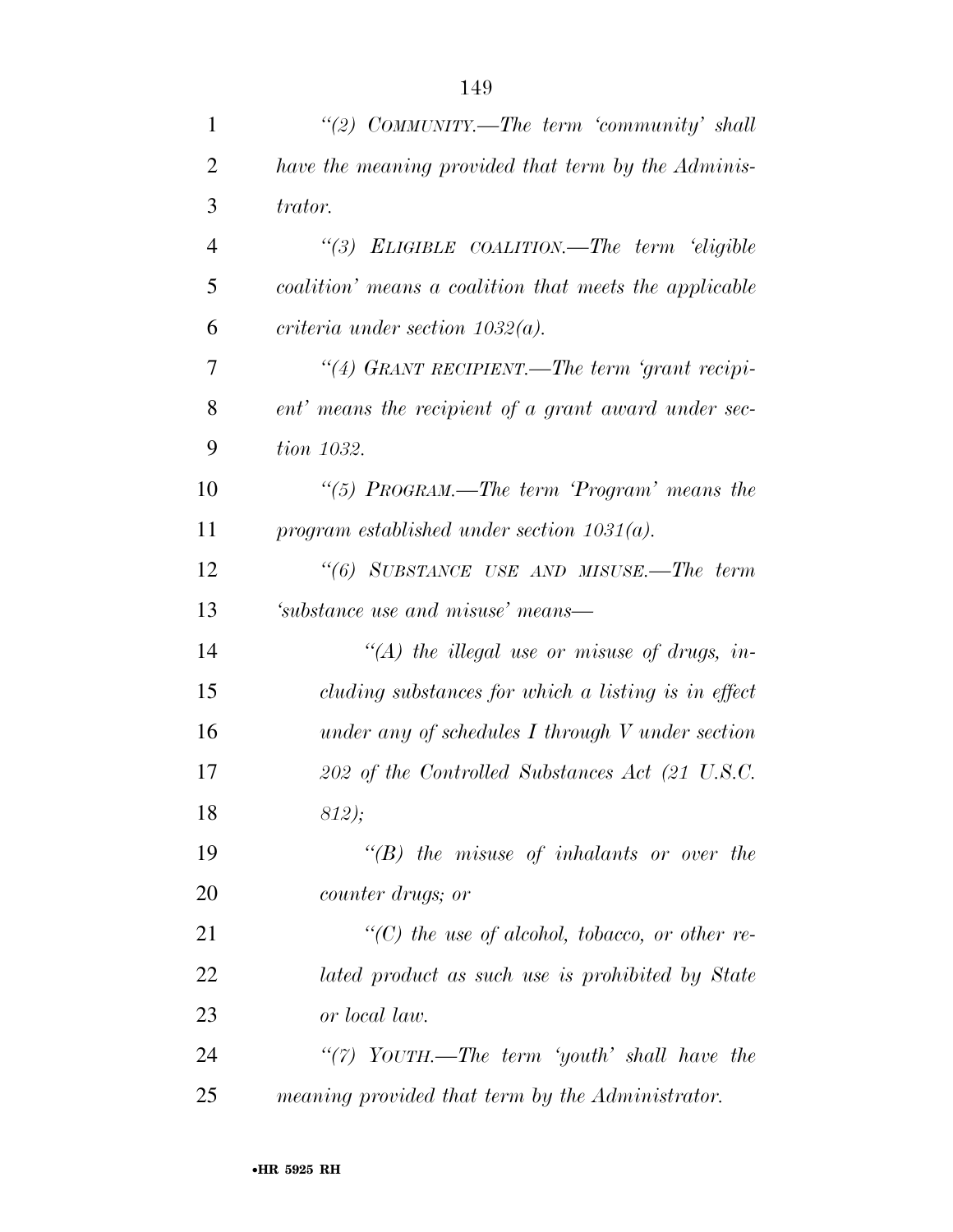| $\mathbf{1}$   | "(2) COMMUNITY.—The term 'community' shall             |
|----------------|--------------------------------------------------------|
| $\overline{2}$ | have the meaning provided that term by the Adminis-    |
| 3              | trator.                                                |
| $\overline{4}$ | "(3) ELIGIBLE COALITION.—The term 'eligible            |
| 5              | coalition' means a coalition that meets the applicable |
| 6              | criteria under section $1032(a)$ .                     |
| 7              | "(4) GRANT RECIPIENT.—The term 'grant recipi-          |
| 8              | ent' means the recipient of a grant award under sec-   |
| 9              | tion 1032.                                             |
| 10             | "(5) $PROGRAM$ .—The term 'Program' means the          |
| 11             | program established under section $1031(a)$ .          |
| 12             | "(6) SUBSTANCE USE AND MISUSE.—The term                |
| 13             | 'substance use and misuse' means—                      |
| 14             | "(A) the illegal use or misuse of drugs, in-           |
| 15             | cluding substances for which a listing is in effect    |
| 16             | under any of schedules $I$ through $V$ under section   |
| 17             | 202 of the Controlled Substances Act (21 U.S.C.        |
| 18             | 812);                                                  |
| 19             | $\lq\lq(B)$ the misuse of inhalants or over the        |
| 20             | <i>counter drugs</i> ; <i>or</i>                       |
| 21             | $\lq\lq$ the use of alcohol, tobacco, or other re-     |
| 22             | lated product as such use is prohibited by State       |
| 23             | or local law.                                          |
| 24             | "(7) $YourH. - The term 'youth' shall have the$        |
| 25             | meaning provided that term by the Administrator.       |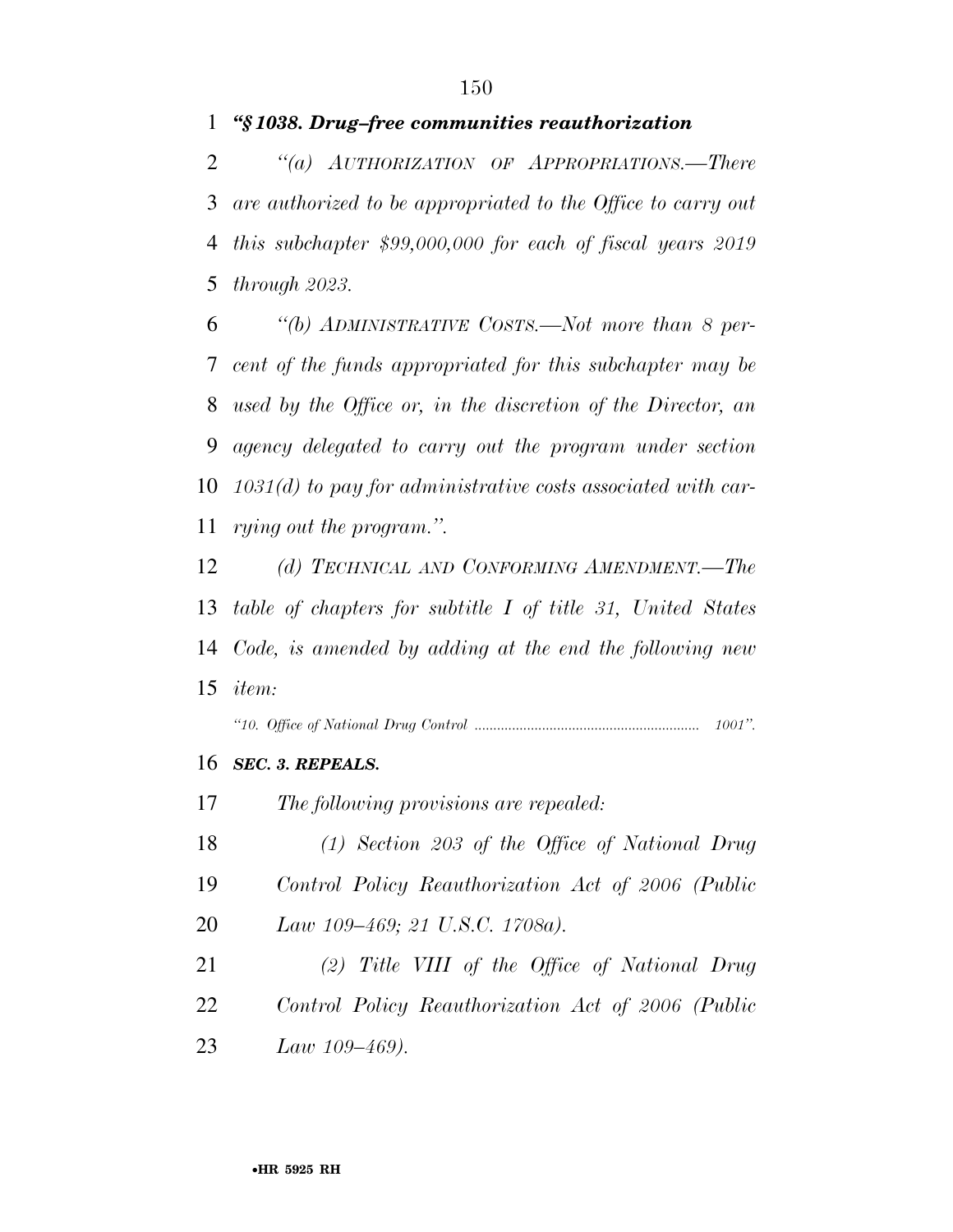## *''§ 1038. Drug–free communities reauthorization*

 *''(a) AUTHORIZATION OF APPROPRIATIONS.—There are authorized to be appropriated to the Office to carry out this subchapter \$99,000,000 for each of fiscal years 2019 through 2023.* 

 *''(b) ADMINISTRATIVE COSTS.—Not more than 8 per- cent of the funds appropriated for this subchapter may be used by the Office or, in the discretion of the Director, an agency delegated to carry out the program under section 1031(d) to pay for administrative costs associated with car-rying out the program.''.* 

 *(d) TECHNICAL AND CONFORMING AMENDMENT.—The table of chapters for subtitle I of title 31, United States Code, is amended by adding at the end the following new item:* 

*''10. Office of National Drug Control ............................................................ 1001''.* 

*SEC. 3. REPEALS.* 

*The following provisions are repealed:* 

- *(1) Section 203 of the Office of National Drug Control Policy Reauthorization Act of 2006 (Public*
- *Law 109–469; 21 U.S.C. 1708a).*
- *(2) Title VIII of the Office of National Drug Control Policy Reauthorization Act of 2006 (Public Law 109–469).*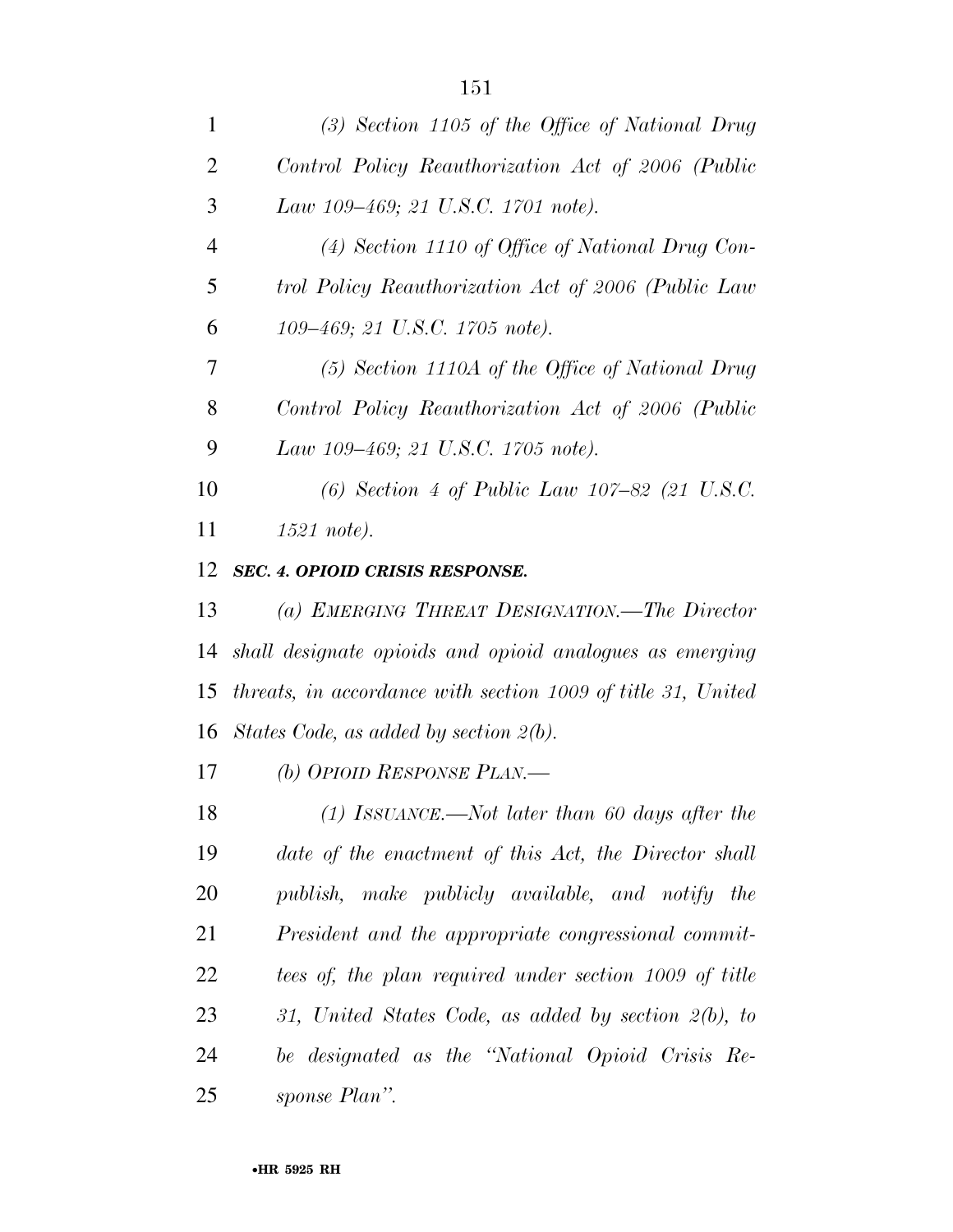| 1              | $(3)$ Section 1105 of the Office of National Drug            |
|----------------|--------------------------------------------------------------|
| $\overline{2}$ | Control Policy Reauthorization Act of 2006 (Public           |
| 3              | Law 109–469; 21 U.S.C. 1701 note).                           |
| $\overline{4}$ | $(4)$ Section 1110 of Office of National Drug Con-           |
| 5              | trol Policy Reauthorization Act of 2006 (Public Law          |
| 6              | 109–469; 21 U.S.C. 1705 note).                               |
| 7              | $(5)$ Section 1110A of the Office of National Drug           |
| 8              | Control Policy Reauthorization Act of 2006 (Public           |
| 9              | Law 109–469; 21 U.S.C. 1705 note).                           |
| 10             | (6) Section 4 of Public Law $107-82$ (21 U.S.C.              |
| 11             | 1521 note).                                                  |
| 12             | SEC. 4. OPIOID CRISIS RESPONSE.                              |
| 13             | (a) EMERGING THREAT DESIGNATION.—The Director                |
| 14             | shall designate opioids and opioid analogues as emerging     |
| 15             | threats, in accordance with section 1009 of title 31, United |
| 16             | States Code, as added by section $2(b)$ .                    |
| 17             | (b) OPIOID RESPONSE PLAN.—                                   |
| 18             | $(1)$ ISSUANCE.—Not later than 60 days after the             |
| 19             | date of the enactment of this Act, the Director shall        |
| 20             | publish, make publicly available, and notify the             |
| 21             | President and the appropriate congressional commit-          |
| 22             | tees of, the plan required under section 1009 of title       |
| 23             | 31, United States Code, as added by section 2(b), to         |
| 24             | be designated as the "National Opioid Crisis Re-             |
| 25             | sponse Plan".                                                |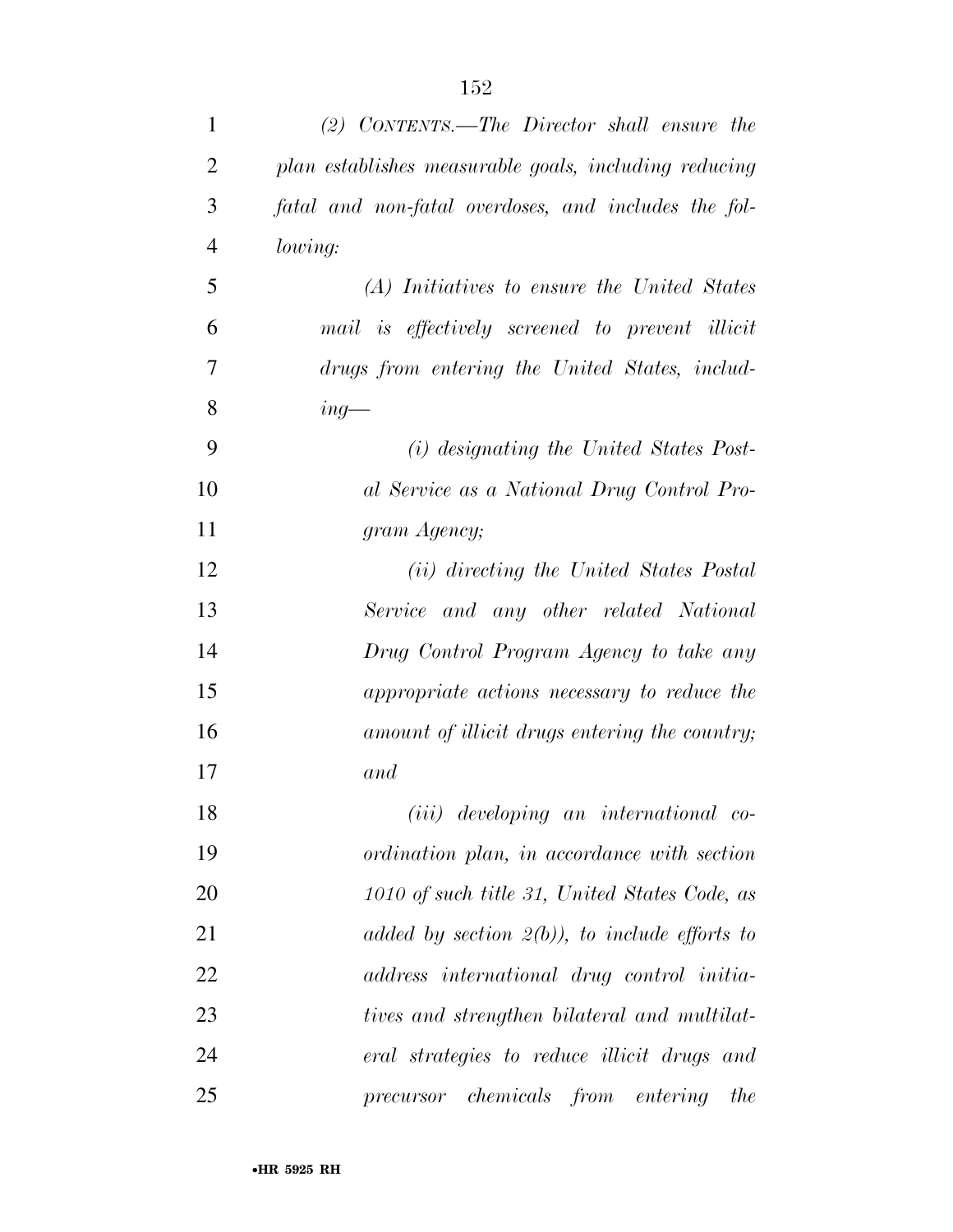| $\mathbf{1}$   | $(2)$ CONTENTS.—The Director shall ensure the         |
|----------------|-------------------------------------------------------|
| $\overline{2}$ | plan establishes measurable goals, including reducing |
| 3              | fatal and non-fatal overdoses, and includes the fol-  |
| $\overline{4}$ | lowing:                                               |
| 5              | (A) Initiatives to ensure the United States           |
| 6              | mail is effectively screened to prevent illicit       |
| 7              | drugs from entering the United States, includ-        |
| 8              | $ing-$                                                |
| 9              | (i) designating the United States Post-               |
| 10             | al Service as a National Drug Control Pro-            |
| 11             | gram Agency;                                          |
| 12             | (ii) directing the United States Postal               |
| 13             | Service and any other related National                |
| 14             | Drug Control Program Agency to take any               |
| 15             | appropriate actions necessary to reduce the           |
| 16             | amount of illicit drugs entering the country;         |
| 17             | and                                                   |
| 18             | (iii) developing an international co-                 |
| 19             | ordination plan, in accordance with section           |
| 20             | 1010 of such title 31, United States Code, as         |
| 21             | added by section $2(b)$ , to include efforts to       |
| 22             | address international drug control initia-            |
| 23             | tives and strengthen bilateral and multilat-          |
| 24             | eral strategies to reduce illicit drugs and           |
| 25             | precursor chemicals from entering<br>the              |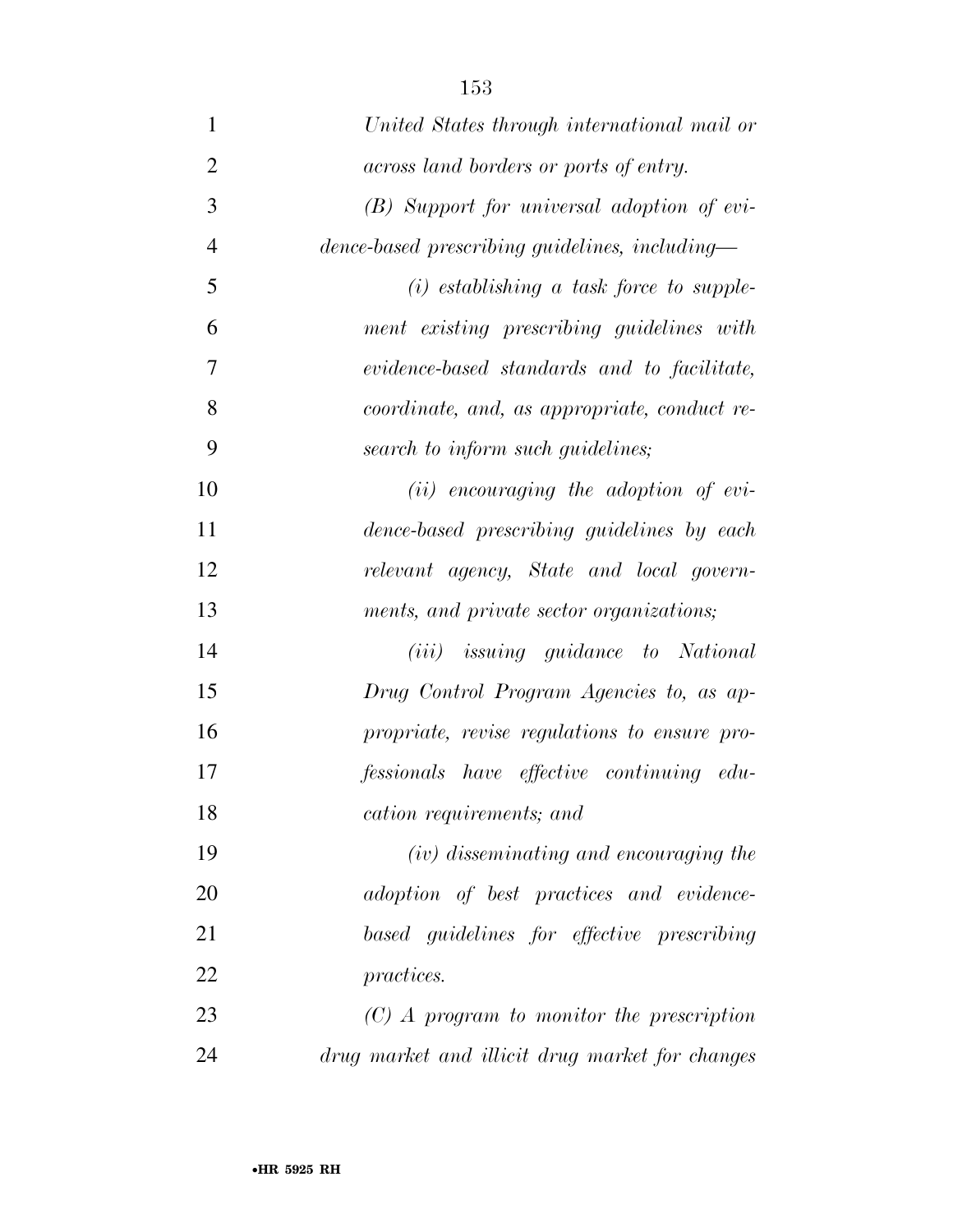| $\mathbf{1}$   | United States through international mail or     |
|----------------|-------------------------------------------------|
| $\overline{2}$ | across land borders or ports of entry.          |
|                |                                                 |
| 3              | (B) Support for universal adoption of evi-      |
| $\overline{4}$ | dence-based prescribing guidelines, including—  |
| 5              | $(i)$ establishing a task force to supple-      |
| 6              | ment existing prescribing guidelines with       |
| 7              | evidence-based standards and to facilitate,     |
| 8              | coordinate, and, as appropriate, conduct re-    |
| 9              | search to inform such guidelines;               |
| 10             | $(ii)$ encouraging the adoption of evi-         |
| 11             | dence-based prescribing guidelines by each      |
| 12             | relevant agency, State and local govern-        |
| 13             | ments, and private sector organizations;        |
| 14             | (iii) issuing guidance to National              |
| 15             | Drug Control Program Agencies to, as ap-        |
| 16             | propriate, revise regulations to ensure pro-    |
| 17             | fessionals have effective continuing edu-       |
| 18             | cation requirements; and                        |
| 19             | (iv) disseminating and encouraging the          |
| 20             | adoption of best practices and evidence-        |
| 21             | based guidelines for effective prescribing      |
| 22             | practices.                                      |
| 23             | $(C)$ A program to monitor the prescription     |
| 24             | drug market and illicit drug market for changes |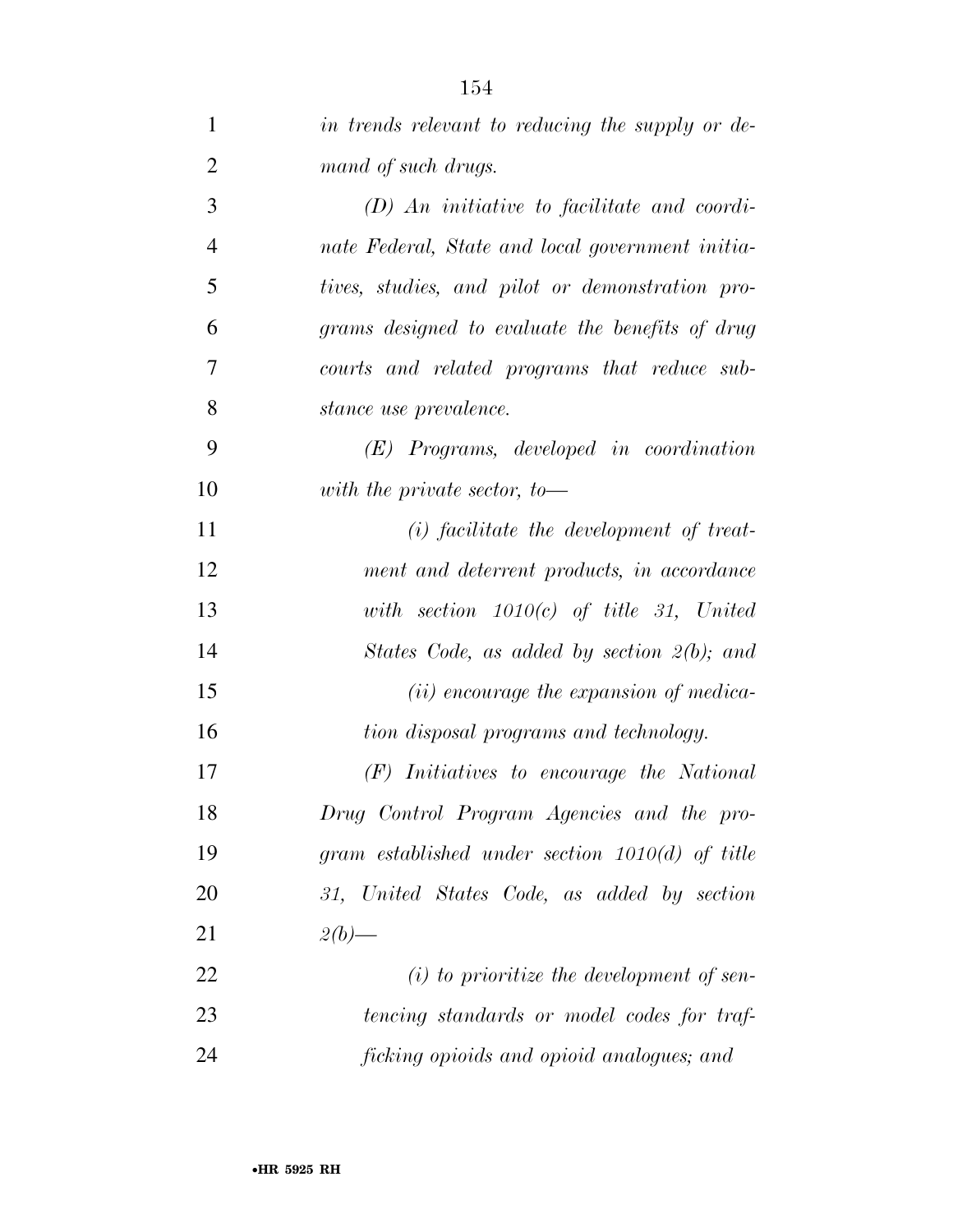| $\mathbf{1}$   | in trends relevant to reducing the supply or de-  |
|----------------|---------------------------------------------------|
| $\overline{2}$ | mand of such drugs.                               |
| 3              | $(D)$ An initiative to facilitate and coordi-     |
| $\overline{4}$ | nate Federal, State and local government initia-  |
| 5              | tives, studies, and pilot or demonstration pro-   |
| 6              | grams designed to evaluate the benefits of drug   |
| 7              | courts and related programs that reduce sub-      |
| 8              | stance use prevalence.                            |
| 9              | $(E)$ Programs, developed in coordination         |
| 10             | with the private sector, to $-$                   |
| 11             | $(i)$ facilitate the development of treat-        |
| 12             | ment and deterrent products, in accordance        |
| 13             | with section $1010(c)$ of title 31, United        |
| 14             | States Code, as added by section 2(b); and        |
| 15             | (ii) encourage the expansion of medica-           |
| 16             | tion disposal programs and technology.            |
| 17             | $(F)$ Initiatives to encourage the National       |
| 18             | Drug Control Program Agencies and the pro-        |
| 19             | gram established under section $1010(d)$ of title |
| 20             | 31, United States Code, as added by section       |
| 21             | $2(b)$ —                                          |
| 22             | $(i)$ to prioritize the development of sen-       |
| 23             | tencing standards or model codes for traf-        |
| 24             | ficking opioids and opioid analogues; and         |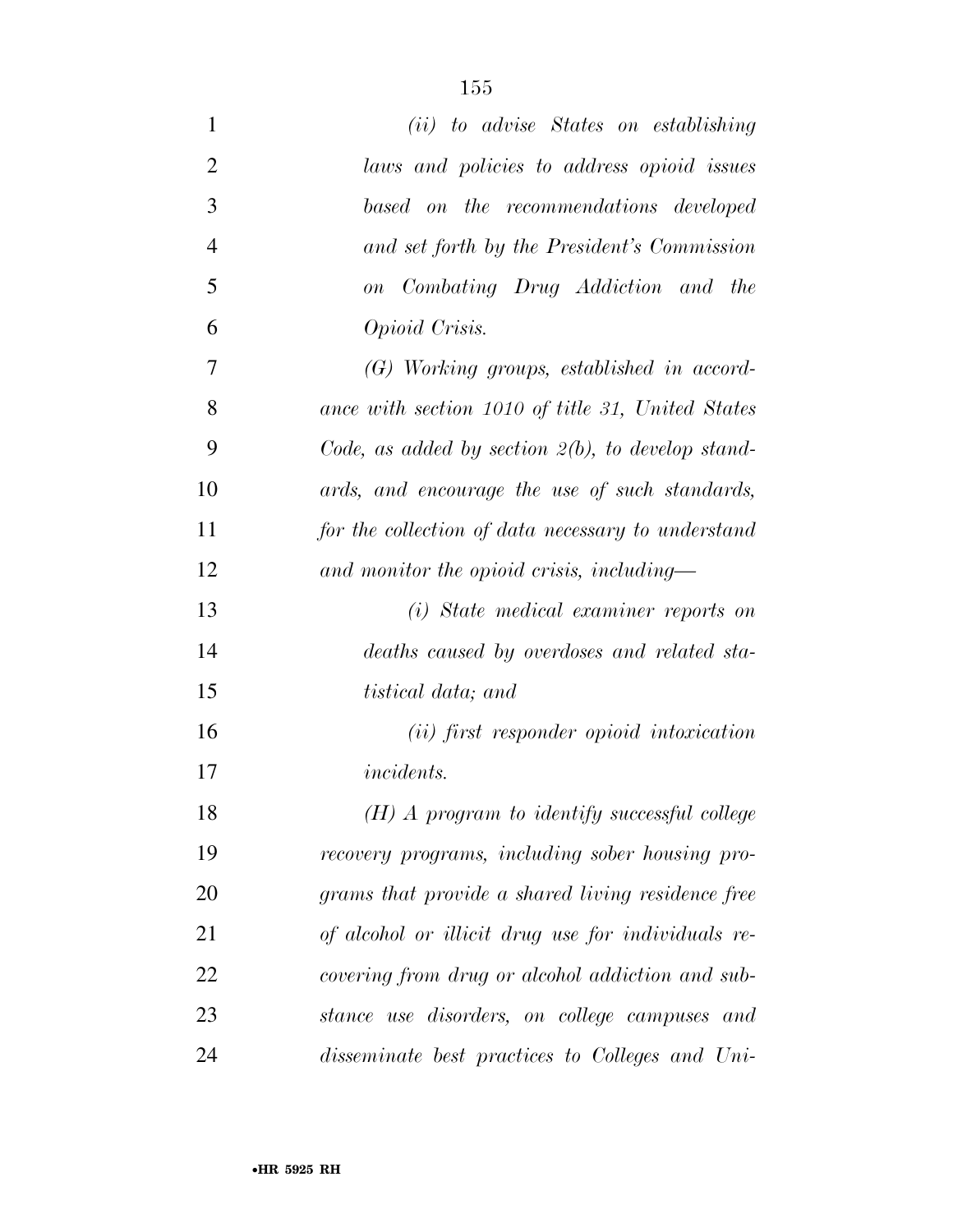| $\mathbf{1}$   | (ii) to advise States on establishing                |
|----------------|------------------------------------------------------|
| $\overline{2}$ | laws and policies to address opioid issues           |
| 3              | based on the recommendations developed               |
| $\overline{4}$ | and set forth by the President's Commission          |
| 5              | on Combating Drug Addiction and the                  |
| 6              | Opioid Crisis.                                       |
| 7              | $(G)$ Working groups, established in accord-         |
| 8              | ance with section 1010 of title 31, United States    |
| 9              | Code, as added by section $2(b)$ , to develop stand- |
| 10             | ards, and encourage the use of such standards,       |
| 11             | for the collection of data necessary to understand   |
| 12             | and monitor the opioid crisis, including—            |
| 13             | (i) State medical examiner reports on                |
| 14             | deaths caused by overdoses and related sta-          |
| 15             | <i>tistical data</i> ; and                           |
| 16             | (ii) first responder opioid intoxication             |
| 17             | <i>incidents.</i>                                    |
| 18             | $(H)$ A program to identify successful college       |
| 19             | recovery programs, including sober housing pro-      |
| 20             | grams that provide a shared living residence free    |
| 21             | of alcohol or illicit drug use for individuals re-   |
| 22             | covering from drug or alcohol addiction and sub-     |
| 23             | stance use disorders, on college campuses and        |
| 24             | disseminate best practices to Colleges and Uni-      |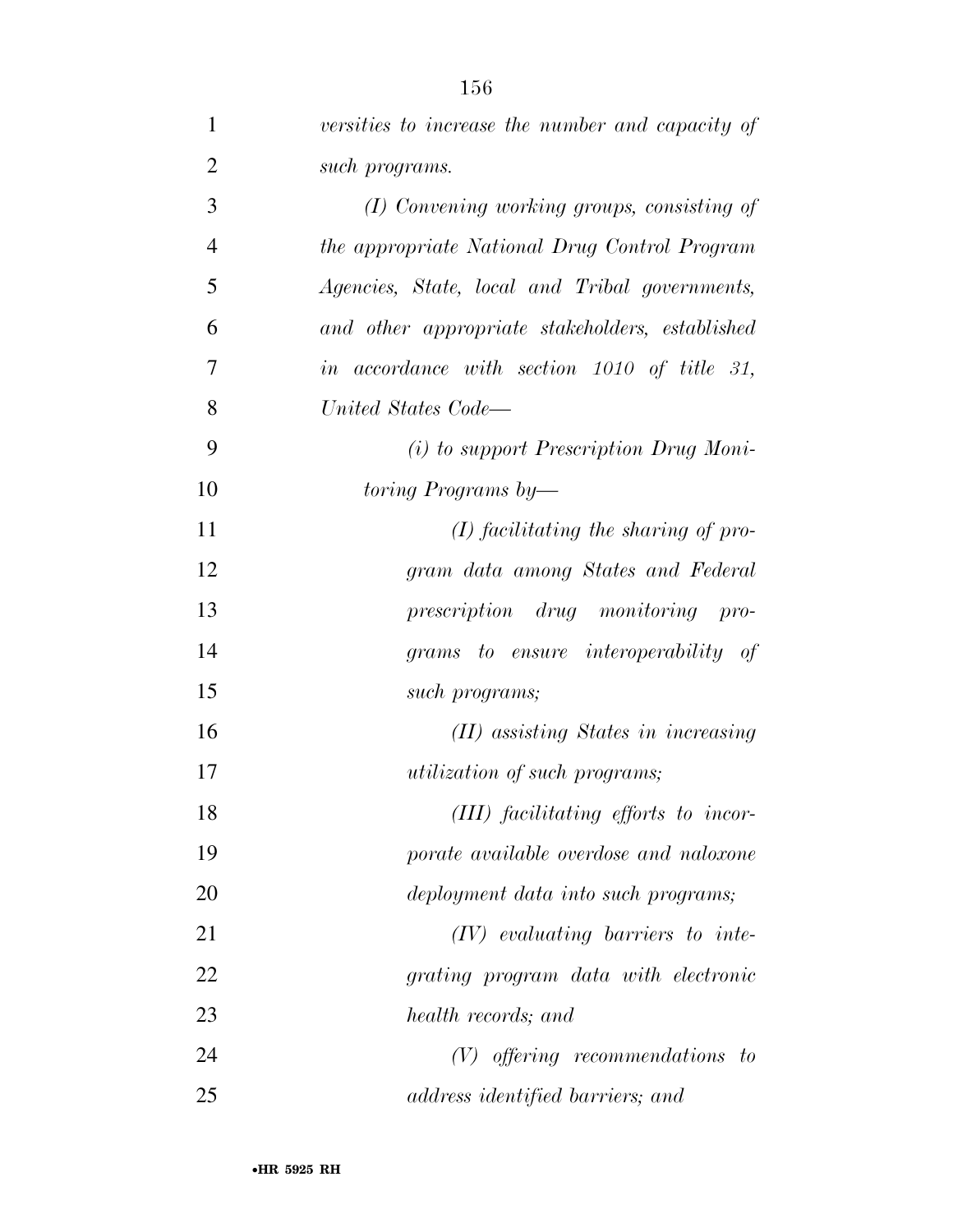| $\mathbf{1}$   | versities to increase the number and capacity of |
|----------------|--------------------------------------------------|
| $\overline{2}$ | such programs.                                   |
| 3              | (I) Convening working groups, consisting of      |
| $\overline{4}$ | the appropriate National Drug Control Program    |
| 5              | Agencies, State, local and Tribal governments,   |
| 6              | and other appropriate stakeholders, established  |
| 7              | in accordance with section 1010 of title 31,     |
| 8              | United States Code—                              |
| 9              | $(i)$ to support Prescription Drug Moni-         |
| 10             | toring Programs by—                              |
| 11             | $(I)$ facilitating the sharing of pro-           |
| 12             | gram data among States and Federal               |
| 13             | prescription drug monitoring pro-                |
| 14             | grams to ensure interoperability of              |
| 15             | such programs;                                   |
| 16             | (II) assisting States in increasing              |
| 17             | <i>utilization of such programs;</i>             |
| 18             | (III) facilitating efforts to incor-             |
| 19             | porate available overdose and naloxone           |
| 20             | deployment data into such programs;              |
| 21             | $(IV)$ evaluating barriers to inte-              |
| 22             | grating program data with electronic             |
| 23             | health records; and                              |
| 24             | $(V)$ offering recommendations to                |
| 25             | address identified barriers; and                 |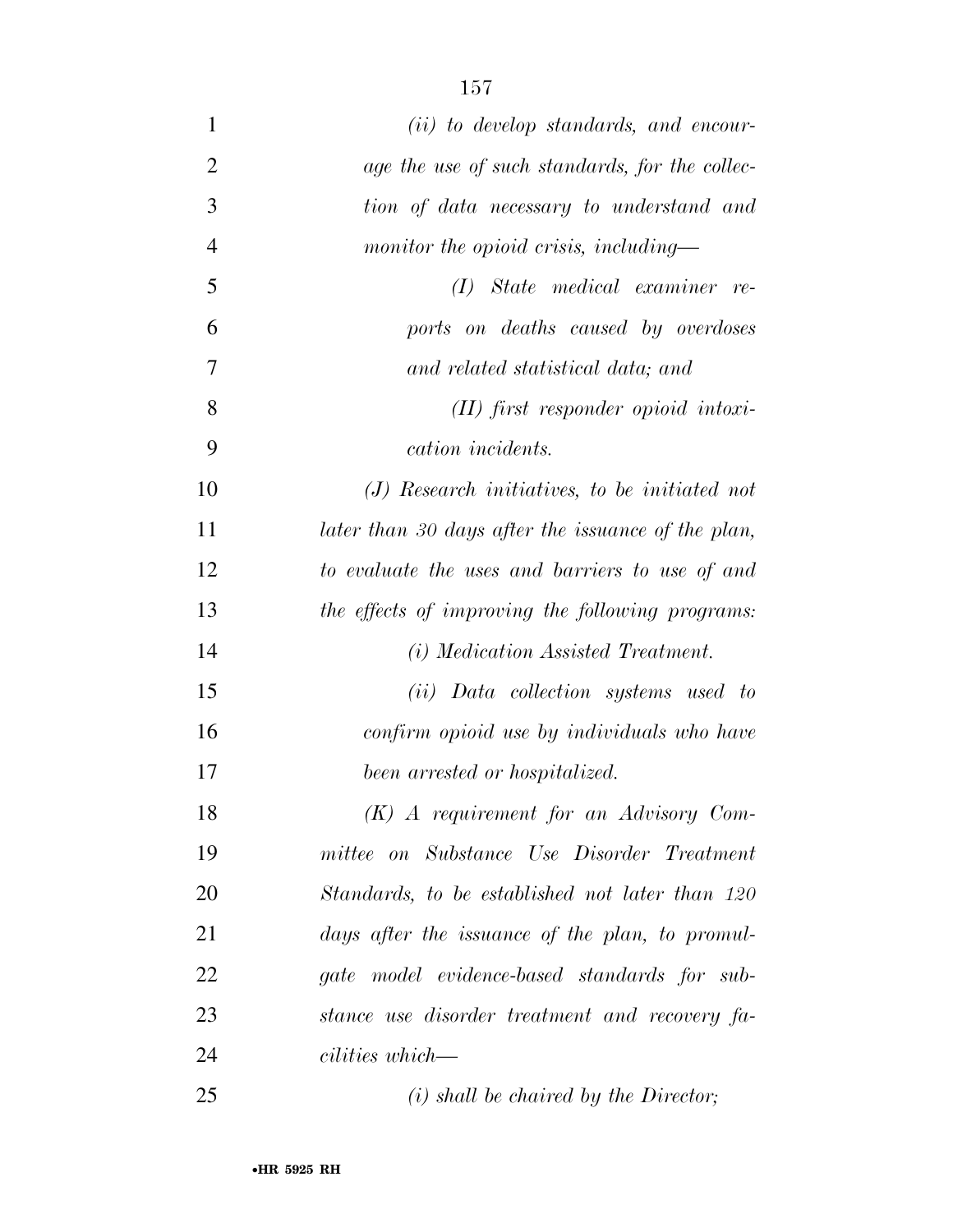| $\mathbf{1}$   | $(ii)$ to develop standards, and encour-           |
|----------------|----------------------------------------------------|
| $\overline{2}$ | age the use of such standards, for the collec-     |
| 3              | tion of data necessary to understand and           |
| $\overline{4}$ | monitor the opioid crisis, including—              |
| 5              | State medical examiner re-<br>(I)                  |
| 6              | ports on deaths caused by overdoses                |
| 7              | and related statistical data; and                  |
| 8              | $(II)$ first responder opioid intoxi-              |
| 9              | cation incidents.                                  |
| 10             | $(J)$ Research initiatives, to be initiated not    |
| 11             | later than 30 days after the issuance of the plan, |
| 12             | to evaluate the uses and barriers to use of and    |
| 13             | the effects of improving the following programs:   |
| 14             | (i) Medication Assisted Treatment.                 |
| 15             | (ii) Data collection systems used to               |
| 16             | confirm opioid use by individuals who have         |
| 17             | been arrested or hospitalized.                     |
| 18             | $(K)$ A requirement for an Advisory Com-           |
| 19             | mittee on Substance Use Disorder Treatment         |
| 20             | Standards, to be established not later than 120    |
| 21             | days after the issuance of the plan, to promul-    |
| 22             | gate model evidence-based standards for sub-       |
| 23             | stance use disorder treatment and recovery fa-     |
| 24             | cilities which—                                    |
| 25             | $(i)$ shall be chaired by the Director;            |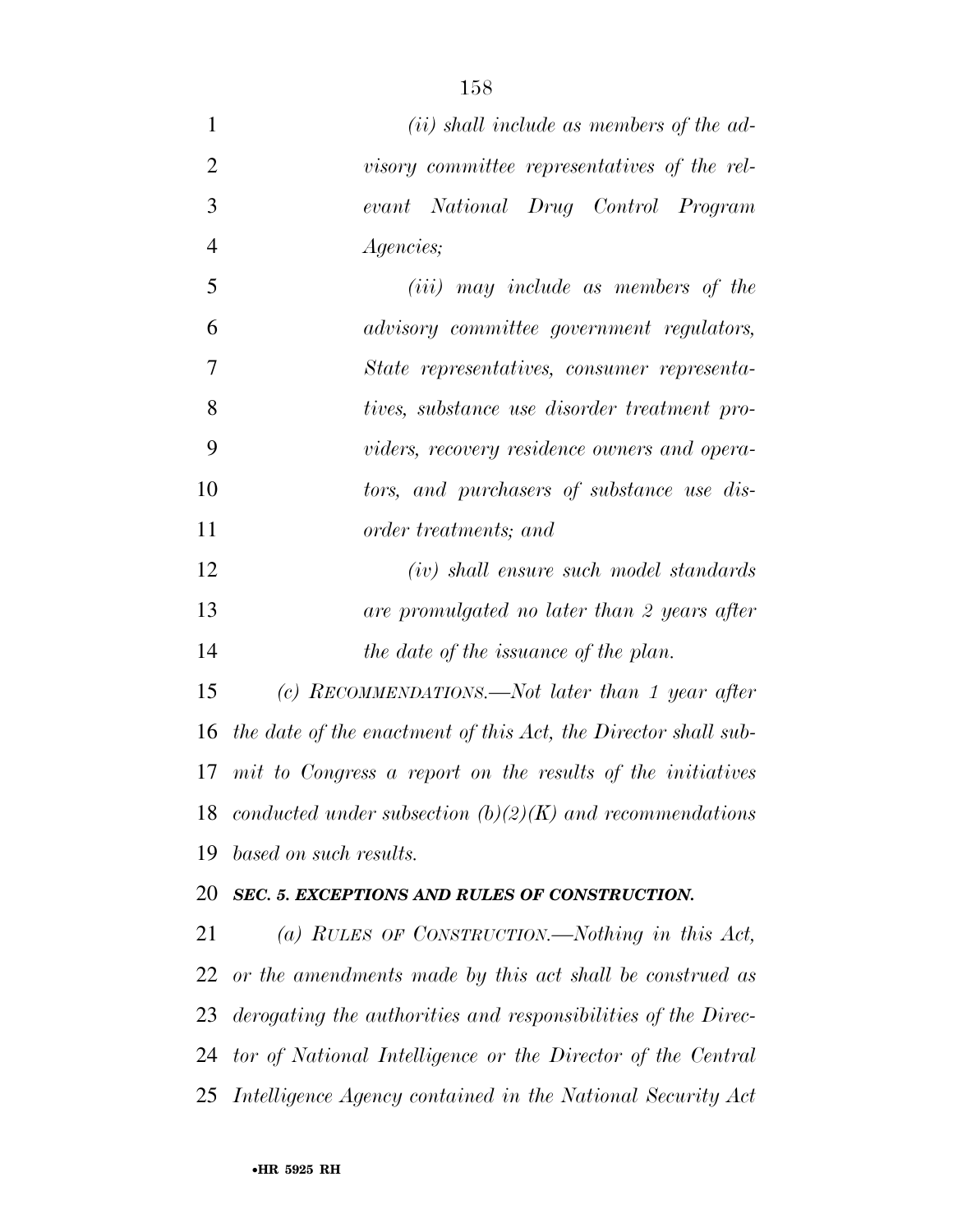| $\mathbf{1}$   | ( <i>ii</i> ) shall include as members of the ad-              |
|----------------|----------------------------------------------------------------|
| $\overline{2}$ | visory committee representatives of the rel-                   |
| 3              | evant National Drug Control Program                            |
| $\overline{4}$ | <i>Agencies</i> ;                                              |
| 5              | (iii) may include as members of the                            |
| 6              | advisory committee government regulators,                      |
| 7              | State representatives, consumer representa-                    |
| 8              | tives, substance use disorder treatment pro-                   |
| 9              | viders, recovery residence owners and opera-                   |
| 10             | tors, and purchasers of substance use dis-                     |
| 11             | <i>order treatments</i> ; and                                  |
| 12             | $(iv)$ shall ensure such model standards                       |
| 13             | are promulgated no later than 2 years after                    |
| 14             | the date of the issuance of the plan.                          |
| 15             | (c) RECOMMENDATIONS.—Not later than 1 year after               |
| 16             | the date of the enactment of this Act, the Director shall sub- |
|                | 17 mit to Congress a report on the results of the initiatives  |
| 18             | conducted under subsection $(b)(2)(K)$ and recommendations     |
| 19             | based on such results.                                         |
| 20             | SEC. 5. EXCEPTIONS AND RULES OF CONSTRUCTION.                  |
| 21             | (a) RULES OF CONSTRUCTION.—Nothing in this Act,                |
| 22             | or the amendments made by this act shall be construed as       |
| 23             | derogating the authorities and responsibilities of the Direc-  |
| 24             | tor of National Intelligence or the Director of the Central    |
| 25             | Intelligence Agency contained in the National Security Act     |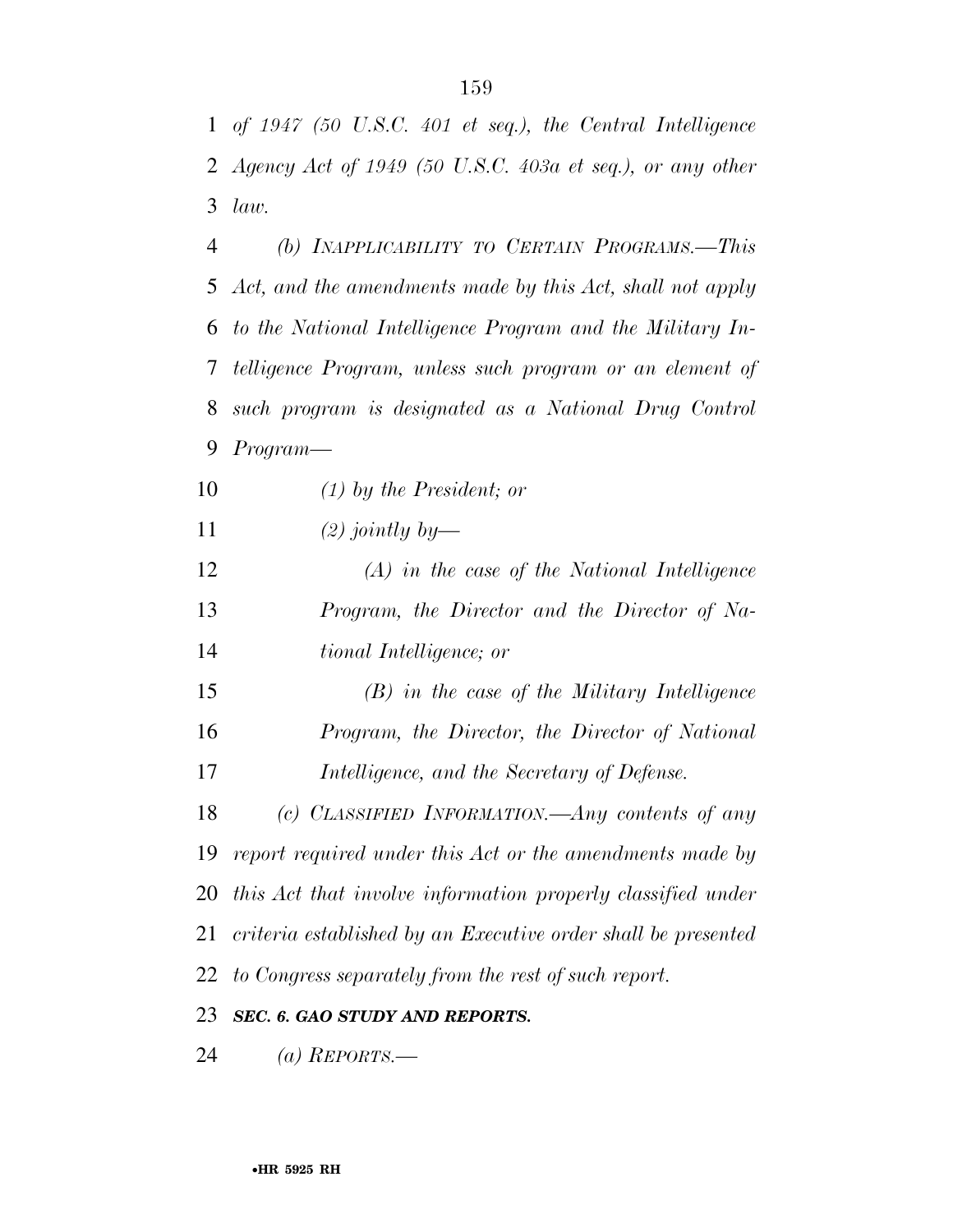*of 1947 (50 U.S.C. 401 et seq.), the Central Intelligence Agency Act of 1949 (50 U.S.C. 403a et seq.), or any other law.* 

 *(b) INAPPLICABILITY TO CERTAIN PROGRAMS.—This Act, and the amendments made by this Act, shall not apply to the National Intelligence Program and the Military In- telligence Program, unless such program or an element of such program is designated as a National Drug Control Program—* 

*(1) by the President; or* 

*(2) jointly by—* 

 *(A) in the case of the National Intelligence Program, the Director and the Director of Na-tional Intelligence; or* 

 *(B) in the case of the Military Intelligence Program, the Director, the Director of National Intelligence, and the Secretary of Defense.* 

 *(c) CLASSIFIED INFORMATION.—Any contents of any report required under this Act or the amendments made by this Act that involve information properly classified under criteria established by an Executive order shall be presented to Congress separately from the rest of such report.* 

*SEC. 6. GAO STUDY AND REPORTS.* 

*(a) REPORTS.—*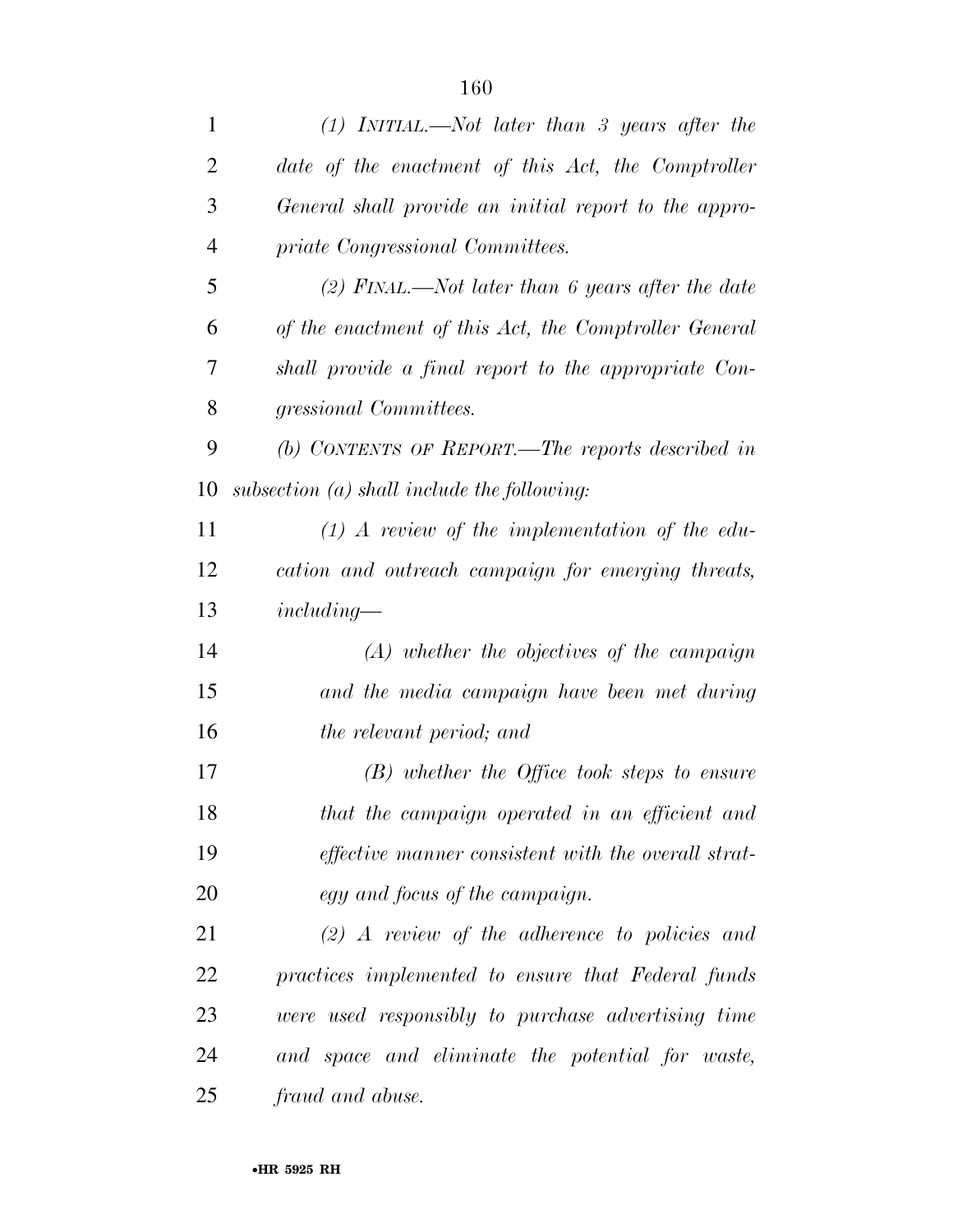| 1              | $(1)$ INITIAL.—Not later than 3 years after the            |
|----------------|------------------------------------------------------------|
| $\overline{2}$ | date of the enactment of this Act, the Comptroller         |
| 3              | General shall provide an initial report to the appro-      |
| $\overline{4}$ | priate Congressional Committees.                           |
| 5              | (2) FINAL.—Not later than 6 years after the date           |
| 6              | of the enactment of this Act, the Comptroller General      |
| 7              | shall provide a final report to the appropriate Con-       |
| 8              | gressional Committees.                                     |
| 9              | (b) CONTENTS OF REPORT.—The reports described in           |
| 10             | subsection $(a)$ shall include the following:              |
| 11             | $(1)$ A review of the implementation of the edu-           |
| 12             | cation and outreach campaign for emerging threats,         |
| 13             | $including-$                                               |
| 14             | $(A)$ whether the objectives of the campaign               |
| 15             | and the media campaign have been met during                |
| 16             | the relevant period; and                                   |
| 17             | $(B)$ whether the Office took steps to ensure              |
| 18             | that the campaign operated in an efficient and             |
| 19             | <i>effective manner consistent with the overall strat-</i> |
| 20             | egy and focus of the campaign.                             |
| 21             | $(2)$ A review of the adherence to policies and            |
| 22             | practices implemented to ensure that Federal funds         |
| 23             | were used responsibly to purchase advertising time         |
| 24             | and space and eliminate the potential for waste,           |
| 25             | fraud and abuse.                                           |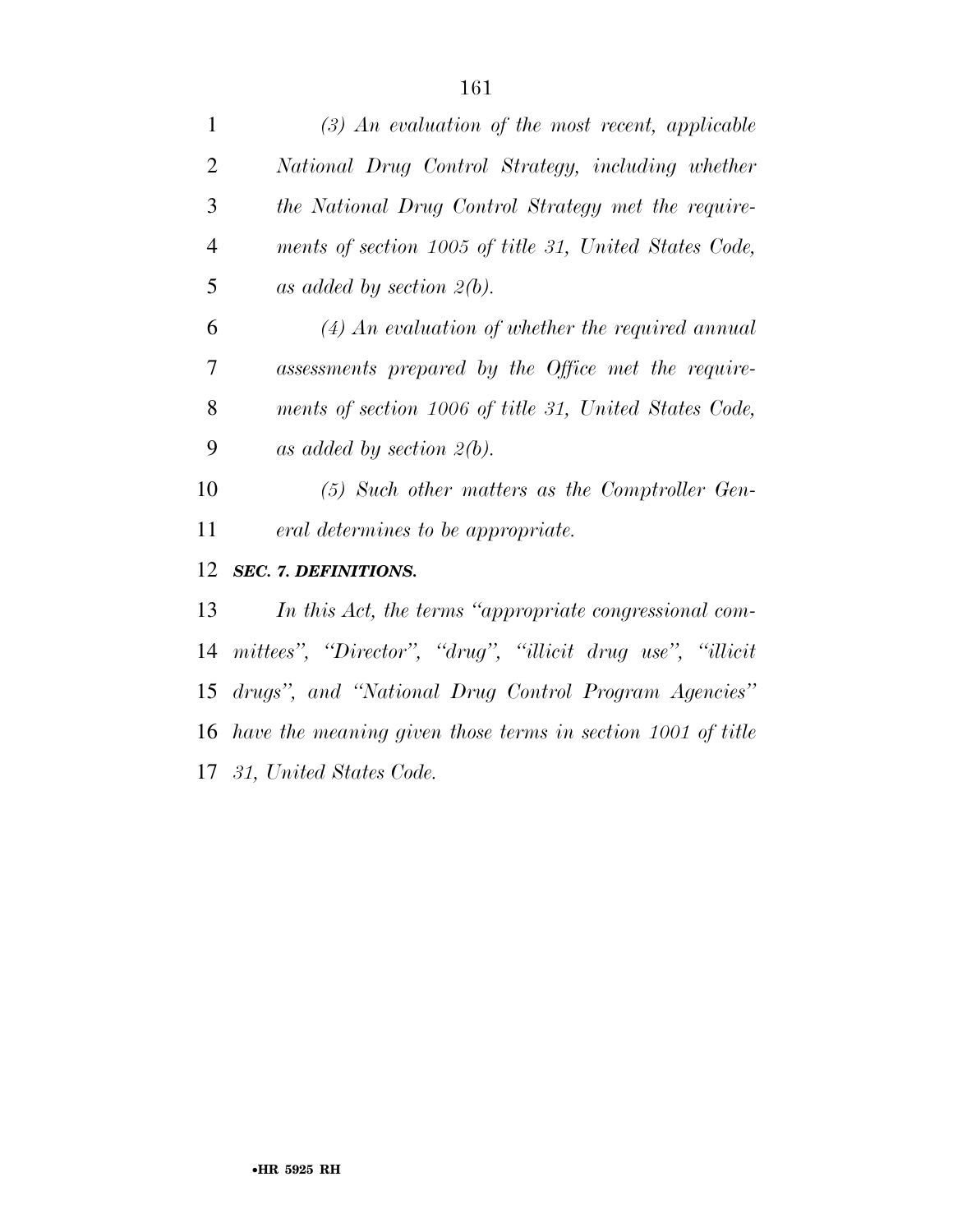| $\mathbf{1}$   | $(3)$ An evaluation of the most recent, applicable          |
|----------------|-------------------------------------------------------------|
| $\overline{2}$ | National Drug Control Strategy, including whether           |
| 3              | the National Drug Control Strategy met the require-         |
| $\overline{4}$ | ments of section 1005 of title 31, United States Code,      |
| 5              | as added by section $2(b)$ .                                |
| 6              | $(4)$ An evaluation of whether the required annual          |
| 7              | assessments prepared by the Office met the require-         |
| 8              | ments of section 1006 of title 31, United States Code,      |
| 9              | as added by section $2(b)$ .                                |
| 10             | $(5)$ Such other matters as the Comptroller Gen-            |
| 11             | eral determines to be appropriate.                          |
| 12             | <b>SEC. 7. DEFINITIONS.</b>                                 |
| 13             | In this Act, the terms "appropriate congressional com-      |
| 14             | mittees", "Director", "drug", "illicit drug use", "illicit  |
| 15             | drugs", and "National Drug Control Program Agencies"        |
| 16             | have the meaning given those terms in section 1001 of title |
|                | 17 31, United States Code.                                  |
|                |                                                             |